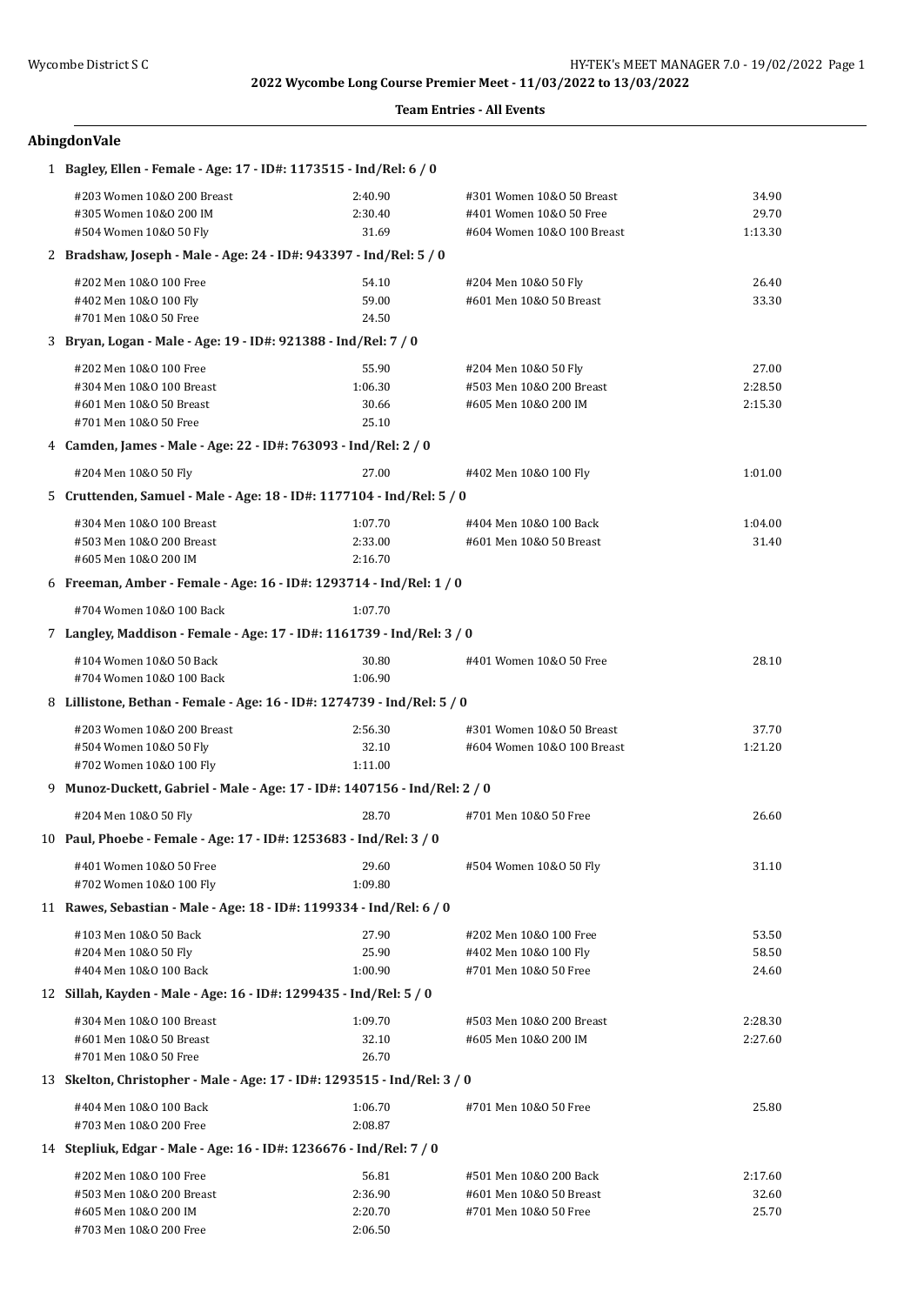### **Team Entries - All Events**

# **AbingdonVale**

| 1 Bagley, Ellen - Female - Age: 17 - ID#: 1173515 - Ind/Rel: 6 / 0        |                                                                |                            |         |  |  |  |  |
|---------------------------------------------------------------------------|----------------------------------------------------------------|----------------------------|---------|--|--|--|--|
| #203 Women 10&0 200 Breast                                                | 2:40.90                                                        | #301 Women 10&0 50 Breast  | 34.90   |  |  |  |  |
| #305 Women 10&0 200 IM                                                    | 2:30.40                                                        | #401 Women 10&0 50 Free    | 29.70   |  |  |  |  |
| #504 Women 10&0 50 Fly                                                    | 31.69                                                          | #604 Women 10&0 100 Breast | 1:13.30 |  |  |  |  |
| 2 Bradshaw, Joseph - Male - Age: 24 - ID#: 943397 - Ind/Rel: 5 / 0        |                                                                |                            |         |  |  |  |  |
| #202 Men 10&0 100 Free                                                    | 54.10                                                          | #204 Men 10&0 50 Fly       | 26.40   |  |  |  |  |
| #402 Men 10&0 100 Fly                                                     | 59.00                                                          | #601 Men 10&0 50 Breast    | 33.30   |  |  |  |  |
| #701 Men 10&0 50 Free                                                     | 24.50                                                          |                            |         |  |  |  |  |
|                                                                           | 3 Bryan, Logan - Male - Age: 19 - ID#: 921388 - Ind/Rel: 7 / 0 |                            |         |  |  |  |  |
| #202 Men 10&0 100 Free                                                    | 55.90                                                          | #204 Men 10&0 50 Fly       | 27.00   |  |  |  |  |
| #304 Men 10&0 100 Breast                                                  | 1:06.30                                                        | #503 Men 10&0 200 Breast   | 2:28.50 |  |  |  |  |
| #601 Men 10&0 50 Breast                                                   | 30.66                                                          | #605 Men 10&0 200 IM       | 2:15.30 |  |  |  |  |
| #701 Men 10&0 50 Free                                                     | 25.10                                                          |                            |         |  |  |  |  |
| 4 Camden, James - Male - Age: 22 - ID#: 763093 - Ind/Rel: 2 / 0           |                                                                |                            |         |  |  |  |  |
| #204 Men 10&0 50 Fly                                                      | 27.00                                                          | #402 Men 10&0 100 Fly      | 1:01.00 |  |  |  |  |
| 5 Cruttenden, Samuel - Male - Age: 18 - ID#: 1177104 - Ind/Rel: 5 / 0     |                                                                |                            |         |  |  |  |  |
| #304 Men 10&0 100 Breast                                                  | 1:07.70                                                        | #404 Men 10&0 100 Back     | 1:04.00 |  |  |  |  |
| #503 Men 10&0 200 Breast                                                  | 2:33.00                                                        | #601 Men 10&0 50 Breast    | 31.40   |  |  |  |  |
| #605 Men 10&0 200 IM                                                      | 2:16.70                                                        |                            |         |  |  |  |  |
| 6 Freeman, Amber - Female - Age: 16 - ID#: 1293714 - Ind/Rel: 1 / 0       |                                                                |                            |         |  |  |  |  |
| #704 Women 10&0 100 Back                                                  | 1:07.70                                                        |                            |         |  |  |  |  |
| 7 Langley, Maddison - Female - Age: 17 - ID#: 1161739 - Ind/Rel: 3 / 0    |                                                                |                            |         |  |  |  |  |
| #104 Women 10&0 50 Back                                                   | 30.80                                                          | #401 Women 10&0 50 Free    | 28.10   |  |  |  |  |
| #704 Women 10&0 100 Back                                                  | 1:06.90                                                        |                            |         |  |  |  |  |
| 8 Lillistone, Bethan - Female - Age: 16 - ID#: 1274739 - Ind/Rel: 5 / 0   |                                                                |                            |         |  |  |  |  |
| #203 Women 10&0 200 Breast                                                | 2:56.30                                                        | #301 Women 10&0 50 Breast  | 37.70   |  |  |  |  |
| #504 Women 10&0 50 Fly                                                    | 32.10                                                          | #604 Women 10&0 100 Breast | 1:21.20 |  |  |  |  |
| #702 Women 10&0 100 Fly                                                   | 1:11.00                                                        |                            |         |  |  |  |  |
| 9 Munoz-Duckett, Gabriel - Male - Age: 17 - ID#: 1407156 - Ind/Rel: 2 / 0 |                                                                |                            |         |  |  |  |  |
| #204 Men 10&0 50 Fly                                                      | 28.70                                                          | #701 Men 10&0 50 Free      | 26.60   |  |  |  |  |
| 10 Paul, Phoebe - Female - Age: 17 - ID#: 1253683 - Ind/Rel: 3 / 0        |                                                                |                            |         |  |  |  |  |
| #401 Women 10&0 50 Free                                                   | 29.60                                                          | #504 Women 10&0 50 Fly     | 31.10   |  |  |  |  |
| #702 Women 10&0 100 Fly                                                   | 1:09.80                                                        |                            |         |  |  |  |  |
| 11 Rawes, Sebastian - Male - Age: 18 - ID#: 1199334 - Ind/Rel: 6 / 0      |                                                                |                            |         |  |  |  |  |
| #103 Men 10&0 50 Back                                                     | 27.90                                                          | #202 Men 10&0 100 Free     | 53.50   |  |  |  |  |
| #204 Men 10&0 50 Fly                                                      | 25.90                                                          | #402 Men 10&0 100 Fly      | 58.50   |  |  |  |  |
| #404 Men 10&0 100 Back                                                    | 1:00.90                                                        | #701 Men 10&0 50 Free      | 24.60   |  |  |  |  |
| 12 Sillah, Kayden - Male - Age: 16 - ID#: 1299435 - Ind/Rel: 5 / 0        |                                                                |                            |         |  |  |  |  |
| #304 Men 10&0 100 Breast                                                  | 1:09.70                                                        | #503 Men 10&0 200 Breast   | 2:28.30 |  |  |  |  |
| #601 Men 10&0 50 Breast                                                   | 32.10                                                          | #605 Men 10&0 200 IM       | 2:27.60 |  |  |  |  |
| #701 Men 10&0 50 Free                                                     | 26.70                                                          |                            |         |  |  |  |  |
| 13 Skelton, Christopher - Male - Age: 17 - ID#: 1293515 - Ind/Rel: 3 / 0  |                                                                |                            |         |  |  |  |  |
| #404 Men 10&0 100 Back                                                    | 1:06.70                                                        | #701 Men 10&0 50 Free      | 25.80   |  |  |  |  |
| #703 Men 10&0 200 Free                                                    | 2:08.87                                                        |                            |         |  |  |  |  |
| 14 Stepliuk, Edgar - Male - Age: 16 - ID#: 1236676 - Ind/Rel: 7 / 0       |                                                                |                            |         |  |  |  |  |
| #202 Men 10&0 100 Free                                                    | 56.81                                                          | #501 Men 10&0 200 Back     | 2:17.60 |  |  |  |  |
| #503 Men 10&0 200 Breast                                                  | 2:36.90                                                        | #601 Men 10&0 50 Breast    | 32.60   |  |  |  |  |
| #605 Men 10&0 200 IM                                                      | 2:20.70                                                        | #701 Men 10&0 50 Free      | 25.70   |  |  |  |  |
| #703 Men 10&0 200 Free                                                    | 2:06.50                                                        |                            |         |  |  |  |  |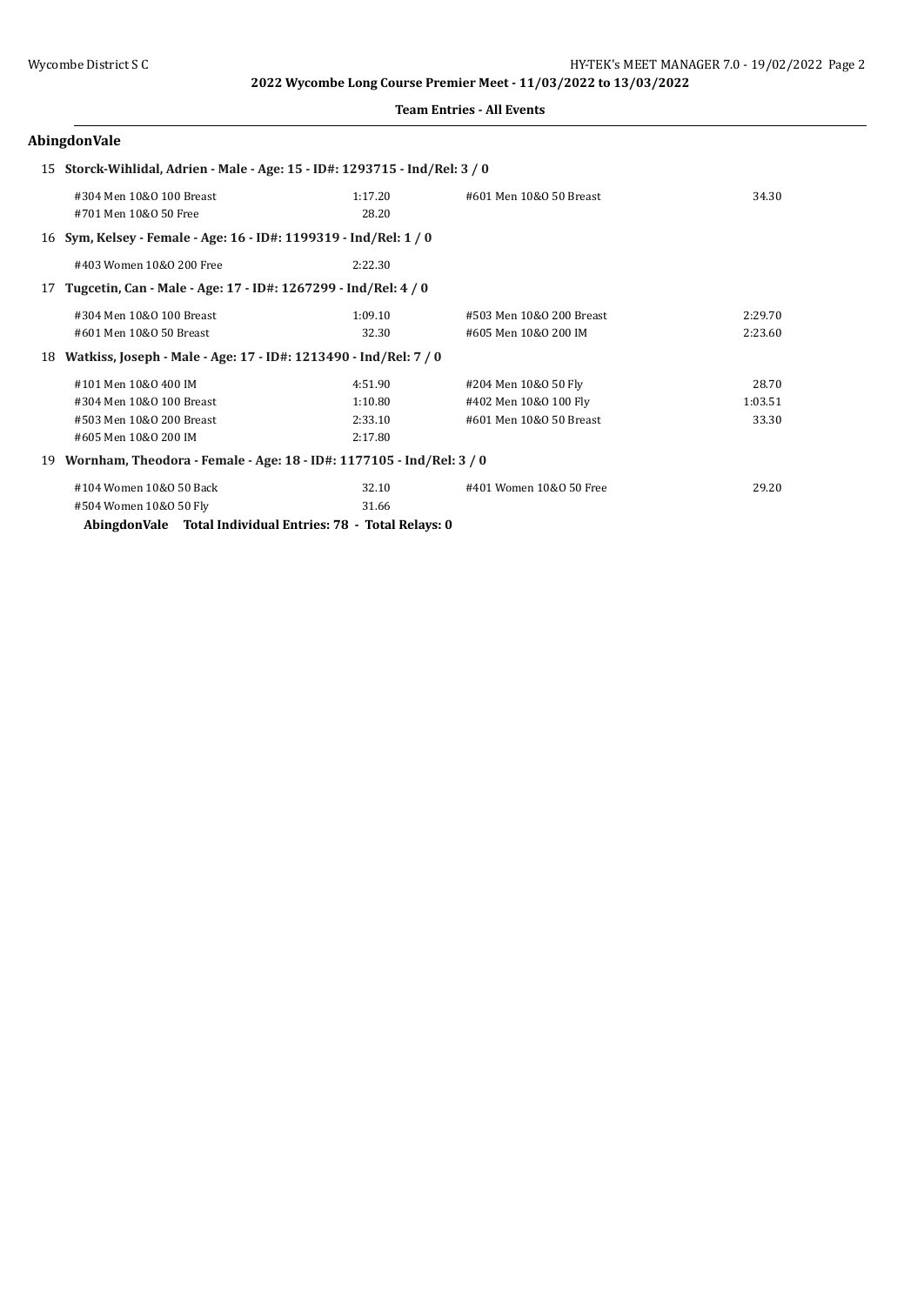#### **Team Entries - All Events**

# **AbingdonVale**

|    |                                                                      | 15 Storck-Wihlidal, Adrien - Male - Age: 15 - ID#: 1293715 - Ind/Rel: 3 / 0 |                          |         |  |  |
|----|----------------------------------------------------------------------|-----------------------------------------------------------------------------|--------------------------|---------|--|--|
|    | #304 Men 10&0 100 Breast                                             | 1:17.20                                                                     | #601 Men 10&0 50 Breast  | 34.30   |  |  |
|    | #701 Men 10&0 50 Free                                                | 28.20                                                                       |                          |         |  |  |
|    | 16 Sym, Kelsey - Female - Age: 16 - ID#: 1199319 - Ind/Rel: 1 / 0    |                                                                             |                          |         |  |  |
|    | #403 Women 10&0 200 Free                                             | 2:22.30                                                                     |                          |         |  |  |
| 17 | Tugcetin, Can - Male - Age: 17 - ID#: 1267299 - Ind/Rel: 4 / 0       |                                                                             |                          |         |  |  |
|    | #304 Men 10&0 100 Breast                                             | 1:09.10                                                                     | #503 Men 10&0 200 Breast | 2:29.70 |  |  |
|    | #601 Men 10&0 50 Breast                                              | 32.30                                                                       | #605 Men 10&0 200 IM     | 2:23.60 |  |  |
| 18 | Watkiss, Joseph - Male - Age: 17 - ID#: 1213490 - Ind/Rel: 7 / 0     |                                                                             |                          |         |  |  |
|    | #101 Men 10&0 400 IM                                                 | 4:51.90                                                                     | #204 Men 10&0 50 Fly     | 28.70   |  |  |
|    | #304 Men 10&0 100 Breast                                             | 1:10.80                                                                     | #402 Men 10&0 100 Fly    | 1:03.51 |  |  |
|    | #503 Men 10&0 200 Breast                                             | 2:33.10                                                                     | #601 Men 10&0 50 Breast  | 33.30   |  |  |
|    | #605 Men 10&0 200 IM                                                 | 2:17.80                                                                     |                          |         |  |  |
| 19 | Wornham, Theodora - Female - Age: 18 - ID#: 1177105 - Ind/Rel: 3 / 0 |                                                                             |                          |         |  |  |
|    | #104 Women 10&0 50 Back                                              | 32.10                                                                       | #401 Women 10&0 50 Free  | 29.20   |  |  |
|    | #504 Women 10&0 50 Fly                                               | 31.66                                                                       |                          |         |  |  |

**AbingdonVale Total Individual Entries: 78 - Total Relays: 0**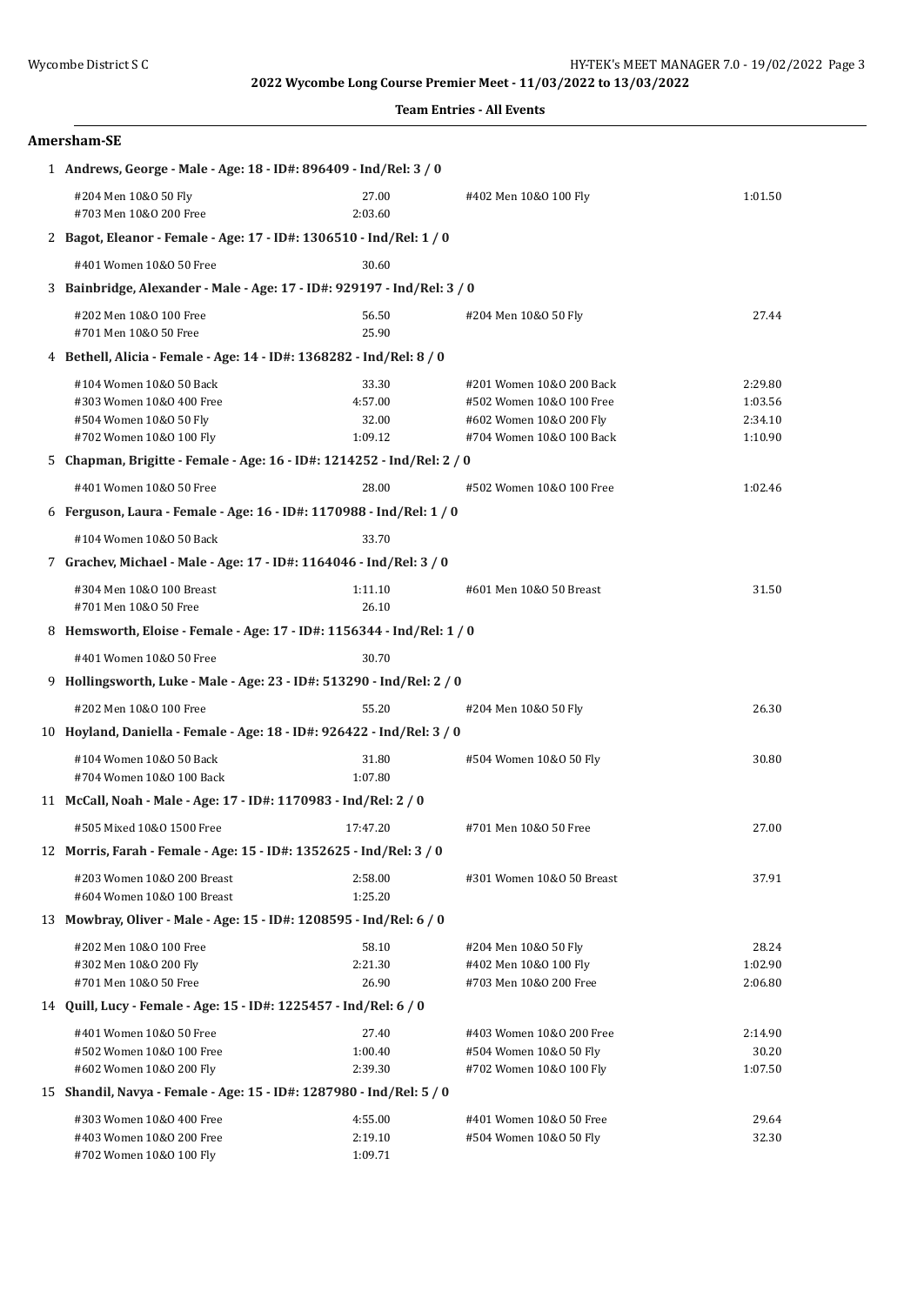| <b>Team Entries - All Events</b> |  |
|----------------------------------|--|
|----------------------------------|--|

| Amersham-SE                                                             |                                                                     |                                                      |         |  |  |  |
|-------------------------------------------------------------------------|---------------------------------------------------------------------|------------------------------------------------------|---------|--|--|--|
| 1 Andrews, George - Male - Age: 18 - ID#: 896409 - Ind/Rel: 3 / 0       |                                                                     |                                                      |         |  |  |  |
| #204 Men 10&0 50 Fly<br>#703 Men 10&0 200 Free                          | 27.00<br>2:03.60                                                    | #402 Men 10&0 100 Fly                                | 1:01.50 |  |  |  |
| 2 Bagot, Eleanor - Female - Age: 17 - ID#: 1306510 - Ind/Rel: 1 / 0     |                                                                     |                                                      |         |  |  |  |
| #401 Women 10&0 50 Free                                                 | 30.60                                                               |                                                      |         |  |  |  |
| 3 Bainbridge, Alexander - Male - Age: 17 - ID#: 929197 - Ind/Rel: 3 / 0 |                                                                     |                                                      |         |  |  |  |
| #202 Men 10&0 100 Free<br>#701 Men 10&0 50 Free                         | 56.50<br>25.90                                                      | #204 Men 10&0 50 Fly                                 | 27.44   |  |  |  |
| 4 Bethell, Alicia - Female - Age: 14 - ID#: 1368282 - Ind/Rel: 8 / 0    |                                                                     |                                                      |         |  |  |  |
| #104 Women 10&0 50 Back                                                 | 33.30                                                               |                                                      | 2:29.80 |  |  |  |
| #303 Women 10&0 400 Free                                                | 4:57.00                                                             | #201 Women 10&0 200 Back<br>#502 Women 10&0 100 Free | 1:03.56 |  |  |  |
| #504 Women 10&0 50 Fly                                                  | 32.00                                                               | #602 Women 10&0 200 Fly                              | 2:34.10 |  |  |  |
| #702 Women 10&0 100 Fly                                                 | 1:09.12                                                             | #704 Women 10&0 100 Back                             | 1:10.90 |  |  |  |
| 5 Chapman, Brigitte - Female - Age: 16 - ID#: 1214252 - Ind/Rel: 2 / 0  |                                                                     |                                                      |         |  |  |  |
| #401 Women 10&0 50 Free                                                 | 28.00                                                               | #502 Women 10&0 100 Free                             | 1:02.46 |  |  |  |
| 6 Ferguson, Laura - Female - Age: 16 - ID#: 1170988 - Ind/Rel: 1 / 0    |                                                                     |                                                      |         |  |  |  |
| #104 Women 10&0 50 Back                                                 | 33.70                                                               |                                                      |         |  |  |  |
|                                                                         | 7 Grachev, Michael - Male - Age: 17 - ID#: 1164046 - Ind/Rel: 3 / 0 |                                                      |         |  |  |  |
| #304 Men 10&0 100 Breast                                                | 1:11.10                                                             | #601 Men 10&0 50 Breast                              | 31.50   |  |  |  |
| #701 Men 10&0 50 Free                                                   | 26.10                                                               |                                                      |         |  |  |  |
| 8 Hemsworth, Eloise - Female - Age: 17 - ID#: 1156344 - Ind/Rel: 1 / 0  |                                                                     |                                                      |         |  |  |  |
| #401 Women 10&0 50 Free                                                 | 30.70                                                               |                                                      |         |  |  |  |
| 9 Hollingsworth, Luke - Male - Age: 23 - ID#: 513290 - Ind/Rel: 2 / 0   |                                                                     |                                                      |         |  |  |  |
| #202 Men 10&0 100 Free                                                  | 55.20                                                               | #204 Men 10&0 50 Fly                                 | 26.30   |  |  |  |
| 10 Hoyland, Daniella - Female - Age: 18 - ID#: 926422 - Ind/Rel: 3 / 0  |                                                                     |                                                      |         |  |  |  |
| #104 Women 10&0 50 Back                                                 | 31.80                                                               | #504 Women 10&0 50 Fly                               | 30.80   |  |  |  |
| #704 Women 10&0 100 Back                                                | 1:07.80                                                             |                                                      |         |  |  |  |
| 11 McCall, Noah - Male - Age: 17 - ID#: 1170983 - Ind/Rel: 2 / 0        |                                                                     |                                                      |         |  |  |  |
| #505 Mixed 10&0 1500 Free                                               | 17:47.20                                                            | #701 Men 10&0 50 Free                                | 27.00   |  |  |  |
| 12 Morris, Farah - Female - Age: 15 - ID#: 1352625 - Ind/Rel: 3 / 0     |                                                                     |                                                      |         |  |  |  |
| #203 Women 10&0 200 Breast                                              | 2:58.00                                                             | #301 Women 10&0 50 Breast                            | 37.91   |  |  |  |
| #604 Women 10&0 100 Breast                                              | 1:25.20                                                             |                                                      |         |  |  |  |
| 13 Mowbray, Oliver - Male - Age: 15 - ID#: 1208595 - Ind/Rel: 6 / 0     |                                                                     |                                                      |         |  |  |  |
| #202 Men 10&0 100 Free                                                  | 58.10                                                               | #204 Men 10&0 50 Fly                                 | 28.24   |  |  |  |
| #302 Men 10&0 200 Fly                                                   | 2:21.30                                                             | #402 Men 10&0 100 Fly                                | 1:02.90 |  |  |  |
| #701 Men 10&0 50 Free                                                   | 26.90                                                               | #703 Men 10&0 200 Free                               | 2:06.80 |  |  |  |
| 14 Quill, Lucy - Female - Age: 15 - ID#: 1225457 - Ind/Rel: 6 / 0       |                                                                     |                                                      |         |  |  |  |
| #401 Women 10&0 50 Free                                                 | 27.40                                                               | #403 Women 10&0 200 Free                             | 2:14.90 |  |  |  |
| #502 Women 10&0 100 Free                                                | 1:00.40                                                             | #504 Women 10&0 50 Fly                               | 30.20   |  |  |  |
| #602 Women 10&0 200 Fly                                                 | 2:39.30                                                             | #702 Women 10&0 100 Fly                              | 1:07.50 |  |  |  |
| 15 Shandil, Navya - Female - Age: 15 - ID#: 1287980 - Ind/Rel: 5 / 0    |                                                                     |                                                      |         |  |  |  |
| #303 Women 10&0 400 Free                                                | 4:55.00                                                             | #401 Women 10&0 50 Free                              | 29.64   |  |  |  |
| #403 Women 10&0 200 Free<br>#702 Women 10&0 100 Fly                     | 2:19.10<br>1:09.71                                                  | #504 Women 10&0 50 Fly                               | 32.30   |  |  |  |
|                                                                         |                                                                     |                                                      |         |  |  |  |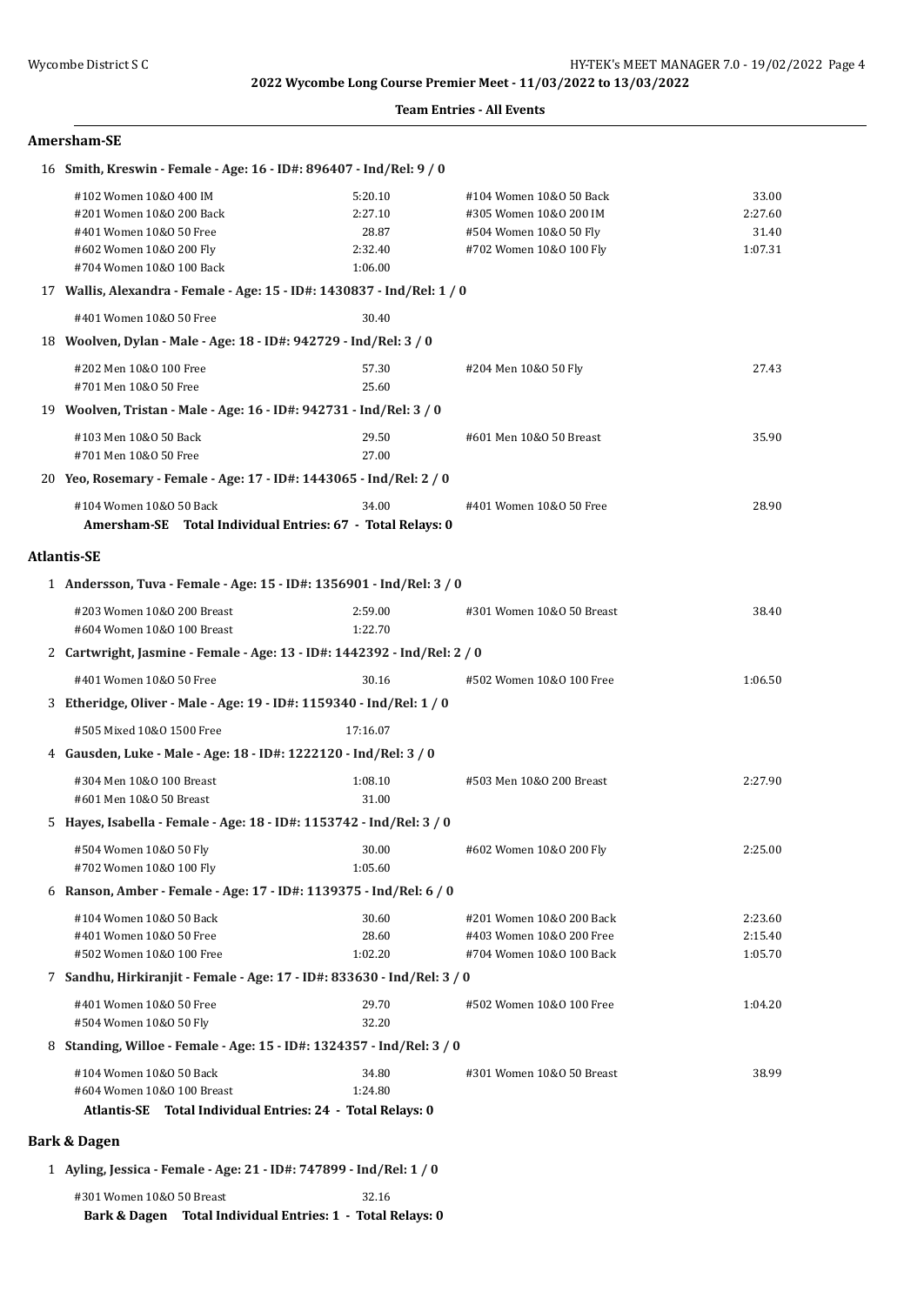### **Team Entries - All Events**

### **Amersham-SE**

| 16 Smith, Kreswin - Female - Age: 16 - ID#: 896407 - Ind/Rel: 9 / 0                     |                                                                      |                           |         |  |  |  |
|-----------------------------------------------------------------------------------------|----------------------------------------------------------------------|---------------------------|---------|--|--|--|
| #102 Women 10&0 400 IM                                                                  | 5:20.10                                                              | #104 Women 10&0 50 Back   | 33.00   |  |  |  |
| #201 Women 10&0 200 Back                                                                | 2:27.10                                                              | #305 Women 10&0 200 IM    | 2:27.60 |  |  |  |
| #401 Women 10&0 50 Free                                                                 | 28.87                                                                | #504 Women 10&0 50 Fly    | 31.40   |  |  |  |
| #602 Women 10&0 200 Fly                                                                 | 2:32.40                                                              | #702 Women 10&0 100 Fly   | 1:07.31 |  |  |  |
| #704 Women 10&0 100 Back                                                                | 1:06.00                                                              |                           |         |  |  |  |
| 17 Wallis, Alexandra - Female - Age: 15 - ID#: 1430837 - Ind/Rel: 1 / 0                 |                                                                      |                           |         |  |  |  |
| #401 Women 10&0 50 Free                                                                 | 30.40                                                                |                           |         |  |  |  |
| 18 Woolven, Dylan - Male - Age: 18 - ID#: 942729 - Ind/Rel: 3 / 0                       |                                                                      |                           |         |  |  |  |
| #202 Men 10&0 100 Free                                                                  | 57.30                                                                | #204 Men 10&0 50 Fly      | 27.43   |  |  |  |
| #701 Men 10&0 50 Free                                                                   | 25.60                                                                |                           |         |  |  |  |
| 19 Woolven, Tristan - Male - Age: 16 - ID#: 942731 - Ind/Rel: 3 / 0                     |                                                                      |                           |         |  |  |  |
| #103 Men 10&0 50 Back                                                                   | 29.50                                                                | #601 Men 10&0 50 Breast   | 35.90   |  |  |  |
| #701 Men 10&0 50 Free                                                                   | 27.00                                                                |                           |         |  |  |  |
| 20 Yeo, Rosemary - Female - Age: 17 - ID#: 1443065 - Ind/Rel: 2 / 0                     |                                                                      |                           |         |  |  |  |
| #104 Women 10&0 50 Back                                                                 | 34.00                                                                | #401 Women 10&0 50 Free   | 28.90   |  |  |  |
| Amersham-SE Total Individual Entries: 67 - Total Relays: 0                              |                                                                      |                           |         |  |  |  |
| <b>Atlantis-SE</b>                                                                      |                                                                      |                           |         |  |  |  |
| 1 Andersson, Tuva - Female - Age: 15 - ID#: 1356901 - Ind/Rel: 3 / 0                    |                                                                      |                           |         |  |  |  |
| #203 Women 10&0 200 Breast                                                              | 2:59.00                                                              | #301 Women 10&0 50 Breast | 38.40   |  |  |  |
| #604 Women 10&0 100 Breast                                                              | 1:22.70                                                              |                           |         |  |  |  |
| 2 Cartwright, Jasmine - Female - Age: 13 - ID#: 1442392 - Ind/Rel: 2 / 0                |                                                                      |                           |         |  |  |  |
| #401 Women 10&0 50 Free                                                                 | 30.16                                                                | #502 Women 10&0 100 Free  | 1:06.50 |  |  |  |
|                                                                                         | 3 Etheridge, Oliver - Male - Age: 19 - ID#: 1159340 - Ind/Rel: 1 / 0 |                           |         |  |  |  |
| #505 Mixed 10&0 1500 Free                                                               | 17:16.07                                                             |                           |         |  |  |  |
|                                                                                         | 4 Gausden, Luke - Male - Age: 18 - ID#: 1222120 - Ind/Rel: 3 / 0     |                           |         |  |  |  |
| #304 Men 10&0 100 Breast                                                                | 1:08.10                                                              | #503 Men 10&0 200 Breast  | 2:27.90 |  |  |  |
| #601 Men 10&0 50 Breast                                                                 | 31.00                                                                |                           |         |  |  |  |
| 5 Hayes, Isabella - Female - Age: 18 - ID#: 1153742 - Ind/Rel: 3 / 0                    |                                                                      |                           |         |  |  |  |
| #504 Women 10&0 50 Fly                                                                  | 30.00                                                                | #602 Women 10&0 200 Fly   | 2:25.00 |  |  |  |
| #702 Women 10&0 100 Fly                                                                 | 1:05.60                                                              |                           |         |  |  |  |
| 6 Ranson, Amber - Female - Age: 17 - ID#: 1139375 - Ind/Rel: 6 / 0                      |                                                                      |                           |         |  |  |  |
| #104 Women 10&0 50 Back                                                                 | 30.60                                                                | #201 Women 10&0 200 Back  | 2:23.60 |  |  |  |
| #401 Women 10&0 50 Free                                                                 | 28.60                                                                | #403 Women 10&0 200 Free  | 2:15.40 |  |  |  |
| #502 Women 10&0 100 Free                                                                | 1:02.20                                                              | #704 Women 10&0 100 Back  | 1:05.70 |  |  |  |
| 7 Sandhu, Hirkiranjit - Female - Age: 17 - ID#: 833630 - Ind/Rel: 3 / 0                 |                                                                      |                           |         |  |  |  |
| #401 Women 10&0 50 Free                                                                 | 29.70                                                                | #502 Women 10&0 100 Free  | 1:04.20 |  |  |  |
| #504 Women 10&0 50 Fly                                                                  | 32.20                                                                |                           |         |  |  |  |
| 8 Standing, Willoe - Female - Age: 15 - ID#: 1324357 - Ind/Rel: 3 / 0                   |                                                                      |                           |         |  |  |  |
| #104 Women 10&0 50 Back                                                                 | 34.80                                                                | #301 Women 10&0 50 Breast | 38.99   |  |  |  |
| #604 Women 10&0 100 Breast                                                              | 1:24.80                                                              |                           |         |  |  |  |
| Atlantis-SE Total Individual Entries: 24 - Total Relays: 0                              |                                                                      |                           |         |  |  |  |
| <b>Bark &amp; Dagen</b>                                                                 |                                                                      |                           |         |  |  |  |
| 1 Ayling, Jessica - Female - Age: 21 - ID#: 747899 - Ind/Rel: 1 / 0                     |                                                                      |                           |         |  |  |  |
| #301 Women 10&0 50 Breast<br>Bark & Dagen Total Individual Entries: 1 - Total Relays: 0 | 32.16                                                                |                           |         |  |  |  |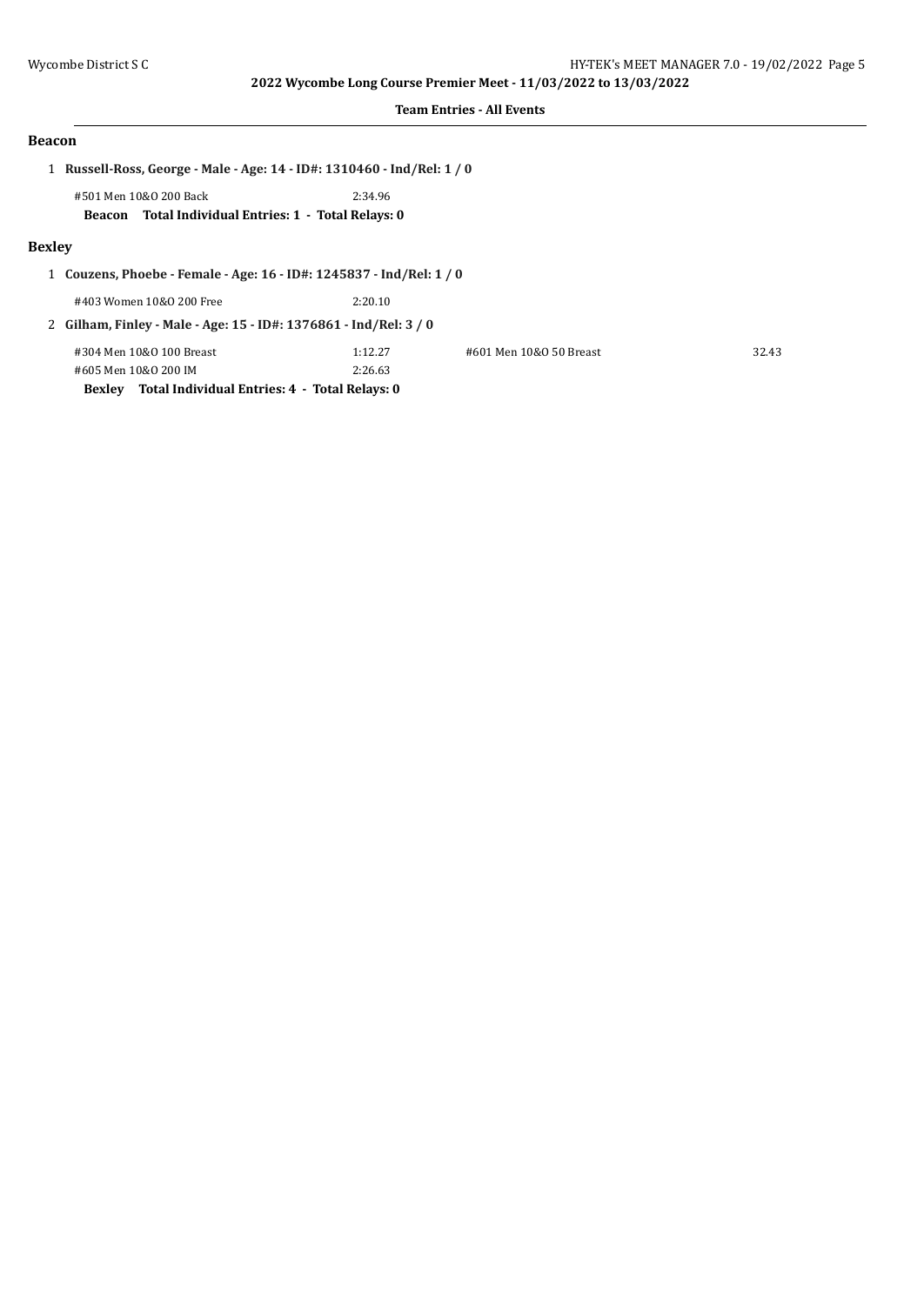#### **Team Entries - All Events**

#### **Beacon**

1 **Russell-Ross, George - Male - Age: 14 - ID#: 1310460 - Ind/Rel: 1 / 0**

#501 Men 10&O 200 Back 2:34.96 **Beacon Total Individual Entries: 1 - Total Relays: 0**

#### **Bexley**

1 **Couzens, Phoebe - Female - Age: 16 - ID#: 1245837 - Ind/Rel: 1 / 0**

#403 Women 10&O 200 Free 2:20.10

2 **Gilham, Finley - Male - Age: 15 - ID#: 1376861 - Ind/Rel: 3 / 0**

| #304 Men 10&0 100 Breast                             | 1:12.27 | #601 Men 10&0 50 Breast | 32.43 |
|------------------------------------------------------|---------|-------------------------|-------|
| #605 Men 10&0 200 IM                                 | 2:26.63 |                         |       |
| Bexley Total Individual Entries: 4 - Total Relays: 0 |         |                         |       |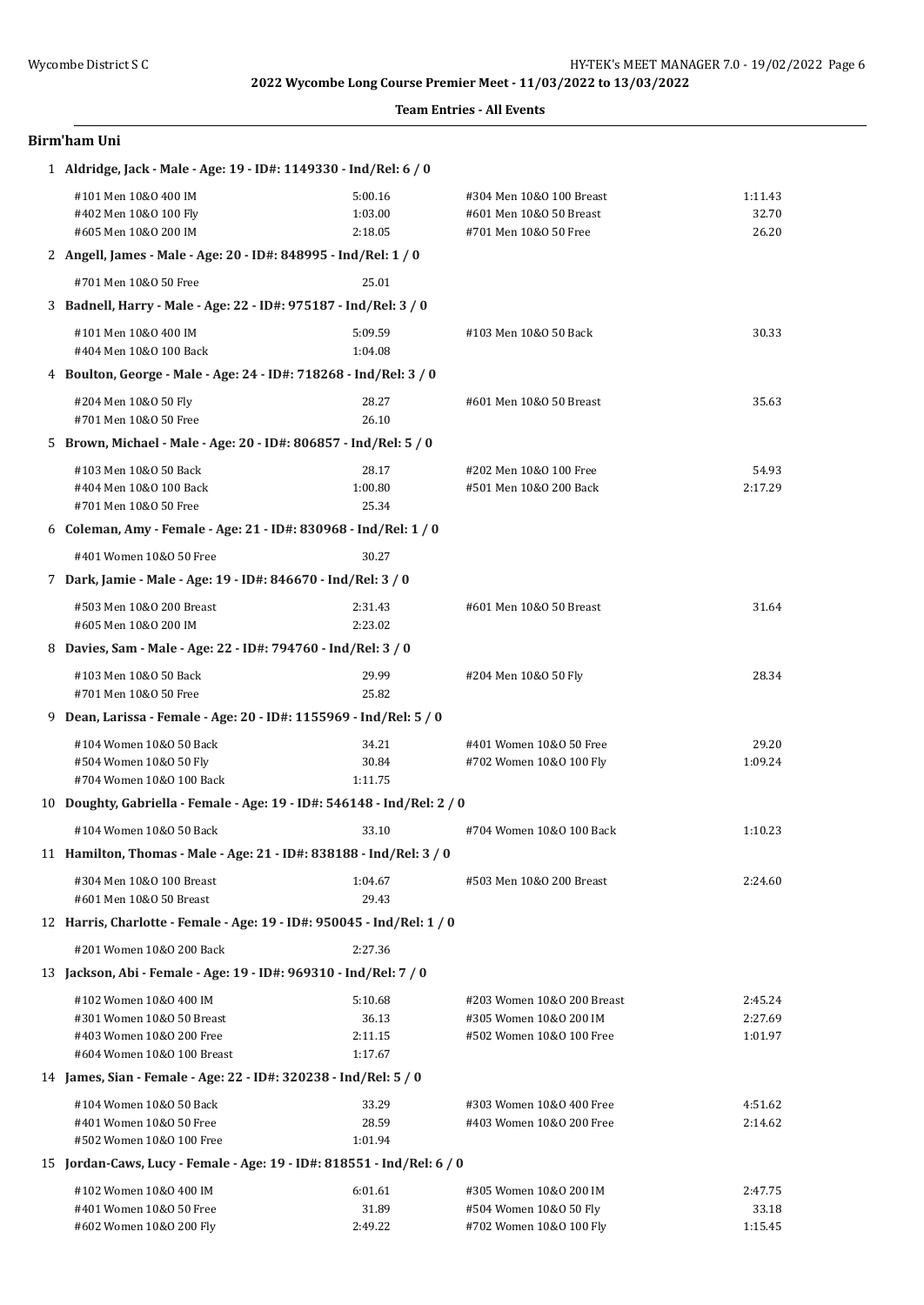| <b>Team Entries - All Events</b> |  |
|----------------------------------|--|
|----------------------------------|--|

| Birm'ham Uni |  |
|--------------|--|
|--------------|--|

| 1 Aldridge, Jack - Male - Age: 19 - ID#: 1149330 - Ind/Rel: 6 / 0       |         |                            |         |  |  |
|-------------------------------------------------------------------------|---------|----------------------------|---------|--|--|
| #101 Men 10&0 400 IM                                                    | 5:00.16 | #304 Men 10&0 100 Breast   | 1:11.43 |  |  |
| #402 Men 10&0 100 Fly                                                   | 1:03.00 | #601 Men 10&0 50 Breast    | 32.70   |  |  |
| #605 Men 10&0 200 IM                                                    | 2:18.05 | #701 Men 10&0 50 Free      | 26.20   |  |  |
| 2 Angell, James - Male - Age: 20 - ID#: 848995 - Ind/Rel: 1 / 0         |         |                            |         |  |  |
| #701 Men 10&0 50 Free                                                   | 25.01   |                            |         |  |  |
| 3 Badnell, Harry - Male - Age: 22 - ID#: 975187 - Ind/Rel: 3 / 0        |         |                            |         |  |  |
| #101 Men 10&0 400 IM                                                    | 5:09.59 | #103 Men 10&0 50 Back      | 30.33   |  |  |
| #404 Men 10&0 100 Back                                                  | 1:04.08 |                            |         |  |  |
| 4 Boulton, George - Male - Age: 24 - ID#: 718268 - Ind/Rel: 3 / 0       |         |                            |         |  |  |
| #204 Men 10&0 50 Fly                                                    | 28.27   | #601 Men 10&0 50 Breast    | 35.63   |  |  |
| #701 Men 10&0 50 Free                                                   | 26.10   |                            |         |  |  |
| 5 Brown, Michael - Male - Age: 20 - ID#: 806857 - Ind/Rel: 5 / 0        |         |                            |         |  |  |
| #103 Men 10&0 50 Back                                                   | 28.17   | #202 Men 10&0 100 Free     | 54.93   |  |  |
| #404 Men 10&0 100 Back                                                  | 1:00.80 | #501 Men 10&0 200 Back     | 2:17.29 |  |  |
| #701 Men 10&0 50 Free                                                   | 25.34   |                            |         |  |  |
| 6 Coleman, Amy - Female - Age: 21 - ID#: 830968 - Ind/Rel: 1 / 0        |         |                            |         |  |  |
| #401 Women 10&0 50 Free                                                 | 30.27   |                            |         |  |  |
| 7 Dark, Jamie - Male - Age: 19 - ID#: 846670 - Ind/Rel: 3 / 0           |         |                            |         |  |  |
| #503 Men 10&0 200 Breast                                                | 2:31.43 | #601 Men 10&0 50 Breast    | 31.64   |  |  |
| #605 Men 10&0 200 IM                                                    | 2:23.02 |                            |         |  |  |
| 8 Davies, Sam - Male - Age: 22 - ID#: 794760 - Ind/Rel: 3 / 0           |         |                            |         |  |  |
| #103 Men 10&0 50 Back                                                   | 29.99   | #204 Men 10&0 50 Fly       | 28.34   |  |  |
| #701 Men 10&0 50 Free                                                   | 25.82   |                            |         |  |  |
| 9 Dean, Larissa - Female - Age: 20 - ID#: 1155969 - Ind/Rel: 5 / 0      |         |                            |         |  |  |
| #104 Women 10&0 50 Back                                                 | 34.21   | #401 Women 10&0 50 Free    | 29.20   |  |  |
| #504 Women 10&0 50 Fly                                                  | 30.84   | #702 Women 10&0 100 Fly    | 1:09.24 |  |  |
| #704 Women 10&0 100 Back                                                | 1:11.75 |                            |         |  |  |
| 10 Doughty, Gabriella - Female - Age: 19 - ID#: 546148 - Ind/Rel: 2 / 0 |         |                            |         |  |  |
| #104 Women 10&0 50 Back                                                 | 33.10   | #704 Women 10&0 100 Back   | 1:10.23 |  |  |
| 11 Hamilton, Thomas - Male - Age: 21 - ID#: 838188 - Ind/Rel: 3 / 0     |         |                            |         |  |  |
| #304 Men 10&0 100 Breast                                                | 1:04.67 | #503 Men 10&0 200 Breast   | 2:24.60 |  |  |
| #601 Men 10&0 50 Breast                                                 | 29.43   |                            |         |  |  |
| 12 Harris, Charlotte - Female - Age: 19 - ID#: 950045 - Ind/Rel: 1 / 0  |         |                            |         |  |  |
| #201 Women 10&0 200 Back                                                | 2:27.36 |                            |         |  |  |
| 13 Jackson, Abi - Female - Age: 19 - ID#: 969310 - Ind/Rel: 7 / 0       |         |                            |         |  |  |
| #102 Women 10&0 400 IM                                                  | 5:10.68 | #203 Women 10&0 200 Breast | 2:45.24 |  |  |
| #301 Women 10&0 50 Breast                                               | 36.13   | #305 Women 10&0 200 IM     | 2:27.69 |  |  |
| #403 Women 10&0 200 Free                                                | 2:11.15 | #502 Women 10&0 100 Free   | 1:01.97 |  |  |
| #604 Women 10&0 100 Breast                                              | 1:17.67 |                            |         |  |  |
| 14 James, Sian - Female - Age: 22 - ID#: 320238 - Ind/Rel: 5 / 0        |         |                            |         |  |  |
| #104 Women 10&0 50 Back                                                 | 33.29   | #303 Women 10&0 400 Free   | 4:51.62 |  |  |
| #401 Women 10&0 50 Free                                                 | 28.59   | #403 Women 10&0 200 Free   | 2:14.62 |  |  |
| #502 Women 10&0 100 Free                                                | 1:01.94 |                            |         |  |  |
| 15 Jordan-Caws, Lucy - Female - Age: 19 - ID#: 818551 - Ind/Rel: 6 / 0  |         |                            |         |  |  |
| #102 Women 10&0 400 IM                                                  | 6:01.61 | #305 Women 10&0 200 IM     | 2:47.75 |  |  |
| #401 Women 10&0 50 Free                                                 | 31.89   | #504 Women 10&0 50 Fly     | 33.18   |  |  |

#602 Women 10&O 200 Fly 2:49.22 #702 Women 10&O 100 Fly 1:15.45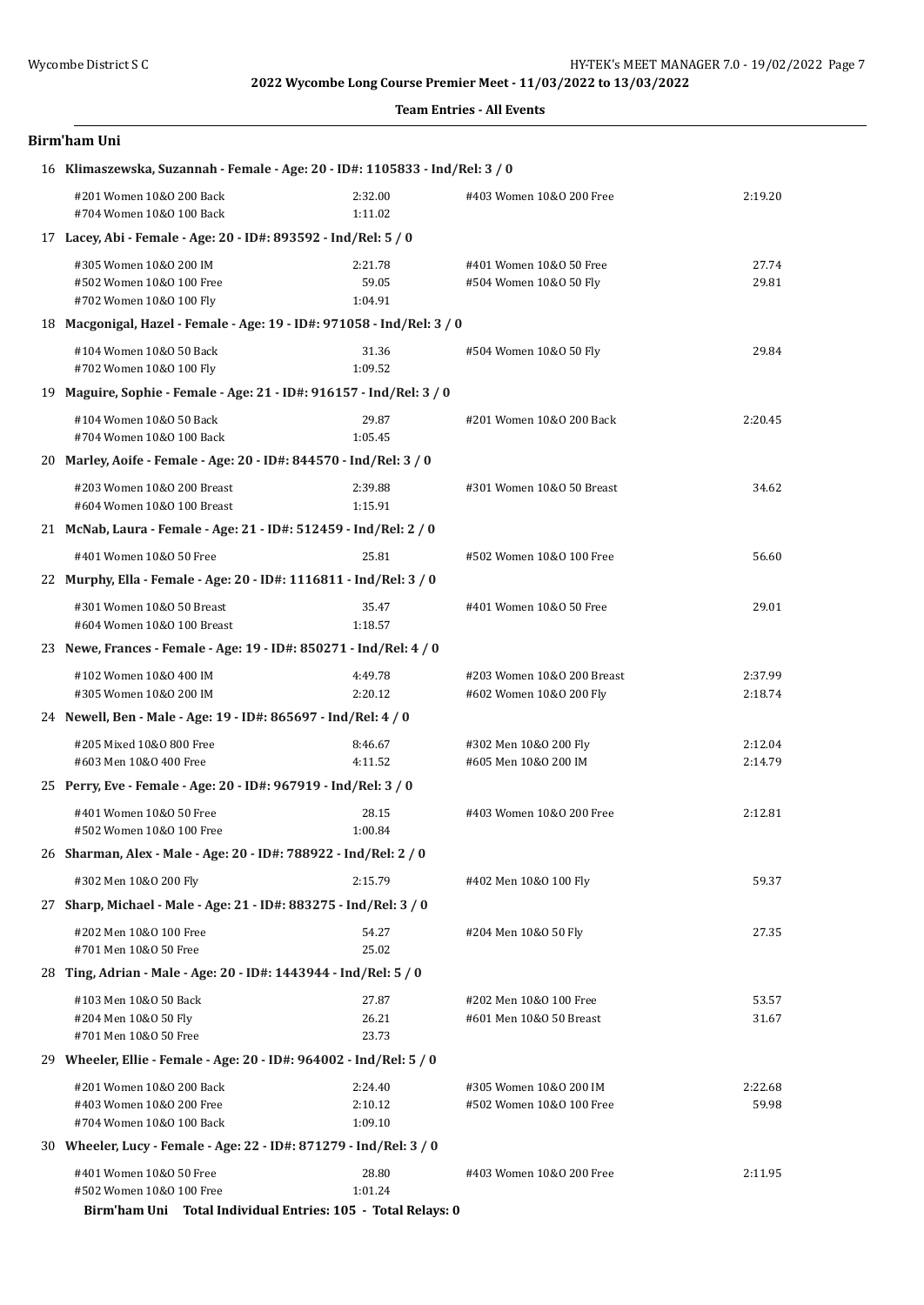#### **Team Entries - All Events**

| Birm'ham Uni                                                                     |                               |                                                       |                    |  |  |
|----------------------------------------------------------------------------------|-------------------------------|-------------------------------------------------------|--------------------|--|--|
| 16 Klimaszewska, Suzannah - Female - Age: 20 - ID#: 1105833 - Ind/Rel: 3 / 0     |                               |                                                       |                    |  |  |
| #201 Women 10&0 200 Back<br>#704 Women 10&0 100 Back                             | 2:32.00<br>1:11.02            | #403 Women 10&0 200 Free                              | 2:19.20            |  |  |
| 17 Lacey, Abi - Female - Age: 20 - ID#: 893592 - Ind/Rel: 5 / 0                  |                               |                                                       |                    |  |  |
| #305 Women 10&0 200 IM<br>#502 Women 10&0 100 Free<br>#702 Women 10&0 100 Fly    | 2:21.78<br>59.05<br>1:04.91   | #401 Women 10&0 50 Free<br>#504 Women 10&0 50 Fly     | 27.74<br>29.81     |  |  |
| 18 Macgonigal, Hazel - Female - Age: 19 - ID#: 971058 - Ind/Rel: 3 / 0           |                               |                                                       |                    |  |  |
| #104 Women 10&0 50 Back<br>#702 Women 10&0 100 Fly                               | 31.36<br>1:09.52              | #504 Women 10&0 50 Fly                                | 29.84              |  |  |
| 19 Maguire, Sophie - Female - Age: 21 - ID#: 916157 - Ind/Rel: 3 / 0             |                               |                                                       |                    |  |  |
| #104 Women 10&0 50 Back<br>#704 Women 10&0 100 Back                              | 29.87<br>1:05.45              | #201 Women 10&0 200 Back                              | 2:20.45            |  |  |
| 20 Marley, Aoife - Female - Age: 20 - ID#: 844570 - Ind/Rel: 3 / 0               |                               |                                                       |                    |  |  |
| #203 Women 10&0 200 Breast<br>#604 Women 10&0 100 Breast                         | 2:39.88<br>1:15.91            | #301 Women 10&0 50 Breast                             | 34.62              |  |  |
| 21 McNab, Laura - Female - Age: 21 - ID#: 512459 - Ind/Rel: 2 / 0                |                               |                                                       |                    |  |  |
| #401 Women 10&0 50 Free                                                          | 25.81                         | #502 Women 10&0 100 Free                              | 56.60              |  |  |
| 22 Murphy, Ella - Female - Age: 20 - ID#: 1116811 - Ind/Rel: 3 / 0               |                               |                                                       |                    |  |  |
| #301 Women 10&0 50 Breast<br>#604 Women 10&0 100 Breast                          | 35.47<br>1:18.57              | #401 Women 10&0 50 Free                               | 29.01              |  |  |
| 23 Newe, Frances - Female - Age: 19 - ID#: 850271 - Ind/Rel: 4 / 0               |                               |                                                       |                    |  |  |
| #102 Women 10&0 400 IM<br>#305 Women 10&0 200 IM                                 | 4:49.78<br>2:20.12            | #203 Women 10&0 200 Breast<br>#602 Women 10&0 200 Fly | 2:37.99<br>2:18.74 |  |  |
| 24 Newell, Ben - Male - Age: 19 - ID#: 865697 - Ind/Rel: 4 / 0                   |                               |                                                       |                    |  |  |
| #205 Mixed 10&0 800 Free<br>#603 Men 10&0 400 Free                               | 8:46.67<br>4:11.52            | #302 Men 10&0 200 Fly<br>#605 Men 10&0 200 IM         | 2:12.04<br>2:14.79 |  |  |
| 25 Perry, Eve - Female - Age: 20 - ID#: 967919 - Ind/Rel: 3 / 0                  |                               |                                                       |                    |  |  |
| #401 Women 10&0 50 Free<br>#502 Women 10&0 100 Free                              | 28.15<br>1:00.84              | #403 Women 10&0 200 Free                              | 2:12.81            |  |  |
| 26 Sharman, Alex - Male - Age: 20 - ID#: 788922 - Ind/Rel: 2 / 0                 |                               |                                                       |                    |  |  |
| #302 Men 10&0 200 Fly                                                            | 2:15.79                       | #402 Men 10&0 100 Fly                                 | 59.37              |  |  |
| 27 Sharp, Michael - Male - Age: 21 - ID#: 883275 - Ind/Rel: 3 / 0                |                               |                                                       |                    |  |  |
| #202 Men 10&0 100 Free<br>#701 Men 10&0 50 Free                                  | 54.27<br>25.02                | #204 Men 10&0 50 Fly                                  | 27.35              |  |  |
| 28 Ting, Adrian - Male - Age: 20 - ID#: 1443944 - Ind/Rel: 5 / 0                 |                               |                                                       |                    |  |  |
| #103 Men 10&0 50 Back<br>#204 Men 10&0 50 Fly<br>#701 Men 10&0 50 Free           | 27.87<br>26.21<br>23.73       | #202 Men 10&0 100 Free<br>#601 Men 10&0 50 Breast     | 53.57<br>31.67     |  |  |
| 29 Wheeler, Ellie - Female - Age: 20 - ID#: 964002 - Ind/Rel: 5 / 0              |                               |                                                       |                    |  |  |
| #201 Women 10&0 200 Back<br>#403 Women 10&0 200 Free<br>#704 Women 10&0 100 Back | 2:24.40<br>2:10.12<br>1:09.10 | #305 Women 10&0 200 IM<br>#502 Women 10&0 100 Free    | 2:22.68<br>59.98   |  |  |
| 30 Wheeler, Lucy - Female - Age: 22 - ID#: 871279 - Ind/Rel: 3 / 0               |                               |                                                       |                    |  |  |
| #401 Women 10&0 50 Free<br>#502 Women 10&0 100 Free                              | 28.80<br>1:01.24              | #403 Women 10&0 200 Free                              | 2:11.95            |  |  |

**Birm'ham Uni Total Individual Entries: 105 - Total Relays: 0**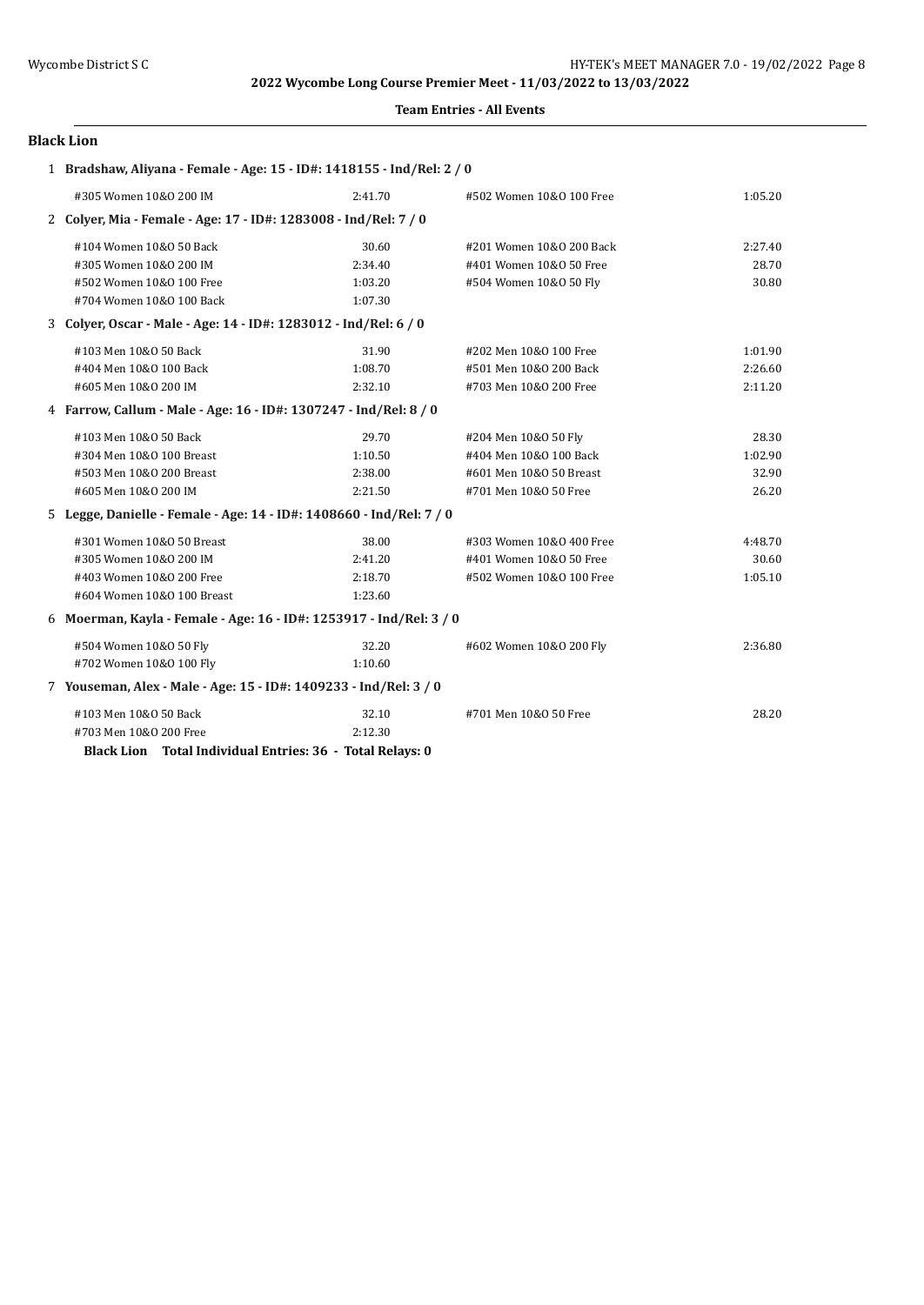#### **Team Entries - All Events**

#### **Black Lion**

| 1 Bradshaw, Aliyana - Female - Age: 15 - ID#: 1418155 - Ind/Rel: 2 / 0 |         |                          |         |
|------------------------------------------------------------------------|---------|--------------------------|---------|
| #305 Women 10&0 200 IM                                                 | 2:41.70 | #502 Women 10&0 100 Free | 1:05.20 |
| 2 Colyer, Mia - Female - Age: 17 - ID#: 1283008 - Ind/Rel: 7 / 0       |         |                          |         |
| #104 Women 10&0 50 Back                                                | 30.60   | #201 Women 10&0 200 Back | 2:27.40 |
| #305 Women 10&0 200 IM                                                 | 2:34.40 | #401 Women 10&0 50 Free  | 28.70   |
| #502 Women 10&0 100 Free                                               | 1:03.20 | #504 Women 10&0 50 Fly   | 30.80   |
| #704 Women 10&0 100 Back                                               | 1:07.30 |                          |         |
| 3 Colyer, Oscar - Male - Age: 14 - ID#: 1283012 - Ind/Rel: 6 / 0       |         |                          |         |
| #103 Men 10&0 50 Back                                                  | 31.90   | #202 Men 10&0 100 Free   | 1:01.90 |
| #404 Men 10&0 100 Back                                                 | 1:08.70 | #501 Men 10&0 200 Back   | 2:26.60 |
| #605 Men 10&0 200 IM                                                   | 2:32.10 | #703 Men 10&0 200 Free   | 2:11.20 |
| 4 Farrow, Callum - Male - Age: 16 - ID#: 1307247 - Ind/Rel: 8 / 0      |         |                          |         |
| #103 Men 10&0 50 Back                                                  | 29.70   | #204 Men 10&0 50 Fly     | 28.30   |
| #304 Men 10&0 100 Breast                                               | 1:10.50 | #404 Men 10&0 100 Back   | 1:02.90 |
| #503 Men 10&0 200 Breast                                               | 2:38.00 | #601 Men 10&0 50 Breast  | 32.90   |
| #605 Men 10&0 200 IM                                                   | 2:21.50 | #701 Men 10&0 50 Free    | 26.20   |
| 5 Legge, Danielle - Female - Age: 14 - ID#: 1408660 - Ind/Rel: 7 / 0   |         |                          |         |
| #301 Women 10&0 50 Breast                                              | 38.00   | #303 Women 10&0 400 Free | 4:48.70 |
| #305 Women 10&0 200 IM                                                 | 2:41.20 | #401 Women 10&0 50 Free  | 30.60   |
| #403 Women 10&0 200 Free                                               | 2:18.70 | #502 Women 10&0 100 Free | 1:05.10 |
| #604 Women 10&0 100 Breast                                             | 1:23.60 |                          |         |
| 6 Moerman, Kayla - Female - Age: 16 - ID#: 1253917 - Ind/Rel: 3 / 0    |         |                          |         |
| #504 Women 10&0 50 Fly                                                 | 32.20   | #602 Women 10&0 200 Fly  | 2:36.80 |
| #702 Women 10&0 100 Fly                                                | 1:10.60 |                          |         |
| 7 Youseman, Alex - Male - Age: 15 - ID#: 1409233 - Ind/Rel: 3 / 0      |         |                          |         |
| #103 Men 10&0 50 Back                                                  | 32.10   | #701 Men 10&0 50 Free    | 28.20   |
| #703 Men 10&0 200 Free                                                 | 2:12.30 |                          |         |

**Black Lion Total Individual Entries: 36 - Total Relays: 0**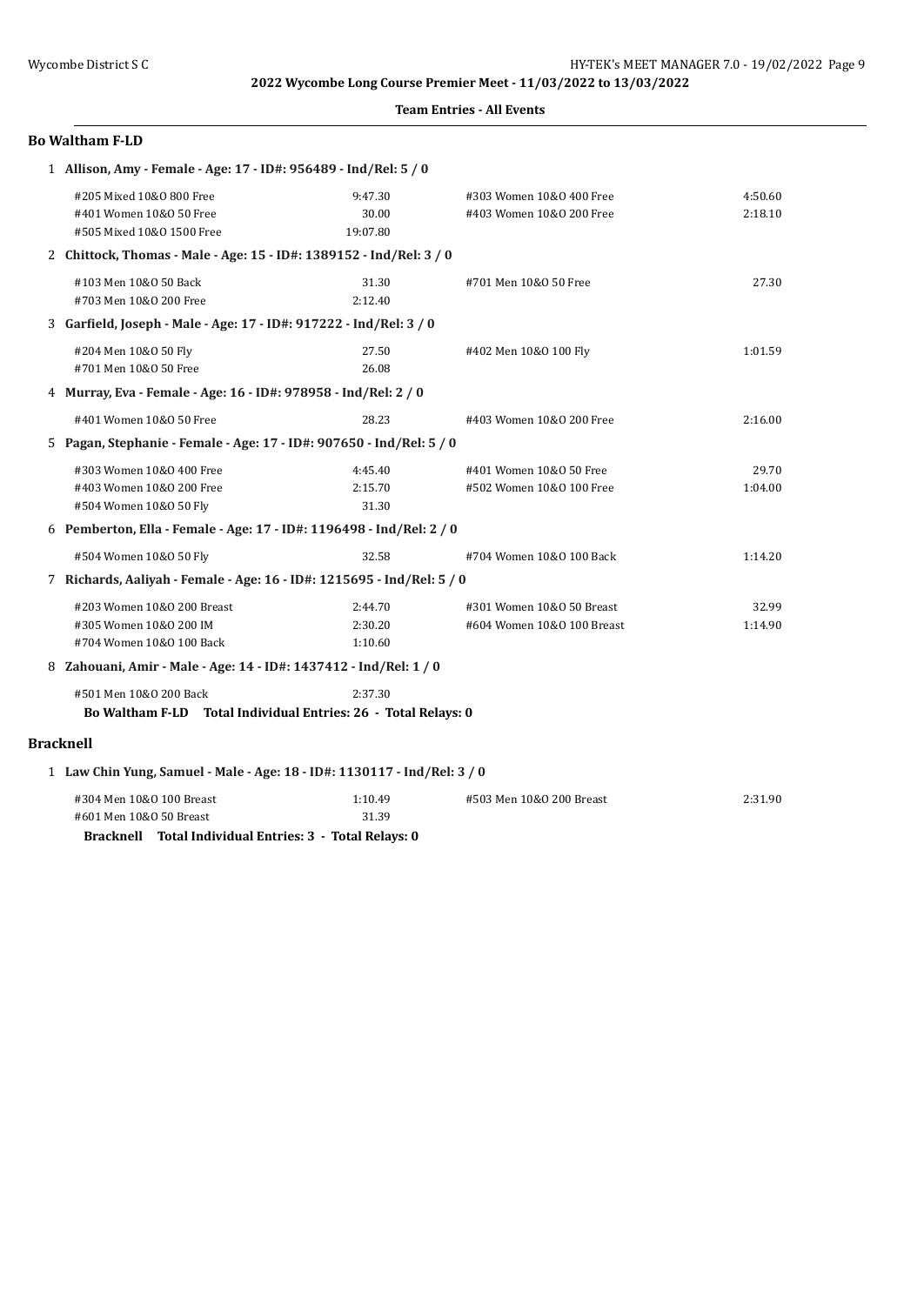**Team Entries - All Events**

|                                                                  | <b>Bo Waltham F-LD</b>                                                                                         |                               |                                                         |                    |  |  |
|------------------------------------------------------------------|----------------------------------------------------------------------------------------------------------------|-------------------------------|---------------------------------------------------------|--------------------|--|--|
| 1 Allison, Amy - Female - Age: 17 - ID#: 956489 - Ind/Rel: 5 / 0 |                                                                                                                |                               |                                                         |                    |  |  |
|                                                                  | #205 Mixed 10&0 800 Free<br>#401 Women 10&0 50 Free<br>#505 Mixed 10&0 1500 Free                               | 9:47.30<br>30.00<br>19:07.80  | #303 Women 10&0 400 Free<br>#403 Women 10&0 200 Free    | 4:50.60<br>2:18.10 |  |  |
|                                                                  | 2 Chittock, Thomas - Male - Age: 15 - ID#: 1389152 - Ind/Rel: 3 / 0                                            |                               |                                                         |                    |  |  |
|                                                                  | #103 Men 10&0 50 Back<br>#703 Men 10&0 200 Free                                                                | 31.30<br>2:12.40              | #701 Men 10&0 50 Free                                   | 27.30              |  |  |
|                                                                  | 3 Garfield, Joseph - Male - Age: 17 - ID#: 917222 - Ind/Rel: 3 / 0                                             |                               |                                                         |                    |  |  |
|                                                                  | #204 Men 10&0 50 Fly<br>#701 Men 10&0 50 Free                                                                  | 27.50<br>26.08                | #402 Men 10&0 100 Fly                                   | 1:01.59            |  |  |
|                                                                  | 4 Murray, Eva - Female - Age: 16 - ID#: 978958 - Ind/Rel: 2 / 0                                                |                               |                                                         |                    |  |  |
|                                                                  | #401 Women 10&0 50 Free                                                                                        | 28.23                         | #403 Women 10&0 200 Free                                | 2:16.00            |  |  |
|                                                                  | 5 Pagan, Stephanie - Female - Age: 17 - ID#: 907650 - Ind/Rel: 5 / 0                                           |                               |                                                         |                    |  |  |
|                                                                  | #303 Women 10&0 400 Free<br>#403 Women 10&0 200 Free<br>#504 Women 10&0 50 Fly                                 | 4:45.40<br>2:15.70<br>31.30   | #401 Women 10&0 50 Free<br>#502 Women 10&0 100 Free     | 29.70<br>1:04.00   |  |  |
|                                                                  | 6 Pemberton, Ella - Female - Age: 17 - ID#: 1196498 - Ind/Rel: 2 / 0                                           |                               |                                                         |                    |  |  |
|                                                                  | #504 Women 10&0 50 Fly                                                                                         | 32.58                         | #704 Women 10&0 100 Back                                | 1:14.20            |  |  |
|                                                                  | 7 Richards, Aaliyah - Female - Age: 16 - ID#: 1215695 - Ind/Rel: 5 / 0                                         |                               |                                                         |                    |  |  |
|                                                                  | #203 Women 10&0 200 Breast<br>#305 Women 10&0 200 IM<br>#704 Women 10&0 100 Back                               | 2:44.70<br>2:30.20<br>1:10.60 | #301 Women 10&0 50 Breast<br>#604 Women 10&0 100 Breast | 32.99<br>1:14.90   |  |  |
|                                                                  | 8 Zahouani, Amir - Male - Age: 14 - ID#: 1437412 - Ind/Rel: 1 / 0                                              |                               |                                                         |                    |  |  |
|                                                                  | #501 Men 10&0 200 Back<br>Bo Waltham F-LD Total Individual Entries: 26 - Total Relays: 0                       | 2:37.30                       |                                                         |                    |  |  |
|                                                                  | <b>Bracknell</b>                                                                                               |                               |                                                         |                    |  |  |
|                                                                  | 1 Law Chin Yung, Samuel - Male - Age: 18 - ID#: 1130117 - Ind/Rel: 3 / 0                                       |                               |                                                         |                    |  |  |
|                                                                  | #304 Men 10&0 100 Breast<br>#601 Men 10&0 50 Breast<br>Bracknell Total Individual Entries: 3 - Total Relays: 0 | 1:10.49<br>31.39              | #503 Men 10&0 200 Breast                                | 2:31.90            |  |  |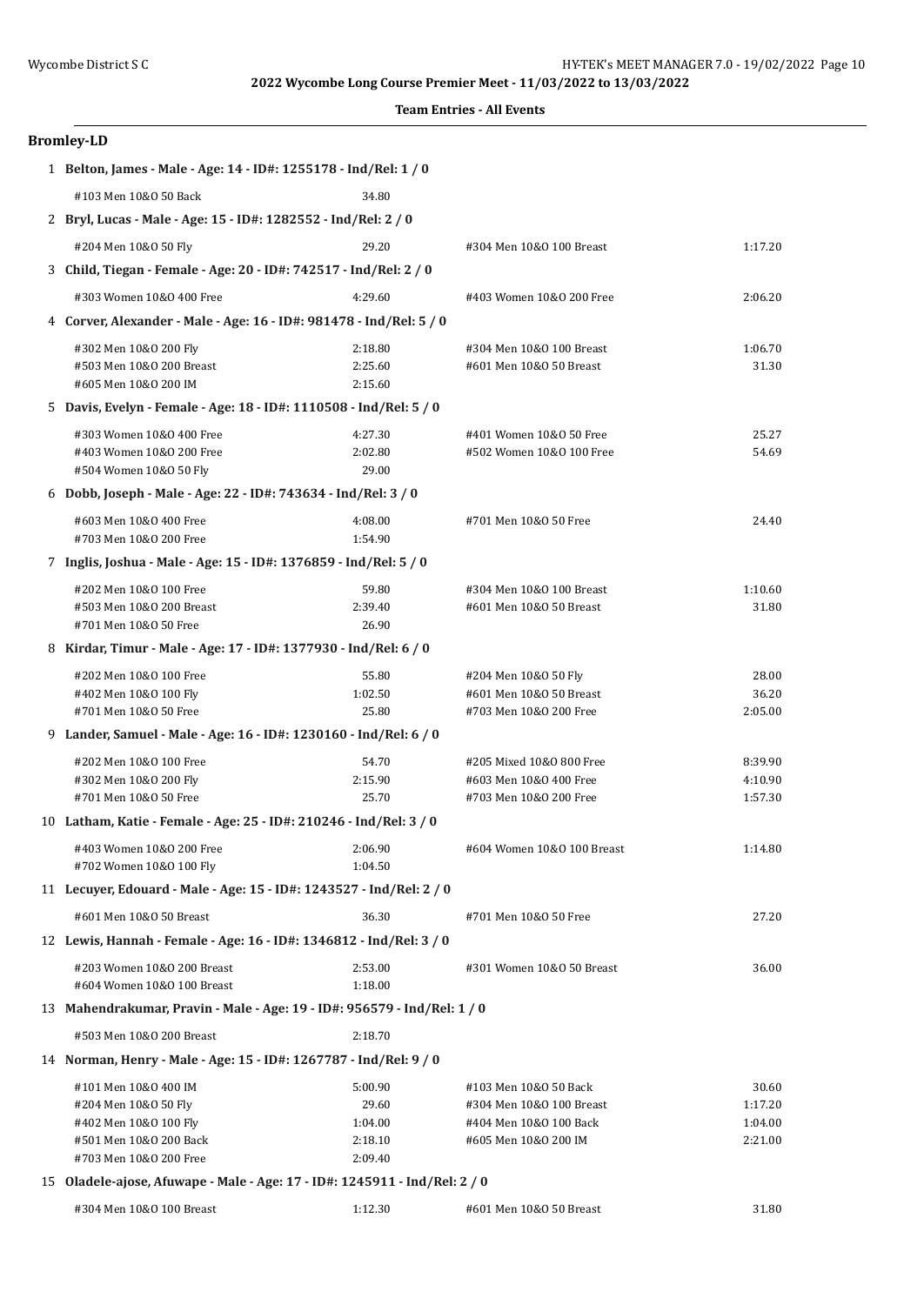| <b>Bromley-LD</b>                                                          |                    |                                                |                    |
|----------------------------------------------------------------------------|--------------------|------------------------------------------------|--------------------|
| 1 Belton, James - Male - Age: 14 - ID#: 1255178 - Ind/Rel: 1 / 0           |                    |                                                |                    |
| #103 Men 10&0 50 Back                                                      | 34.80              |                                                |                    |
| 2 Bryl, Lucas - Male - Age: 15 - ID#: 1282552 - Ind/Rel: 2 / 0             |                    |                                                |                    |
| #204 Men 10&0 50 Fly                                                       | 29.20              | #304 Men 10&0 100 Breast                       | 1:17.20            |
| 3 Child, Tiegan - Female - Age: 20 - ID#: 742517 - Ind/Rel: 2 / 0          |                    |                                                |                    |
| #303 Women 10&0 400 Free                                                   | 4:29.60            | #403 Women 10&0 200 Free                       | 2:06.20            |
| 4 Corver, Alexander - Male - Age: 16 - ID#: 981478 - Ind/Rel: 5 / 0        |                    |                                                |                    |
| #302 Men 10&0 200 Fly                                                      | 2:18.80            | #304 Men 10&0 100 Breast                       | 1:06.70            |
| #503 Men 10&0 200 Breast                                                   | 2:25.60            | #601 Men 10&0 50 Breast                        | 31.30              |
| #605 Men 10&0 200 IM                                                       | 2:15.60            |                                                |                    |
| 5 Davis, Evelyn - Female - Age: 18 - ID#: 1110508 - Ind/Rel: 5 / 0         |                    |                                                |                    |
| #303 Women 10&0 400 Free                                                   | 4:27.30            | #401 Women 10&0 50 Free                        | 25.27              |
| #403 Women 10&0 200 Free                                                   | 2:02.80            | #502 Women 10&0 100 Free                       | 54.69              |
| #504 Women 10&0 50 Fly                                                     | 29.00              |                                                |                    |
| 6 Dobb, Joseph - Male - Age: 22 - ID#: 743634 - Ind/Rel: 3 / 0             |                    |                                                |                    |
| #603 Men 10&0 400 Free                                                     | 4:08.00            | #701 Men 10&0 50 Free                          | 24.40              |
| #703 Men 10&0 200 Free                                                     | 1:54.90            |                                                |                    |
| 7 Inglis, Joshua - Male - Age: 15 - ID#: 1376859 - Ind/Rel: 5 / 0          |                    |                                                |                    |
| #202 Men 10&0 100 Free                                                     | 59.80              | #304 Men 10&0 100 Breast                       | 1:10.60            |
| #503 Men 10&0 200 Breast                                                   | 2:39.40            | #601 Men 10&0 50 Breast                        | 31.80              |
| #701 Men 10&0 50 Free                                                      | 26.90              |                                                |                    |
| 8 Kirdar, Timur - Male - Age: 17 - ID#: 1377930 - Ind/Rel: 6 / 0           |                    |                                                |                    |
| #202 Men 10&0 100 Free                                                     | 55.80              | #204 Men 10&0 50 Fly                           | 28.00              |
| #402 Men 10&0 100 Fly                                                      | 1:02.50            | #601 Men 10&0 50 Breast                        | 36.20              |
| #701 Men 10&0 50 Free                                                      | 25.80              | #703 Men 10&0 200 Free                         | 2:05.00            |
| 9 Lander, Samuel - Male - Age: 16 - ID#: 1230160 - Ind/Rel: 6 / 0          |                    |                                                |                    |
| #202 Men 10&0 100 Free                                                     | 54.70              | #205 Mixed 10&0 800 Free                       | 8:39.90            |
| #302 Men 10&0 200 Fly                                                      | 2:15.90            | #603 Men 10&0 400 Free                         | 4:10.90            |
| #701 Men 10&0 50 Free                                                      | 25.70              | #703 Men 10&0 200 Free                         | 1:57.30            |
| 10 Latham, Katie - Female - Age: 25 - ID#: 210246 - Ind/Rel: 3 / 0         |                    |                                                |                    |
| #403 Women 10&0 200 Free                                                   | 2:06.90            | #604 Women 10&0 100 Breast                     | 1:14.80            |
| #702 Women 10&0 100 Fly                                                    | 1:04.50            |                                                |                    |
| 11 Lecuyer, Edouard - Male - Age: 15 - ID#: 1243527 - Ind/Rel: 2 / 0       |                    |                                                |                    |
| #601 Men 10&0 50 Breast                                                    | 36.30              | #701 Men 10&0 50 Free                          | 27.20              |
| 12 Lewis, Hannah - Female - Age: 16 - ID#: 1346812 - Ind/Rel: 3 / 0        |                    |                                                |                    |
| #203 Women 10&0 200 Breast                                                 | 2:53.00            | #301 Women 10&0 50 Breast                      | 36.00              |
| #604 Women 10&0 100 Breast                                                 | 1:18.00            |                                                |                    |
| 13 Mahendrakumar, Pravin - Male - Age: 19 - ID#: 956579 - Ind/Rel: 1 / 0   |                    |                                                |                    |
| #503 Men 10&0 200 Breast                                                   | 2:18.70            |                                                |                    |
| 14 Norman, Henry - Male - Age: 15 - ID#: 1267787 - Ind/Rel: 9 / 0          |                    |                                                |                    |
| #101 Men 10&0 400 IM                                                       | 5:00.90            | #103 Men 10&0 50 Back                          | 30.60              |
| #204 Men 10&0 50 Fly                                                       | 29.60              | #304 Men 10&0 100 Breast                       | 1:17.20            |
| #402 Men 10&0 100 Fly<br>#501 Men 10&0 200 Back                            | 1:04.00<br>2:18.10 | #404 Men 10&0 100 Back<br>#605 Men 10&0 200 IM | 1:04.00<br>2:21.00 |
| #703 Men 10&0 200 Free                                                     | 2:09.40            |                                                |                    |
| 15 Oladele-ajose, Afuwape - Male - Age: 17 - ID#: 1245911 - Ind/Rel: 2 / 0 |                    |                                                |                    |
|                                                                            |                    |                                                |                    |
| #304 Men 10&0 100 Breast                                                   | 1:12.30            | #601 Men 10&0 50 Breast                        | 31.80              |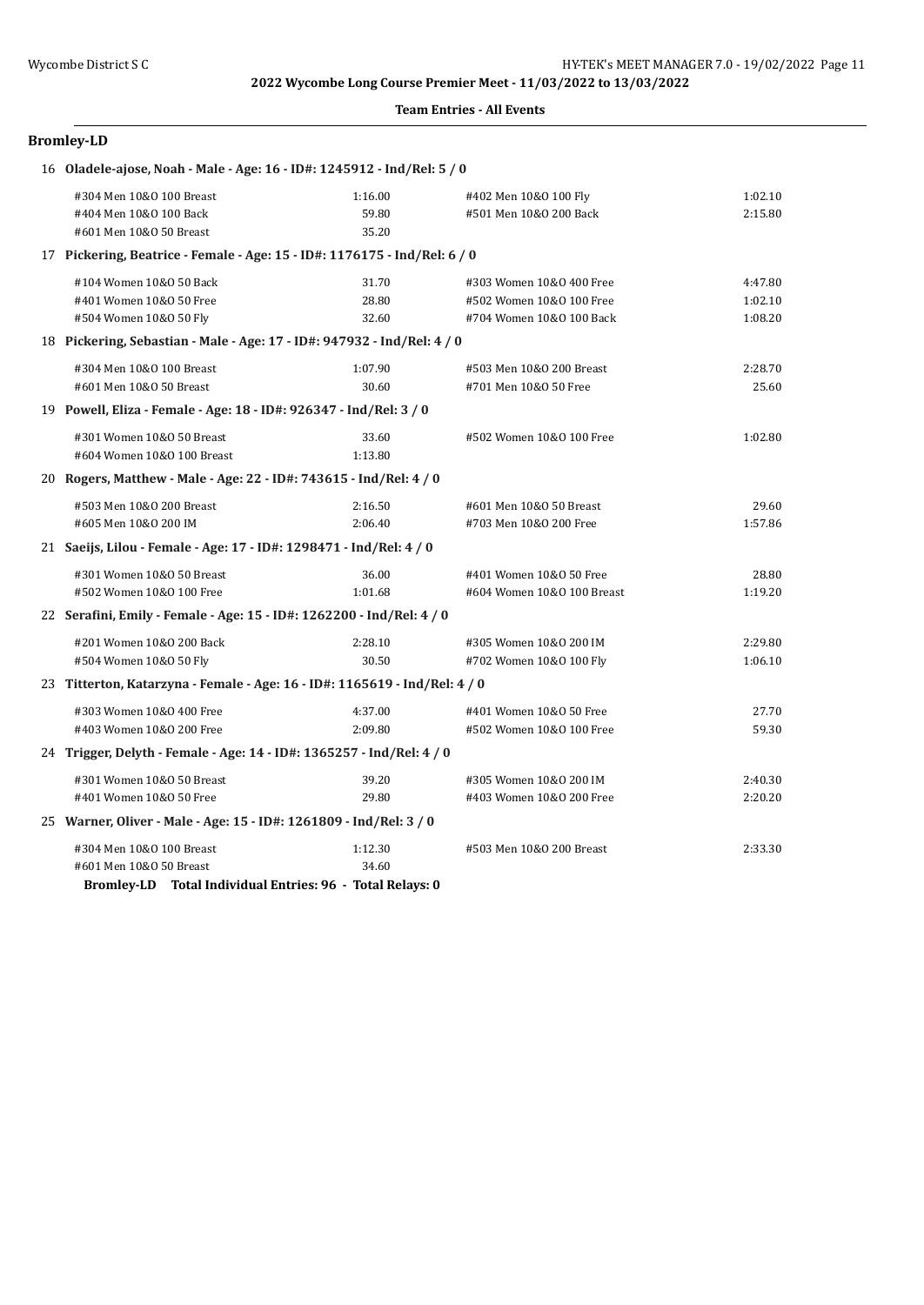### **Team Entries - All Events**

## **Bromley-LD**

| 16 Oladele-ajose, Noah - Male - Age: 16 - ID#: 1245912 - Ind/Rel: 5 / 0       |                           |                                                                                  |                               |
|-------------------------------------------------------------------------------|---------------------------|----------------------------------------------------------------------------------|-------------------------------|
| #304 Men 10&0 100 Breast<br>#404 Men 10&0 100 Back<br>#601 Men 10&0 50 Breast | 1:16.00<br>59.80<br>35.20 | #402 Men 10&0 100 Fly<br>#501 Men 10&0 200 Back                                  | 1:02.10<br>2:15.80            |
| 17 Pickering, Beatrice - Female - Age: 15 - ID#: 1176175 - Ind/Rel: 6 / 0     |                           |                                                                                  |                               |
| #104 Women 10&0 50 Back<br>#401 Women 10&0 50 Free<br>#504 Women 10&0 50 Fly  | 31.70<br>28.80<br>32.60   | #303 Women 10&0 400 Free<br>#502 Women 10&0 100 Free<br>#704 Women 10&0 100 Back | 4:47.80<br>1:02.10<br>1:08.20 |
| 18 Pickering, Sebastian - Male - Age: 17 - ID#: 947932 - Ind/Rel: 4 / 0       |                           |                                                                                  |                               |
| #304 Men 10&0 100 Breast<br>#601 Men 10&0 50 Breast                           | 1:07.90<br>30.60          | #503 Men 10&0 200 Breast<br>#701 Men 10&0 50 Free                                | 2:28.70<br>25.60              |
| 19 Powell, Eliza - Female - Age: 18 - ID#: 926347 - Ind/Rel: 3 / 0            |                           |                                                                                  |                               |
| #301 Women 10&0 50 Breast<br>#604 Women 10&0 100 Breast                       | 33.60<br>1:13.80          | #502 Women 10&0 100 Free                                                         | 1:02.80                       |
| 20 Rogers, Matthew - Male - Age: 22 - ID#: 743615 - Ind/Rel: 4 / 0            |                           |                                                                                  |                               |
| #503 Men 10&0 200 Breast<br>#605 Men 10&0 200 IM                              | 2:16.50<br>2:06.40        | #601 Men 10&0 50 Breast<br>#703 Men 10&0 200 Free                                | 29.60<br>1:57.86              |
| 21 Saeijs, Lilou - Female - Age: 17 - ID#: 1298471 - Ind/Rel: 4 / 0           |                           |                                                                                  |                               |
| #301 Women 10&0 50 Breast<br>#502 Women 10&0 100 Free                         | 36.00<br>1:01.68          | #401 Women 10&0 50 Free<br>#604 Women 10&0 100 Breast                            | 28.80<br>1:19.20              |
| 22 Serafini, Emily - Female - Age: 15 - ID#: 1262200 - Ind/Rel: 4 / 0         |                           |                                                                                  |                               |
| #201 Women 10&0 200 Back<br>#504 Women 10&0 50 Fly                            | 2:28.10<br>30.50          | #305 Women 10&0 200 IM<br>#702 Women 10&0 100 Fly                                | 2:29.80<br>1:06.10            |
| 23 Titterton, Katarzyna - Female - Age: 16 - ID#: 1165619 - Ind/Rel: 4 / 0    |                           |                                                                                  |                               |
| #303 Women 10&0 400 Free<br>#403 Women 10&0 200 Free                          | 4:37.00<br>2:09.80        | #401 Women 10&0 50 Free<br>#502 Women 10&0 100 Free                              | 27.70<br>59.30                |
| 24 Trigger, Delyth - Female - Age: 14 - ID#: 1365257 - Ind/Rel: 4 / 0         |                           |                                                                                  |                               |
| #301 Women 10&0 50 Breast<br>#401 Women 10&0 50 Free                          | 39.20<br>29.80            | #305 Women 10&0 200 IM<br>#403 Women 10&0 200 Free                               | 2:40.30<br>2:20.20            |
| 25 Warner, Oliver - Male - Age: 15 - ID#: 1261809 - Ind/Rel: 3 / 0            |                           |                                                                                  |                               |
| #304 Men 10&0 100 Breast<br>#601 Men 10&0 50 Breast                           | 1:12.30<br>34.60          | #503 Men 10&0 200 Breast                                                         | 2:33.30                       |

**Bromley-LD Total Individual Entries: 96 - Total Relays: 0**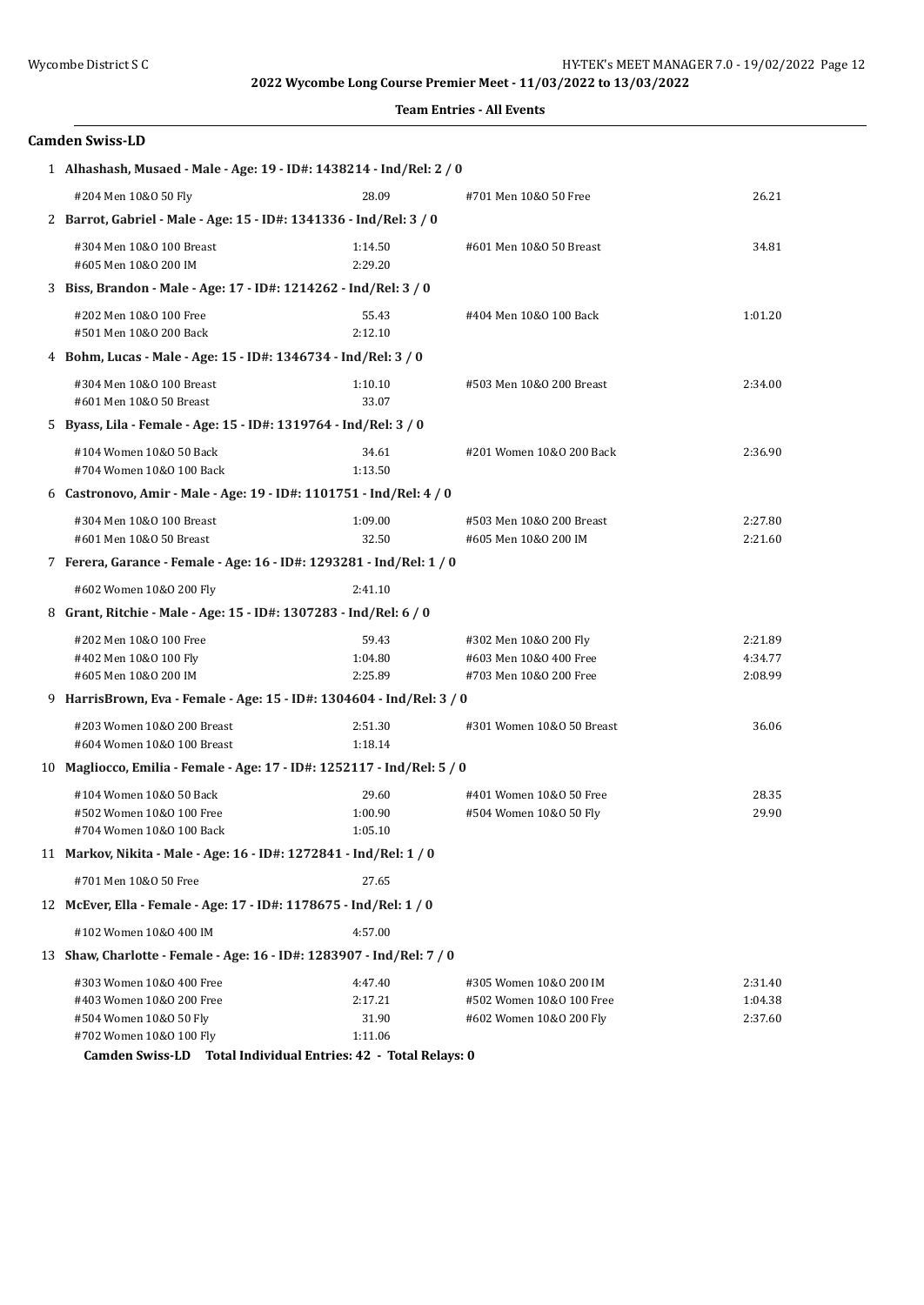## **Camden Swiss-LD**

| 1 Alhashash, Musaed - Male - Age: 19 - ID#: 1438214 - Ind/Rel: 2 / 0            |                             |                                                                           |                               |
|---------------------------------------------------------------------------------|-----------------------------|---------------------------------------------------------------------------|-------------------------------|
| #204 Men 10&0 50 Fly                                                            | 28.09                       | #701 Men 10&0 50 Free                                                     | 26.21                         |
| 2 Barrot, Gabriel - Male - Age: 15 - ID#: 1341336 - Ind/Rel: 3 / 0              |                             |                                                                           |                               |
| #304 Men 10&0 100 Breast<br>#605 Men 10&0 200 IM                                | 1:14.50<br>2:29.20          | #601 Men 10&0 50 Breast                                                   | 34.81                         |
| 3 Biss, Brandon - Male - Age: 17 - ID#: 1214262 - Ind/Rel: 3 / 0                |                             |                                                                           |                               |
| #202 Men 10&0 100 Free<br>#501 Men 10&0 200 Back                                | 55.43<br>2:12.10            | #404 Men 10&0 100 Back                                                    | 1:01.20                       |
| 4 Bohm, Lucas - Male - Age: 15 - ID#: 1346734 - Ind/Rel: 3 / 0                  |                             |                                                                           |                               |
| #304 Men 10&0 100 Breast<br>#601 Men 10&0 50 Breast                             | 1:10.10<br>33.07            | #503 Men 10&0 200 Breast                                                  | 2:34.00                       |
| 5 Byass, Lila - Female - Age: 15 - ID#: 1319764 - Ind/Rel: 3 / 0                |                             |                                                                           |                               |
| #104 Women 10&0 50 Back<br>#704 Women 10&0 100 Back                             | 34.61<br>1:13.50            | #201 Women 10&0 200 Back                                                  | 2:36.90                       |
| 6 Castronovo, Amir - Male - Age: 19 - ID#: 1101751 - Ind/Rel: 4 / 0             |                             |                                                                           |                               |
| #304 Men 10&0 100 Breast<br>#601 Men 10&0 50 Breast                             | 1:09.00<br>32.50            | #503 Men 10&0 200 Breast<br>#605 Men 10&0 200 IM                          | 2:27.80<br>2:21.60            |
| 7 Ferera, Garance - Female - Age: 16 - ID#: 1293281 - Ind/Rel: 1 / 0            |                             |                                                                           |                               |
| #602 Women 10&0 200 Fly                                                         | 2:41.10                     |                                                                           |                               |
| 8 Grant, Ritchie - Male - Age: 15 - ID#: 1307283 - Ind/Rel: 6 / 0               |                             |                                                                           |                               |
| #202 Men 10&0 100 Free<br>#402 Men 10&0 100 Fly<br>#605 Men 10&0 200 IM         | 59.43<br>1:04.80<br>2:25.89 | #302 Men 10&0 200 Fly<br>#603 Men 10&0 400 Free<br>#703 Men 10&0 200 Free | 2:21.89<br>4:34.77<br>2:08.99 |
| 9 HarrisBrown, Eva - Female - Age: 15 - ID#: 1304604 - Ind/Rel: 3 / 0           |                             |                                                                           |                               |
| #203 Women 10&0 200 Breast<br>#604 Women 10&0 100 Breast                        | 2:51.30<br>1:18.14          | #301 Women 10&0 50 Breast                                                 | 36.06                         |
| 10 Magliocco, Emilia - Female - Age: 17 - ID#: 1252117 - Ind/Rel: 5 / 0         |                             |                                                                           |                               |
| #104 Women 10&0 50 Back<br>#502 Women 10&0 100 Free<br>#704 Women 10&0 100 Back | 29.60<br>1:00.90<br>1:05.10 | #401 Women 10&0 50 Free<br>#504 Women 10&0 50 Fly                         | 28.35<br>29.90                |
| 11 Markov, Nikita - Male - Age: 16 - ID#: 1272841 - Ind/Rel: 1 / 0              |                             |                                                                           |                               |
| #701 Men 10&0 50 Free                                                           | 27.65                       |                                                                           |                               |
| 12 McEver, Ella - Female - Age: 17 - ID#: 1178675 - Ind/Rel: 1 / 0              |                             |                                                                           |                               |
| #102 Women 10&0 400 IM                                                          | 4:57.00                     |                                                                           |                               |
| 13 Shaw, Charlotte - Female - Age: 16 - ID#: 1283907 - Ind/Rel: 7 / 0           |                             |                                                                           |                               |
| #303 Women 10&0 400 Free                                                        | 4:47.40                     | #305 Women 10&0 200 IM                                                    | 2:31.40                       |
| #403 Women 10&0 200 Free                                                        | 2:17.21                     | #502 Women 10&0 100 Free                                                  | 1:04.38                       |
| #504 Women 10&0 50 Fly<br>#702 Women 10&0 100 Fly<br>$\sim$ $\sim$              | 31.90<br>1:11.06            | #602 Women 10&0 200 Fly                                                   | 2:37.60                       |

**Camden Swiss-LD Total Individual Entries: 42 - Total Relays: 0**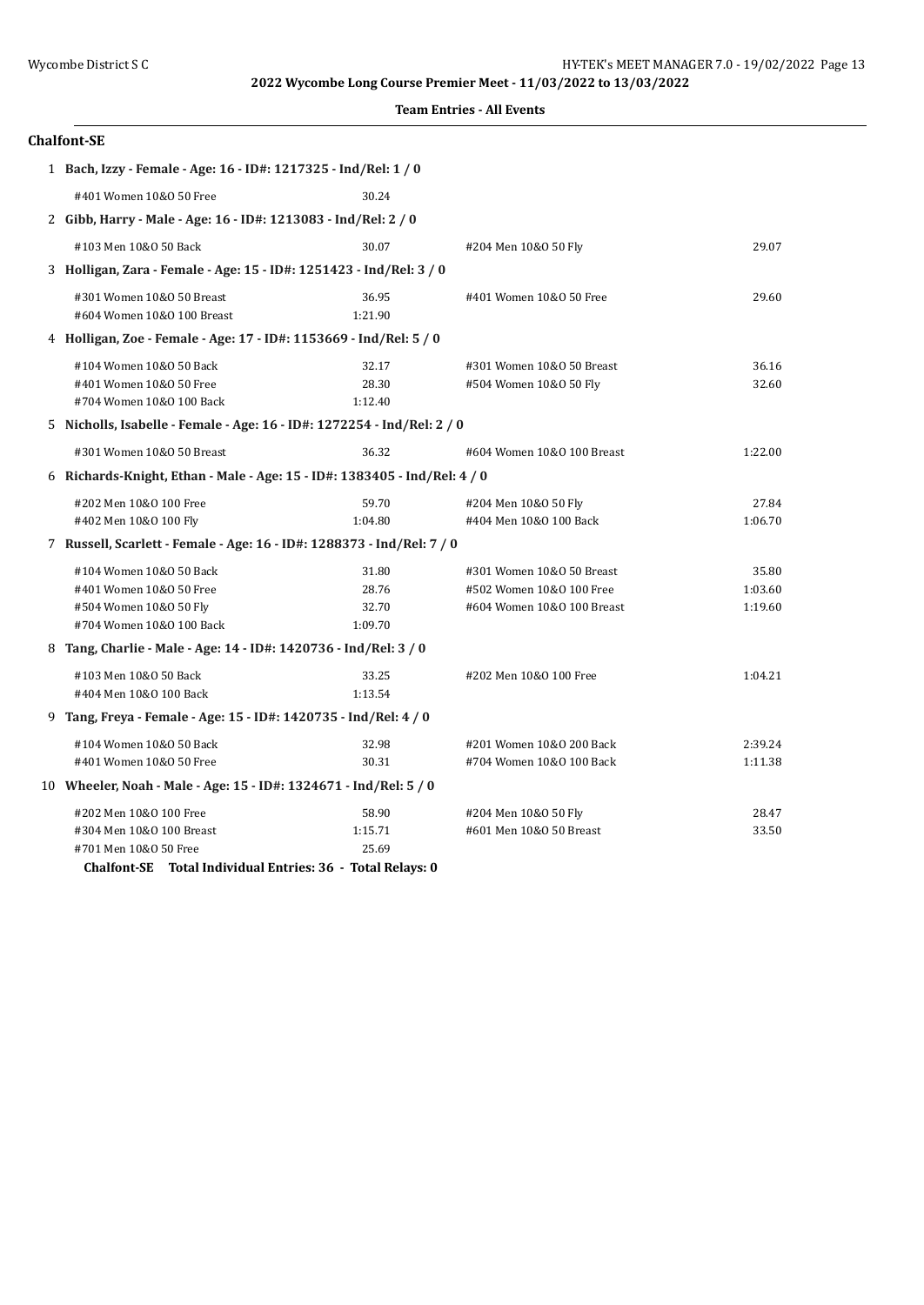|  | <b>Team Entries - All Events</b> |  |  |
|--|----------------------------------|--|--|
|--|----------------------------------|--|--|

| <b>Chalfont-SE</b>                                                                                       |                                    |                                                                                     |                             |
|----------------------------------------------------------------------------------------------------------|------------------------------------|-------------------------------------------------------------------------------------|-----------------------------|
| 1 Bach, Izzy - Female - Age: 16 - ID#: 1217325 - Ind/Rel: 1 / 0                                          |                                    |                                                                                     |                             |
| #401 Women 10&0 50 Free                                                                                  | 30.24                              |                                                                                     |                             |
| 2 Gibb, Harry - Male - Age: 16 - ID#: 1213083 - Ind/Rel: 2 / 0                                           |                                    |                                                                                     |                             |
| #103 Men 10&0 50 Back                                                                                    | 30.07                              | #204 Men 10&0 50 Fly                                                                | 29.07                       |
| 3 Holligan, Zara - Female - Age: 15 - ID#: 1251423 - Ind/Rel: 3 / 0                                      |                                    |                                                                                     |                             |
| #301 Women 10&0 50 Breast<br>#604 Women 10&0 100 Breast                                                  | 36.95<br>1:21.90                   | #401 Women 10&0 50 Free                                                             | 29.60                       |
| 4 Holligan, Zoe - Female - Age: 17 - ID#: 1153669 - Ind/Rel: 5 / 0                                       |                                    |                                                                                     |                             |
| #104 Women 10&0 50 Back<br>#401 Women 10&0 50 Free<br>#704 Women 10&0 100 Back                           | 32.17<br>28.30<br>1:12.40          | #301 Women 10&0 50 Breast<br>#504 Women 10&0 50 Fly                                 | 36.16<br>32.60              |
| 5 Nicholls, Isabelle - Female - Age: 16 - ID#: 1272254 - Ind/Rel: 2 / 0                                  |                                    |                                                                                     |                             |
| #301 Women 10&0 50 Breast                                                                                | 36.32                              | #604 Women 10&0 100 Breast                                                          | 1:22.00                     |
| 6 Richards-Knight, Ethan - Male - Age: 15 - ID#: 1383405 - Ind/Rel: 4 / 0                                |                                    |                                                                                     |                             |
| #202 Men 10&0 100 Free<br>#402 Men 10&0 100 Fly                                                          | 59.70<br>1:04.80                   | #204 Men 10&0 50 Fly<br>#404 Men 10&0 100 Back                                      | 27.84<br>1:06.70            |
| 7 Russell, Scarlett - Female - Age: 16 - ID#: 1288373 - Ind/Rel: 7 / 0                                   |                                    |                                                                                     |                             |
| #104 Women 10&0 50 Back<br>#401 Women 10&0 50 Free<br>#504 Women 10&0 50 Fly<br>#704 Women 10&0 100 Back | 31.80<br>28.76<br>32.70<br>1:09.70 | #301 Women 10&0 50 Breast<br>#502 Women 10&0 100 Free<br>#604 Women 10&0 100 Breast | 35.80<br>1:03.60<br>1:19.60 |
| 8 Tang, Charlie - Male - Age: 14 - ID#: 1420736 - Ind/Rel: 3 / 0                                         |                                    |                                                                                     |                             |
| #103 Men 10&0 50 Back<br>#404 Men 10&0 100 Back                                                          | 33.25<br>1:13.54                   | #202 Men 10&0 100 Free                                                              | 1:04.21                     |
| 9 Tang, Freya - Female - Age: 15 - ID#: 1420735 - Ind/Rel: 4 / 0                                         |                                    |                                                                                     |                             |
| #104 Women 10&0 50 Back<br>#401 Women 10&0 50 Free                                                       | 32.98<br>30.31                     | #201 Women 10&0 200 Back<br>#704 Women 10&0 100 Back                                | 2:39.24<br>1:11.38          |
| 10 Wheeler, Noah - Male - Age: 15 - ID#: 1324671 - Ind/Rel: 5 / 0                                        |                                    |                                                                                     |                             |
| #202 Men 10&0 100 Free<br>#304 Men 10&0 100 Breast<br>#701 Men 10&0 50 Free                              | 58.90<br>1:15.71<br>25.69          | #204 Men 10&0 50 Fly<br>#601 Men 10&0 50 Breast                                     | 28.47<br>33.50              |

**Chalfont-SE Total Individual Entries: 36 - Total Relays: 0**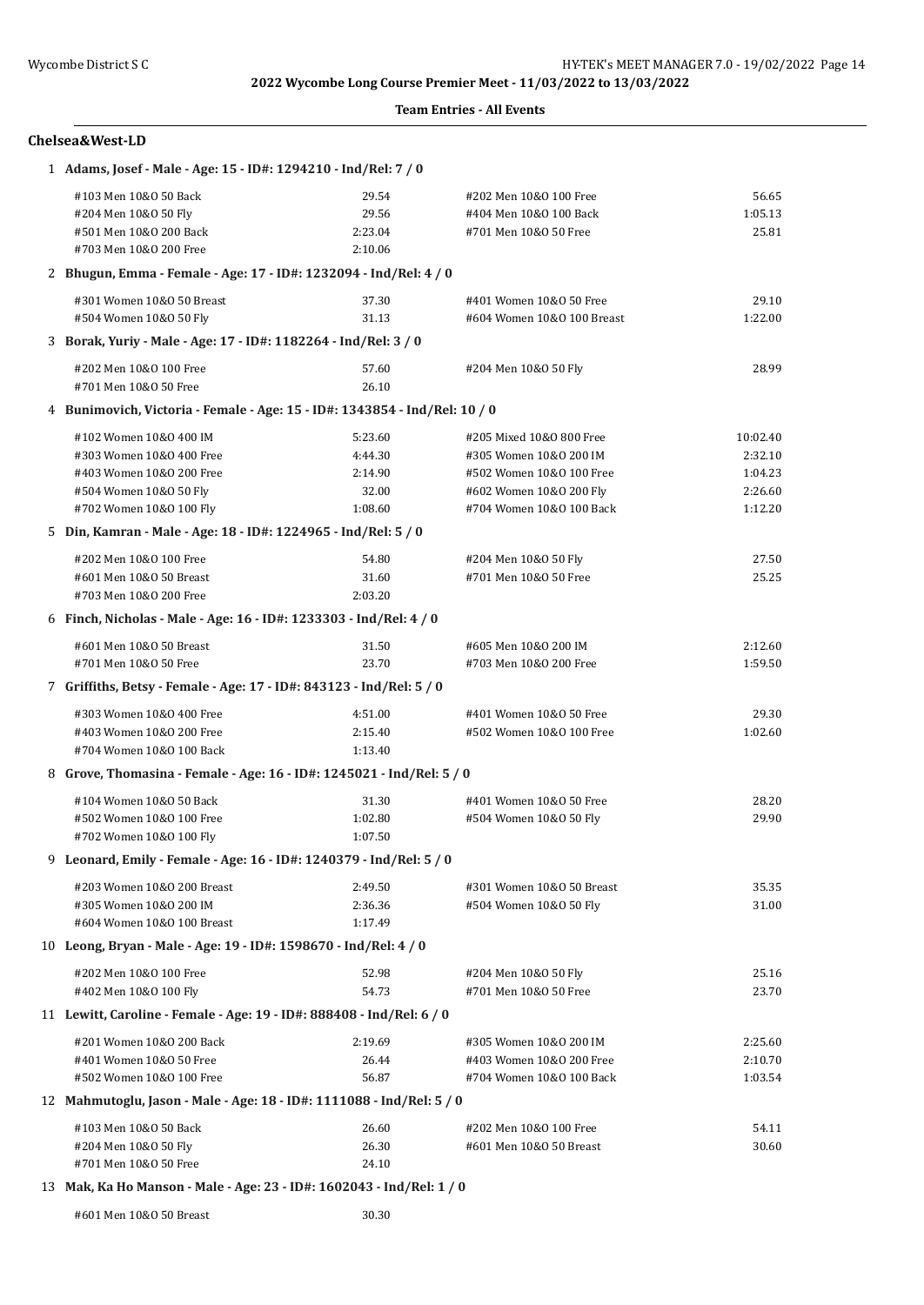### **Team Entries - All Events**

#### **Chelsea&West-LD**

| 1 Adams, Josef - Male - Age: 15 - ID#: 1294210 - Ind/Rel: 7 / 0            |         |                            |          |
|----------------------------------------------------------------------------|---------|----------------------------|----------|
| #103 Men 10&0 50 Back                                                      | 29.54   | #202 Men 10&0 100 Free     | 56.65    |
| #204 Men 10&0 50 Fly                                                       | 29.56   | #404 Men 10&0 100 Back     | 1:05.13  |
| #501 Men 10&0 200 Back                                                     | 2:23.04 | #701 Men 10&0 50 Free      | 25.81    |
| #703 Men 10&0 200 Free                                                     | 2:10.06 |                            |          |
| 2 Bhugun, Emma - Female - Age: 17 - ID#: 1232094 - Ind/Rel: 4 / 0          |         |                            |          |
| #301 Women 10&0 50 Breast                                                  | 37.30   | #401 Women 10&0 50 Free    | 29.10    |
| #504 Women 10&0 50 Fly                                                     | 31.13   | #604 Women 10&0 100 Breast | 1:22.00  |
| 3 Borak, Yuriy - Male - Age: 17 - ID#: 1182264 - Ind/Rel: 3 / 0            |         |                            |          |
| #202 Men 10&0 100 Free                                                     | 57.60   | #204 Men 10&0 50 Fly       | 28.99    |
| #701 Men 10&0 50 Free                                                      | 26.10   |                            |          |
| 4 Bunimovich, Victoria - Female - Age: 15 - ID#: 1343854 - Ind/Rel: 10 / 0 |         |                            |          |
| #102 Women 10&0 400 IM                                                     | 5:23.60 | #205 Mixed 10&0 800 Free   | 10:02.40 |
| #303 Women 10&0 400 Free                                                   | 4:44.30 | #305 Women 10&0 200 IM     | 2:32.10  |
| #403 Women 10&0 200 Free                                                   | 2:14.90 | #502 Women 10&0 100 Free   | 1:04.23  |
| #504 Women 10&0 50 Fly                                                     | 32.00   | #602 Women 10&0 200 Fly    | 2:26.60  |
| #702 Women 10&0 100 Fly                                                    | 1:08.60 | #704 Women 10&0 100 Back   | 1:12.20  |
| 5 Din, Kamran - Male - Age: 18 - ID#: 1224965 - Ind/Rel: 5 / 0             |         |                            |          |
| #202 Men 10&0 100 Free                                                     | 54.80   | #204 Men 10&0 50 Fly       | 27.50    |
| #601 Men 10&0 50 Breast                                                    | 31.60   | #701 Men 10&0 50 Free      | 25.25    |
| #703 Men 10&0 200 Free                                                     | 2:03.20 |                            |          |
| 6 Finch, Nicholas - Male - Age: 16 - ID#: 1233303 - Ind/Rel: 4 / 0         |         |                            |          |
| #601 Men 10&0 50 Breast                                                    | 31.50   | #605 Men 10&0 200 IM       | 2:12.60  |
| #701 Men 10&0 50 Free                                                      | 23.70   | #703 Men 10&0 200 Free     | 1:59.50  |
| 7 Griffiths, Betsy - Female - Age: 17 - ID#: 843123 - Ind/Rel: 5 / 0       |         |                            |          |
| #303 Women 10&0 400 Free                                                   | 4:51.00 | #401 Women 10&0 50 Free    | 29.30    |
| #403 Women 10&0 200 Free                                                   | 2:15.40 | #502 Women 10&0 100 Free   | 1:02.60  |
| #704 Women 10&0 100 Back                                                   | 1:13.40 |                            |          |
| 8 Grove, Thomasina - Female - Age: 16 - ID#: 1245021 - Ind/Rel: 5 / 0      |         |                            |          |
| #104 Women 10&0 50 Back                                                    | 31.30   | #401 Women 10&0 50 Free    | 28.20    |
| #502 Women 10&0 100 Free                                                   | 1:02.80 | #504 Women 10&0 50 Fly     | 29.90    |
| #702 Women 10&0 100 Fly                                                    | 1:07.50 |                            |          |
| 9 Leonard, Emily - Female - Age: 16 - ID#: 1240379 - Ind/Rel: 5 / 0        |         |                            |          |
| #203 Women 10&0 200 Breast                                                 | 2:49.50 | #301 Women 10&0 50 Breast  | 35.35    |
| #305 Women 10&0 200 IM                                                     | 2:36.36 | #504 Women 10&0 50 Fly     | 31.00    |
| #604 Women 10&0 100 Breast                                                 | 1:17.49 |                            |          |
| 10 Leong, Bryan - Male - Age: 19 - ID#: 1598670 - Ind/Rel: 4 / 0           |         |                            |          |
| #202 Men 10&0 100 Free                                                     | 52.98   | #204 Men 10&0 50 Fly       | 25.16    |
| #402 Men 10&0 100 Fly                                                      | 54.73   | #701 Men 10&0 50 Free      | 23.70    |
| 11 Lewitt, Caroline - Female - Age: 19 - ID#: 888408 - Ind/Rel: 6 / 0      |         |                            |          |
| #201 Women 10&0 200 Back                                                   | 2:19.69 | #305 Women 10&0 200 IM     | 2:25.60  |
| #401 Women 10&0 50 Free                                                    | 26.44   | #403 Women 10&0 200 Free   | 2:10.70  |
| #502 Women 10&0 100 Free                                                   | 56.87   | #704 Women 10&0 100 Back   | 1:03.54  |
| 12 Mahmutoglu, Jason - Male - Age: 18 - ID#: 1111088 - Ind/Rel: 5 / 0      |         |                            |          |
| #103 Men 10&0 50 Back                                                      | 26.60   | #202 Men 10&0 100 Free     | 54.11    |
| #204 Men 10&0 50 Fly                                                       | 26.30   | #601 Men 10&0 50 Breast    | 30.60    |
| #701 Men 10&0 50 Free                                                      | 24.10   |                            |          |

#### 13 **Mak, Ka Ho Manson - Male - Age: 23 - ID#: 1602043 - Ind/Rel: 1 / 0**

#601 Men 10&O 50 Breast 30.30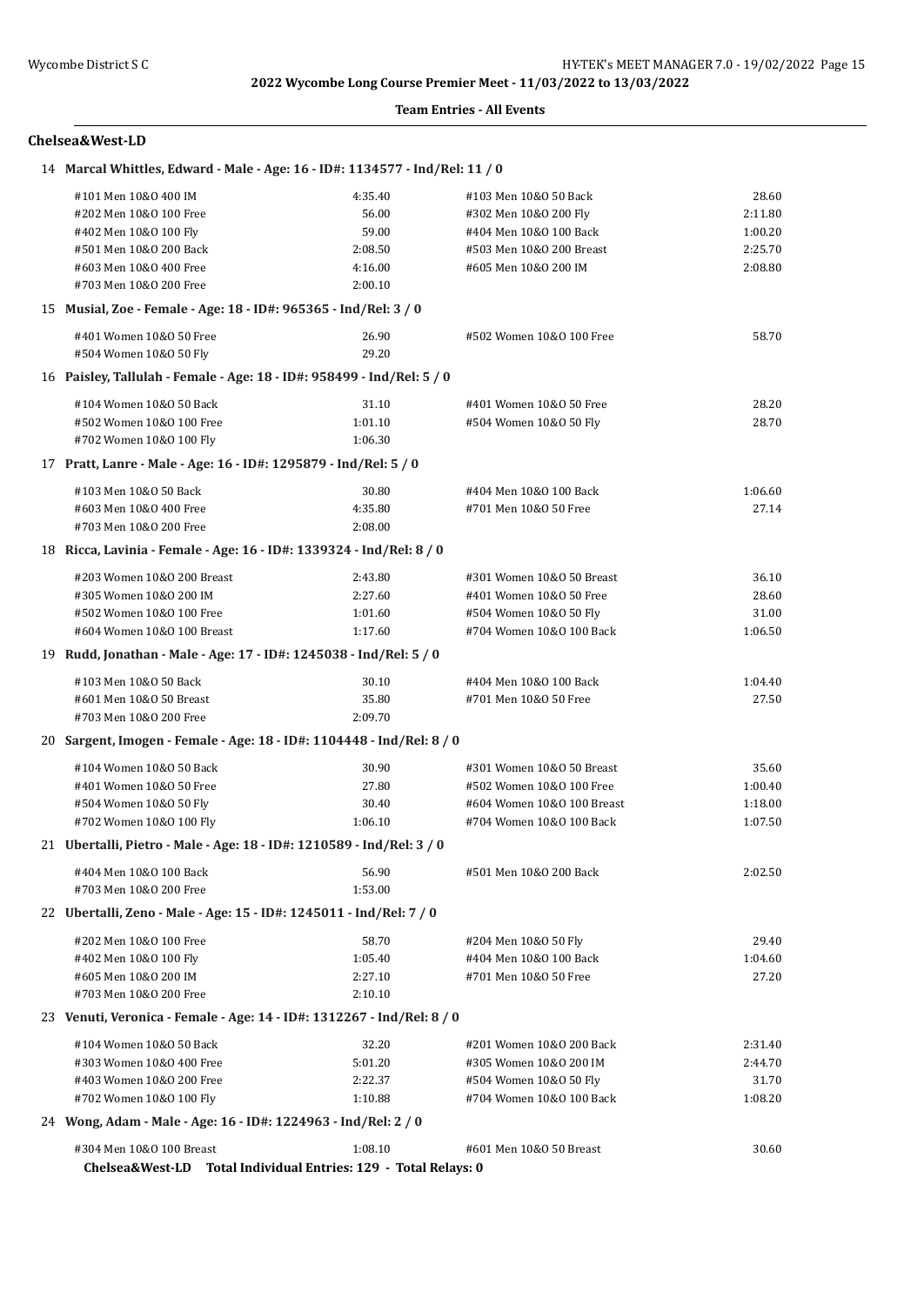#### **Team Entries - All Events**

#### **Chelsea&West-LD**

| 14 Marcal Whittles, Edward - Male - Age: 16 - ID#: 1134577 - Ind/Rel: 11 / 0                |         |                            |         |
|---------------------------------------------------------------------------------------------|---------|----------------------------|---------|
| #101 Men 10&0 400 IM                                                                        | 4:35.40 | #103 Men 10&0 50 Back      | 28.60   |
| #202 Men 10&0 100 Free                                                                      | 56.00   | #302 Men 10&0 200 Fly      | 2:11.80 |
| #402 Men 10&0 100 Fly                                                                       | 59.00   | #404 Men 10&0 100 Back     | 1:00.20 |
| #501 Men 10&0 200 Back                                                                      | 2:08.50 | #503 Men 10&0 200 Breast   | 2:25.70 |
| #603 Men 10&0 400 Free                                                                      | 4:16.00 | #605 Men 10&0 200 IM       | 2:08.80 |
| #703 Men 10&0 200 Free                                                                      | 2:00.10 |                            |         |
| 15 Musial, Zoe - Female - Age: 18 - ID#: 965365 - Ind/Rel: 3 / 0                            |         |                            |         |
| #401 Women 10&0 50 Free                                                                     | 26.90   | #502 Women 10&0 100 Free   | 58.70   |
| #504 Women 10&0 50 Fly                                                                      | 29.20   |                            |         |
| 16 Paisley, Tallulah - Female - Age: 18 - ID#: 958499 - Ind/Rel: 5 / 0                      |         |                            |         |
| #104 Women 10&0 50 Back                                                                     | 31.10   | #401 Women 10&0 50 Free    | 28.20   |
| #502 Women 10&0 100 Free                                                                    | 1:01.10 | #504 Women 10&0 50 Fly     | 28.70   |
| #702 Women 10&0 100 Fly                                                                     | 1:06.30 |                            |         |
| 17 Pratt, Lanre - Male - Age: 16 - ID#: 1295879 - Ind/Rel: 5 / 0                            |         |                            |         |
|                                                                                             |         |                            |         |
| #103 Men 10&0 50 Back                                                                       | 30.80   | #404 Men 10&0 100 Back     | 1:06.60 |
| #603 Men 10&0 400 Free                                                                      | 4:35.80 | #701 Men 10&0 50 Free      | 27.14   |
| #703 Men 10&0 200 Free                                                                      | 2:08.00 |                            |         |
| 18 Ricca, Lavinia - Female - Age: 16 - ID#: 1339324 - Ind/Rel: 8 / 0                        |         |                            |         |
| #203 Women 10&0 200 Breast                                                                  | 2:43.80 | #301 Women 10&0 50 Breast  | 36.10   |
| #305 Women 10&0 200 IM                                                                      | 2:27.60 | #401 Women 10&0 50 Free    | 28.60   |
| #502 Women 10&0 100 Free                                                                    | 1:01.60 | #504 Women 10&0 50 Fly     | 31.00   |
| #604 Women 10&0 100 Breast                                                                  | 1:17.60 | #704 Women 10&0 100 Back   | 1:06.50 |
| 19 Rudd, Jonathan - Male - Age: 17 - ID#: 1245038 - Ind/Rel: 5 / 0                          |         |                            |         |
| #103 Men 10&0 50 Back                                                                       | 30.10   | #404 Men 10&0 100 Back     | 1:04.40 |
| #601 Men 10&0 50 Breast                                                                     | 35.80   | #701 Men 10&0 50 Free      | 27.50   |
| #703 Men 10&0 200 Free                                                                      | 2:09.70 |                            |         |
| 20 Sargent, Imogen - Female - Age: 18 - ID#: 1104448 - Ind/Rel: 8 / 0                       |         |                            |         |
| #104 Women 10&0 50 Back                                                                     | 30.90   | #301 Women 10&0 50 Breast  | 35.60   |
| #401 Women 10&0 50 Free                                                                     | 27.80   | #502 Women 10&0 100 Free   | 1:00.40 |
| #504 Women 10&0 50 Fly                                                                      | 30.40   | #604 Women 10&0 100 Breast | 1:18.00 |
| #702 Women 10&0 100 Fly                                                                     | 1:06.10 | #704 Women 10&0 100 Back   | 1:07.50 |
| 21 Ubertalli, Pietro - Male - Age: 18 - ID#: 1210589 - Ind/Rel: 3 / 0                       |         |                            |         |
| #404 Men 10&0 100 Back                                                                      | 56.90   | #501 Men 10&0 200 Back     | 2:02.50 |
| #703 Men 10&0 200 Free                                                                      | 1:53.00 |                            |         |
| 22 Ubertalli, Zeno - Male - Age: 15 - ID#: 1245011 - Ind/Rel: 7 / 0                         |         |                            |         |
|                                                                                             |         |                            |         |
| #202 Men 10&0 100 Free                                                                      | 58.70   | #204 Men 10&0 50 Fly       | 29.40   |
| #402 Men 10&0 100 Fly                                                                       | 1:05.40 | #404 Men 10&0 100 Back     | 1:04.60 |
| #605 Men 10&0 200 IM                                                                        | 2:27.10 | #701 Men 10&0 50 Free      | 27.20   |
| #703 Men 10&0 200 Free                                                                      | 2:10.10 |                            |         |
| 23 Venuti, Veronica - Female - Age: 14 - ID#: 1312267 - Ind/Rel: 8 / 0                      |         |                            |         |
| #104 Women 10&0 50 Back                                                                     | 32.20   | #201 Women 10&0 200 Back   | 2:31.40 |
| #303 Women 10&0 400 Free                                                                    | 5:01.20 | #305 Women 10&0 200 IM     | 2:44.70 |
| #403 Women 10&0 200 Free                                                                    | 2:22.37 | #504 Women 10&0 50 Fly     | 31.70   |
| #702 Women 10&0 100 Fly                                                                     | 1:10.88 | #704 Women 10&0 100 Back   | 1:08.20 |
| 24 Wong, Adam - Male - Age: 16 - ID#: 1224963 - Ind/Rel: 2 / 0                              |         |                            |         |
| #304 Men 10&0 100 Breast<br>Chelsea&West-LD Total Individual Entries: 129 - Total Relays: 0 | 1:08.10 | #601 Men 10&0 50 Breast    | 30.60   |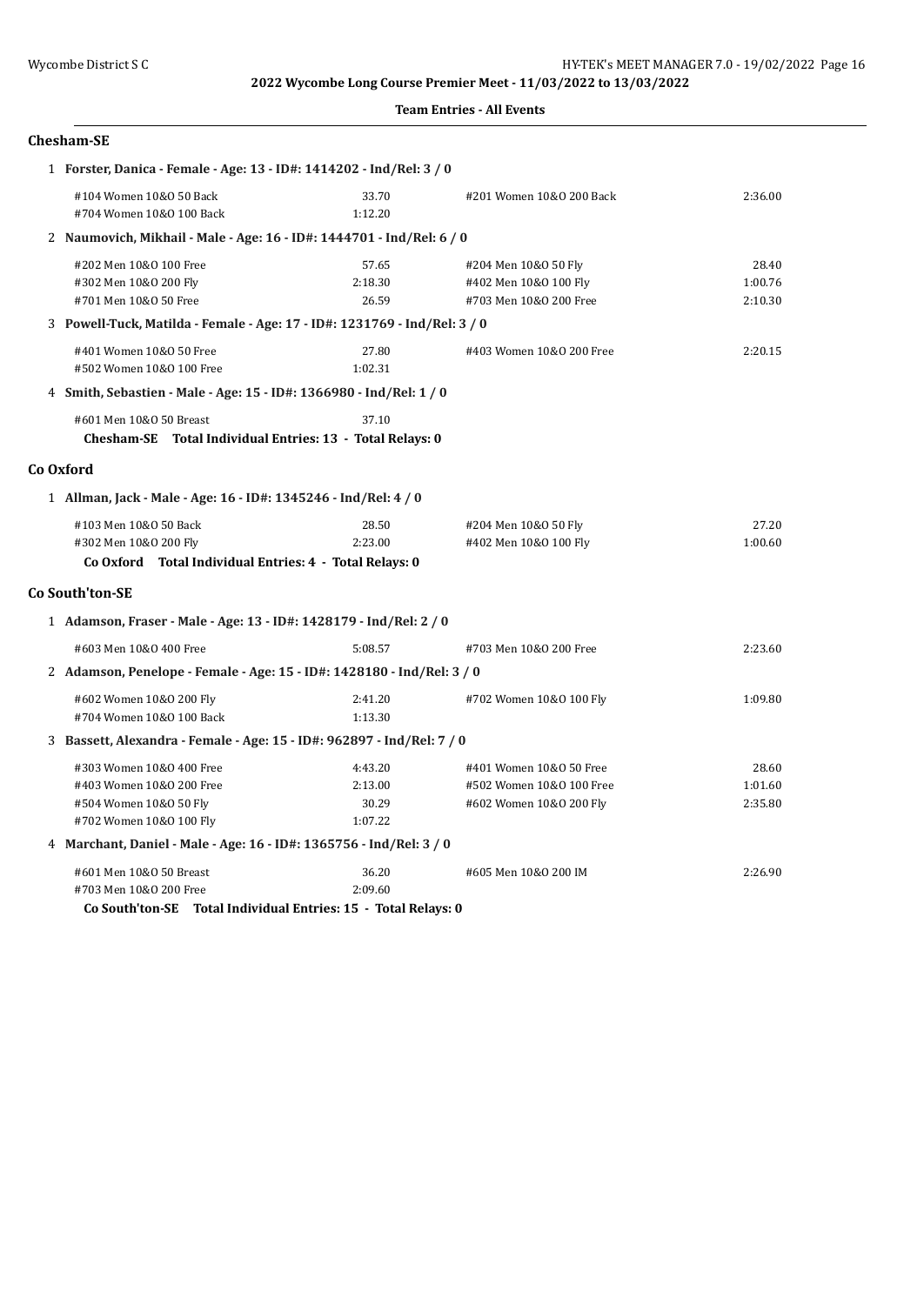#### **Team Entries - All Events**

## **Chesham-SE**

| 1 Forster, Danica - Female - Age: 13 - ID#: 1414202 - Ind/Rel: 3 / 0                                                |                                        |                                                                                |                             |
|---------------------------------------------------------------------------------------------------------------------|----------------------------------------|--------------------------------------------------------------------------------|-----------------------------|
| #104 Women 10&0 50 Back<br>#704 Women 10&0 100 Back                                                                 | 33.70<br>1:12.20                       | #201 Women 10&0 200 Back                                                       | 2:36.00                     |
| 2 Naumovich, Mikhail - Male - Age: 16 - ID#: 1444701 - Ind/Rel: 6 / 0                                               |                                        |                                                                                |                             |
| #202 Men 10&0 100 Free<br>#302 Men 10&0 200 Fly<br>#701 Men 10&0 50 Free                                            | 57.65<br>2:18.30<br>26.59              | #204 Men 10&0 50 Fly<br>#402 Men 10&0 100 Fly<br>#703 Men 10&0 200 Free        | 28.40<br>1:00.76<br>2:10.30 |
| 3 Powell-Tuck, Matilda - Female - Age: 17 - ID#: 1231769 - Ind/Rel: 3 / 0                                           |                                        |                                                                                |                             |
| #401 Women 10&0 50 Free<br>#502 Women 10&0 100 Free                                                                 | 27.80<br>1:02.31                       | #403 Women 10&0 200 Free                                                       | 2:20.15                     |
| 4 Smith, Sebastien - Male - Age: 15 - ID#: 1366980 - Ind/Rel: 1 / 0                                                 |                                        |                                                                                |                             |
| #601 Men 10&0 50 Breast<br>Chesham-SE Total Individual Entries: 13 - Total Relays: 0                                | 37.10                                  |                                                                                |                             |
| Co Oxford                                                                                                           |                                        |                                                                                |                             |
| 1 Allman, Jack - Male - Age: 16 - ID#: 1345246 - Ind/Rel: 4 / 0                                                     |                                        |                                                                                |                             |
| #103 Men 10&0 50 Back<br>#302 Men 10&0 200 Fly<br>Co Oxford Total Individual Entries: 4 - Total Relays: 0           | 28.50<br>2:23.00                       | #204 Men 10&0 50 Fly<br>#402 Men 10&0 100 Fly                                  | 27.20<br>1:00.60            |
| <b>Co South'ton-SE</b>                                                                                              |                                        |                                                                                |                             |
| 1 Adamson, Fraser - Male - Age: 13 - ID#: 1428179 - Ind/Rel: 2 / 0                                                  |                                        |                                                                                |                             |
| #603 Men 10&0 400 Free                                                                                              | 5:08.57                                | #703 Men 10&0 200 Free                                                         | 2:23.60                     |
| 2 Adamson, Penelope - Female - Age: 15 - ID#: 1428180 - Ind/Rel: 3 / 0                                              |                                        |                                                                                |                             |
| #602 Women 10&0 200 Fly<br>#704 Women 10&0 100 Back                                                                 | 2:41.20<br>1:13.30                     | #702 Women 10&0 100 Fly                                                        | 1:09.80                     |
| 3 Bassett, Alexandra - Female - Age: 15 - ID#: 962897 - Ind/Rel: 7 / 0                                              |                                        |                                                                                |                             |
| #303 Women 10&0 400 Free<br>#403 Women 10&0 200 Free<br>#504 Women 10&0 50 Fly<br>#702 Women 10&0 100 Fly           | 4:43.20<br>2:13.00<br>30.29<br>1:07.22 | #401 Women 10&0 50 Free<br>#502 Women 10&0 100 Free<br>#602 Women 10&0 200 Fly | 28.60<br>1:01.60<br>2:35.80 |
| 4 Marchant, Daniel - Male - Age: 16 - ID#: 1365756 - Ind/Rel: 3 / 0                                                 |                                        |                                                                                |                             |
| #601 Men 10&0 50 Breast<br>#703 Men 10&0 200 Free<br>Co South'ton-SE Total Individual Entries: 15 - Total Relays: 0 | 36.20<br>2:09.60                       | #605 Men 10&0 200 IM                                                           | 2:26.90                     |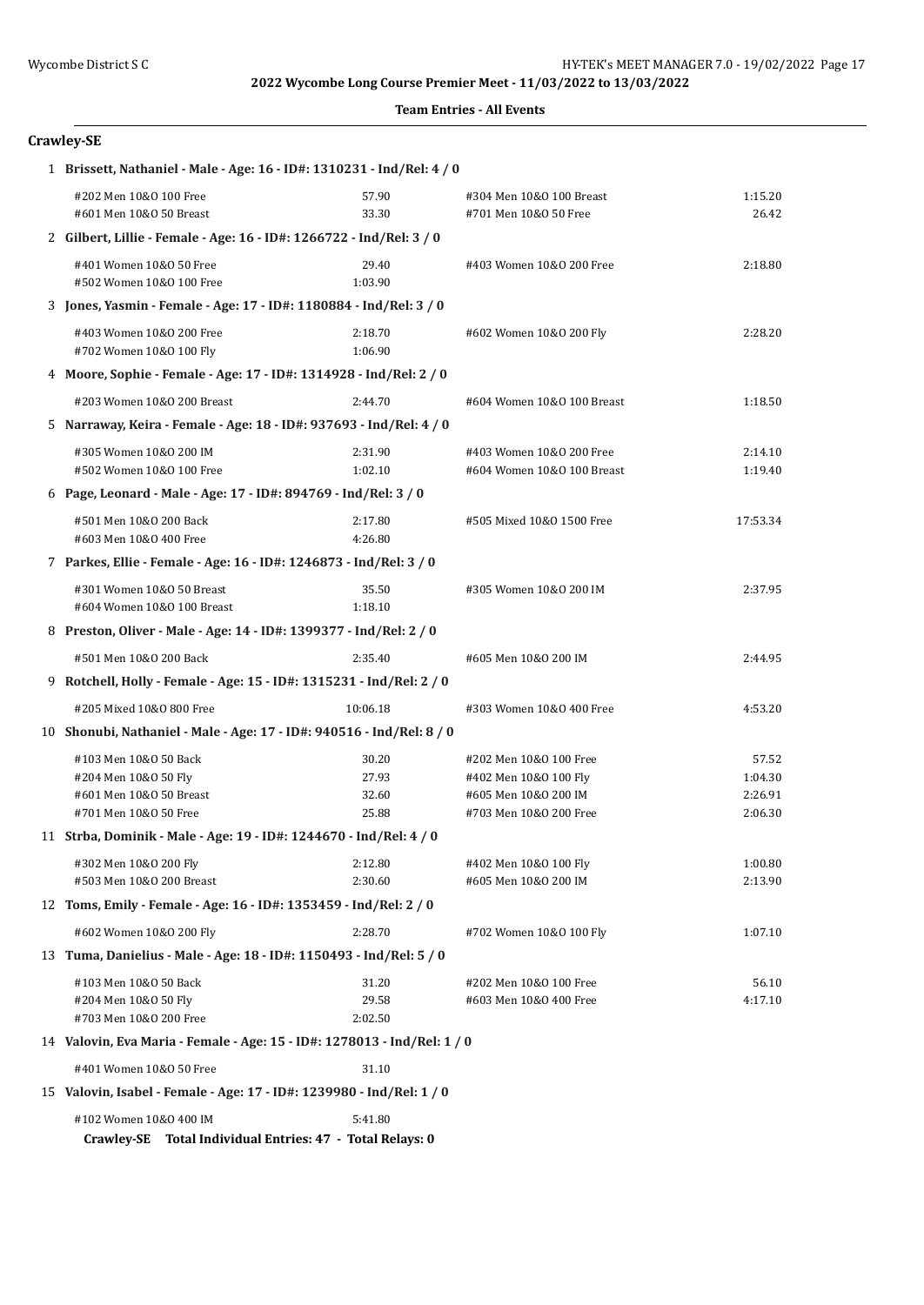#### **Team Entries - All Events**

## **Crawley-SE**

| 1 Brissett, Nathaniel - Male - Age: 16 - ID#: 1310231 - Ind/Rel: 4 / 0                        |                    |                                                        |                    |
|-----------------------------------------------------------------------------------------------|--------------------|--------------------------------------------------------|--------------------|
| #202 Men 10&0 100 Free<br>#601 Men 10&0 50 Breast                                             | 57.90<br>33.30     | #304 Men 10&0 100 Breast<br>#701 Men 10&0 50 Free      | 1:15.20<br>26.42   |
| 2 Gilbert, Lillie - Female - Age: 16 - ID#: 1266722 - Ind/Rel: 3 / 0                          |                    |                                                        |                    |
| #401 Women 10&0 50 Free<br>#502 Women 10&0 100 Free                                           | 29.40<br>1:03.90   | #403 Women 10&0 200 Free                               | 2:18.80            |
| 3 Jones, Yasmin - Female - Age: 17 - ID#: 1180884 - Ind/Rel: 3 / 0                            |                    |                                                        |                    |
| #403 Women 10&0 200 Free<br>#702 Women 10&0 100 Fly                                           | 2:18.70<br>1:06.90 | #602 Women 10&0 200 Fly                                | 2:28.20            |
| 4 Moore, Sophie - Female - Age: 17 - ID#: 1314928 - Ind/Rel: 2 / 0                            |                    |                                                        |                    |
| #203 Women 10&0 200 Breast                                                                    | 2:44.70            | #604 Women 10&0 100 Breast                             | 1:18.50            |
| 5 Narraway, Keira - Female - Age: 18 - ID#: 937693 - Ind/Rel: 4 / 0                           |                    |                                                        |                    |
| #305 Women 10&0 200 IM<br>#502 Women 10&0 100 Free                                            | 2:31.90<br>1:02.10 | #403 Women 10&0 200 Free<br>#604 Women 10&0 100 Breast | 2:14.10<br>1:19.40 |
| 6 Page, Leonard - Male - Age: 17 - ID#: 894769 - Ind/Rel: 3 / 0                               |                    |                                                        |                    |
| #501 Men 10&0 200 Back<br>#603 Men 10&0 400 Free                                              | 2:17.80<br>4:26.80 | #505 Mixed 10&0 1500 Free                              | 17:53.34           |
| 7 Parkes, Ellie - Female - Age: 16 - ID#: 1246873 - Ind/Rel: 3 / 0                            |                    |                                                        |                    |
| #301 Women 10&0 50 Breast<br>#604 Women 10&0 100 Breast                                       | 35.50<br>1:18.10   | #305 Women 10&0 200 IM                                 | 2:37.95            |
| 8 Preston, Oliver - Male - Age: 14 - ID#: 1399377 - Ind/Rel: 2 / 0                            |                    |                                                        |                    |
| #501 Men 10&0 200 Back                                                                        | 2:35.40            | #605 Men 10&0 200 IM                                   | 2:44.95            |
| 9 Rotchell, Holly - Female - Age: 15 - ID#: 1315231 - Ind/Rel: 2 / 0                          |                    |                                                        |                    |
| #205 Mixed 10&0 800 Free                                                                      | 10:06.18           | #303 Women 10&0 400 Free                               | 4:53.20            |
| 10 Shonubi, Nathaniel - Male - Age: 17 - ID#: 940516 - Ind/Rel: 8 / 0                         |                    |                                                        |                    |
| #103 Men 10&0 50 Back                                                                         | 30.20              | #202 Men 10&0 100 Free                                 | 57.52              |
| #204 Men 10&0 50 Fly                                                                          | 27.93              | #402 Men 10&0 100 Fly                                  | 1:04.30            |
| #601 Men 10&0 50 Breast<br>#701 Men 10&0 50 Free                                              | 32.60<br>25.88     | #605 Men 10&0 200 IM<br>#703 Men 10&0 200 Free         | 2:26.91<br>2:06.30 |
| 11 Strba, Dominik - Male - Age: 19 - ID#: 1244670 - Ind/Rel: 4 / 0                            |                    |                                                        |                    |
| #302 Men 10&0 200 Fly                                                                         | 2:12.80            | #402 Men 10&0 100 Fly                                  | 1:00.80            |
| #503 Men 10&0 200 Breast                                                                      | 2:30.60            | #605 Men 10&0 200 IM                                   | 2:13.90            |
| 12 Toms, Emily - Female - Age: 16 - ID#: 1353459 - Ind/Rel: 2 / 0                             |                    |                                                        |                    |
| #602 Women 10&0 200 Fly                                                                       | 2:28.70            | #702 Women 10&0 100 Fly                                | 1:07.10            |
| 13 Tuma, Danielius - Male - Age: 18 - ID#: 1150493 - Ind/Rel: 5 / 0                           |                    |                                                        |                    |
| #103 Men 10&0 50 Back                                                                         | 31.20              | #202 Men 10&0 100 Free                                 | 56.10              |
| #204 Men 10&0 50 Fly                                                                          | 29.58              | #603 Men 10&0 400 Free                                 | 4:17.10            |
| #703 Men 10&0 200 Free                                                                        | 2:02.50            |                                                        |                    |
| 14 Valovin, Eva Maria - Female - Age: 15 - ID#: 1278013 - Ind/Rel: 1 / 0                      |                    |                                                        |                    |
| #401 Women 10&0 50 Free                                                                       | 31.10              |                                                        |                    |
| 15 Valovin, Isabel - Female - Age: 17 - ID#: 1239980 - Ind/Rel: 1 / 0                         |                    |                                                        |                    |
| #102 Women 10&0 400 IM<br>Total Individual Entries: 47 - Total Relays: 0<br><b>Crawley-SE</b> | 5:41.80            |                                                        |                    |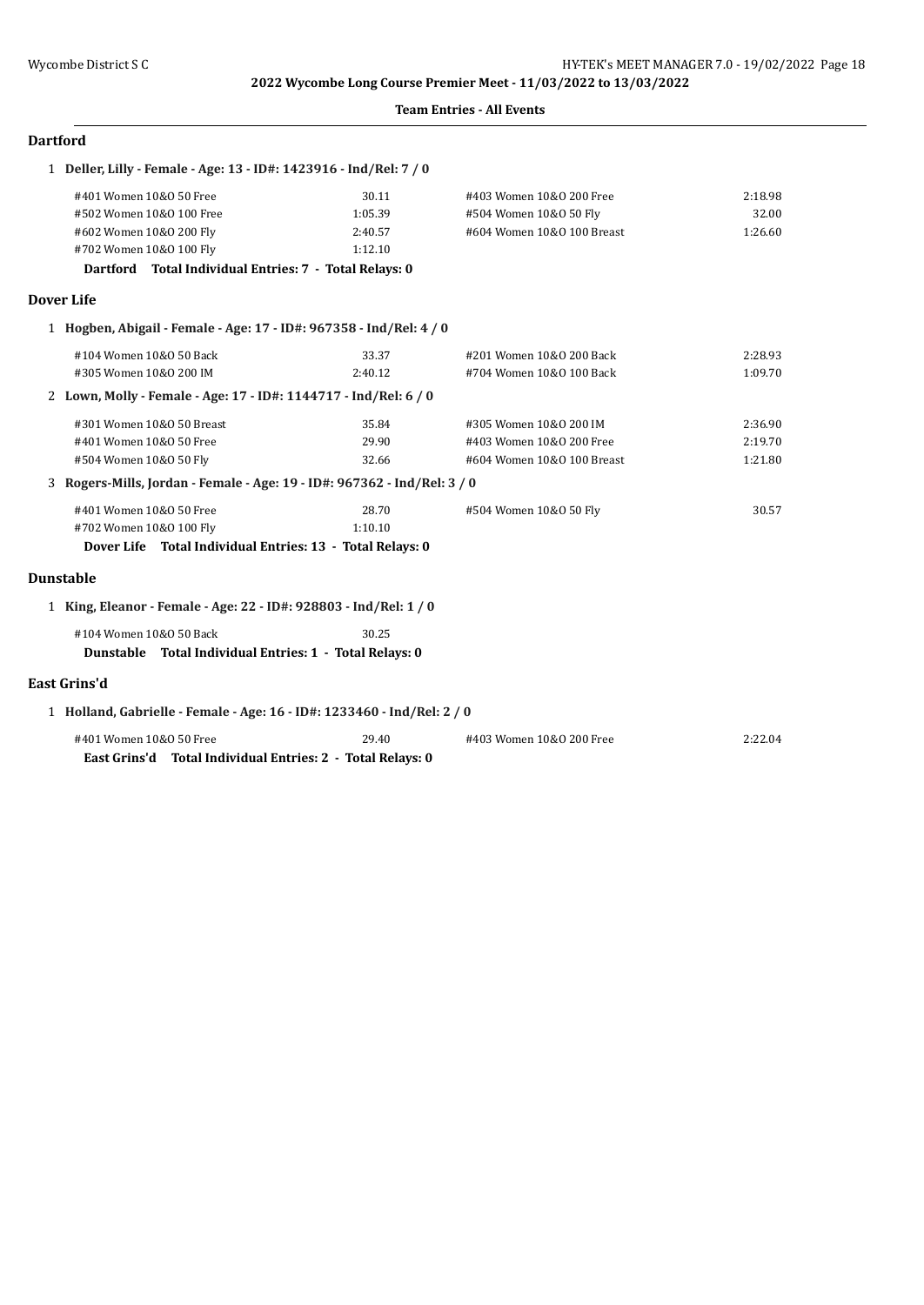#### **Team Entries - All Events**

| Dartford |  |
|----------|--|
|----------|--|

| 1 Deller, Lilly - Female - Age: 13 - ID#: 1423916 - Ind/Rel: 7 / 0                 |         |                            |         |
|------------------------------------------------------------------------------------|---------|----------------------------|---------|
| #401 Women 10&0 50 Free                                                            | 30.11   | #403 Women 10&0 200 Free   | 2:18.98 |
| #502 Women 10&0 100 Free                                                           | 1:05.39 | #504 Women 10&0 50 Fly     | 32.00   |
| #602 Women 10&0 200 Fly                                                            | 2:40.57 | #604 Women 10&0 100 Breast | 1:26.60 |
| #702 Women 10&0 100 Fly                                                            | 1:12.10 |                            |         |
| Dartford Total Individual Entries: 7 - Total Relays: 0                             |         |                            |         |
| <b>Dover Life</b>                                                                  |         |                            |         |
| 1 Hogben, Abigail - Female - Age: 17 - ID#: 967358 - Ind/Rel: 4 / 0                |         |                            |         |
| #104 Women 10&0 50 Back                                                            | 33.37   | #201 Women 10&0 200 Back   | 2:28.93 |
| #305 Women 10&0 200 IM                                                             | 2:40.12 | #704 Women 10&0 100 Back   | 1:09.70 |
| 2 Lown, Molly - Female - Age: 17 - ID#: 1144717 - Ind/Rel: 6 / 0                   |         |                            |         |
| #301 Women 10&0 50 Breast                                                          | 35.84   | #305 Women 10&0 200 IM     | 2:36.90 |
| #401 Women 10&0 50 Free                                                            | 29.90   | #403 Women 10&0 200 Free   | 2:19.70 |
| #504 Women 10&0 50 Fly                                                             | 32.66   | #604 Women 10&0 100 Breast | 1:21.80 |
| 3 Rogers-Mills, Jordan - Female - Age: 19 - ID#: 967362 - Ind/Rel: 3 / 0           |         |                            |         |
| #401 Women 10&0 50 Free                                                            | 28.70   | #504 Women 10&0 50 Fly     | 30.57   |
| #702 Women 10&0 100 Fly                                                            | 1:10.10 |                            |         |
| Dover Life Total Individual Entries: 13 - Total Relays: 0                          |         |                            |         |
| <b>Dunstable</b>                                                                   |         |                            |         |
| 1 King, Eleanor - Female - Age: 22 - ID#: 928803 - Ind/Rel: 1 / 0                  |         |                            |         |
| #104 Women 10&0 50 Back<br>Dunstable Total Individual Entries: 1 - Total Relays: 0 | 30.25   |                            |         |
| <b>East Grins'd</b>                                                                |         |                            |         |
| 1 Holland, Gabrielle - Female - Age: 16 - ID#: 1233460 - Ind/Rel: 2 / 0            |         |                            |         |
| #401 Women 10&0 50 Free                                                            | 29.40   | #403 Women 10&0 200 Free   | 2:22.04 |
| East Grins'd Total Individual Entries: 2 - Total Relays: 0                         |         |                            |         |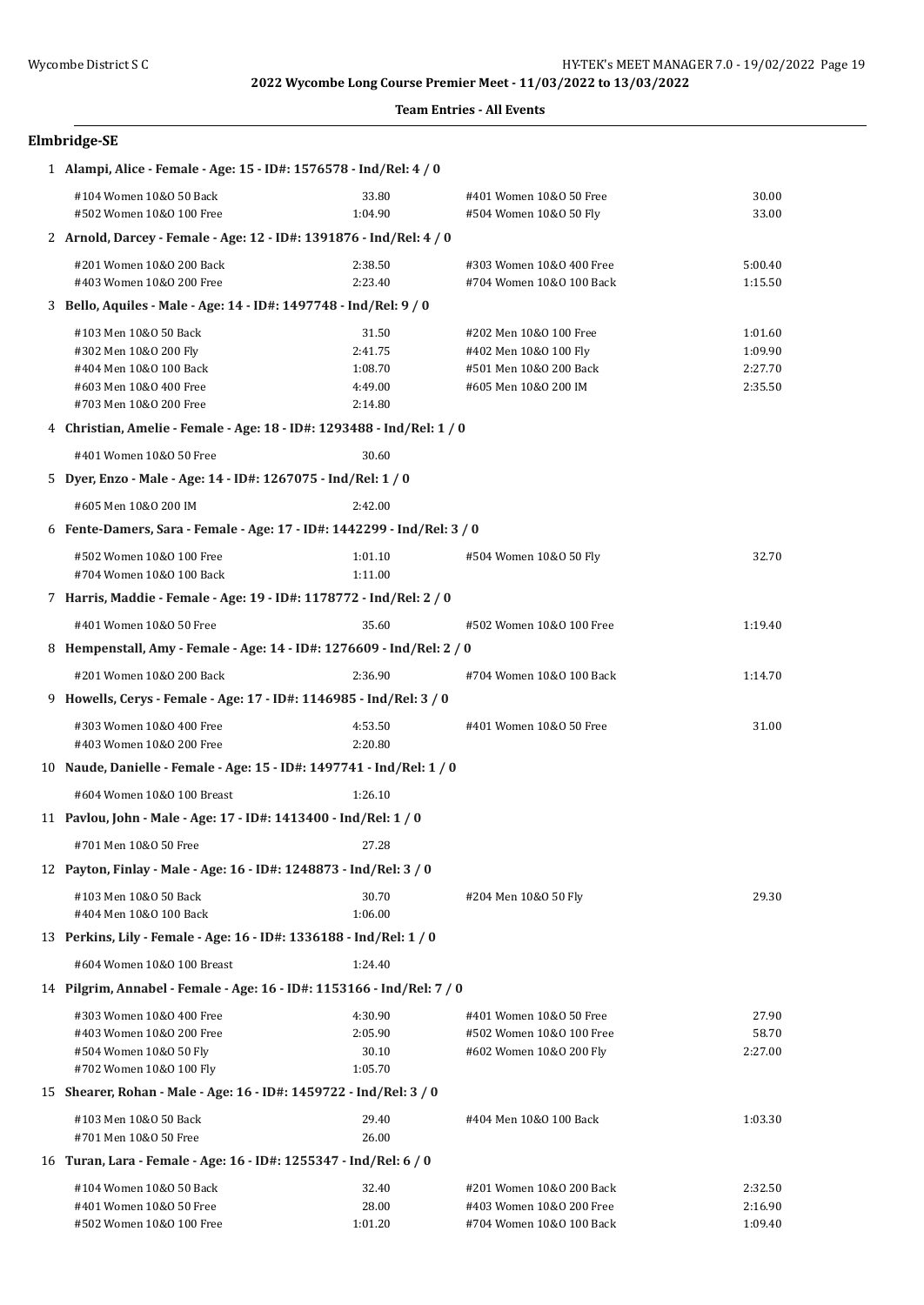### **Team Entries - All Events**

| Elmbridge-SE |  |  |  |  |
|--------------|--|--|--|--|
|--------------|--|--|--|--|

| 1 Alampi, Alice - Female - Age: 15 - ID#: 1576578 - Ind/Rel: 4 / 0      |                    |                                                      |                    |  |  |
|-------------------------------------------------------------------------|--------------------|------------------------------------------------------|--------------------|--|--|
| #104 Women 10&0 50 Back<br>#502 Women 10&0 100 Free                     | 33.80<br>1:04.90   | #401 Women 10&0 50 Free<br>#504 Women 10&0 50 Fly    | 30.00<br>33.00     |  |  |
| 2 Arnold, Darcey - Female - Age: 12 - ID#: 1391876 - Ind/Rel: 4 / 0     |                    |                                                      |                    |  |  |
| #201 Women 10&0 200 Back<br>#403 Women 10&0 200 Free                    | 2:38.50<br>2:23.40 | #303 Women 10&0 400 Free<br>#704 Women 10&0 100 Back | 5:00.40<br>1:15.50 |  |  |
| 3 Bello, Aquiles - Male - Age: 14 - ID#: 1497748 - Ind/Rel: 9 / 0       |                    |                                                      |                    |  |  |
| #103 Men 10&0 50 Back                                                   | 31.50              | #202 Men 10&0 100 Free                               | 1:01.60            |  |  |
| #302 Men 10&0 200 Fly                                                   | 2:41.75            | #402 Men 10&0 100 Fly                                | 1:09.90            |  |  |
| #404 Men 10&0 100 Back                                                  | 1:08.70            | #501 Men 10&0 200 Back                               | 2:27.70            |  |  |
| #603 Men 10&0 400 Free<br>#703 Men 10&0 200 Free                        | 4:49.00<br>2:14.80 | #605 Men 10&0 200 IM                                 | 2:35.50            |  |  |
| 4 Christian, Amelie - Female - Age: 18 - ID#: 1293488 - Ind/Rel: 1 / 0  |                    |                                                      |                    |  |  |
|                                                                         |                    |                                                      |                    |  |  |
| #401 Women 10&0 50 Free                                                 | 30.60              |                                                      |                    |  |  |
| 5 Dyer, Enzo - Male - Age: 14 - ID#: 1267075 - Ind/Rel: 1 / 0           |                    |                                                      |                    |  |  |
| #605 Men 10&0 200 IM                                                    | 2:42.00            |                                                      |                    |  |  |
| 6 Fente-Damers, Sara - Female - Age: 17 - ID#: 1442299 - Ind/Rel: 3 / 0 |                    |                                                      |                    |  |  |
| #502 Women 10&0 100 Free<br>#704 Women 10&0 100 Back                    | 1:01.10<br>1:11.00 | #504 Women 10&0 50 Fly                               | 32.70              |  |  |
| 7 Harris, Maddie - Female - Age: 19 - ID#: 1178772 - Ind/Rel: 2 / 0     |                    |                                                      |                    |  |  |
| #401 Women 10&0 50 Free                                                 | 35.60              | #502 Women 10&0 100 Free                             | 1:19.40            |  |  |
| 8 Hempenstall, Amy - Female - Age: 14 - ID#: 1276609 - Ind/Rel: 2 / 0   |                    |                                                      |                    |  |  |
| #201 Women 10&0 200 Back                                                | 2:36.90            | #704 Women 10&0 100 Back                             | 1:14.70            |  |  |
| 9 Howells, Cerys - Female - Age: 17 - ID#: 1146985 - Ind/Rel: 3 / 0     |                    |                                                      |                    |  |  |
| #303 Women 10&0 400 Free                                                | 4:53.50            | #401 Women 10&0 50 Free                              | 31.00              |  |  |
| #403 Women 10&0 200 Free                                                | 2:20.80            |                                                      |                    |  |  |
| 10 Naude, Danielle - Female - Age: 15 - ID#: 1497741 - Ind/Rel: 1 / 0   |                    |                                                      |                    |  |  |
| #604 Women 10&0 100 Breast                                              | 1:26.10            |                                                      |                    |  |  |
| 11 Pavlou, John - Male - Age: 17 - ID#: 1413400 - Ind/Rel: 1 / 0        |                    |                                                      |                    |  |  |
| #701 Men 10&0 50 Free                                                   | 27.28              |                                                      |                    |  |  |
| 12 Payton, Finlay - Male - Age: 16 - ID#: 1248873 - Ind/Rel: 3 / 0      |                    |                                                      |                    |  |  |
| #103 Men 10&0 50 Back                                                   | 30.70              | #204 Men 10&0 50 Fly                                 | 29.30              |  |  |
| #404 Men 10&0 100 Back                                                  | 1:06.00            |                                                      |                    |  |  |
| 13 Perkins, Lily - Female - Age: 16 - ID#: 1336188 - Ind/Rel: 1 / 0     |                    |                                                      |                    |  |  |
| #604 Women 10&0 100 Breast                                              | 1:24.40            |                                                      |                    |  |  |
| 14 Pilgrim, Annabel - Female - Age: 16 - ID#: 1153166 - Ind/Rel: 7 / 0  |                    |                                                      |                    |  |  |
| #303 Women 10&0 400 Free                                                | 4:30.90            | #401 Women 10&0 50 Free                              | 27.90              |  |  |
| #403 Women 10&0 200 Free                                                | 2:05.90            | #502 Women 10&0 100 Free                             | 58.70              |  |  |
| #504 Women 10&0 50 Fly                                                  | 30.10              | #602 Women 10&0 200 Fly                              | 2:27.00            |  |  |
| #702 Women 10&0 100 Fly                                                 | 1:05.70            |                                                      |                    |  |  |
| 15 Shearer, Rohan - Male - Age: 16 - ID#: 1459722 - Ind/Rel: 3 / 0      |                    |                                                      |                    |  |  |
| #103 Men 10&0 50 Back                                                   | 29.40              | #404 Men 10&0 100 Back                               | 1:03.30            |  |  |
| #701 Men 10&0 50 Free                                                   | 26.00              |                                                      |                    |  |  |
| 16 Turan, Lara - Female - Age: 16 - ID#: 1255347 - Ind/Rel: 6 / 0       |                    |                                                      |                    |  |  |
| #104 Women 10&0 50 Back<br>#401 Women 10&0 50 Free                      | 32.40<br>28.00     | #201 Women 10&0 200 Back<br>#403 Women 10&0 200 Free | 2:32.50<br>2:16.90 |  |  |
| #502 Women 10&0 100 Free                                                | 1:01.20            | #704 Women 10&0 100 Back                             | 1:09.40            |  |  |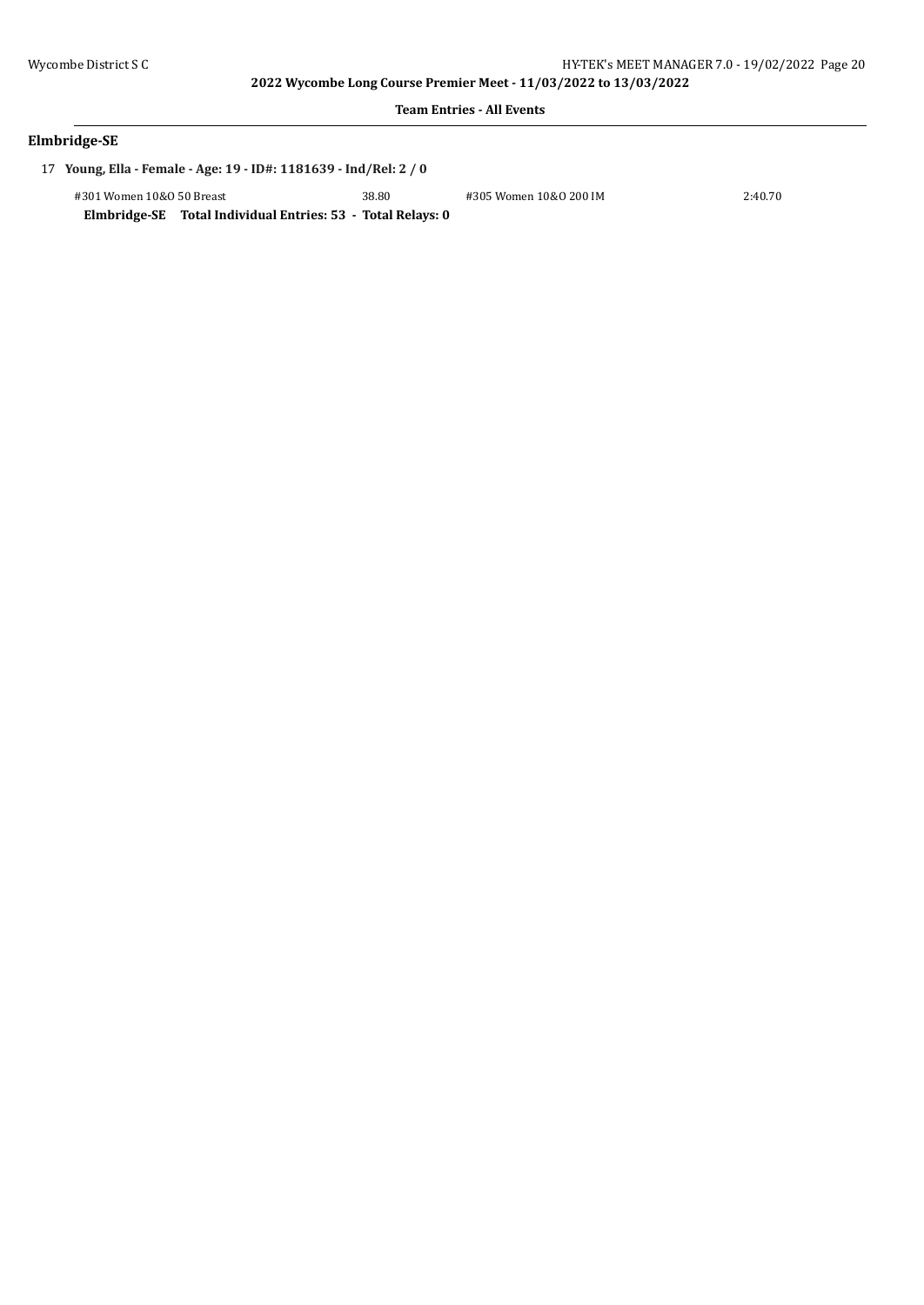#### **Team Entries - All Events**

| Elmbridge-SE |  |  |
|--------------|--|--|
|--------------|--|--|

17 **Young, Ella - Female - Age: 19 - ID#: 1181639 - Ind/Rel: 2 / 0**

| #301 Women 10&0 50 Breast                                   | 38.80 | #305 Women 10&0 200 IM | 2:40.70 |
|-------------------------------------------------------------|-------|------------------------|---------|
| Elmbridge-SE Total Individual Entries: 53 - Total Relays: 0 |       |                        |         |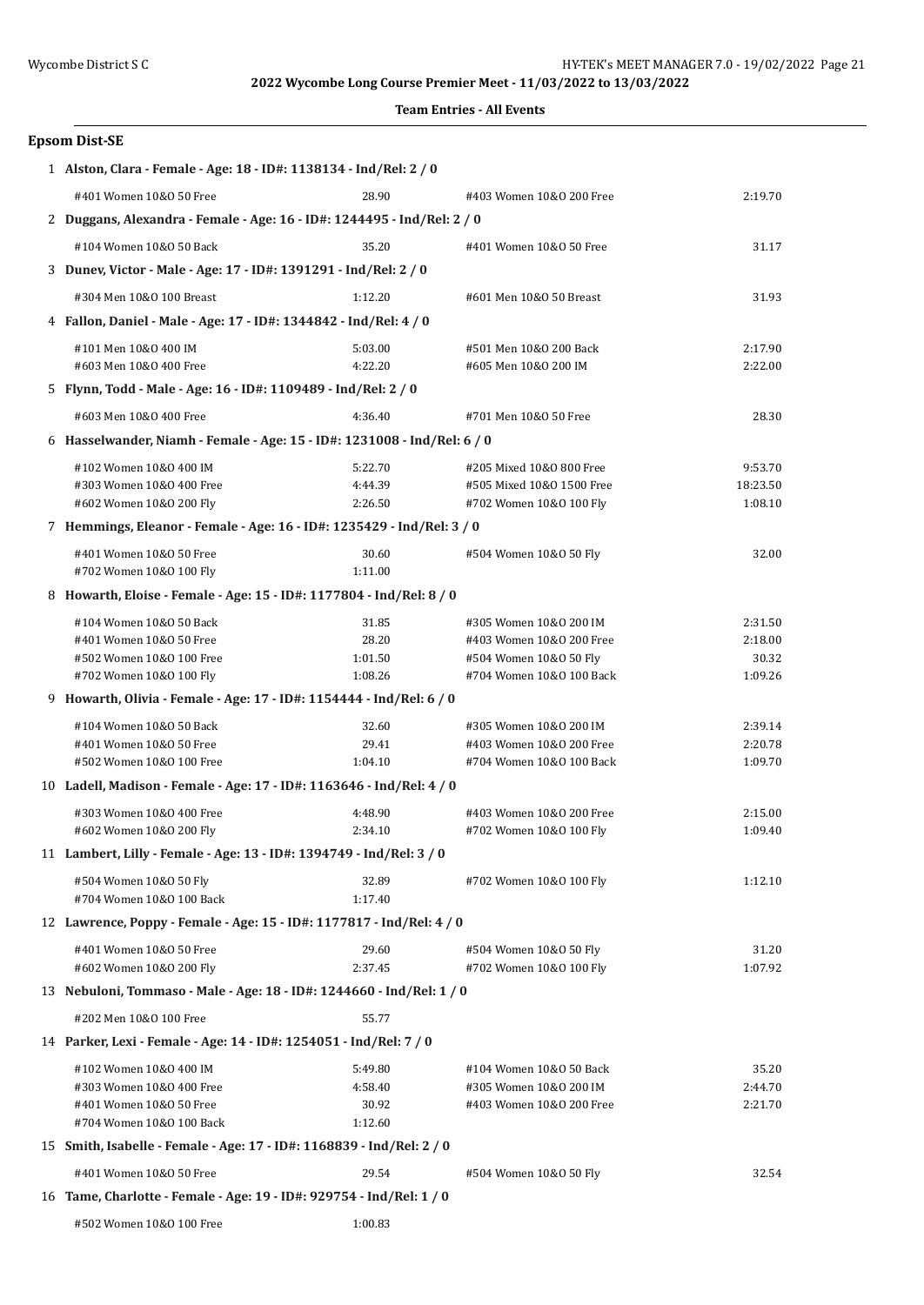**Team Entries - All Events** 

| Team Entries - All Events                                                |                    |                                                |                    |  |  |
|--------------------------------------------------------------------------|--------------------|------------------------------------------------|--------------------|--|--|
| <b>Epsom Dist-SE</b>                                                     |                    |                                                |                    |  |  |
| 1 Alston, Clara - Female - Age: 18 - ID#: 1138134 - Ind/Rel: 2 / 0       |                    |                                                |                    |  |  |
| #401 Women 10&0 50 Free                                                  | 28.90              | #403 Women 10&0 200 Free                       | 2:19.70            |  |  |
| 2 Duggans, Alexandra - Female - Age: 16 - ID#: 1244495 - Ind/Rel: 2 / 0  |                    |                                                |                    |  |  |
| #104 Women 10&0 50 Back                                                  | 35.20              | #401 Women 10&0 50 Free                        | 31.17              |  |  |
| 3 Dunev, Victor - Male - Age: 17 - ID#: 1391291 - Ind/Rel: 2 / 0         |                    |                                                |                    |  |  |
| #304 Men 10&0 100 Breast                                                 | 1:12.20            |                                                |                    |  |  |
|                                                                          |                    | #601 Men 10&0 50 Breast                        | 31.93              |  |  |
| 4 Fallon, Daniel - Male - Age: 17 - ID#: 1344842 - Ind/Rel: 4 / 0        |                    |                                                |                    |  |  |
| #101 Men 10&0 400 IM<br>#603 Men 10&0 400 Free                           | 5:03.00<br>4:22.20 | #501 Men 10&0 200 Back<br>#605 Men 10&0 200 IM | 2:17.90<br>2:22.00 |  |  |
| 5 Flynn, Todd - Male - Age: 16 - ID#: 1109489 - Ind/Rel: 2 / 0           |                    |                                                |                    |  |  |
| #603 Men 10&0 400 Free                                                   | 4:36.40            | #701 Men 10&0 50 Free                          | 28.30              |  |  |
| 6 Hasselwander, Niamh - Female - Age: 15 - ID#: 1231008 - Ind/Rel: 6 / 0 |                    |                                                |                    |  |  |
| #102 Women 10&0 400 IM                                                   | 5:22.70            | #205 Mixed 10&0 800 Free                       | 9:53.70            |  |  |
| #303 Women 10&0 400 Free                                                 | 4:44.39            | #505 Mixed 10&0 1500 Free                      | 18:23.50           |  |  |
| #602 Women 10&0 200 Fly                                                  | 2:26.50            | #702 Women 10&0 100 Fly                        | 1:08.10            |  |  |
| 7 Hemmings, Eleanor - Female - Age: 16 - ID#: 1235429 - Ind/Rel: 3 / 0   |                    |                                                |                    |  |  |
| #401 Women 10&0 50 Free                                                  | 30.60              | #504 Women 10&0 50 Fly                         | 32.00              |  |  |
| #702 Women 10&0 100 Fly                                                  | 1:11.00            |                                                |                    |  |  |
| 8 Howarth, Eloise - Female - Age: 15 - ID#: 1177804 - Ind/Rel: 8 / 0     |                    |                                                |                    |  |  |
| #104 Women 10&0 50 Back                                                  | 31.85              | #305 Women 10&0 200 IM                         | 2:31.50            |  |  |
| #401 Women 10&0 50 Free                                                  | 28.20              | #403 Women 10&0 200 Free                       | 2:18.00            |  |  |
| #502 Women 10&0 100 Free                                                 | 1:01.50            | #504 Women 10&0 50 Fly                         | 30.32              |  |  |
| #702 Women 10&0 100 Fly                                                  | 1:08.26            | #704 Women 10&0 100 Back                       | 1:09.26            |  |  |
| 9 Howarth, Olivia - Female - Age: 17 - ID#: 1154444 - Ind/Rel: 6 / 0     |                    |                                                |                    |  |  |
| #104 Women 10&0 50 Back                                                  | 32.60              | #305 Women 10&0 200 IM                         | 2:39.14            |  |  |
| #401 Women 10&0 50 Free                                                  | 29.41              | #403 Women 10&0 200 Free                       | 2:20.78            |  |  |
| #502 Women 10&0 100 Free                                                 | 1:04.10            | #704 Women 10&0 100 Back                       | 1:09.70            |  |  |
| 10 Ladell, Madison - Female - Age: 17 - ID#: 1163646 - Ind/Rel: 4 / 0    |                    |                                                |                    |  |  |
| #303 Women 10&0 400 Free                                                 | 4:48.90            | #403 Women 10&0 200 Free                       | 2:15.00            |  |  |
| #602 Women 10&0 200 Fly                                                  | 2:34.10            | #702 Women 10&0 100 Fly                        | 1:09.40            |  |  |
| 11 Lambert, Lilly - Female - Age: 13 - ID#: 1394749 - Ind/Rel: 3 / 0     |                    |                                                |                    |  |  |
| #504 Women 10&0 50 Fly                                                   | 32.89              | #702 Women 10&0 100 Fly                        | 1:12.10            |  |  |
| #704 Women 10&0 100 Back                                                 | 1:17.40            |                                                |                    |  |  |
| 12 Lawrence, Poppy - Female - Age: 15 - ID#: 1177817 - Ind/Rel: 4 / 0    |                    |                                                |                    |  |  |
| #401 Women 10&0 50 Free                                                  | 29.60              | #504 Women 10&0 50 Fly                         | 31.20              |  |  |
| #602 Women 10&0 200 Fly                                                  | 2:37.45            | #702 Women 10&0 100 Fly                        | 1:07.92            |  |  |
| 13 Nebuloni, Tommaso - Male - Age: 18 - ID#: 1244660 - Ind/Rel: 1 / 0    |                    |                                                |                    |  |  |
| #202 Men 10&0 100 Free                                                   | 55.77              |                                                |                    |  |  |
| 14 Parker, Lexi - Female - Age: 14 - ID#: 1254051 - Ind/Rel: 7 / 0       |                    |                                                |                    |  |  |
| #102 Women 10&0 400 IM                                                   | 5:49.80            | #104 Women 10&0 50 Back                        | 35.20              |  |  |
| #303 Women 10&0 400 Free                                                 | 4:58.40            | #305 Women 10&0 200 IM                         | 2:44.70            |  |  |
| #401 Women 10&0 50 Free                                                  | 30.92              | #403 Women 10&0 200 Free                       | 2:21.70            |  |  |
| #704 Women 10&0 100 Back                                                 | 1:12.60            |                                                |                    |  |  |
| 15 Smith, Isabelle - Female - Age: 17 - ID#: 1168839 - Ind/Rel: 2 / 0    |                    |                                                |                    |  |  |

| #401 Women 10&0 50 Free | 29.54 | #504 Women 10&0 50 Fly | 32.54 |
|-------------------------|-------|------------------------|-------|

16 **Tame, Charlotte - Female - Age: 19 - ID#: 929754 - Ind/Rel: 1 / 0**

<sup>#502</sup> Women 10&O 100 Free 1:00.83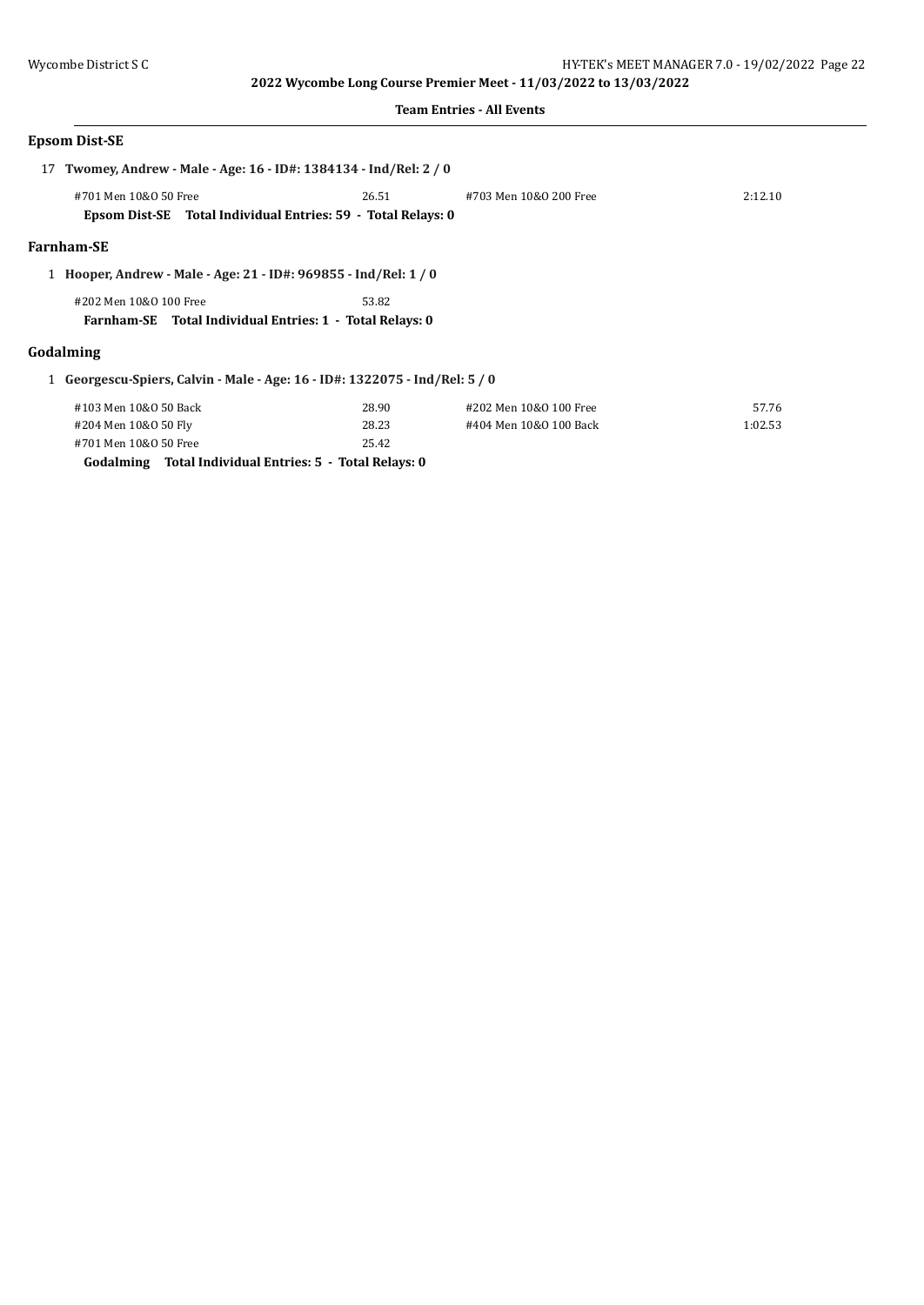### **Team Entries - All Events**

# **Epsom Dist-SE**

| 17 Twomey, Andrew - Male - Age: 16 - ID#: 1384134 - Ind/Rel: 2 / 0 |                                                                           |                        |         |
|--------------------------------------------------------------------|---------------------------------------------------------------------------|------------------------|---------|
| #701 Men 10&0 50 Free                                              | 26.51                                                                     | #703 Men 10&0 200 Free | 2:12.10 |
|                                                                    | Epsom Dist-SE Total Individual Entries: 59 - Total Relays: 0              |                        |         |
| <b>Farnham-SE</b>                                                  |                                                                           |                        |         |
|                                                                    | 1 Hooper, Andrew - Male - Age: 21 - ID#: 969855 - Ind/Rel: 1 / 0          |                        |         |
| #202 Men 10&0 100 Free                                             | 53.82                                                                     |                        |         |
|                                                                    | Farnham-SE Total Individual Entries: 1 - Total Relays: 0                  |                        |         |
| Godalming                                                          |                                                                           |                        |         |
|                                                                    | Georgescu-Spiers, Calvin - Male - Age: 16 - ID#: 1322075 - Ind/Rel: 5 / 0 |                        |         |
| #103 Men 10&0 50 Back                                              | 28.90                                                                     | #202 Men 10&0 100 Free | 57.76   |
| #204 Men 10&0 50 Fly                                               | 28.23                                                                     | #404 Men 10&0 100 Back | 1:02.53 |
| #701 Men 10&0 50 Free                                              | 25.42                                                                     |                        |         |
|                                                                    | Godalming Total Individual Entries: 5 - Total Relays: 0                   |                        |         |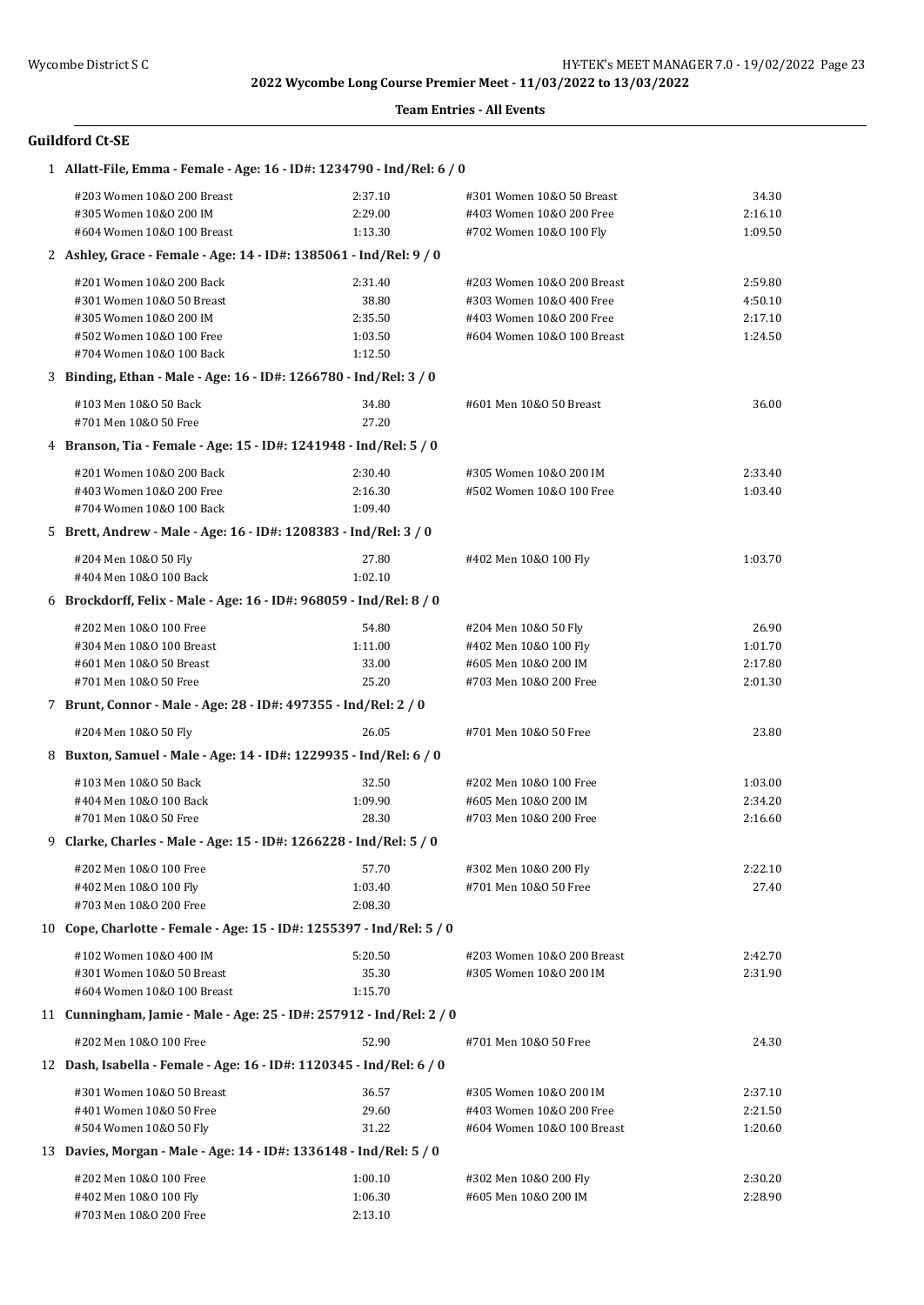| 1 Allatt-File, Emma - Female - Age: 16 - ID#: 1234790 - Ind/Rel: 6 / 0 |         |                            |         |  |  |
|------------------------------------------------------------------------|---------|----------------------------|---------|--|--|
| #203 Women 10&0 200 Breast                                             | 2:37.10 | #301 Women 10&0 50 Breast  | 34.30   |  |  |
| #305 Women 10&0 200 IM                                                 | 2:29.00 | #403 Women 10&0 200 Free   | 2:16.10 |  |  |
| #604 Women 10&0 100 Breast                                             | 1:13.30 | #702 Women 10&0 100 Fly    | 1:09.50 |  |  |
| 2 Ashley, Grace - Female - Age: 14 - ID#: 1385061 - Ind/Rel: 9 / 0     |         |                            |         |  |  |
| #201 Women 10&0 200 Back                                               | 2:31.40 | #203 Women 10&0 200 Breast | 2:59.80 |  |  |
| #301 Women 10&0 50 Breast                                              | 38.80   | #303 Women 10&0 400 Free   | 4:50.10 |  |  |
| #305 Women 10&0 200 IM                                                 | 2:35.50 | #403 Women 10&0 200 Free   | 2:17.10 |  |  |
| #502 Women 10&0 100 Free                                               | 1:03.50 | #604 Women 10&0 100 Breast | 1:24.50 |  |  |
| #704 Women 10&0 100 Back                                               | 1:12.50 |                            |         |  |  |
| 3 Binding, Ethan - Male - Age: 16 - ID#: 1266780 - Ind/Rel: 3 / 0      |         |                            |         |  |  |
| #103 Men 10&0 50 Back                                                  | 34.80   | #601 Men 10&0 50 Breast    | 36.00   |  |  |
| #701 Men 10&0 50 Free                                                  | 27.20   |                            |         |  |  |
| 4 Branson, Tia - Female - Age: 15 - ID#: 1241948 - Ind/Rel: 5 / 0      |         |                            |         |  |  |
| #201 Women 10&0 200 Back                                               | 2:30.40 | #305 Women 10&0 200 IM     | 2:33.40 |  |  |
| #403 Women 10&0 200 Free                                               | 2:16.30 | #502 Women 10&0 100 Free   | 1:03.40 |  |  |
| #704 Women 10&0 100 Back                                               | 1:09.40 |                            |         |  |  |
| 5 Brett, Andrew - Male - Age: 16 - ID#: 1208383 - Ind/Rel: 3 / 0       |         |                            |         |  |  |
| #204 Men 10&0 50 Fly                                                   | 27.80   | #402 Men 10&0 100 Fly      | 1:03.70 |  |  |
| #404 Men 10&0 100 Back                                                 | 1:02.10 |                            |         |  |  |
| 6 Brockdorff, Felix - Male - Age: 16 - ID#: 968059 - Ind/Rel: 8 / 0    |         |                            |         |  |  |
| #202 Men 10&0 100 Free                                                 | 54.80   | #204 Men 10&0 50 Fly       | 26.90   |  |  |
| #304 Men 10&0 100 Breast                                               | 1:11.00 | #402 Men 10&0 100 Fly      | 1:01.70 |  |  |
| #601 Men 10&0 50 Breast                                                | 33.00   | #605 Men 10&0 200 IM       | 2:17.80 |  |  |
| #701 Men 10&0 50 Free                                                  | 25.20   | #703 Men 10&0 200 Free     | 2:01.30 |  |  |
| 7 Brunt, Connor - Male - Age: 28 - ID#: 497355 - Ind/Rel: 2 / 0        |         |                            |         |  |  |
| #204 Men 10&0 50 Fly                                                   | 26.05   | #701 Men 10&0 50 Free      | 23.80   |  |  |
| 8 Buxton, Samuel - Male - Age: 14 - ID#: 1229935 - Ind/Rel: 6 / 0      |         |                            |         |  |  |
| #103 Men 10&0 50 Back                                                  | 32.50   | #202 Men 10&0 100 Free     | 1:03.00 |  |  |
| #404 Men 10&0 100 Back                                                 | 1:09.90 | #605 Men 10&0 200 IM       | 2:34.20 |  |  |
| #701 Men 10&0 50 Free                                                  | 28.30   | #703 Men 10&0 200 Free     | 2:16.60 |  |  |
| 9 Clarke, Charles - Male - Age: 15 - ID#: 1266228 - Ind/Rel: 5 / 0     |         |                            |         |  |  |
| #202 Men 10&0 100 Free                                                 | 57.70   | #302 Men 10&0 200 Fly      | 2:22.10 |  |  |
| #402 Men 10&0 100 Fly                                                  | 1:03.40 | #701 Men 10&0 50 Free      | 27.40   |  |  |
| #703 Men 10&0 200 Free                                                 | 2:08.30 |                            |         |  |  |
| 10 Cope, Charlotte - Female - Age: 15 - ID#: 1255397 - Ind/Rel: 5 / 0  |         |                            |         |  |  |
| #102 Women 10&0 400 IM                                                 | 5:20.50 | #203 Women 10&0 200 Breast | 2:42.70 |  |  |
| #301 Women 10&0 50 Breast                                              | 35.30   | #305 Women 10&0 200 IM     | 2:31.90 |  |  |
| #604 Women 10&0 100 Breast                                             | 1:15.70 |                            |         |  |  |
| 11 Cunningham, Jamie - Male - Age: 25 - ID#: 257912 - Ind/Rel: 2 / 0   |         |                            |         |  |  |
| #202 Men 10&0 100 Free                                                 | 52.90   | #701 Men 10&0 50 Free      | 24.30   |  |  |
| 12 Dash, Isabella - Female - Age: 16 - ID#: 1120345 - Ind/Rel: 6 / 0   |         |                            |         |  |  |
| #301 Women 10&0 50 Breast                                              | 36.57   | #305 Women 10&0 200 IM     | 2:37.10 |  |  |
| #401 Women 10&0 50 Free                                                | 29.60   | #403 Women 10&0 200 Free   | 2:21.50 |  |  |
| #504 Women 10&0 50 Fly                                                 | 31.22   | #604 Women 10&0 100 Breast | 1:20.60 |  |  |
| 13 Davies, Morgan - Male - Age: 14 - ID#: 1336148 - Ind/Rel: 5 / 0     |         |                            |         |  |  |
| #202 Men 10&0 100 Free                                                 | 1:00.10 | #302 Men 10&0 200 Fly      | 2:30.20 |  |  |
| #402 Men 10&0 100 Fly                                                  | 1:06.30 | #605 Men 10&0 200 IM       | 2:28.90 |  |  |
| #703 Men 10&0 200 Free                                                 | 2:13.10 |                            |         |  |  |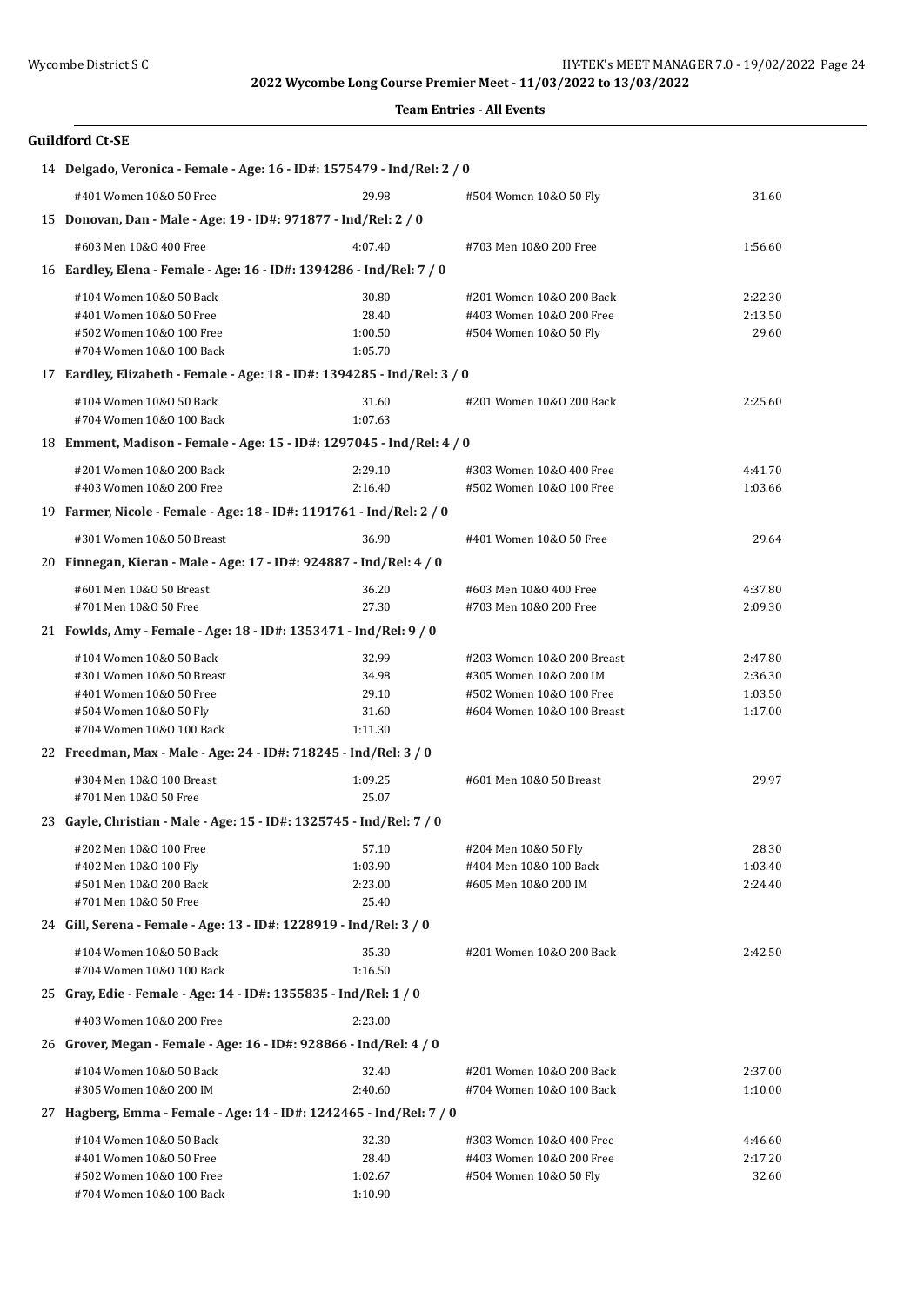#### **Team Entries - All Events**

| 14 Delgado, Veronica - Female - Age: 16 - ID#: 1575479 - Ind/Rel: 2 / 0 |                                                                          |         |                            |         |
|-------------------------------------------------------------------------|--------------------------------------------------------------------------|---------|----------------------------|---------|
|                                                                         | #401 Women 10&0 50 Free                                                  | 29.98   | #504 Women 10&0 50 Fly     | 31.60   |
|                                                                         | 15 Donovan, Dan - Male - Age: 19 - ID#: 971877 - Ind/Rel: 2 / 0          |         |                            |         |
|                                                                         | #603 Men 10&0 400 Free                                                   | 4:07.40 | #703 Men 10&0 200 Free     | 1:56.60 |
|                                                                         | 16 Eardley, Elena - Female - Age: 16 - ID#: 1394286 - Ind/Rel: 7 / 0     |         |                            |         |
|                                                                         | #104 Women 10&0 50 Back                                                  | 30.80   | #201 Women 10&0 200 Back   | 2:22.30 |
|                                                                         | #401 Women 10&0 50 Free                                                  | 28.40   | #403 Women 10&0 200 Free   | 2:13.50 |
|                                                                         | #502 Women 10&0 100 Free                                                 | 1:00.50 | #504 Women 10&0 50 Fly     | 29.60   |
|                                                                         | #704 Women 10&0 100 Back                                                 | 1:05.70 |                            |         |
|                                                                         | 17 Eardley, Elizabeth - Female - Age: 18 - ID#: 1394285 - Ind/Rel: 3 / 0 |         |                            |         |
|                                                                         | #104 Women 10&0 50 Back                                                  | 31.60   | #201 Women 10&0 200 Back   | 2:25.60 |
|                                                                         | #704 Women 10&0 100 Back                                                 | 1:07.63 |                            |         |
|                                                                         | 18 Emment, Madison - Female - Age: 15 - ID#: 1297045 - Ind/Rel: 4 / 0    |         |                            |         |
|                                                                         | #201 Women 10&0 200 Back                                                 | 2:29.10 | #303 Women 10&0 400 Free   | 4:41.70 |
|                                                                         | #403 Women 10&0 200 Free                                                 | 2:16.40 | #502 Women 10&0 100 Free   | 1:03.66 |
|                                                                         | 19 Farmer, Nicole - Female - Age: 18 - ID#: 1191761 - Ind/Rel: 2 / 0     |         |                            |         |
|                                                                         | #301 Women 10&0 50 Breast                                                | 36.90   | #401 Women 10&0 50 Free    | 29.64   |
|                                                                         | 20 Finnegan, Kieran - Male - Age: 17 - ID#: 924887 - Ind/Rel: 4 / 0      |         |                            |         |
|                                                                         | #601 Men 10&0 50 Breast                                                  | 36.20   | #603 Men 10&0 400 Free     | 4:37.80 |
|                                                                         | #701 Men 10&0 50 Free                                                    | 27.30   | #703 Men 10&0 200 Free     | 2:09.30 |
|                                                                         | 21 Fowlds, Amy - Female - Age: 18 - ID#: 1353471 - Ind/Rel: 9 / 0        |         |                            |         |
|                                                                         | #104 Women 10&0 50 Back                                                  | 32.99   | #203 Women 10&0 200 Breast | 2:47.80 |
|                                                                         | #301 Women 10&0 50 Breast                                                | 34.98   | #305 Women 10&0 200 IM     | 2:36.30 |
|                                                                         | #401 Women 10&0 50 Free                                                  | 29.10   | #502 Women 10&0 100 Free   | 1:03.50 |
|                                                                         | #504 Women 10&0 50 Fly                                                   | 31.60   | #604 Women 10&0 100 Breast | 1:17.00 |
|                                                                         | #704 Women 10&0 100 Back                                                 | 1:11.30 |                            |         |
|                                                                         | 22 Freedman, Max - Male - Age: 24 - ID#: 718245 - Ind/Rel: 3 / 0         |         |                            |         |
|                                                                         | #304 Men 10&0 100 Breast                                                 | 1:09.25 | #601 Men 10&0 50 Breast    | 29.97   |
|                                                                         | #701 Men 10&0 50 Free                                                    | 25.07   |                            |         |
|                                                                         | 23 Gayle, Christian - Male - Age: 15 - ID#: 1325745 - Ind/Rel: 7 / 0     |         |                            |         |
|                                                                         | #202 Men 10&0 100 Free                                                   | 57.10   | #204 Men 10&0 50 Fly       | 28.30   |
|                                                                         | #402 Men 10&0 100 Fly                                                    | 1:03.90 | #404 Men 10&0 100 Back     | 1:03.40 |
|                                                                         | #501 Men 10&0 200 Back                                                   | 2:23.00 | #605 Men 10&0 200 IM       | 2:24.40 |
|                                                                         | #701 Men 10&0 50 Free                                                    | 25.40   |                            |         |
|                                                                         | 24 Gill, Serena - Female - Age: 13 - ID#: 1228919 - Ind/Rel: 3 / 0       |         |                            |         |
|                                                                         | #104 Women 10&0 50 Back                                                  | 35.30   | #201 Women 10&0 200 Back   | 2:42.50 |
|                                                                         | #704 Women 10&0 100 Back                                                 | 1:16.50 |                            |         |
|                                                                         | 25 Gray, Edie - Female - Age: 14 - ID#: 1355835 - Ind/Rel: 1 / 0         |         |                            |         |
|                                                                         | #403 Women 10&0 200 Free                                                 | 2:23.00 |                            |         |
|                                                                         | 26 Grover, Megan - Female - Age: 16 - ID#: 928866 - Ind/Rel: 4 / 0       |         |                            |         |
|                                                                         | #104 Women 10&0 50 Back                                                  | 32.40   | #201 Women 10&0 200 Back   | 2:37.00 |
|                                                                         | #305 Women 10&0 200 IM                                                   | 2:40.60 | #704 Women 10&0 100 Back   | 1:10.00 |
|                                                                         | 27 Hagberg, Emma - Female - Age: 14 - ID#: 1242465 - Ind/Rel: 7 / 0      |         |                            |         |
|                                                                         | #104 Women 10&0 50 Back                                                  | 32.30   | #303 Women 10&0 400 Free   | 4:46.60 |
|                                                                         | #401 Women 10&0 50 Free                                                  | 28.40   | #403 Women 10&0 200 Free   | 2:17.20 |
|                                                                         | #502 Women 10&0 100 Free                                                 | 1:02.67 | #504 Women 10&0 50 Fly     | 32.60   |
|                                                                         | #704 Women 10&0 100 Back                                                 | 1:10.90 |                            |         |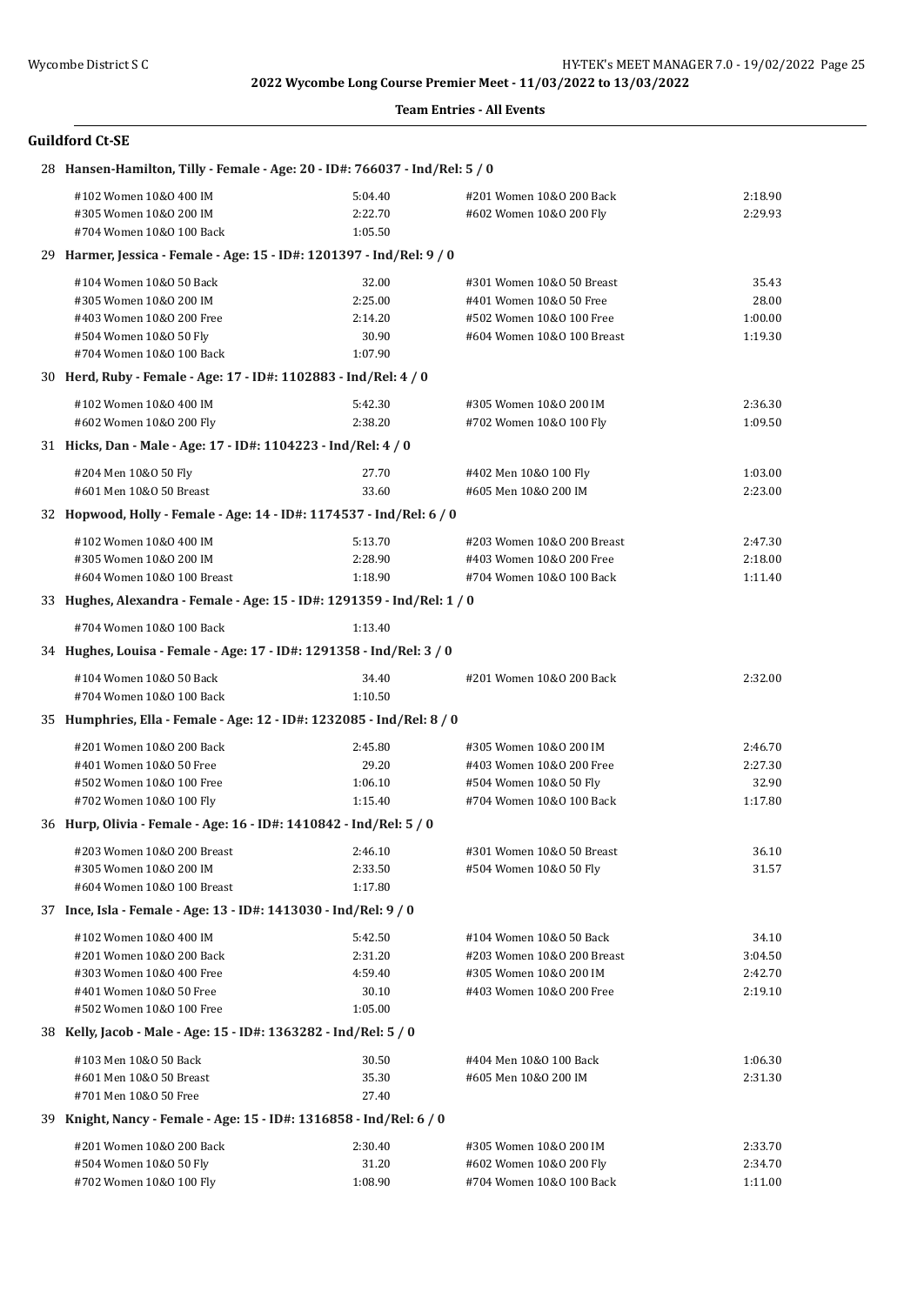#### **Team Entries - All Events**

| 28 Hansen-Hamilton, Tilly - Female - Age: 20 - ID#: 766037 - Ind/Rel: 5 / 0 |         |                            |         |  |  |
|-----------------------------------------------------------------------------|---------|----------------------------|---------|--|--|
| #102 Women 10&0 400 IM                                                      | 5:04.40 | #201 Women 10&0 200 Back   | 2:18.90 |  |  |
| #305 Women 10&0 200 IM                                                      | 2:22.70 | #602 Women 10&0 200 Fly    | 2:29.93 |  |  |
| #704 Women 10&0 100 Back                                                    | 1:05.50 |                            |         |  |  |
| 29 Harmer, Jessica - Female - Age: 15 - ID#: 1201397 - Ind/Rel: 9 / 0       |         |                            |         |  |  |
| #104 Women 10&0 50 Back                                                     | 32.00   | #301 Women 10&0 50 Breast  | 35.43   |  |  |
| #305 Women 10&0 200 IM                                                      | 2:25.00 | #401 Women 10&0 50 Free    | 28.00   |  |  |
| #403 Women 10&0 200 Free                                                    | 2:14.20 | #502 Women 10&0 100 Free   | 1:00.00 |  |  |
| #504 Women 10&0 50 Fly                                                      | 30.90   | #604 Women 10&0 100 Breast | 1:19.30 |  |  |
| #704 Women 10&0 100 Back                                                    | 1:07.90 |                            |         |  |  |
| 30 Herd, Ruby - Female - Age: 17 - ID#: 1102883 - Ind/Rel: 4 / 0            |         |                            |         |  |  |
| #102 Women 10&0 400 IM                                                      | 5:42.30 | #305 Women 10&0 200 IM     | 2:36.30 |  |  |
| #602 Women 10&0 200 Fly                                                     | 2:38.20 | #702 Women 10&0 100 Fly    | 1:09.50 |  |  |
| 31 Hicks, Dan - Male - Age: 17 - ID#: 1104223 - Ind/Rel: 4 / 0              |         |                            |         |  |  |
| #204 Men 10&0 50 Fly                                                        | 27.70   | #402 Men 10&0 100 Fly      | 1:03.00 |  |  |
| #601 Men 10&0 50 Breast                                                     | 33.60   | #605 Men 10&0 200 IM       | 2:23.00 |  |  |
| 32 Hopwood, Holly - Female - Age: 14 - ID#: 1174537 - Ind/Rel: 6 / 0        |         |                            |         |  |  |
|                                                                             |         |                            |         |  |  |
| #102 Women 10&0 400 IM                                                      | 5:13.70 | #203 Women 10&0 200 Breast | 2:47.30 |  |  |
| #305 Women 10&0 200 IM                                                      | 2:28.90 | #403 Women 10&0 200 Free   | 2:18.00 |  |  |
| #604 Women 10&0 100 Breast                                                  | 1:18.90 | #704 Women 10&0 100 Back   | 1:11.40 |  |  |
| 33 Hughes, Alexandra - Female - Age: 15 - ID#: 1291359 - Ind/Rel: 1 / 0     |         |                            |         |  |  |
| #704 Women 10&0 100 Back                                                    | 1:13.40 |                            |         |  |  |
| 34 Hughes, Louisa - Female - Age: 17 - ID#: 1291358 - Ind/Rel: 3 / 0        |         |                            |         |  |  |
| #104 Women 10&0 50 Back                                                     | 34.40   | #201 Women 10&0 200 Back   | 2:32.00 |  |  |
| #704 Women 10&0 100 Back                                                    | 1:10.50 |                            |         |  |  |
| 35 Humphries, Ella - Female - Age: 12 - ID#: 1232085 - Ind/Rel: 8 / 0       |         |                            |         |  |  |
| #201 Women 10&0 200 Back                                                    | 2:45.80 | #305 Women 10&0 200 IM     | 2:46.70 |  |  |
| #401 Women 10&0 50 Free                                                     | 29.20   | #403 Women 10&0 200 Free   | 2:27.30 |  |  |
| #502 Women 10&0 100 Free                                                    | 1:06.10 | #504 Women 10&0 50 Fly     | 32.90   |  |  |
| #702 Women 10&0 100 Fly                                                     | 1:15.40 | #704 Women 10&0 100 Back   | 1:17.80 |  |  |
| 36 Hurp, Olivia - Female - Age: 16 - ID#: 1410842 - Ind/Rel: 5 / 0          |         |                            |         |  |  |
| #203 Women 10&0 200 Breast                                                  | 2:46.10 | #301 Women 10&0 50 Breast  | 36.10   |  |  |
| #305 Women 10&0 200 IM                                                      | 2:33.50 | #504 Women 10&0 50 Fly     | 31.57   |  |  |
| #604 Women 10&0 100 Breast                                                  | 1:17.80 |                            |         |  |  |
| 37 Ince, Isla - Female - Age: 13 - ID#: 1413030 - Ind/Rel: 9 / 0            |         |                            |         |  |  |
| #102 Women 10&0 400 IM                                                      | 5:42.50 | #104 Women 10&0 50 Back    | 34.10   |  |  |
| #201 Women 10&0 200 Back                                                    | 2:31.20 | #203 Women 10&0 200 Breast | 3:04.50 |  |  |
| #303 Women 10&0 400 Free                                                    | 4:59.40 | #305 Women 10&0 200 IM     | 2:42.70 |  |  |
| #401 Women 10&0 50 Free                                                     | 30.10   | #403 Women 10&0 200 Free   | 2:19.10 |  |  |
| #502 Women 10&0 100 Free                                                    | 1:05.00 |                            |         |  |  |
| 38 Kelly, Jacob - Male - Age: 15 - ID#: 1363282 - Ind/Rel: 5 / 0            |         |                            |         |  |  |
| #103 Men 10&0 50 Back                                                       | 30.50   | #404 Men 10&0 100 Back     | 1:06.30 |  |  |
| #601 Men 10&0 50 Breast                                                     | 35.30   | #605 Men 10&0 200 IM       | 2:31.30 |  |  |
| #701 Men 10&0 50 Free                                                       | 27.40   |                            |         |  |  |
| 39 Knight, Nancy - Female - Age: 15 - ID#: 1316858 - Ind/Rel: 6 / 0         |         |                            |         |  |  |
| #201 Women 10&0 200 Back                                                    | 2:30.40 | #305 Women 10&0 200 IM     | 2:33.70 |  |  |
| #504 Women 10&0 50 Fly                                                      | 31.20   | #602 Women 10&0 200 Fly    | 2:34.70 |  |  |
| #702 Women 10&0 100 Fly                                                     | 1:08.90 | #704 Women 10&0 100 Back   | 1:11.00 |  |  |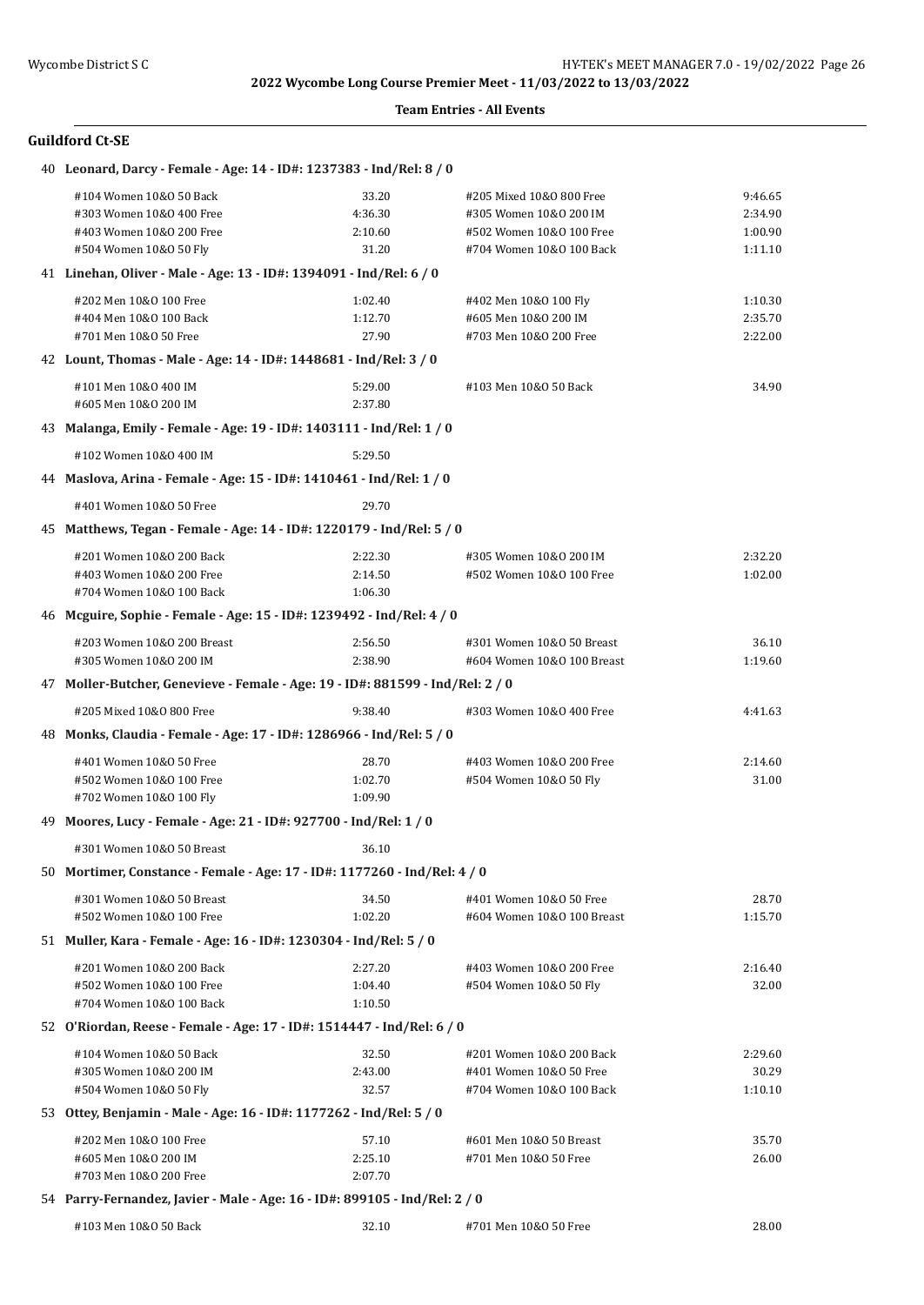#### **Team Entries - All Events**

| 40 Leonard, Darcy - Female - Age: 14 - ID#: 1237383 - Ind/Rel: 8 / 0           |         |                            |         |
|--------------------------------------------------------------------------------|---------|----------------------------|---------|
| #104 Women 10&0 50 Back                                                        | 33.20   | #205 Mixed 10&0 800 Free   | 9:46.65 |
| #303 Women 10&0 400 Free                                                       | 4:36.30 | #305 Women 10&0 200 IM     | 2:34.90 |
| #403 Women 10&0 200 Free                                                       | 2:10.60 | #502 Women 10&0 100 Free   | 1:00.90 |
| #504 Women 10&0 50 Fly                                                         | 31.20   | #704 Women 10&0 100 Back   | 1:11.10 |
| 41 Linehan, Oliver - Male - Age: 13 - ID#: 1394091 - Ind/Rel: 6 / 0            |         |                            |         |
| #202 Men 10&0 100 Free                                                         | 1:02.40 | #402 Men 10&0 100 Fly      | 1:10.30 |
| #404 Men 10&0 100 Back                                                         | 1:12.70 | #605 Men 10&0 200 IM       | 2:35.70 |
| #701 Men 10&0 50 Free                                                          | 27.90   | #703 Men 10&0 200 Free     | 2:22.00 |
| 42 Lount, Thomas - Male - Age: 14 - ID#: 1448681 - Ind/Rel: 3 / 0              |         |                            |         |
| #101 Men 10&0 400 IM                                                           | 5:29.00 | #103 Men 10&0 50 Back      | 34.90   |
| #605 Men 10&0 200 IM                                                           | 2:37.80 |                            |         |
| 43 Malanga, Emily - Female - Age: 19 - ID#: 1403111 - Ind/Rel: 1 / 0           |         |                            |         |
| #102 Women 10&0 400 IM                                                         | 5:29.50 |                            |         |
| 44 Maslova, Arina - Female - Age: 15 - ID#: 1410461 - Ind/Rel: 1 / 0           |         |                            |         |
| #401 Women 10&0 50 Free                                                        | 29.70   |                            |         |
| 45 Matthews, Tegan - Female - Age: 14 - ID#: 1220179 - Ind/Rel: 5 / 0          |         |                            |         |
| #201 Women 10&0 200 Back                                                       | 2:22.30 | #305 Women 10&0 200 IM     | 2:32.20 |
| #403 Women 10&0 200 Free                                                       | 2:14.50 | #502 Women 10&0 100 Free   | 1:02.00 |
| #704 Women 10&0 100 Back                                                       | 1:06.30 |                            |         |
| 46 Mcguire, Sophie - Female - Age: 15 - ID#: 1239492 - Ind/Rel: 4 / 0          |         |                            |         |
| #203 Women 10&0 200 Breast                                                     | 2:56.50 | #301 Women 10&0 50 Breast  | 36.10   |
| #305 Women 10&0 200 IM                                                         | 2:38.90 | #604 Women 10&0 100 Breast | 1:19.60 |
| 47 Moller-Butcher, Genevieve - Female - Age: 19 - ID#: 881599 - Ind/Rel: 2 / 0 |         |                            |         |
| #205 Mixed 10&0 800 Free                                                       | 9:38.40 | #303 Women 10&0 400 Free   | 4:41.63 |
| 48 Monks, Claudia - Female - Age: 17 - ID#: 1286966 - Ind/Rel: 5 / 0           |         |                            |         |
| #401 Women 10&0 50 Free                                                        | 28.70   | #403 Women 10&0 200 Free   | 2:14.60 |
| #502 Women 10&0 100 Free                                                       | 1:02.70 | #504 Women 10&0 50 Fly     | 31.00   |
| #702 Women 10&0 100 Fly                                                        | 1:09.90 |                            |         |
| 49 Moores, Lucy - Female - Age: 21 - ID#: 927700 - Ind/Rel: 1 / 0              |         |                            |         |
| #301 Women 10&0 50 Breast                                                      | 36.10   |                            |         |
| 50 Mortimer, Constance - Female - Age: 17 - ID#: 1177260 - Ind/Rel: 4 / 0      |         |                            |         |
| #301 Women 10&0 50 Breast                                                      | 34.50   | #401 Women 10&0 50 Free    | 28.70   |
| #502 Women 10&0 100 Free                                                       | 1:02.20 | #604 Women 10&0 100 Breast | 1:15.70 |
| 51 Muller, Kara - Female - Age: 16 - ID#: 1230304 - Ind/Rel: 5 / 0             |         |                            |         |
| #201 Women 10&0 200 Back                                                       | 2:27.20 | #403 Women 10&0 200 Free   | 2:16.40 |
| #502 Women 10&0 100 Free                                                       | 1:04.40 | #504 Women 10&0 50 Fly     | 32.00   |
| #704 Women 10&0 100 Back                                                       | 1:10.50 |                            |         |
| 52 O'Riordan, Reese - Female - Age: 17 - ID#: 1514447 - Ind/Rel: 6 / 0         |         |                            |         |
| #104 Women 10&0 50 Back                                                        | 32.50   | #201 Women 10&0 200 Back   | 2:29.60 |
| #305 Women 10&0 200 IM                                                         | 2:43.00 | #401 Women 10&0 50 Free    | 30.29   |
| #504 Women 10&0 50 Fly                                                         | 32.57   | #704 Women 10&0 100 Back   | 1:10.10 |
| 53 Ottey, Benjamin - Male - Age: 16 - ID#: 1177262 - Ind/Rel: 5 / 0            |         |                            |         |
| #202 Men 10&0 100 Free                                                         | 57.10   | #601 Men 10&0 50 Breast    | 35.70   |
| #605 Men 10&0 200 IM                                                           | 2:25.10 | #701 Men 10&0 50 Free      | 26.00   |
| #703 Men 10&0 200 Free                                                         | 2:07.70 |                            |         |
| 54 Parry-Fernandez, Javier - Male - Age: 16 - ID#: 899105 - Ind/Rel: 2 / 0     |         |                            |         |
| #103 Men 10&0 50 Back                                                          | 32.10   | #701 Men 10&0 50 Free      | 28.00   |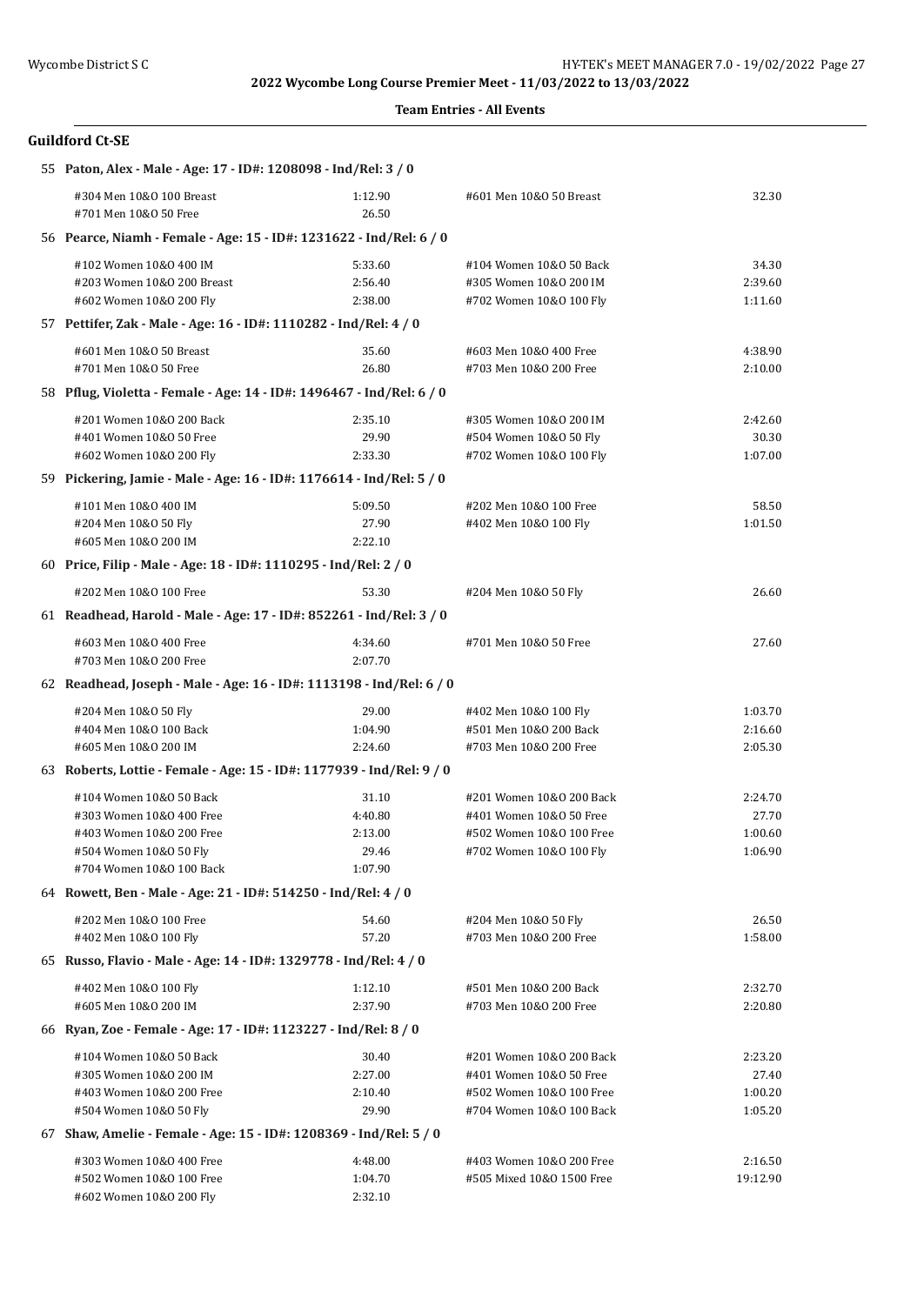#### **Team Entries - All Events**

| 55 Paton, Alex - Male - Age: 17 - ID#: 1208098 - Ind/Rel: 3 / 0       |                  |                                                     |                    |
|-----------------------------------------------------------------------|------------------|-----------------------------------------------------|--------------------|
| #304 Men 10&0 100 Breast<br>#701 Men 10&0 50 Free                     | 1:12.90<br>26.50 | #601 Men 10&0 50 Breast                             | 32.30              |
| 56 Pearce, Niamh - Female - Age: 15 - ID#: 1231622 - Ind/Rel: 6 / 0   |                  |                                                     |                    |
| #102 Women 10&0 400 IM                                                | 5:33.60          | #104 Women 10&0 50 Back                             | 34.30              |
| #203 Women 10&0 200 Breast                                            | 2:56.40          | #305 Women 10&0 200 IM                              | 2:39.60            |
| #602 Women 10&0 200 Fly                                               | 2:38.00          | #702 Women 10&0 100 Fly                             | 1:11.60            |
| 57 Pettifer, Zak - Male - Age: 16 - ID#: 1110282 - Ind/Rel: 4 / 0     |                  |                                                     |                    |
| #601 Men 10&0 50 Breast                                               | 35.60            | #603 Men 10&0 400 Free                              | 4:38.90            |
| #701 Men 10&0 50 Free                                                 | 26.80            | #703 Men 10&0 200 Free                              | 2:10.00            |
| 58 Pflug, Violetta - Female - Age: 14 - ID#: 1496467 - Ind/Rel: 6 / 0 |                  |                                                     |                    |
| #201 Women 10&0 200 Back                                              | 2:35.10          | #305 Women 10&0 200 IM                              | 2:42.60            |
| #401 Women 10&0 50 Free                                               | 29.90            | #504 Women 10&0 50 Fly                              | 30.30              |
| #602 Women 10&0 200 Fly                                               | 2:33.30          | #702 Women 10&0 100 Fly                             | 1:07.00            |
| 59 Pickering, Jamie - Male - Age: 16 - ID#: 1176614 - Ind/Rel: 5 / 0  |                  |                                                     |                    |
| #101 Men 10&0 400 IM                                                  | 5:09.50          | #202 Men 10&0 100 Free                              | 58.50              |
| #204 Men 10&0 50 Fly                                                  | 27.90            | #402 Men 10&0 100 Fly                               | 1:01.50            |
| #605 Men 10&0 200 IM                                                  | 2:22.10          |                                                     |                    |
| 60 Price, Filip - Male - Age: 18 - ID#: 1110295 - Ind/Rel: 2 / 0      |                  |                                                     |                    |
| #202 Men 10&0 100 Free                                                | 53.30            | #204 Men 10&0 50 Fly                                | 26.60              |
| 61 Readhead, Harold - Male - Age: 17 - ID#: 852261 - Ind/Rel: 3 / 0   |                  |                                                     |                    |
| #603 Men 10&0 400 Free                                                | 4:34.60          | #701 Men 10&0 50 Free                               | 27.60              |
| #703 Men 10&0 200 Free                                                | 2:07.70          |                                                     |                    |
| 62 Readhead, Joseph - Male - Age: 16 - ID#: 1113198 - Ind/Rel: 6 / 0  |                  |                                                     |                    |
| #204 Men 10&0 50 Fly                                                  | 29.00            | #402 Men 10&0 100 Fly                               | 1:03.70            |
| #404 Men 10&0 100 Back                                                | 1:04.90          | #501 Men 10&0 200 Back                              | 2:16.60            |
| #605 Men 10&0 200 IM                                                  | 2:24.60          | #703 Men 10&0 200 Free                              | 2:05.30            |
| 63 Roberts, Lottie - Female - Age: 15 - ID#: 1177939 - Ind/Rel: 9 / 0 |                  |                                                     |                    |
| #104 Women 10&0 50 Back                                               | 31.10            | #201 Women 10&0 200 Back                            | 2:24.70            |
| #303 Women 10&0 400 Free                                              | 4:40.80          | #401 Women 10&0 50 Free                             | 27.70              |
| #403 Women 10&0 200 Free<br>#504 Women 10&0 50 Fly                    | 2:13.00<br>29.46 | #502 Women 10&0 100 Free<br>#702 Women 10&0 100 Fly | 1:00.60<br>1:06.90 |
| #704 Women 10&0 100 Back                                              | 1:07.90          |                                                     |                    |
| 64 Rowett, Ben - Male - Age: 21 - ID#: 514250 - Ind/Rel: 4 / 0        |                  |                                                     |                    |
| #202 Men 10&0 100 Free                                                | 54.60            | #204 Men 10&0 50 Fly                                | 26.50              |
| #402 Men 10&0 100 Fly                                                 | 57.20            | #703 Men 10&0 200 Free                              | 1:58.00            |
| 65 Russo, Flavio - Male - Age: 14 - ID#: 1329778 - Ind/Rel: 4 / 0     |                  |                                                     |                    |
| #402 Men 10&0 100 Fly                                                 | 1:12.10          | #501 Men 10&0 200 Back                              | 2:32.70            |
| #605 Men 10&0 200 IM                                                  | 2:37.90          | #703 Men 10&0 200 Free                              | 2:20.80            |
| 66 Ryan, Zoe - Female - Age: 17 - ID#: 1123227 - Ind/Rel: 8 / 0       |                  |                                                     |                    |
| #104 Women 10&0 50 Back                                               | 30.40            | #201 Women 10&0 200 Back                            | 2:23.20            |
| #305 Women 10&0 200 IM                                                | 2:27.00          | #401 Women 10&0 50 Free                             | 27.40              |
| #403 Women 10&0 200 Free                                              | 2:10.40          | #502 Women 10&0 100 Free                            | 1:00.20            |
| #504 Women 10&0 50 Fly                                                | 29.90            | #704 Women 10&0 100 Back                            | 1:05.20            |
| 67 Shaw, Amelie - Female - Age: 15 - ID#: 1208369 - Ind/Rel: 5 / 0    |                  |                                                     |                    |
| #303 Women 10&0 400 Free                                              | 4:48.00          | #403 Women 10&0 200 Free                            | 2:16.50            |
| #502 Women 10&0 100 Free                                              | 1:04.70          | #505 Mixed 10&0 1500 Free                           | 19:12.90           |
| #602 Women 10&0 200 Fly                                               | 2:32.10          |                                                     |                    |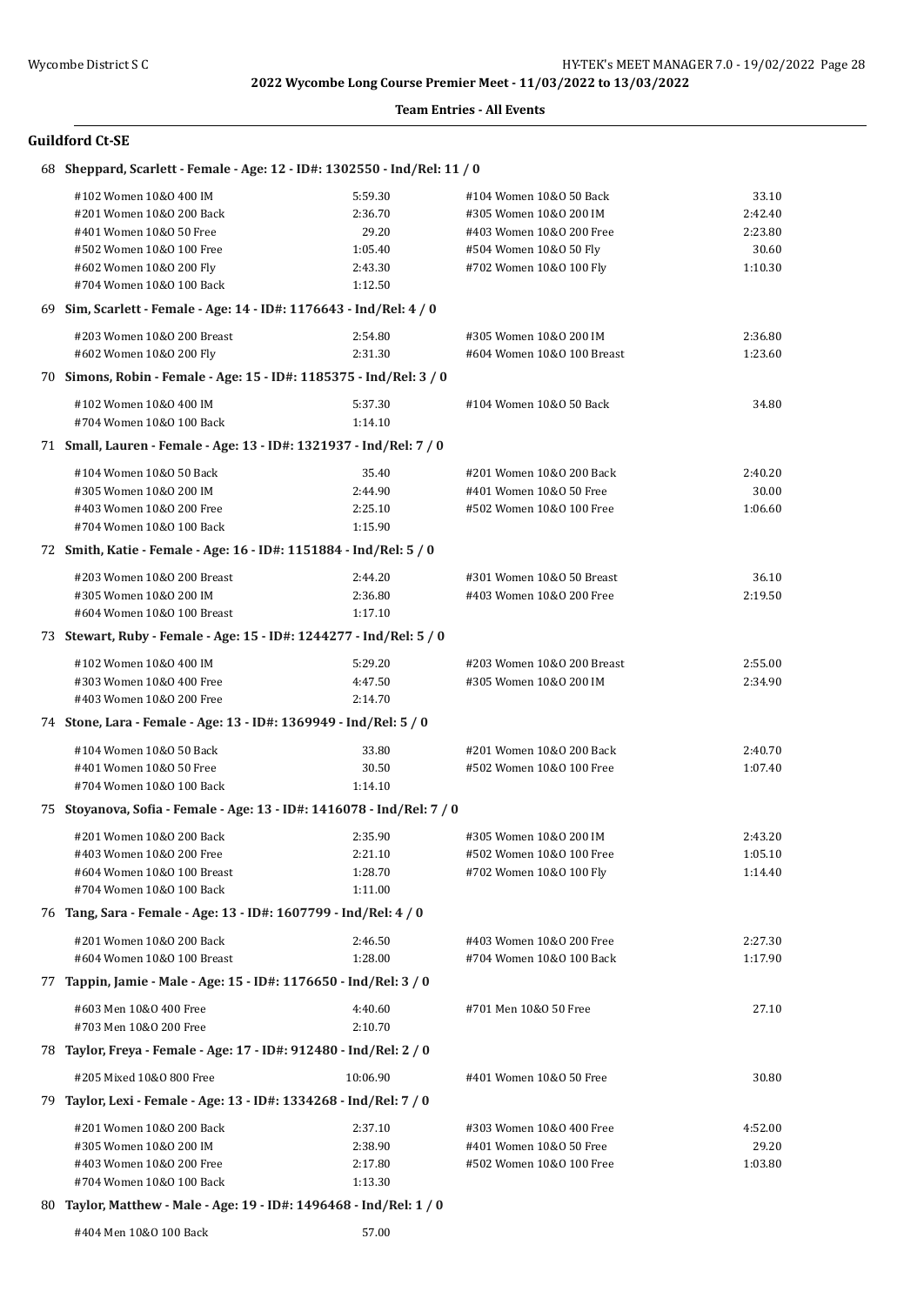#### **Team Entries - All Events**

### **Guildford Ct-SE**

| 68 Sheppard, Scarlett - Female - Age: 12 - ID#: 1302550 - Ind/Rel: 11 / 0 |          |                            |         |
|---------------------------------------------------------------------------|----------|----------------------------|---------|
| #102 Women 10&0 400 IM                                                    | 5:59.30  | #104 Women 10&0 50 Back    | 33.10   |
| #201 Women 10&0 200 Back                                                  | 2:36.70  | #305 Women 10&0 200 IM     | 2:42.40 |
| #401 Women 10&0 50 Free                                                   | 29.20    | #403 Women 10&0 200 Free   | 2:23.80 |
| #502 Women 10&0 100 Free                                                  | 1:05.40  | #504 Women 10&0 50 Fly     | 30.60   |
| #602 Women 10&0 200 Fly                                                   | 2:43.30  | #702 Women 10&0 100 Fly    | 1:10.30 |
| #704 Women 10&0 100 Back                                                  | 1:12.50  |                            |         |
| 69 Sim, Scarlett - Female - Age: 14 - ID#: 1176643 - Ind/Rel: 4 / 0       |          |                            |         |
| #203 Women 10&0 200 Breast                                                | 2:54.80  | #305 Women 10&0 200 IM     | 2:36.80 |
| #602 Women 10&0 200 Fly                                                   | 2:31.30  | #604 Women 10&0 100 Breast | 1:23.60 |
| 70 Simons, Robin - Female - Age: 15 - ID#: 1185375 - Ind/Rel: 3 / 0       |          |                            |         |
| #102 Women 10&0 400 IM                                                    | 5:37.30  | #104 Women 10&0 50 Back    | 34.80   |
| #704 Women 10&0 100 Back                                                  | 1:14.10  |                            |         |
| 71 Small, Lauren - Female - Age: 13 - ID#: 1321937 - Ind/Rel: 7 / 0       |          |                            |         |
| #104 Women 10&0 50 Back                                                   | 35.40    | #201 Women 10&0 200 Back   | 2:40.20 |
| #305 Women 10&0 200 IM                                                    | 2:44.90  | #401 Women 10&0 50 Free    | 30.00   |
| #403 Women 10&0 200 Free                                                  | 2:25.10  | #502 Women 10&0 100 Free   | 1:06.60 |
| #704 Women 10&0 100 Back                                                  | 1:15.90  |                            |         |
| 72 Smith, Katie - Female - Age: 16 - ID#: 1151884 - Ind/Rel: 5 / 0        |          |                            |         |
| #203 Women 10&0 200 Breast                                                | 2:44.20  | #301 Women 10&0 50 Breast  | 36.10   |
| #305 Women 10&0 200 IM                                                    | 2:36.80  | #403 Women 10&0 200 Free   | 2:19.50 |
| #604 Women 10&0 100 Breast                                                | 1:17.10  |                            |         |
| 73 Stewart, Ruby - Female - Age: 15 - ID#: 1244277 - Ind/Rel: 5 / 0       |          |                            |         |
| #102 Women 10&0 400 IM                                                    | 5:29.20  | #203 Women 10&0 200 Breast | 2:55.00 |
| #303 Women 10&0 400 Free                                                  | 4:47.50  | #305 Women 10&0 200 IM     | 2:34.90 |
| #403 Women 10&0 200 Free                                                  | 2:14.70  |                            |         |
| 74 Stone, Lara - Female - Age: 13 - ID#: 1369949 - Ind/Rel: 5 / 0         |          |                            |         |
| #104 Women 10&0 50 Back                                                   | 33.80    | #201 Women 10&0 200 Back   | 2:40.70 |
| #401 Women 10&0 50 Free                                                   | 30.50    | #502 Women 10&0 100 Free   | 1:07.40 |
| #704 Women 10&0 100 Back                                                  | 1:14.10  |                            |         |
| 75 Stoyanova, Sofia - Female - Age: 13 - ID#: 1416078 - Ind/Rel: 7 / 0    |          |                            |         |
| #201 Women 10&0 200 Back                                                  | 2:35.90  | #305 Women 10&0 200 IM     | 2:43.20 |
| #403 Women 10&0 200 Free                                                  | 2:21.10  | #502 Women 10&0 100 Free   | 1:05.10 |
| #604 Women 10&0 100 Breast                                                | 1:28.70  | #702 Women 10&0 100 Fly    | 1:14.40 |
| #704 Women 10&0 100 Back                                                  | 1:11.00  |                            |         |
| 76 Tang, Sara - Female - Age: 13 - ID#: 1607799 - Ind/Rel: 4 / 0          |          |                            |         |
| #201 Women 10&0 200 Back                                                  | 2:46.50  | #403 Women 10&0 200 Free   | 2:27.30 |
| #604 Women 10&0 100 Breast                                                | 1:28.00  | #704 Women 10&0 100 Back   | 1:17.90 |
| 77 Tappin, Jamie - Male - Age: 15 - ID#: 1176650 - Ind/Rel: 3 / 0         |          |                            |         |
| #603 Men 10&0 400 Free                                                    | 4:40.60  | #701 Men 10&0 50 Free      | 27.10   |
| #703 Men 10&0 200 Free                                                    | 2:10.70  |                            |         |
| 78 Taylor, Freya - Female - Age: 17 - ID#: 912480 - Ind/Rel: 2 / 0        |          |                            |         |
| #205 Mixed 10&0 800 Free                                                  | 10:06.90 | #401 Women 10&0 50 Free    | 30.80   |
| 79 Taylor, Lexi - Female - Age: 13 - ID#: 1334268 - Ind/Rel: 7 / 0        |          |                            |         |
| #201 Women 10&0 200 Back                                                  | 2:37.10  | #303 Women 10&0 400 Free   | 4:52.00 |
| #305 Women 10&0 200 IM                                                    | 2:38.90  | #401 Women 10&0 50 Free    | 29.20   |
| #403 Women 10&0 200 Free                                                  | 2:17.80  | #502 Women 10&0 100 Free   | 1:03.80 |
| #704 Women 10&0 100 Back                                                  | 1:13.30  |                            |         |
|                                                                           |          |                            |         |

# 80 **Taylor, Matthew - Male - Age: 19 - ID#: 1496468 - Ind/Rel: 1 / 0**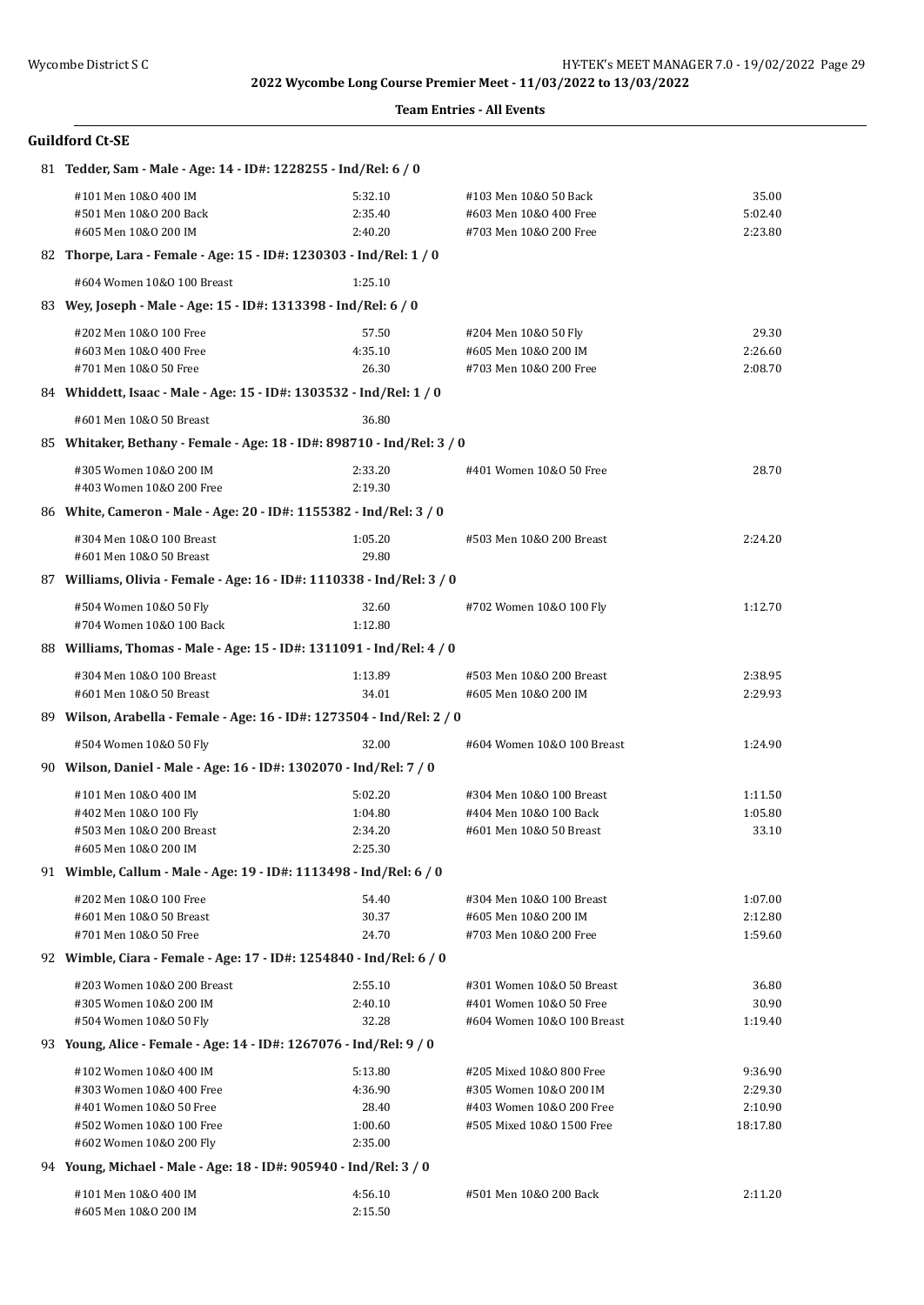| <b>Team Entries - All Events</b> |  |
|----------------------------------|--|
|----------------------------------|--|

| <b>Guildford Ct-SE</b>                                                                                                               |                                                   |                                                                                                             |                                           |  |  |
|--------------------------------------------------------------------------------------------------------------------------------------|---------------------------------------------------|-------------------------------------------------------------------------------------------------------------|-------------------------------------------|--|--|
| 81 Tedder, Sam - Male - Age: 14 - ID#: 1228255 - Ind/Rel: 6 / 0                                                                      |                                                   |                                                                                                             |                                           |  |  |
| #101 Men 10&0 400 IM<br>#501 Men 10&0 200 Back<br>#605 Men 10&0 200 IM                                                               | 5:32.10<br>2:35.40<br>2:40.20                     | #103 Men 10&0 50 Back<br>#603 Men 10&0 400 Free<br>#703 Men 10&0 200 Free                                   | 35.00<br>5:02.40<br>2:23.80               |  |  |
| 82 Thorpe, Lara - Female - Age: 15 - ID#: 1230303 - Ind/Rel: 1 / 0                                                                   |                                                   |                                                                                                             |                                           |  |  |
| #604 Women 10&0 100 Breast                                                                                                           | 1:25.10                                           |                                                                                                             |                                           |  |  |
| 83 Wey, Joseph - Male - Age: 15 - ID#: 1313398 - Ind/Rel: 6 / 0                                                                      |                                                   |                                                                                                             |                                           |  |  |
| #202 Men 10&0 100 Free<br>#603 Men 10&0 400 Free<br>#701 Men 10&0 50 Free                                                            | 57.50<br>4:35.10<br>26.30                         | #204 Men 10&0 50 Fly<br>#605 Men 10&0 200 IM<br>#703 Men 10&0 200 Free                                      | 29.30<br>2:26.60<br>2:08.70               |  |  |
| 84 Whiddett, Isaac - Male - Age: 15 - ID#: 1303532 - Ind/Rel: 1 / 0                                                                  |                                                   |                                                                                                             |                                           |  |  |
| #601 Men 10&0 50 Breast                                                                                                              | 36.80                                             |                                                                                                             |                                           |  |  |
| 85 Whitaker, Bethany - Female - Age: 18 - ID#: 898710 - Ind/Rel: 3 / 0                                                               |                                                   |                                                                                                             |                                           |  |  |
| #305 Women 10&0 200 IM<br>#403 Women 10&0 200 Free                                                                                   | 2:33.20<br>2:19.30                                | #401 Women 10&0 50 Free                                                                                     | 28.70                                     |  |  |
| 86 White, Cameron - Male - Age: 20 - ID#: 1155382 - Ind/Rel: 3 / 0                                                                   |                                                   |                                                                                                             |                                           |  |  |
| #304 Men 10&0 100 Breast<br>#601 Men 10&0 50 Breast                                                                                  | 1:05.20<br>29.80                                  | #503 Men 10&0 200 Breast                                                                                    | 2:24.20                                   |  |  |
| 87 Williams, Olivia - Female - Age: 16 - ID#: 1110338 - Ind/Rel: 3 / 0                                                               |                                                   |                                                                                                             |                                           |  |  |
| #504 Women 10&0 50 Fly<br>#704 Women 10&0 100 Back                                                                                   | 32.60<br>1:12.80                                  | #702 Women 10&0 100 Fly                                                                                     | 1:12.70                                   |  |  |
| 88 Williams, Thomas - Male - Age: 15 - ID#: 1311091 - Ind/Rel: 4 / 0                                                                 |                                                   |                                                                                                             |                                           |  |  |
| #304 Men 10&0 100 Breast<br>#601 Men 10&0 50 Breast                                                                                  | 1:13.89<br>34.01                                  | #503 Men 10&0 200 Breast<br>#605 Men 10&0 200 IM                                                            | 2:38.95<br>2:29.93                        |  |  |
| 89 Wilson, Arabella - Female - Age: 16 - ID#: 1273504 - Ind/Rel: 2 / 0                                                               |                                                   |                                                                                                             |                                           |  |  |
| #504 Women 10&0 50 Fly                                                                                                               | 32.00                                             | #604 Women 10&0 100 Breast                                                                                  | 1:24.90                                   |  |  |
| 90 Wilson, Daniel - Male - Age: 16 - ID#: 1302070 - Ind/Rel: 7 / 0                                                                   |                                                   |                                                                                                             |                                           |  |  |
| #101 Men 10&0 400 IM<br>#402 Men 10&0 100 Fly<br>#503 Men 10&0 200 Breast<br>#605 Men 10&0 200 IM                                    | 5:02.20<br>1:04.80<br>2:34.20<br>2:25.30          | #304 Men 10&0 100 Breast<br>#404 Men 10&0 100 Back<br>#601 Men 10&0 50 Breast                               | 1:11.50<br>1:05.80<br>33.10               |  |  |
| 91 Wimble, Callum - Male - Age: 19 - ID#: 1113498 - Ind/Rel: 6 / 0                                                                   |                                                   |                                                                                                             |                                           |  |  |
| #202 Men 10&0 100 Free<br>#601 Men 10&0 50 Breast<br>#701 Men 10&0 50 Free                                                           | 54.40<br>30.37<br>24.70                           | #304 Men 10&0 100 Breast<br>#605 Men 10&0 200 IM<br>#703 Men 10&0 200 Free                                  | 1:07.00<br>2:12.80<br>1:59.60             |  |  |
| 92 Wimble, Ciara - Female - Age: 17 - ID#: 1254840 - Ind/Rel: 6 / 0                                                                  |                                                   |                                                                                                             |                                           |  |  |
| #203 Women 10&0 200 Breast<br>#305 Women 10&0 200 IM<br>#504 Women 10&0 50 Fly                                                       | 2:55.10<br>2:40.10<br>32.28                       | #301 Women 10&0 50 Breast<br>#401 Women 10&0 50 Free<br>#604 Women 10&0 100 Breast                          | 36.80<br>30.90<br>1:19.40                 |  |  |
| 93 Young, Alice - Female - Age: 14 - ID#: 1267076 - Ind/Rel: 9 / 0                                                                   |                                                   |                                                                                                             |                                           |  |  |
| #102 Women 10&0 400 IM<br>#303 Women 10&0 400 Free<br>#401 Women 10&0 50 Free<br>#502 Women 10&0 100 Free<br>#602 Women 10&0 200 Fly | 5:13.80<br>4:36.90<br>28.40<br>1:00.60<br>2:35.00 | #205 Mixed 10&0 800 Free<br>#305 Women 10&0 200 IM<br>#403 Women 10&0 200 Free<br>#505 Mixed 10&0 1500 Free | 9:36.90<br>2:29.30<br>2:10.90<br>18:17.80 |  |  |
| 94 Young, Michael - Male - Age: 18 - ID#: 905940 - Ind/Rel: 3 / 0                                                                    |                                                   |                                                                                                             |                                           |  |  |

#101 Men 10&O 400 IM 4:56.10 #501 Men 10&O 200 Back 2:11.20

#605 Men 10&O 200 IM 2:15.50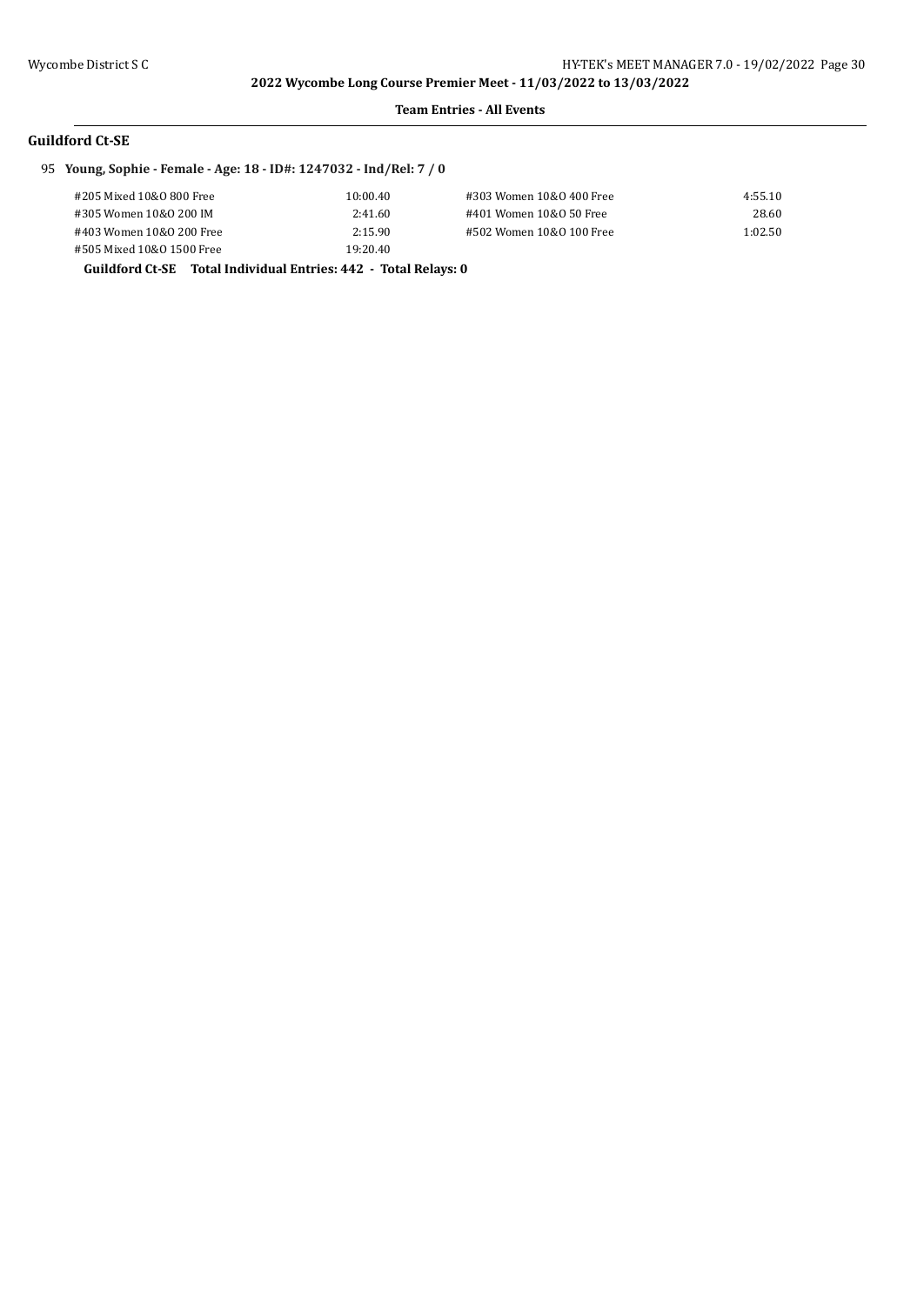#### **Team Entries - All Events**

## **Guildford Ct-SE**

# 95 **Young, Sophie - Female - Age: 18 - ID#: 1247032 - Ind/Rel: 7 / 0**

| #205 Mixed 10&0 800 Free  | 10:00.40 | #303 Women 10&0 400 Free | 4:55.10 |
|---------------------------|----------|--------------------------|---------|
| #305 Women 10&0 200 IM    | 2:41.60  | #401 Women 10&0 50 Free  | 28.60   |
| #403 Women 10&0 200 Free  | 2:15.90  | #502 Women 10&0 100 Free | 1:02.50 |
| #505 Mixed 10&0 1500 Free | 19:20.40 |                          |         |

#### **Guildford Ct-SE Total Individual Entries: 442 - Total Relays: 0**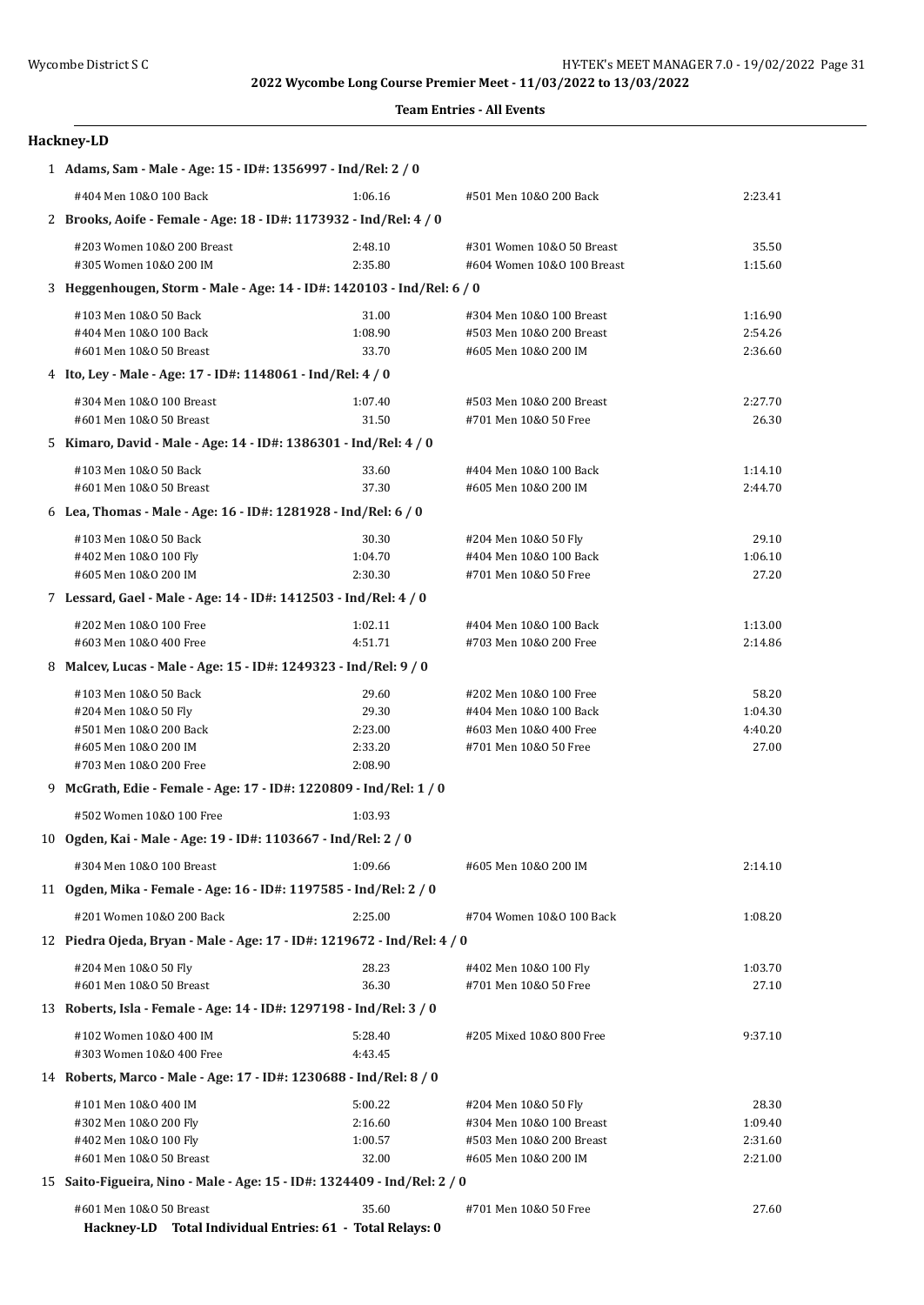#### **Team Entries - All Events**

## **Hackney-LD**

| 1 Adams, Sam - Male - Age: 15 - ID#: 1356997 - Ind/Rel: 2 / 0                        |                    |                            |         |  |
|--------------------------------------------------------------------------------------|--------------------|----------------------------|---------|--|
| #404 Men 10&0 100 Back                                                               | 1:06.16            | #501 Men 10&0 200 Back     | 2:23.41 |  |
| 2 Brooks, Aoife - Female - Age: 18 - ID#: 1173932 - Ind/Rel: 4 / 0                   |                    |                            |         |  |
| #203 Women 10&0 200 Breast                                                           | 2:48.10            | #301 Women 10&0 50 Breast  | 35.50   |  |
| #305 Women 10&0 200 IM                                                               | 2:35.80            | #604 Women 10&0 100 Breast | 1:15.60 |  |
| 3 Heggenhougen, Storm - Male - Age: 14 - ID#: 1420103 - Ind/Rel: 6 / 0               |                    |                            |         |  |
| #103 Men 10&0 50 Back                                                                | 31.00              | #304 Men 10&0 100 Breast   | 1:16.90 |  |
| #404 Men 10&0 100 Back                                                               | 1:08.90            | #503 Men 10&0 200 Breast   | 2:54.26 |  |
| #601 Men 10&0 50 Breast                                                              | 33.70              | #605 Men 10&0 200 IM       | 2:36.60 |  |
| 4 Ito, Ley - Male - Age: 17 - ID#: 1148061 - Ind/Rel: 4 / 0                          |                    |                            |         |  |
| #304 Men 10&0 100 Breast                                                             | 1:07.40            | #503 Men 10&0 200 Breast   | 2:27.70 |  |
| #601 Men 10&0 50 Breast                                                              | 31.50              | #701 Men 10&0 50 Free      | 26.30   |  |
| 5 Kimaro, David - Male - Age: 14 - ID#: 1386301 - Ind/Rel: 4 / 0                     |                    |                            |         |  |
| #103 Men 10&0 50 Back                                                                | 33.60              | #404 Men 10&0 100 Back     | 1:14.10 |  |
| #601 Men 10&0 50 Breast                                                              | 37.30              | #605 Men 10&0 200 IM       | 2:44.70 |  |
| 6 Lea, Thomas - Male - Age: 16 - ID#: 1281928 - Ind/Rel: 6 / 0                       |                    |                            |         |  |
| #103 Men 10&0 50 Back                                                                | 30.30              | #204 Men 10&0 50 Fly       | 29.10   |  |
| #402 Men 10&0 100 Fly                                                                | 1:04.70            | #404 Men 10&0 100 Back     | 1:06.10 |  |
| #605 Men 10&0 200 IM                                                                 | 2:30.30            | #701 Men 10&0 50 Free      | 27.20   |  |
| 7 Lessard, Gael - Male - Age: 14 - ID#: 1412503 - Ind/Rel: 4 / 0                     |                    |                            |         |  |
| #202 Men 10&0 100 Free                                                               | 1:02.11            | #404 Men 10&0 100 Back     | 1:13.00 |  |
| #603 Men 10&0 400 Free                                                               | 4:51.71            | #703 Men 10&0 200 Free     | 2:14.86 |  |
| 8 Malcev, Lucas - Male - Age: 15 - ID#: 1249323 - Ind/Rel: 9 / 0                     |                    |                            |         |  |
| #103 Men 10&0 50 Back                                                                | 29.60              | #202 Men 10&0 100 Free     | 58.20   |  |
| #204 Men 10&0 50 Fly                                                                 | 29.30              | #404 Men 10&0 100 Back     | 1:04.30 |  |
| #501 Men 10&0 200 Back                                                               | 2:23.00            | #603 Men 10&0 400 Free     | 4:40.20 |  |
| #605 Men 10&0 200 IM                                                                 | 2:33.20<br>2:08.90 | #701 Men 10&0 50 Free      | 27.00   |  |
| #703 Men 10&0 200 Free                                                               |                    |                            |         |  |
| 9 McGrath, Edie - Female - Age: 17 - ID#: 1220809 - Ind/Rel: 1 / 0                   |                    |                            |         |  |
| #502 Women 10&0 100 Free                                                             | 1:03.93            |                            |         |  |
| 10 Ogden, Kai - Male - Age: 19 - ID#: 1103667 - Ind/Rel: 2 / 0                       |                    |                            |         |  |
| #304 Men 10&0 100 Breast                                                             | 1:09.66            | #605 Men 10&0 200 IM       | 2:14.10 |  |
| 11 Ogden, Mika - Female - Age: 16 - ID#: 1197585 - Ind/Rel: 2 / 0                    |                    |                            |         |  |
| #201 Women 10&0 200 Back                                                             | 2:25.00            | #704 Women 10&0 100 Back   | 1:08.20 |  |
| 12 Piedra Ojeda, Bryan - Male - Age: 17 - ID#: 1219672 - Ind/Rel: 4 / 0              |                    |                            |         |  |
| #204 Men 10&0 50 Fly                                                                 | 28.23              | #402 Men 10&0 100 Fly      | 1:03.70 |  |
| #601 Men 10&0 50 Breast                                                              | 36.30              | #701 Men 10&0 50 Free      | 27.10   |  |
| 13 Roberts, Isla - Female - Age: 14 - ID#: 1297198 - Ind/Rel: 3 / 0                  |                    |                            |         |  |
| #102 Women 10&0 400 IM<br>#303 Women 10&0 400 Free                                   | 5:28.40<br>4:43.45 | #205 Mixed 10&0 800 Free   | 9:37.10 |  |
| 14 Roberts, Marco - Male - Age: 17 - ID#: 1230688 - Ind/Rel: 8 / 0                   |                    |                            |         |  |
| #101 Men 10&0 400 IM                                                                 | 5:00.22            | #204 Men 10&0 50 Fly       | 28.30   |  |
| #302 Men 10&0 200 Fly                                                                | 2:16.60            | #304 Men 10&0 100 Breast   | 1:09.40 |  |
| #402 Men 10&0 100 Fly                                                                | 1:00.57            | #503 Men 10&0 200 Breast   | 2:31.60 |  |
| #601 Men 10&0 50 Breast                                                              | 32.00              | #605 Men 10&0 200 IM       | 2:21.00 |  |
| 15 Saito-Figueira, Nino - Male - Age: 15 - ID#: 1324409 - Ind/Rel: 2 / 0             |                    |                            |         |  |
| #601 Men 10&0 50 Breast<br>Hackney-LD Total Individual Entries: 61 - Total Relays: 0 | 35.60              | #701 Men 10&0 50 Free      | 27.60   |  |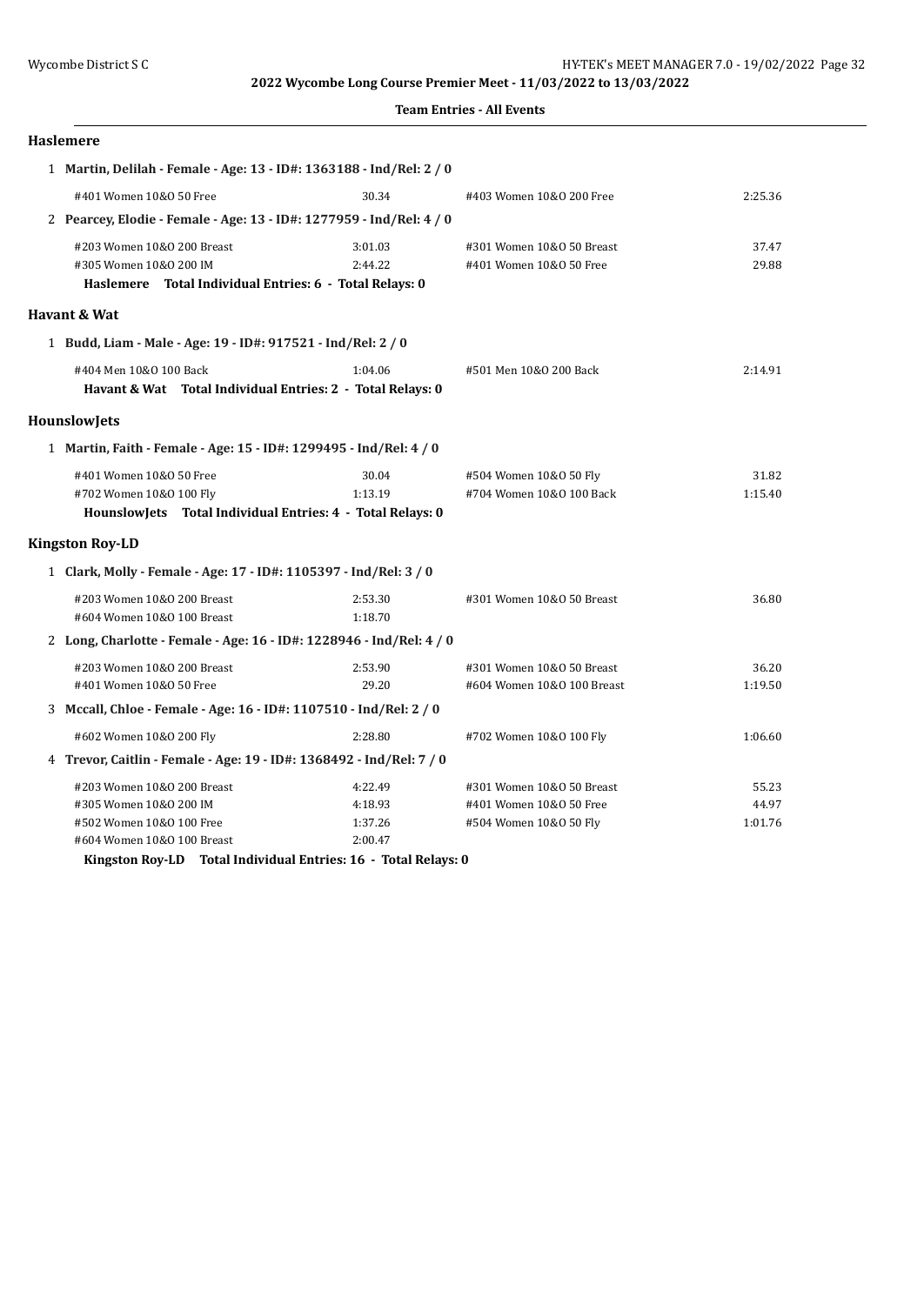**Team Entries - All Events**

#### **Haslemere**

| 1 Martin, Delilah - Female - Age: 13 - ID#: 1363188 - Ind/Rel: 2 / 0                                             |                                          |                                                                                |                           |
|------------------------------------------------------------------------------------------------------------------|------------------------------------------|--------------------------------------------------------------------------------|---------------------------|
| #401 Women 10&0 50 Free                                                                                          | 30.34                                    | #403 Women 10&0 200 Free                                                       | 2:25.36                   |
| 2 Pearcey, Elodie - Female - Age: 13 - ID#: 1277959 - Ind/Rel: 4 / 0                                             |                                          |                                                                                |                           |
| #203 Women 10&0 200 Breast<br>#305 Women 10&0 200 IM<br>Haslemere Total Individual Entries: 6 - Total Relays: 0  | 3:01.03<br>2:44.22                       | #301 Women 10&0 50 Breast<br>#401 Women 10&0 50 Free                           | 37.47<br>29.88            |
| Havant & Wat                                                                                                     |                                          |                                                                                |                           |
| 1 Budd, Liam - Male - Age: 19 - ID#: 917521 - Ind/Rel: 2 / 0                                                     |                                          |                                                                                |                           |
| #404 Men 10&0 100 Back<br>Havant & Wat Total Individual Entries: 2 - Total Relays: 0                             | 1:04.06                                  | #501 Men 10&0 200 Back                                                         | 2:14.91                   |
| <b>HounslowJets</b>                                                                                              |                                          |                                                                                |                           |
| 1 Martin, Faith - Female - Age: 15 - ID#: 1299495 - Ind/Rel: 4 / 0                                               |                                          |                                                                                |                           |
| #401 Women 10&0 50 Free<br>#702 Women 10&0 100 Fly<br>HounslowJets Total Individual Entries: 4 - Total Relays: 0 | 30.04<br>1:13.19                         | #504 Women 10&0 50 Fly<br>#704 Women 10&0 100 Back                             | 31.82<br>1:15.40          |
| <b>Kingston Roy-LD</b>                                                                                           |                                          |                                                                                |                           |
| 1 Clark, Molly - Female - Age: 17 - ID#: 1105397 - Ind/Rel: 3 / 0                                                |                                          |                                                                                |                           |
| #203 Women 10&0 200 Breast<br>#604 Women 10&0 100 Breast                                                         | 2:53.30<br>1:18.70                       | #301 Women 10&0 50 Breast                                                      | 36.80                     |
| 2 Long, Charlotte - Female - Age: 16 - ID#: 1228946 - Ind/Rel: 4 / 0                                             |                                          |                                                                                |                           |
| #203 Women 10&0 200 Breast<br>#401 Women 10&0 50 Free                                                            | 2:53.90<br>29.20                         | #301 Women 10&0 50 Breast<br>#604 Women 10&0 100 Breast                        | 36.20<br>1:19.50          |
| 3 Mccall, Chloe - Female - Age: 16 - ID#: 1107510 - Ind/Rel: 2 / 0                                               |                                          |                                                                                |                           |
| #602 Women 10&0 200 Fly                                                                                          | 2:28.80                                  | #702 Women 10&0 100 Fly                                                        | 1:06.60                   |
| 4 Trevor, Caitlin - Female - Age: 19 - ID#: 1368492 - Ind/Rel: 7 / 0                                             |                                          |                                                                                |                           |
| #203 Women 10&0 200 Breast<br>#305 Women 10&0 200 IM<br>#502 Women 10&0 100 Free<br>#604 Women 10&0 100 Breast   | 4:22.49<br>4:18.93<br>1:37.26<br>2:00.47 | #301 Women 10&0 50 Breast<br>#401 Women 10&0 50 Free<br>#504 Women 10&0 50 Fly | 55.23<br>44.97<br>1:01.76 |

**Kingston Roy-LD Total Individual Entries: 16 - Total Relays: 0**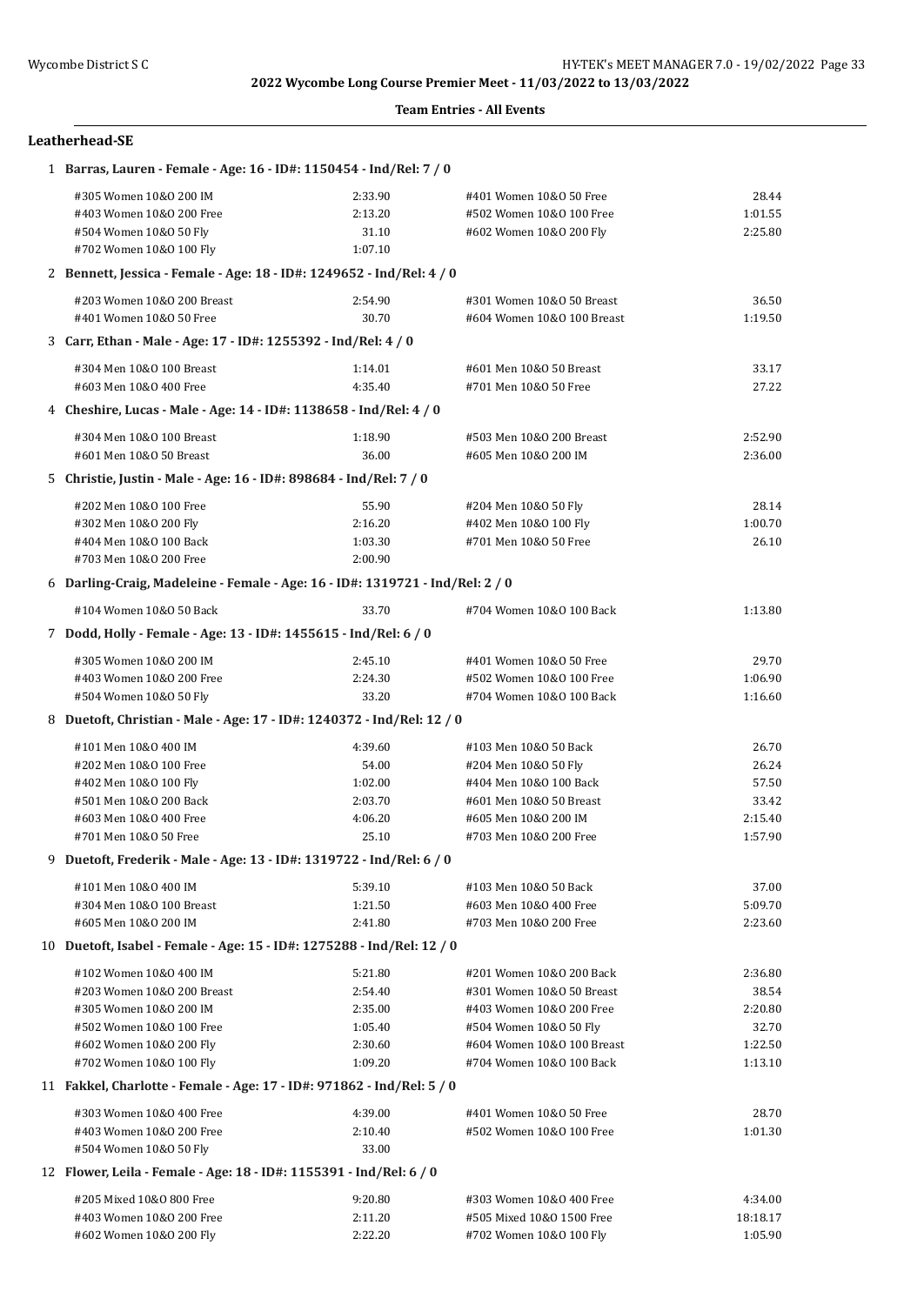### **Team Entries - All Events**

## **Leatherhead-SE**

| 1 Barras, Lauren - Female - Age: 16 - ID#: 1150454 - Ind/Rel: 7 / 0           |         |                            |          |
|-------------------------------------------------------------------------------|---------|----------------------------|----------|
| #305 Women 10&0 200 IM                                                        | 2:33.90 | #401 Women 10&0 50 Free    | 28.44    |
| #403 Women 10&0 200 Free                                                      | 2:13.20 | #502 Women 10&0 100 Free   | 1:01.55  |
| #504 Women 10&0 50 Fly                                                        | 31.10   | #602 Women 10&0 200 Fly    | 2:25.80  |
| #702 Women 10&0 100 Fly                                                       | 1:07.10 |                            |          |
| 2 Bennett, Jessica - Female - Age: 18 - ID#: 1249652 - Ind/Rel: 4 / 0         |         |                            |          |
| #203 Women 10&0 200 Breast                                                    | 2:54.90 | #301 Women 10&0 50 Breast  | 36.50    |
| #401 Women 10&0 50 Free                                                       | 30.70   | #604 Women 10&0 100 Breast | 1:19.50  |
| 3 Carr, Ethan - Male - Age: 17 - ID#: 1255392 - Ind/Rel: 4 / 0                |         |                            |          |
| #304 Men 10&0 100 Breast                                                      | 1:14.01 | #601 Men 10&0 50 Breast    | 33.17    |
| #603 Men 10&0 400 Free                                                        | 4:35.40 | #701 Men 10&0 50 Free      | 27.22    |
| 4 Cheshire, Lucas - Male - Age: 14 - ID#: 1138658 - Ind/Rel: 4 / 0            |         |                            |          |
| #304 Men 10&0 100 Breast                                                      | 1:18.90 | #503 Men 10&0 200 Breast   | 2:52.90  |
| #601 Men 10&0 50 Breast                                                       | 36.00   | #605 Men 10&0 200 IM       | 2:36.00  |
| 5 Christie, Justin - Male - Age: 16 - ID#: 898684 - Ind/Rel: 7 / 0            |         |                            |          |
| #202 Men 10&0 100 Free                                                        | 55.90   | #204 Men 10&0 50 Fly       | 28.14    |
| #302 Men 10&0 200 Fly                                                         | 2:16.20 | #402 Men 10&0 100 Fly      | 1:00.70  |
| #404 Men 10&0 100 Back                                                        | 1:03.30 | #701 Men 10&0 50 Free      | 26.10    |
| #703 Men 10&0 200 Free                                                        | 2:00.90 |                            |          |
| 6 Darling-Craig, Madeleine - Female - Age: 16 - ID#: 1319721 - Ind/Rel: 2 / 0 |         |                            |          |
| #104 Women 10&0 50 Back                                                       | 33.70   | #704 Women 10&0 100 Back   | 1:13.80  |
| 7 Dodd, Holly - Female - Age: 13 - ID#: 1455615 - Ind/Rel: 6 / 0              |         |                            |          |
| #305 Women 10&0 200 IM                                                        | 2:45.10 | #401 Women 10&0 50 Free    | 29.70    |
| #403 Women 10&0 200 Free                                                      | 2:24.30 | #502 Women 10&0 100 Free   | 1:06.90  |
| #504 Women 10&0 50 Fly                                                        | 33.20   | #704 Women 10&0 100 Back   | 1:16.60  |
| 8 Duetoft, Christian - Male - Age: 17 - ID#: 1240372 - Ind/Rel: 12 / 0        |         |                            |          |
| #101 Men 10&0 400 IM                                                          | 4:39.60 | #103 Men 10&0 50 Back      | 26.70    |
| #202 Men 10&0 100 Free                                                        | 54.00   | #204 Men 10&0 50 Fly       | 26.24    |
| #402 Men 10&0 100 Fly                                                         | 1:02.00 | #404 Men 10&0 100 Back     | 57.50    |
| #501 Men 10&0 200 Back                                                        | 2:03.70 | #601 Men 10&0 50 Breast    | 33.42    |
| #603 Men 10&0 400 Free                                                        | 4:06.20 | #605 Men 10&0 200 IM       | 2:15.40  |
| #701 Men 10&0 50 Free                                                         | 25.10   | #703 Men 10&0 200 Free     | 1:57.90  |
| 9 Duetoft, Frederik - Male - Age: 13 - ID#: 1319722 - Ind/Rel: 6 / 0          |         |                            |          |
| #101 Men 10&O 400 IM                                                          | 5:39.10 | #103 Men 10&0 50 Back      | 37.00    |
| #304 Men 10&0 100 Breast                                                      | 1:21.50 | #603 Men 10&0 400 Free     | 5:09.70  |
| #605 Men 10&0 200 IM                                                          | 2:41.80 | #703 Men 10&0 200 Free     | 2:23.60  |
| 10 Duetoft, Isabel - Female - Age: 15 - ID#: 1275288 - Ind/Rel: 12 / 0        |         |                            |          |
| #102 Women 10&0 400 IM                                                        | 5:21.80 | #201 Women 10&0 200 Back   | 2:36.80  |
| #203 Women 10&0 200 Breast                                                    | 2:54.40 | #301 Women 10&0 50 Breast  | 38.54    |
| #305 Women 10&0 200 IM                                                        | 2:35.00 | #403 Women 10&0 200 Free   | 2:20.80  |
| #502 Women 10&0 100 Free                                                      | 1:05.40 | #504 Women 10&0 50 Fly     | 32.70    |
| #602 Women 10&0 200 Fly                                                       | 2:30.60 | #604 Women 10&0 100 Breast | 1:22.50  |
| #702 Women 10&0 100 Fly                                                       | 1:09.20 | #704 Women 10&0 100 Back   | 1:13.10  |
| 11 Fakkel, Charlotte - Female - Age: 17 - ID#: 971862 - Ind/Rel: 5 / 0        |         |                            |          |
| #303 Women 10&0 400 Free                                                      | 4:39.00 | #401 Women 10&0 50 Free    | 28.70    |
| #403 Women 10&0 200 Free                                                      | 2:10.40 | #502 Women 10&0 100 Free   | 1:01.30  |
| #504 Women 10&0 50 Fly                                                        | 33.00   |                            |          |
| 12 Flower, Leila - Female - Age: 18 - ID#: 1155391 - Ind/Rel: 6 / 0           |         |                            |          |
|                                                                               |         |                            |          |
| #205 Mixed 10&0 800 Free                                                      | 9:20.80 | #303 Women 10&0 400 Free   | 4:34.00  |
| #403 Women 10&0 200 Free                                                      | 2:11.20 | #505 Mixed 10&0 1500 Free  | 18:18.17 |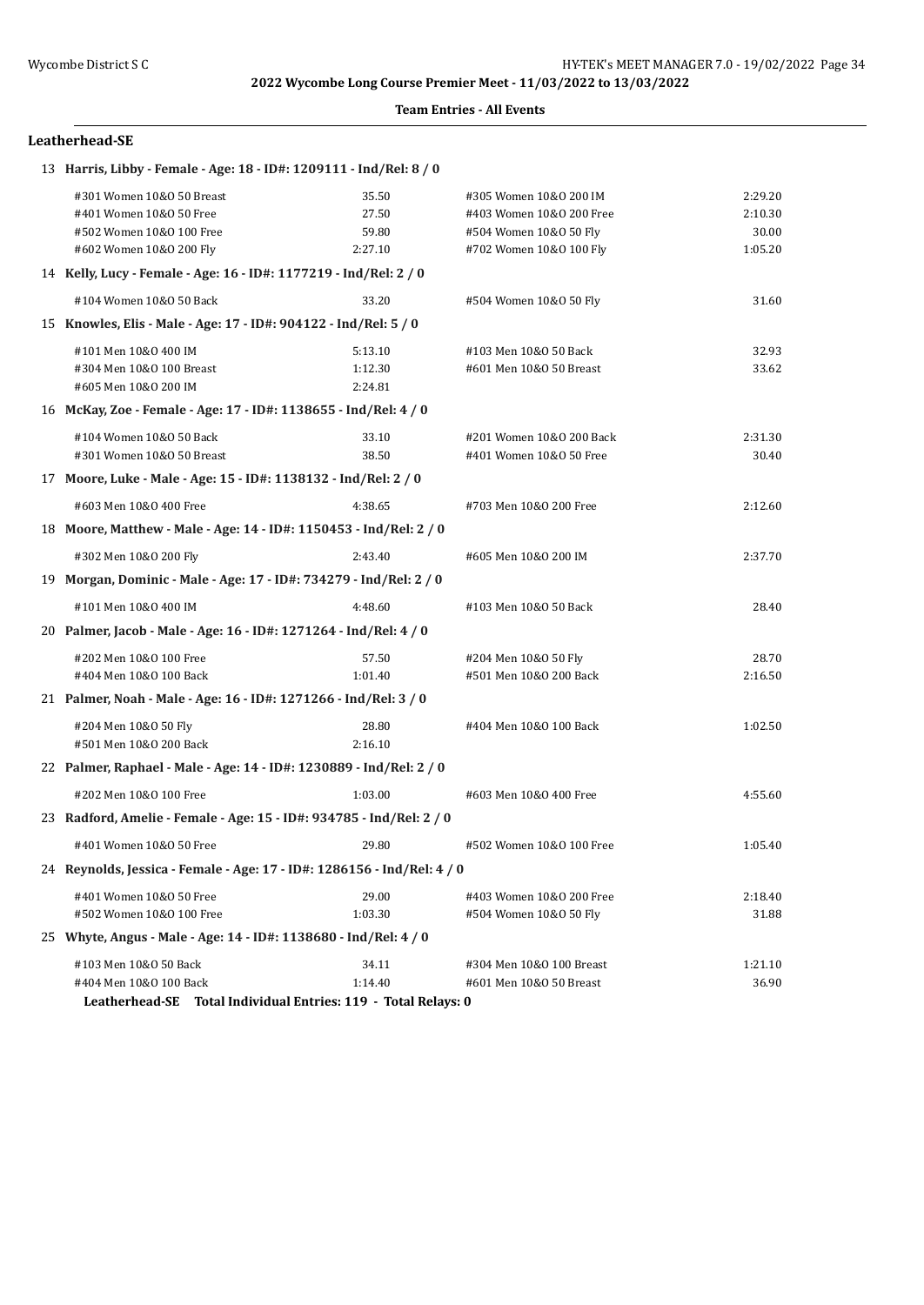#### **Leatherhead-SE**

| 13 Harris, Libby - Female - Age: 18 - ID#: 1209111 - Ind/Rel: 8 / 0     |                                                 |                          |         |
|-------------------------------------------------------------------------|-------------------------------------------------|--------------------------|---------|
| #301 Women 10&0 50 Breast                                               | 35.50                                           | #305 Women 10&0 200 IM   | 2:29.20 |
| #401 Women 10&0 50 Free                                                 | 27.50                                           | #403 Women 10&0 200 Free | 2:10.30 |
| #502 Women 10&0 100 Free                                                | 59.80                                           | #504 Women 10&0 50 Fly   | 30.00   |
| #602 Women 10&0 200 Fly                                                 | 2:27.10                                         | #702 Women 10&0 100 Fly  | 1:05.20 |
| 14 Kelly, Lucy - Female - Age: 16 - ID#: 1177219 - Ind/Rel: 2 / 0       |                                                 |                          |         |
| #104 Women 10&0 50 Back                                                 | 33.20                                           | #504 Women 10&0 50 Fly   | 31.60   |
| 15 Knowles, Elis - Male - Age: 17 - ID#: 904122 - Ind/Rel: 5 / 0        |                                                 |                          |         |
| #101 Men 10&0 400 IM                                                    | 5:13.10                                         | #103 Men 10&0 50 Back    | 32.93   |
| #304 Men 10&0 100 Breast                                                | 1:12.30                                         | #601 Men 10&0 50 Breast  | 33.62   |
| #605 Men 10&0 200 IM                                                    | 2:24.81                                         |                          |         |
| 16 McKay, Zoe - Female - Age: 17 - ID#: 1138655 - Ind/Rel: 4 / 0        |                                                 |                          |         |
| #104 Women 10&0 50 Back                                                 | 33.10                                           | #201 Women 10&0 200 Back | 2:31.30 |
| #301 Women 10&0 50 Breast                                               | 38.50                                           | #401 Women 10&0 50 Free  | 30.40   |
| 17 Moore, Luke - Male - Age: 15 - ID#: 1138132 - Ind/Rel: 2 / 0         |                                                 |                          |         |
| #603 Men 10&0 400 Free                                                  | 4:38.65                                         | #703 Men 10&0 200 Free   | 2:12.60 |
| 18 Moore, Matthew - Male - Age: 14 - ID#: 1150453 - Ind/Rel: 2 / 0      |                                                 |                          |         |
| #302 Men 10&0 200 Fly                                                   | 2:43.40                                         | #605 Men 10&0 200 IM     | 2:37.70 |
| 19 Morgan, Dominic - Male - Age: 17 - ID#: 734279 - Ind/Rel: 2 / 0      |                                                 |                          |         |
| #101 Men 10&0 400 IM                                                    | 4:48.60                                         | #103 Men 10&0 50 Back    | 28.40   |
| 20 Palmer, Jacob - Male - Age: 16 - ID#: 1271264 - Ind/Rel: 4 / 0       |                                                 |                          |         |
| #202 Men 10&0 100 Free                                                  | 57.50                                           | #204 Men 10&0 50 Fly     | 28.70   |
| #404 Men 10&0 100 Back                                                  | 1:01.40                                         | #501 Men 10&0 200 Back   | 2:16.50 |
| 21 Palmer, Noah - Male - Age: 16 - ID#: 1271266 - Ind/Rel: 3 / 0        |                                                 |                          |         |
| #204 Men 10&0 50 Fly                                                    | 28.80                                           | #404 Men 10&0 100 Back   | 1:02.50 |
| #501 Men 10&0 200 Back                                                  | 2:16.10                                         |                          |         |
| 22 Palmer, Raphael - Male - Age: 14 - ID#: 1230889 - Ind/Rel: 2 / 0     |                                                 |                          |         |
| #202 Men 10&0 100 Free                                                  | 1:03.00                                         | #603 Men 10&0 400 Free   | 4:55.60 |
| 23 Radford, Amelie - Female - Age: 15 - ID#: 934785 - Ind/Rel: 2 / 0    |                                                 |                          |         |
| #401 Women 10&0 50 Free                                                 | 29.80                                           | #502 Women 10&0 100 Free | 1:05.40 |
| 24 Reynolds, Jessica - Female - Age: 17 - ID#: 1286156 - Ind/Rel: 4 / 0 |                                                 |                          |         |
| #401 Women 10&0 50 Free                                                 | 29.00                                           | #403 Women 10&0 200 Free | 2:18.40 |
| #502 Women 10&0 100 Free                                                | 1:03.30                                         | #504 Women 10&0 50 Fly   | 31.88   |
| 25 Whyte, Angus - Male - Age: 14 - ID#: 1138680 - Ind/Rel: 4 / 0        |                                                 |                          |         |
| #103 Men 10&0 50 Back                                                   | 34.11                                           | #304 Men 10&0 100 Breast | 1:21.10 |
| #404 Men 10&0 100 Back                                                  | 1:14.40                                         | #601 Men 10&0 50 Breast  | 36.90   |
| Leatherhead-SE                                                          | Total Individual Entries: 119 - Total Relays: 0 |                          |         |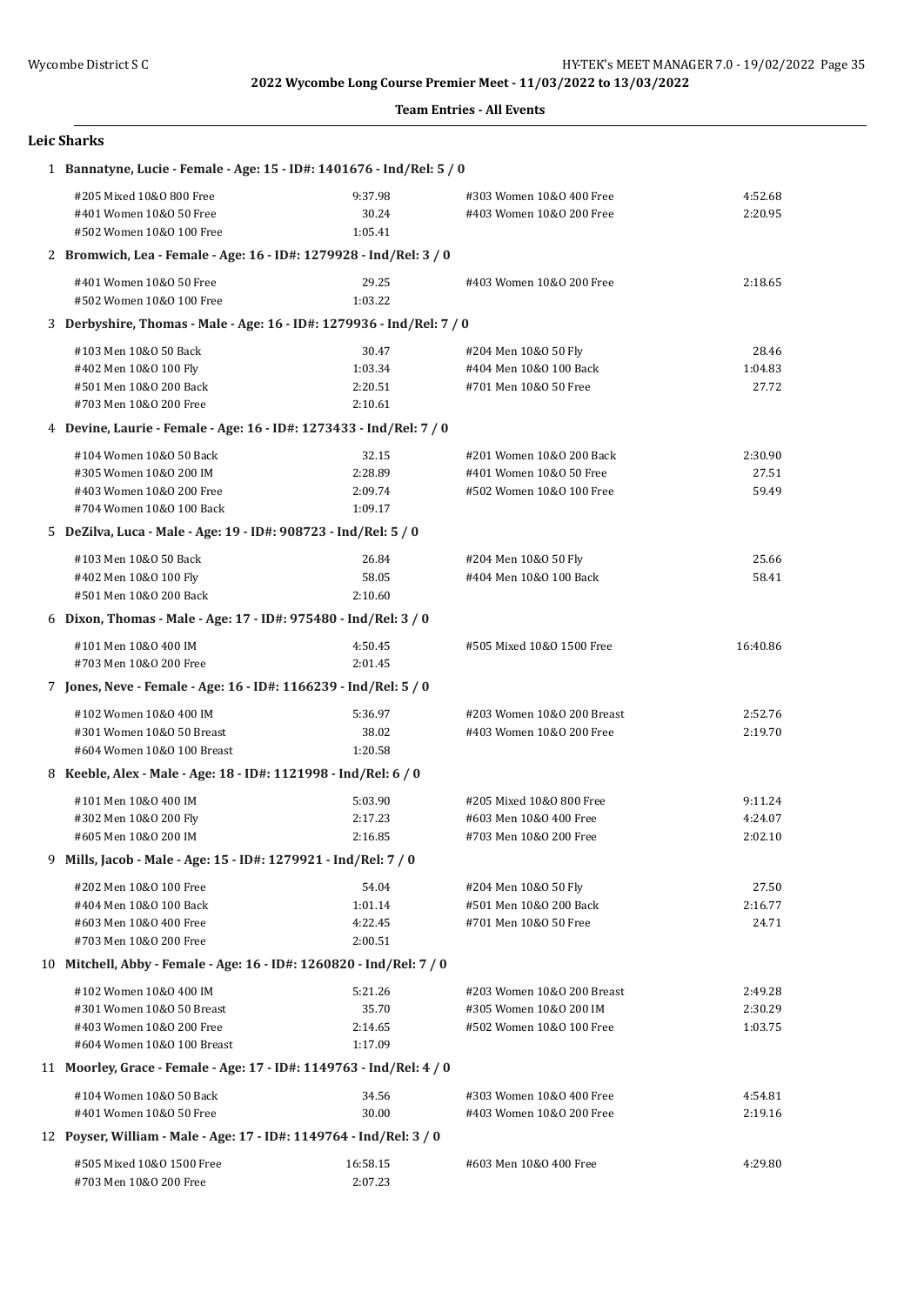#### **Team Entries - All Events**

## **Leic Sharks**

| 1 Bannatyne, Lucie - Female - Age: 15 - ID#: 1401676 - Ind/Rel: 5 / 0 |          |                            |          |  |
|-----------------------------------------------------------------------|----------|----------------------------|----------|--|
| #205 Mixed 10&0 800 Free                                              | 9:37.98  | #303 Women 10&0 400 Free   | 4:52.68  |  |
| #401 Women 10&0 50 Free                                               | 30.24    | #403 Women 10&0 200 Free   | 2:20.95  |  |
| #502 Women 10&0 100 Free                                              | 1:05.41  |                            |          |  |
| 2 Bromwich, Lea - Female - Age: 16 - ID#: 1279928 - Ind/Rel: 3 / 0    |          |                            |          |  |
| #401 Women 10&0 50 Free                                               | 29.25    | #403 Women 10&0 200 Free   | 2:18.65  |  |
| #502 Women 10&0 100 Free                                              | 1:03.22  |                            |          |  |
| 3 Derbyshire, Thomas - Male - Age: 16 - ID#: 1279936 - Ind/Rel: 7 / 0 |          |                            |          |  |
| #103 Men 10&0 50 Back                                                 | 30.47    | #204 Men 10&0 50 Fly       | 28.46    |  |
| #402 Men 10&0 100 Fly                                                 | 1:03.34  | #404 Men 10&0 100 Back     | 1:04.83  |  |
| #501 Men 10&0 200 Back                                                | 2:20.51  | #701 Men 10&0 50 Free      | 27.72    |  |
| #703 Men 10&0 200 Free                                                | 2:10.61  |                            |          |  |
| 4 Devine, Laurie - Female - Age: 16 - ID#: 1273433 - Ind/Rel: 7 / 0   |          |                            |          |  |
| #104 Women 10&0 50 Back                                               | 32.15    | #201 Women 10&0 200 Back   | 2:30.90  |  |
| #305 Women 10&0 200 IM                                                | 2:28.89  | #401 Women 10&0 50 Free    | 27.51    |  |
| #403 Women 10&0 200 Free                                              | 2:09.74  | #502 Women 10&0 100 Free   | 59.49    |  |
| #704 Women 10&0 100 Back                                              | 1:09.17  |                            |          |  |
| 5 DeZilva, Luca - Male - Age: 19 - ID#: 908723 - Ind/Rel: 5 / 0       |          |                            |          |  |
| #103 Men 10&0 50 Back                                                 | 26.84    | #204 Men 10&0 50 Fly       | 25.66    |  |
| #402 Men 10&0 100 Fly                                                 | 58.05    | #404 Men 10&0 100 Back     | 58.41    |  |
| #501 Men 10&0 200 Back                                                | 2:10.60  |                            |          |  |
| 6 Dixon, Thomas - Male - Age: 17 - ID#: 975480 - Ind/Rel: 3 / 0       |          |                            |          |  |
|                                                                       |          |                            |          |  |
| #101 Men 10&0 400 IM                                                  | 4:50.45  | #505 Mixed 10&0 1500 Free  | 16:40.86 |  |
| #703 Men 10&0 200 Free                                                | 2:01.45  |                            |          |  |
| 7 Jones, Neve - Female - Age: 16 - ID#: 1166239 - Ind/Rel: 5 / 0      |          |                            |          |  |
| #102 Women 10&0 400 IM                                                | 5:36.97  | #203 Women 10&0 200 Breast | 2:52.76  |  |
| #301 Women 10&0 50 Breast                                             | 38.02    | #403 Women 10&0 200 Free   | 2:19.70  |  |
| #604 Women 10&0 100 Breast                                            | 1:20.58  |                            |          |  |
| 8 Keeble, Alex - Male - Age: 18 - ID#: 1121998 - Ind/Rel: 6 / 0       |          |                            |          |  |
| #101 Men 10&0 400 IM                                                  | 5:03.90  | #205 Mixed 10&0 800 Free   | 9:11.24  |  |
| #302 Men 10&0 200 Fly                                                 | 2:17.23  | #603 Men 10&0 400 Free     | 4:24.07  |  |
| #605 Men 10&0 200 IM                                                  | 2:16.85  | #703 Men 10&0 200 Free     | 2:02.10  |  |
| 9 Mills, Jacob - Male - Age: 15 - ID#: 1279921 - Ind/Rel: 7 / 0       |          |                            |          |  |
| #202 Men 10&0 100 Free                                                | 54.04    | #204 Men 10&0 50 Fly       | 27.50    |  |
| #404 Men 10&0 100 Back                                                | 1:01.14  | #501 Men 10&0 200 Back     | 2:16.77  |  |
| #603 Men 10&0 400 Free                                                | 4:22.45  | #701 Men 10&0 50 Free      | 24.71    |  |
| #703 Men 10&0 200 Free                                                | 2:00.51  |                            |          |  |
| 10 Mitchell, Abby - Female - Age: 16 - ID#: 1260820 - Ind/Rel: 7 / 0  |          |                            |          |  |
| #102 Women 10&0 400 IM                                                | 5:21.26  | #203 Women 10&0 200 Breast | 2:49.28  |  |
| #301 Women 10&0 50 Breast                                             | 35.70    | #305 Women 10&0 200 IM     | 2:30.29  |  |
| #403 Women 10&0 200 Free                                              | 2:14.65  | #502 Women 10&0 100 Free   | 1:03.75  |  |
| #604 Women 10&0 100 Breast                                            | 1:17.09  |                            |          |  |
| 11 Moorley, Grace - Female - Age: 17 - ID#: 1149763 - Ind/Rel: 4 / 0  |          |                            |          |  |
| #104 Women 10&0 50 Back                                               | 34.56    | #303 Women 10&0 400 Free   | 4:54.81  |  |
| #401 Women 10&0 50 Free                                               | 30.00    | #403 Women 10&0 200 Free   | 2:19.16  |  |
| 12 Poyser, William - Male - Age: 17 - ID#: 1149764 - Ind/Rel: 3 / 0   |          |                            |          |  |
| #505 Mixed 10&0 1500 Free                                             | 16:58.15 | #603 Men 10&0 400 Free     | 4:29.80  |  |
| #703 Men 10&0 200 Free                                                | 2:07.23  |                            |          |  |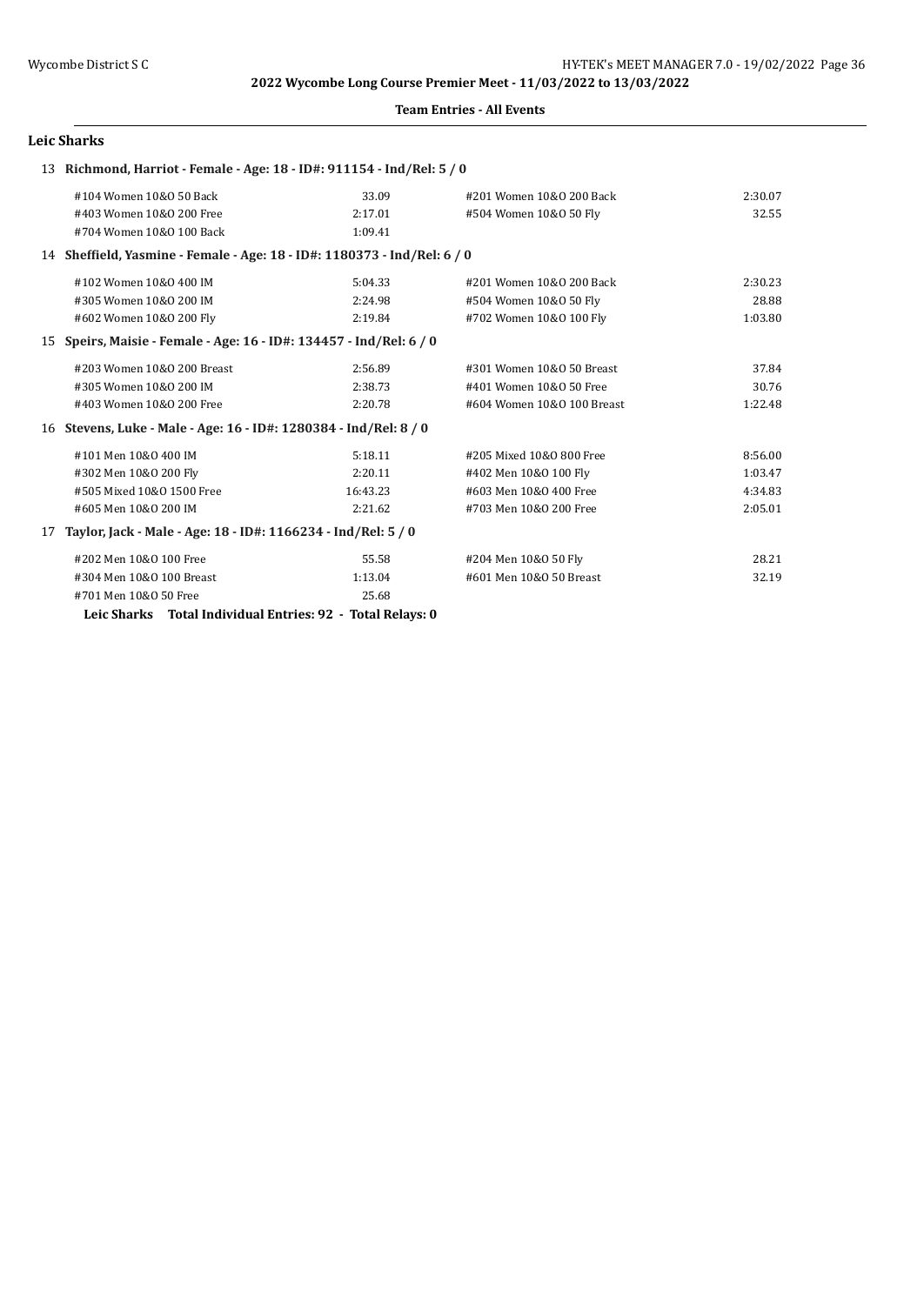#### **Team Entries - All Events**

#### **Leic Sharks**

|    | 13 Richmond, Harriot - Female - Age: 18 - ID#: 911154 - Ind/Rel: 5 / 0   |          |                            |         |
|----|--------------------------------------------------------------------------|----------|----------------------------|---------|
|    | #104 Women 10&0 50 Back                                                  | 33.09    | #201 Women 10&0 200 Back   | 2:30.07 |
|    | #403 Women 10&0 200 Free                                                 | 2:17.01  | #504 Women 10&0 50 Fly     | 32.55   |
|    | #704 Women 10&0 100 Back                                                 | 1:09.41  |                            |         |
|    | 14 Sheffield, Yasmine - Female - Age: 18 - ID#: 1180373 - Ind/Rel: 6 / 0 |          |                            |         |
|    | #102 Women 10&0 400 IM                                                   | 5:04.33  | #201 Women 10&0 200 Back   | 2:30.23 |
|    | #305 Women 10&0 200 IM                                                   | 2:24.98  | #504 Women 10&0 50 Fly     | 28.88   |
|    | #602 Women 10&0 200 Fly                                                  | 2:19.84  | #702 Women 10&0 100 Fly    | 1:03.80 |
| 15 | Speirs, Maisie - Female - Age: 16 - ID#: 134457 - Ind/Rel: 6 / 0         |          |                            |         |
|    | #203 Women 10&0 200 Breast                                               | 2:56.89  | #301 Women 10&0 50 Breast  | 37.84   |
|    | #305 Women 10&0 200 IM                                                   | 2:38.73  | #401 Women 10&0 50 Free    | 30.76   |
|    | #403 Women 10&0 200 Free                                                 | 2:20.78  | #604 Women 10&0 100 Breast | 1:22.48 |
|    | 16 Stevens, Luke - Male - Age: 16 - ID#: 1280384 - Ind/Rel: 8 / 0        |          |                            |         |
|    | #101 Men 10&0 400 IM                                                     | 5:18.11  | #205 Mixed 10&0 800 Free   | 8:56.00 |
|    | #302 Men 10&0 200 Fly                                                    | 2:20.11  | #402 Men 10&0 100 Fly      | 1:03.47 |
|    | #505 Mixed 10&0 1500 Free                                                | 16:43.23 | #603 Men 10&0 400 Free     | 4:34.83 |
|    | #605 Men 10&0 200 IM                                                     | 2:21.62  | #703 Men 10&0 200 Free     | 2:05.01 |
| 17 | Taylor, Jack - Male - Age: 18 - ID#: 1166234 - Ind/Rel: 5 / 0            |          |                            |         |
|    | #202 Men 10&0 100 Free                                                   | 55.58    | #204 Men 10&0 50 Fly       | 28.21   |
|    | #304 Men 10&0 100 Breast                                                 | 1:13.04  | #601 Men 10&0 50 Breast    | 32.19   |
|    | #701 Men 10&0 50 Free                                                    | 25.68    |                            |         |

**Leic Sharks Total Individual Entries: 92 - Total Relays: 0**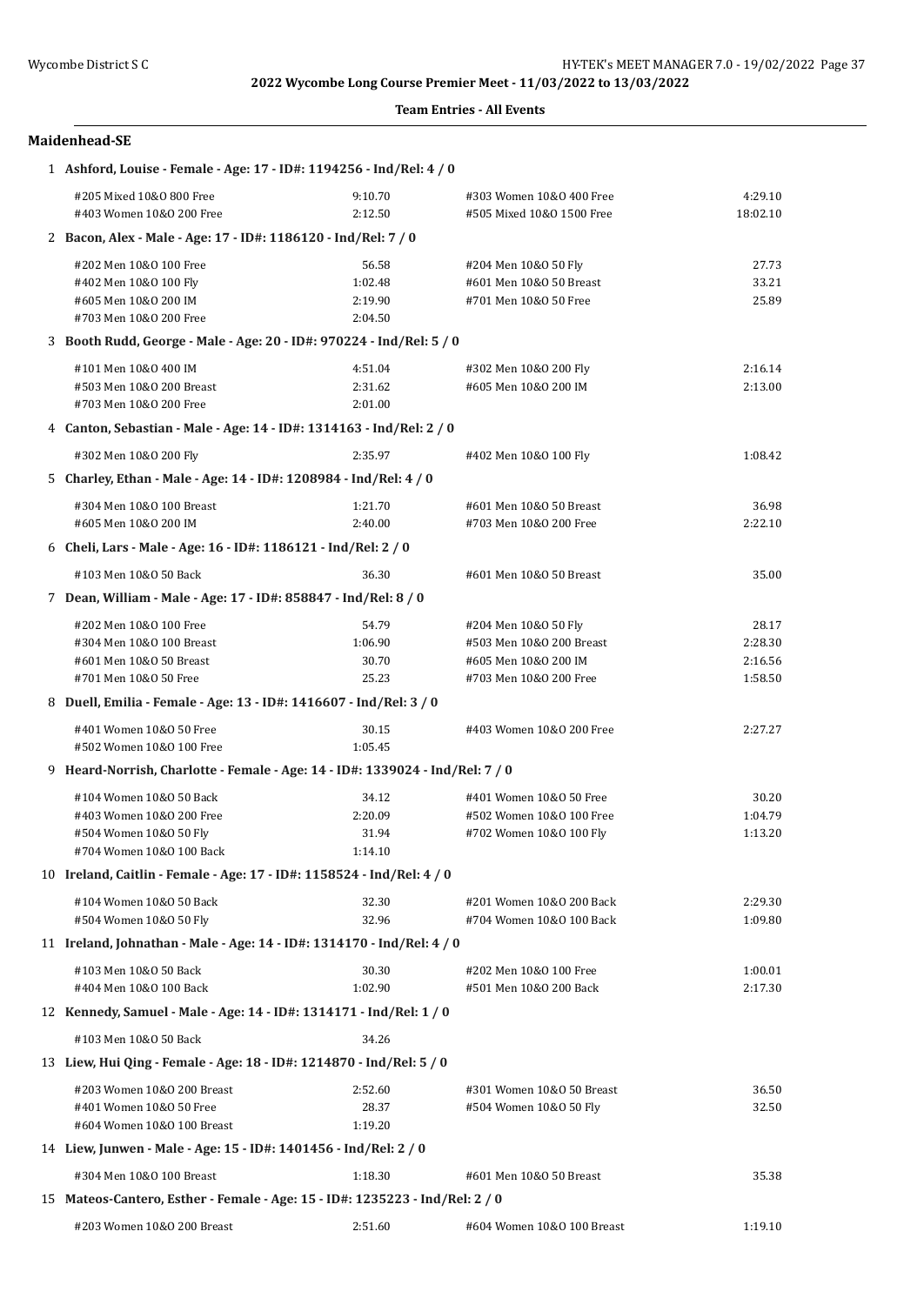#### **Team Entries - All Events**

## **Maidenhead-SE**

| 1 Ashford, Louise - Female - Age: 17 - ID#: 1194256 - Ind/Rel: 4 / 0          |         |                            |          |  |  |
|-------------------------------------------------------------------------------|---------|----------------------------|----------|--|--|
| #205 Mixed 10&0 800 Free                                                      | 9:10.70 | #303 Women 10&0 400 Free   | 4:29.10  |  |  |
| #403 Women 10&0 200 Free                                                      | 2:12.50 | #505 Mixed 10&0 1500 Free  | 18:02.10 |  |  |
| 2 Bacon, Alex - Male - Age: 17 - ID#: 1186120 - Ind/Rel: 7 / 0                |         |                            |          |  |  |
| #202 Men 10&0 100 Free                                                        | 56.58   | #204 Men 10&0 50 Fly       | 27.73    |  |  |
| #402 Men 10&0 100 Fly                                                         | 1:02.48 | #601 Men 10&0 50 Breast    | 33.21    |  |  |
| #605 Men 10&0 200 IM                                                          | 2:19.90 | #701 Men 10&0 50 Free      | 25.89    |  |  |
| #703 Men 10&0 200 Free                                                        | 2:04.50 |                            |          |  |  |
| 3 Booth Rudd, George - Male - Age: 20 - ID#: 970224 - Ind/Rel: 5 / 0          |         |                            |          |  |  |
| #101 Men 10&0 400 IM                                                          | 4:51.04 | #302 Men 10&0 200 Fly      | 2:16.14  |  |  |
| #503 Men 10&0 200 Breast                                                      | 2:31.62 | #605 Men 10&0 200 IM       | 2:13.00  |  |  |
| #703 Men 10&0 200 Free                                                        | 2:01.00 |                            |          |  |  |
| 4 Canton, Sebastian - Male - Age: 14 - ID#: 1314163 - Ind/Rel: 2 / 0          |         |                            |          |  |  |
| #302 Men 10&0 200 Fly                                                         | 2:35.97 | #402 Men 10&0 100 Fly      | 1:08.42  |  |  |
| 5 Charley, Ethan - Male - Age: 14 - ID#: 1208984 - Ind/Rel: 4 / 0             |         |                            |          |  |  |
| #304 Men 10&0 100 Breast                                                      | 1:21.70 | #601 Men 10&0 50 Breast    | 36.98    |  |  |
| #605 Men 10&0 200 IM                                                          | 2:40.00 | #703 Men 10&0 200 Free     | 2:22.10  |  |  |
| 6 Cheli, Lars - Male - Age: 16 - ID#: 1186121 - Ind/Rel: 2 / 0                |         |                            |          |  |  |
| #103 Men 10&0 50 Back                                                         | 36.30   | #601 Men 10&0 50 Breast    | 35.00    |  |  |
| 7 Dean, William - Male - Age: 17 - ID#: 858847 - Ind/Rel: 8 / 0               |         |                            |          |  |  |
| #202 Men 10&0 100 Free                                                        | 54.79   | #204 Men 10&0 50 Fly       | 28.17    |  |  |
| #304 Men 10&0 100 Breast                                                      | 1:06.90 | #503 Men 10&0 200 Breast   | 2:28.30  |  |  |
| #601 Men 10&0 50 Breast                                                       | 30.70   | #605 Men 10&0 200 IM       | 2:16.56  |  |  |
| #701 Men 10&0 50 Free                                                         | 25.23   | #703 Men 10&0 200 Free     | 1:58.50  |  |  |
| 8 Duell, Emilia - Female - Age: 13 - ID#: 1416607 - Ind/Rel: 3 / 0            |         |                            |          |  |  |
| #401 Women 10&0 50 Free                                                       | 30.15   | #403 Women 10&0 200 Free   | 2:27.27  |  |  |
| #502 Women 10&0 100 Free                                                      | 1:05.45 |                            |          |  |  |
| 9 Heard-Norrish, Charlotte - Female - Age: 14 - ID#: 1339024 - Ind/Rel: 7 / 0 |         |                            |          |  |  |
| #104 Women 10&0 50 Back                                                       | 34.12   | #401 Women 10&0 50 Free    | 30.20    |  |  |
| #403 Women 10&0 200 Free                                                      | 2:20.09 | #502 Women 10&0 100 Free   | 1:04.79  |  |  |
| #504 Women 10&0 50 Fly                                                        | 31.94   | #702 Women 10&0 100 Fly    | 1:13.20  |  |  |
| #704 Women 10&0 100 Back                                                      | 1:14.10 |                            |          |  |  |
| 10 Ireland, Caitlin - Female - Age: 17 - ID#: 1158524 - Ind/Rel: 4 / 0        |         |                            |          |  |  |
| #104 Women 10&0 50 Back                                                       | 32.30   | #201 Women 10&0 200 Back   | 2:29.30  |  |  |
| #504 Women 10&0 50 Fly                                                        | 32.96   | #704 Women 10&0 100 Back   | 1:09.80  |  |  |
| 11 Ireland, Johnathan - Male - Age: 14 - ID#: 1314170 - Ind/Rel: 4 / 0        |         |                            |          |  |  |
| #103 Men 10&0 50 Back                                                         | 30.30   | #202 Men 10&0 100 Free     | 1:00.01  |  |  |
| #404 Men 10&0 100 Back                                                        | 1:02.90 | #501 Men 10&0 200 Back     | 2:17.30  |  |  |
| 12 Kennedy, Samuel - Male - Age: 14 - ID#: 1314171 - Ind/Rel: 1 / 0           |         |                            |          |  |  |
| #103 Men 10&0 50 Back                                                         | 34.26   |                            |          |  |  |
| 13 Liew, Hui Qing - Female - Age: 18 - ID#: 1214870 - Ind/Rel: 5 / 0          |         |                            |          |  |  |
| #203 Women 10&0 200 Breast                                                    | 2:52.60 | #301 Women 10&0 50 Breast  | 36.50    |  |  |
| #401 Women 10&0 50 Free                                                       | 28.37   | #504 Women 10&0 50 Fly     | 32.50    |  |  |
| #604 Women 10&0 100 Breast                                                    | 1:19.20 |                            |          |  |  |
| 14 Liew, Junwen - Male - Age: 15 - ID#: 1401456 - Ind/Rel: 2 / 0              |         |                            |          |  |  |
| #304 Men 10&0 100 Breast                                                      | 1:18.30 | #601 Men 10&0 50 Breast    | 35.38    |  |  |
| 15 Mateos-Cantero, Esther - Female - Age: 15 - ID#: 1235223 - Ind/Rel: 2 / 0  |         |                            |          |  |  |
| #203 Women 10&0 200 Breast                                                    | 2:51.60 | #604 Women 10&0 100 Breast | 1:19.10  |  |  |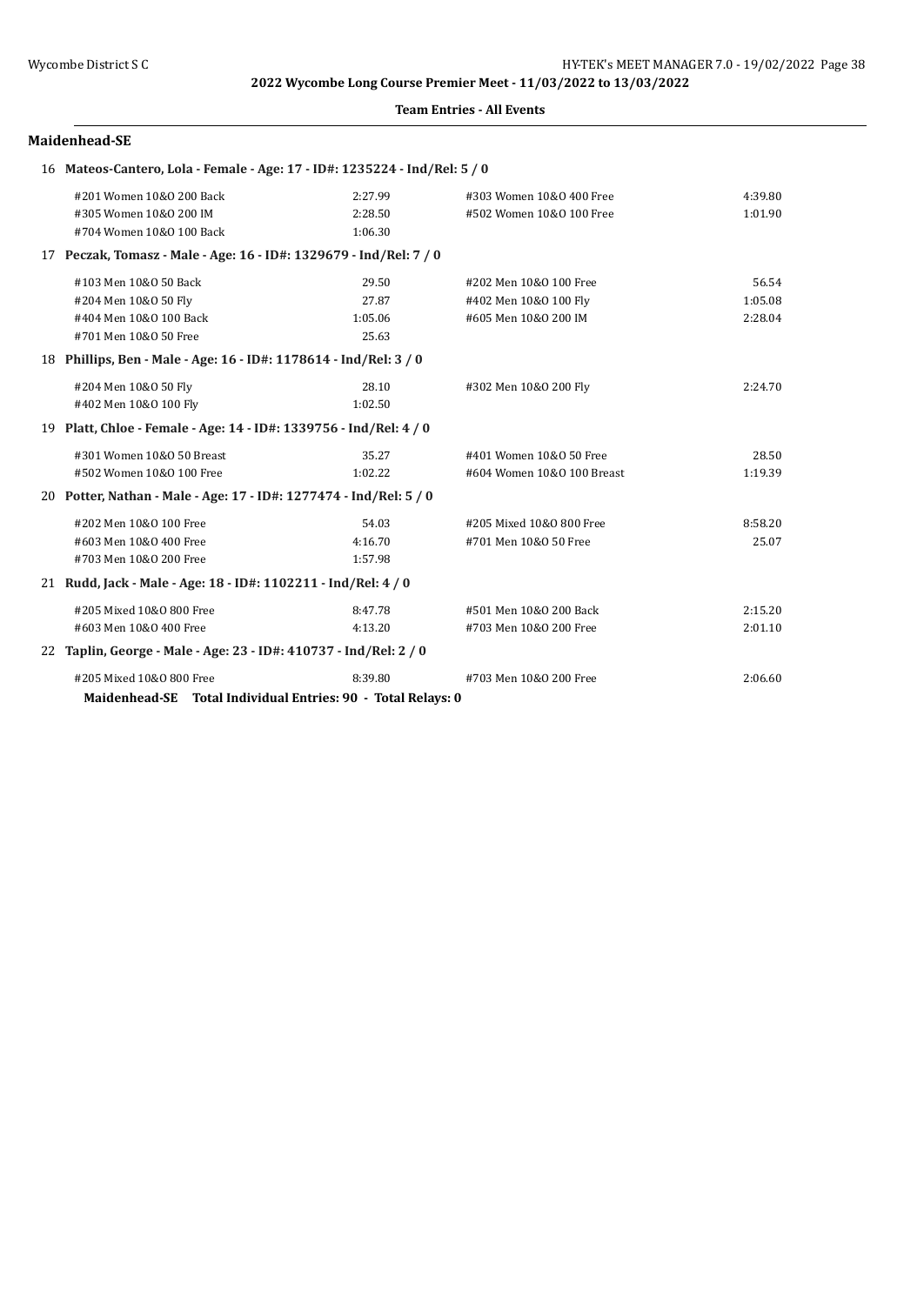#### **Team Entries - All Events**

#### **Maidenhead-SE**

| 16 Mateos-Cantero, Lola - Female - Age: 17 - ID#: 1235224 - Ind/Rel: 5 / 0 |         |                            |         |
|----------------------------------------------------------------------------|---------|----------------------------|---------|
| #201 Women 10&0 200 Back                                                   | 2:27.99 | #303 Women 10&0 400 Free   | 4:39.80 |
| #305 Women 10&0 200 IM                                                     | 2:28.50 | #502 Women 10&0 100 Free   | 1:01.90 |
| #704 Women 10&0 100 Back                                                   | 1:06.30 |                            |         |
| 17 Peczak, Tomasz - Male - Age: 16 - ID#: 1329679 - Ind/Rel: 7 / 0         |         |                            |         |
| #103 Men 10&0 50 Back                                                      | 29.50   | #202 Men 10&0 100 Free     | 56.54   |
| #204 Men 10&0 50 Fly                                                       | 27.87   | #402 Men 10&0 100 Fly      | 1:05.08 |
| #404 Men 10&0 100 Back                                                     | 1:05.06 | #605 Men 10&0 200 IM       | 2:28.04 |
| #701 Men 10&0 50 Free                                                      | 25.63   |                            |         |
| 18 Phillips, Ben - Male - Age: 16 - ID#: 1178614 - Ind/Rel: 3 / 0          |         |                            |         |
| #204 Men 10&0 50 Fly                                                       | 28.10   | #302 Men 10&0 200 Fly      | 2:24.70 |
| #402 Men 10&0 100 Fly                                                      | 1:02.50 |                            |         |
| 19 Platt, Chloe - Female - Age: 14 - ID#: 1339756 - Ind/Rel: 4 / 0         |         |                            |         |
| #301 Women 10&0 50 Breast                                                  | 35.27   | #401 Women 10&0 50 Free    | 28.50   |
| #502 Women 10&0 100 Free                                                   | 1:02.22 | #604 Women 10&0 100 Breast | 1:19.39 |
| 20 Potter, Nathan - Male - Age: 17 - ID#: 1277474 - Ind/Rel: 5 / 0         |         |                            |         |
| #202 Men 10&0 100 Free                                                     | 54.03   | #205 Mixed 10&0 800 Free   | 8:58.20 |
| #603 Men 10&0 400 Free                                                     | 4:16.70 | #701 Men 10&0 50 Free      | 25.07   |
| #703 Men 10&0 200 Free                                                     | 1:57.98 |                            |         |
| 21 Rudd, Jack - Male - Age: 18 - ID#: 1102211 - Ind/Rel: 4 / 0             |         |                            |         |
| #205 Mixed 10&0 800 Free                                                   | 8:47.78 | #501 Men 10&0 200 Back     | 2:15.20 |
| #603 Men 10&0 400 Free                                                     | 4:13.20 | #703 Men 10&0 200 Free     | 2:01.10 |
| 22 Taplin, George - Male - Age: 23 - ID#: 410737 - Ind/Rel: 2 / 0          |         |                            |         |
| #205 Mixed 10&0 800 Free                                                   | 8:39.80 | #703 Men 10&0 200 Free     | 2:06.60 |
| Maidenhead-SE Total Individual Entries: 90 - Total Relays: 0               |         |                            |         |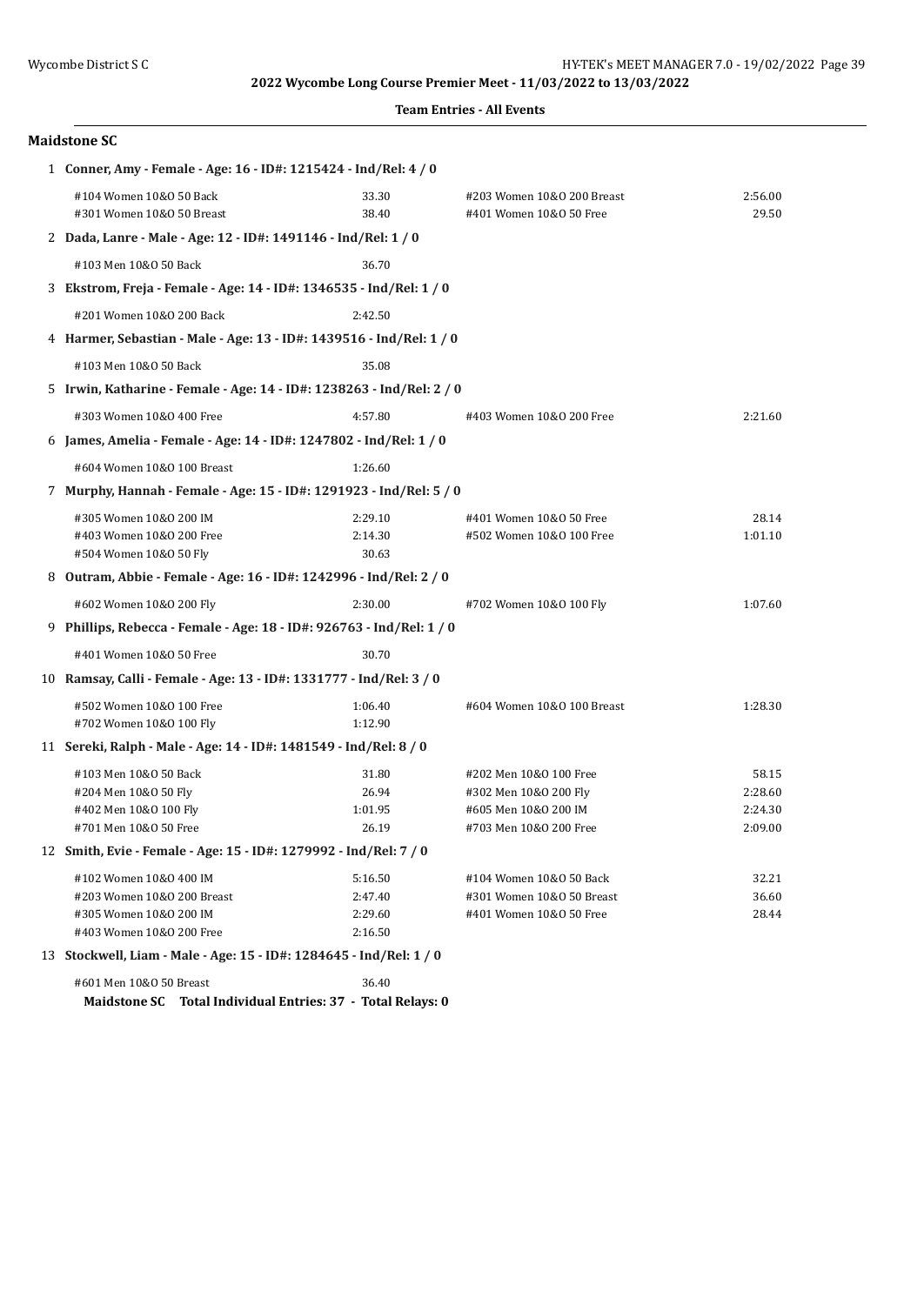|  | <b>Team Entries - All Events</b> |  |  |
|--|----------------------------------|--|--|
|--|----------------------------------|--|--|

| <b>Maidstone SC</b>                                                                                        |                                          |                                                                                                   |                                        |
|------------------------------------------------------------------------------------------------------------|------------------------------------------|---------------------------------------------------------------------------------------------------|----------------------------------------|
| 1 Conner, Amy - Female - Age: 16 - ID#: 1215424 - Ind/Rel: 4 / 0                                           |                                          |                                                                                                   |                                        |
| #104 Women 10&0 50 Back<br>#301 Women 10&0 50 Breast                                                       | 33.30<br>38.40                           | #203 Women 10&0 200 Breast<br>#401 Women 10&0 50 Free                                             | 2:56.00<br>29.50                       |
| 2 Dada, Lanre - Male - Age: 12 - ID#: 1491146 - Ind/Rel: 1 / 0                                             |                                          |                                                                                                   |                                        |
| #103 Men 10&0 50 Back                                                                                      | 36.70                                    |                                                                                                   |                                        |
| 3 Ekstrom, Freja - Female - Age: 14 - ID#: 1346535 - Ind/Rel: 1 / 0                                        |                                          |                                                                                                   |                                        |
| #201 Women 10&0 200 Back                                                                                   | 2:42.50                                  |                                                                                                   |                                        |
| 4 Harmer, Sebastian - Male - Age: 13 - ID#: 1439516 - Ind/Rel: 1 / 0                                       |                                          |                                                                                                   |                                        |
| #103 Men 10&0 50 Back                                                                                      | 35.08                                    |                                                                                                   |                                        |
| 5 Irwin, Katharine - Female - Age: 14 - ID#: 1238263 - Ind/Rel: 2 / 0                                      |                                          |                                                                                                   |                                        |
| #303 Women 10&0 400 Free                                                                                   | 4:57.80                                  | #403 Women 10&0 200 Free                                                                          | 2:21.60                                |
| 6 James, Amelia - Female - Age: 14 - ID#: 1247802 - Ind/Rel: 1 / 0                                         |                                          |                                                                                                   |                                        |
| #604 Women 10&0 100 Breast                                                                                 | 1:26.60                                  |                                                                                                   |                                        |
| 7 Murphy, Hannah - Female - Age: 15 - ID#: 1291923 - Ind/Rel: 5 / 0                                        |                                          |                                                                                                   |                                        |
| #305 Women 10&0 200 IM<br>#403 Women 10&0 200 Free<br>#504 Women 10&0 50 Fly                               | 2:29.10<br>2:14.30<br>30.63              | #401 Women 10&0 50 Free<br>#502 Women 10&0 100 Free                                               | 28.14<br>1:01.10                       |
| 8 Outram, Abbie - Female - Age: 16 - ID#: 1242996 - Ind/Rel: 2 / 0                                         |                                          |                                                                                                   |                                        |
| #602 Women 10&0 200 Fly                                                                                    | 2:30.00                                  | #702 Women 10&0 100 Fly                                                                           | 1:07.60                                |
| 9 Phillips, Rebecca - Female - Age: 18 - ID#: 926763 - Ind/Rel: 1 / 0                                      |                                          |                                                                                                   |                                        |
| #401 Women 10&0 50 Free                                                                                    | 30.70                                    |                                                                                                   |                                        |
| 10 Ramsay, Calli - Female - Age: 13 - ID#: 1331777 - Ind/Rel: 3 / 0                                        |                                          |                                                                                                   |                                        |
| #502 Women 10&0 100 Free<br>#702 Women 10&0 100 Fly                                                        | 1:06.40<br>1:12.90                       | #604 Women 10&0 100 Breast                                                                        | 1:28.30                                |
| 11 Sereki, Ralph - Male - Age: 14 - ID#: 1481549 - Ind/Rel: 8 / 0                                          |                                          |                                                                                                   |                                        |
| #103 Men 10&0 50 Back<br>#204 Men 10&0 50 Fly<br>#402 Men 10&0 100 Fly<br>#701 Men 10&0 50 Free            | 31.80<br>26.94<br>1:01.95<br>26.19       | #202 Men 10&0 100 Free<br>#302 Men 10&0 200 Fly<br>#605 Men 10&0 200 IM<br>#703 Men 10&0 200 Free | 58.15<br>2:28.60<br>2:24.30<br>2:09.00 |
| 12 Smith, Evie - Female - Age: 15 - ID#: 1279992 - Ind/Rel: 7 / 0                                          |                                          |                                                                                                   |                                        |
| #102 Women 10&0 400 IM<br>#203 Women 10&0 200 Breast<br>#305 Women 10&0 200 IM<br>#403 Women 10&0 200 Free | 5:16.50<br>2:47.40<br>2:29.60<br>2:16.50 | #104 Women 10&0 50 Back<br>#301 Women 10&0 50 Breast<br>#401 Women 10&0 50 Free                   | 32.21<br>36.60<br>28.44                |
| 13 Stockwell, Liam - Male - Age: 15 - ID#: 1284645 - Ind/Rel: 1 / 0                                        |                                          |                                                                                                   |                                        |
| #601 Men 10&0 50 Breast<br>Maidstone SC Total Individual Entries: 37 - Total Relays: 0                     | 36.40                                    |                                                                                                   |                                        |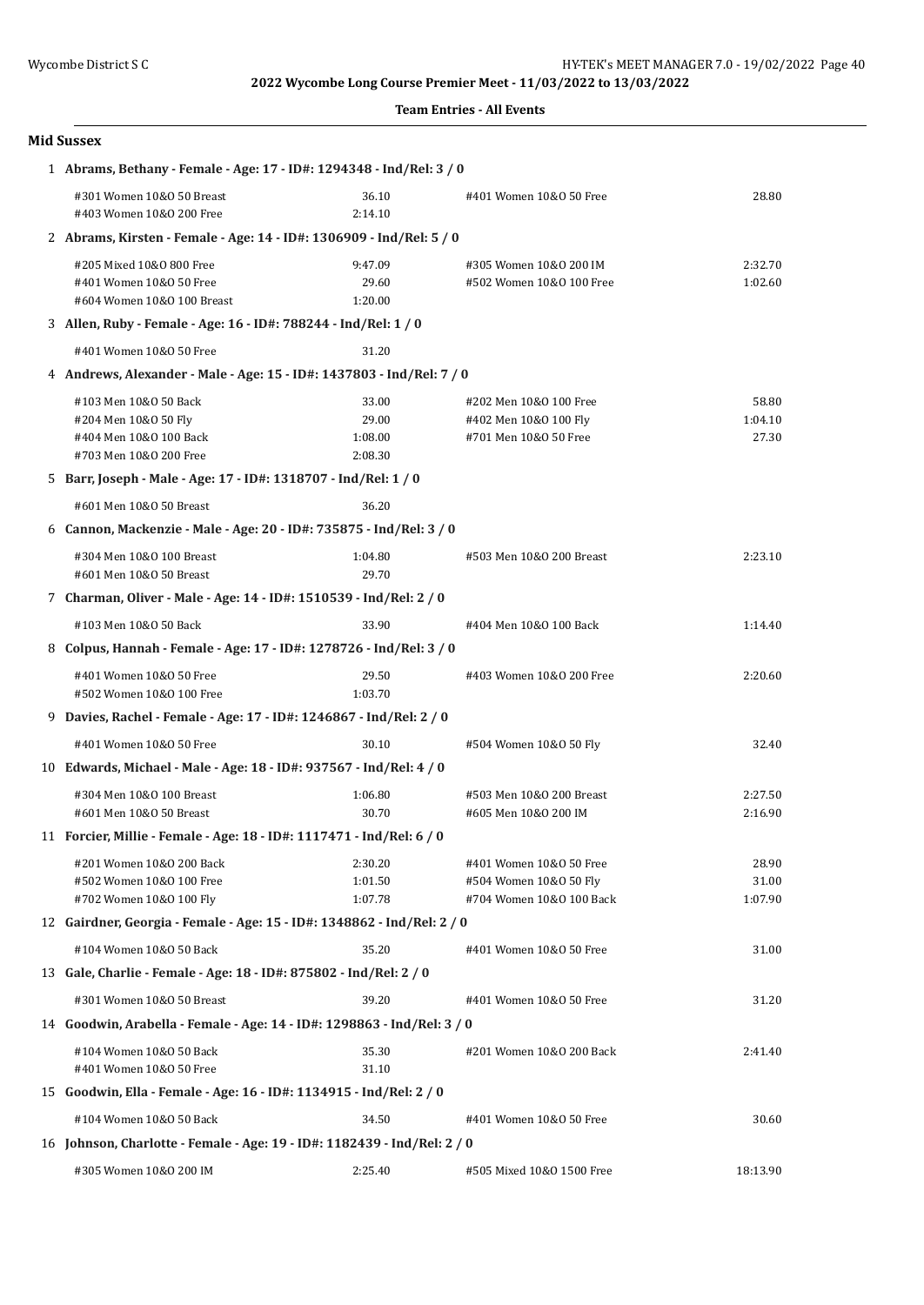#### **Team Entries - All Events**

|   | <b>Mid Sussex</b>                                                                                                                                                    |                                      |                                                                               |                           |  |  |
|---|----------------------------------------------------------------------------------------------------------------------------------------------------------------------|--------------------------------------|-------------------------------------------------------------------------------|---------------------------|--|--|
|   | 1 Abrams, Bethany - Female - Age: 17 - ID#: 1294348 - Ind/Rel: 3 / 0                                                                                                 |                                      |                                                                               |                           |  |  |
|   | #301 Women 10&0 50 Breast<br>#403 Women 10&0 200 Free                                                                                                                | 36.10<br>2:14.10                     | #401 Women 10&0 50 Free                                                       | 28.80                     |  |  |
|   | 2 Abrams, Kirsten - Female - Age: 14 - ID#: 1306909 - Ind/Rel: 5 / 0                                                                                                 |                                      |                                                                               |                           |  |  |
|   | #205 Mixed 10&0 800 Free<br>#401 Women 10&0 50 Free<br>#604 Women 10&0 100 Breast                                                                                    | 9:47.09<br>29.60<br>1:20.00          | #305 Women 10&0 200 IM<br>#502 Women 10&0 100 Free                            | 2:32.70<br>1:02.60        |  |  |
|   | 3 Allen, Ruby - Female - Age: 16 - ID#: 788244 - Ind/Rel: 1 / 0                                                                                                      |                                      |                                                                               |                           |  |  |
|   | #401 Women 10&0 50 Free                                                                                                                                              | 31.20                                |                                                                               |                           |  |  |
|   | 4 Andrews, Alexander - Male - Age: 15 - ID#: 1437803 - Ind/Rel: 7 / 0                                                                                                |                                      |                                                                               |                           |  |  |
|   | #103 Men 10&0 50 Back<br>#204 Men 10&0 50 Fly<br>#404 Men 10&0 100 Back<br>#703 Men 10&0 200 Free<br>5 Barr, Joseph - Male - Age: 17 - ID#: 1318707 - Ind/Rel: 1 / 0 | 33.00<br>29.00<br>1:08.00<br>2:08.30 | #202 Men 10&0 100 Free<br>#402 Men 10&0 100 Fly<br>#701 Men 10&0 50 Free      | 58.80<br>1:04.10<br>27.30 |  |  |
|   | #601 Men 10&0 50 Breast                                                                                                                                              | 36.20                                |                                                                               |                           |  |  |
|   | 6 Cannon, Mackenzie - Male - Age: 20 - ID#: 735875 - Ind/Rel: 3 / 0                                                                                                  |                                      |                                                                               |                           |  |  |
|   | #304 Men 10&0 100 Breast<br>#601 Men 10&0 50 Breast                                                                                                                  | 1:04.80<br>29.70                     | #503 Men 10&0 200 Breast                                                      | 2:23.10                   |  |  |
|   | 7 Charman, Oliver - Male - Age: 14 - ID#: 1510539 - Ind/Rel: 2 / 0                                                                                                   |                                      |                                                                               |                           |  |  |
|   | #103 Men 10&0 50 Back                                                                                                                                                | 33.90                                | #404 Men 10&0 100 Back                                                        | 1:14.40                   |  |  |
| 8 | Colpus, Hannah - Female - Age: 17 - ID#: 1278726 - Ind/Rel: 3 / 0                                                                                                    |                                      |                                                                               |                           |  |  |
|   | #401 Women 10&0 50 Free<br>#502 Women 10&0 100 Free                                                                                                                  | 29.50<br>1:03.70                     | #403 Women 10&0 200 Free                                                      | 2:20.60                   |  |  |
|   | 9 Davies, Rachel - Female - Age: 17 - ID#: 1246867 - Ind/Rel: 2 / 0                                                                                                  |                                      |                                                                               |                           |  |  |
|   | #401 Women 10&0 50 Free                                                                                                                                              | 30.10                                | #504 Women 10&0 50 Fly                                                        | 32.40                     |  |  |
|   | 10 Edwards, Michael - Male - Age: 18 - ID#: 937567 - Ind/Rel: 4 / 0                                                                                                  |                                      |                                                                               |                           |  |  |
|   | #304 Men 10&0 100 Breast<br>#601 Men 10&0 50 Breast                                                                                                                  | 1:06.80<br>30.70                     | #503 Men 10&0 200 Breast<br>#605 Men 10&0 200 IM                              | 2:27.50<br>2:16.90        |  |  |
|   | 11 Forcier, Millie - Female - Age: 18 - ID#: 1117471 - Ind/Rel: 6 / 0                                                                                                |                                      |                                                                               |                           |  |  |
|   | #201 Women 10&0 200 Back<br>#502 Women 10&0 100 Free<br>#702 Women 10&0 100 Fly                                                                                      | 2:30.20<br>1:01.50<br>1:07.78        | #401 Women 10&0 50 Free<br>#504 Women 10&0 50 Fly<br>#704 Women 10&0 100 Back | 28.90<br>31.00<br>1:07.90 |  |  |
|   | 12 Gairdner, Georgia - Female - Age: 15 - ID#: 1348862 - Ind/Rel: 2 / 0                                                                                              |                                      |                                                                               |                           |  |  |
|   | #104 Women 10&0 50 Back                                                                                                                                              | 35.20                                | #401 Women 10&0 50 Free                                                       | 31.00                     |  |  |
|   | 13 Gale, Charlie - Female - Age: 18 - ID#: 875802 - Ind/Rel: 2 / 0                                                                                                   |                                      |                                                                               |                           |  |  |
|   | #301 Women 10&0 50 Breast                                                                                                                                            | 39.20                                | #401 Women 10&0 50 Free                                                       | 31.20                     |  |  |
|   | 14 Goodwin, Arabella - Female - Age: 14 - ID#: 1298863 - Ind/Rel: 3 / 0                                                                                              |                                      |                                                                               |                           |  |  |
|   | #104 Women 10&0 50 Back<br>#401 Women 10&0 50 Free                                                                                                                   | 35.30<br>31.10                       | #201 Women 10&0 200 Back                                                      | 2:41.40                   |  |  |
|   | 15 Goodwin, Ella - Female - Age: 16 - ID#: 1134915 - Ind/Rel: 2 / 0                                                                                                  |                                      |                                                                               |                           |  |  |
|   | #104 Women 10&0 50 Back                                                                                                                                              | 34.50                                | #401 Women 10&0 50 Free                                                       | 30.60                     |  |  |
|   | 16 Johnson, Charlotte - Female - Age: 19 - ID#: 1182439 - Ind/Rel: 2 / 0                                                                                             |                                      |                                                                               |                           |  |  |
|   | #305 Women 10&0 200 IM                                                                                                                                               | 2:25.40                              | #505 Mixed 10&0 1500 Free                                                     | 18:13.90                  |  |  |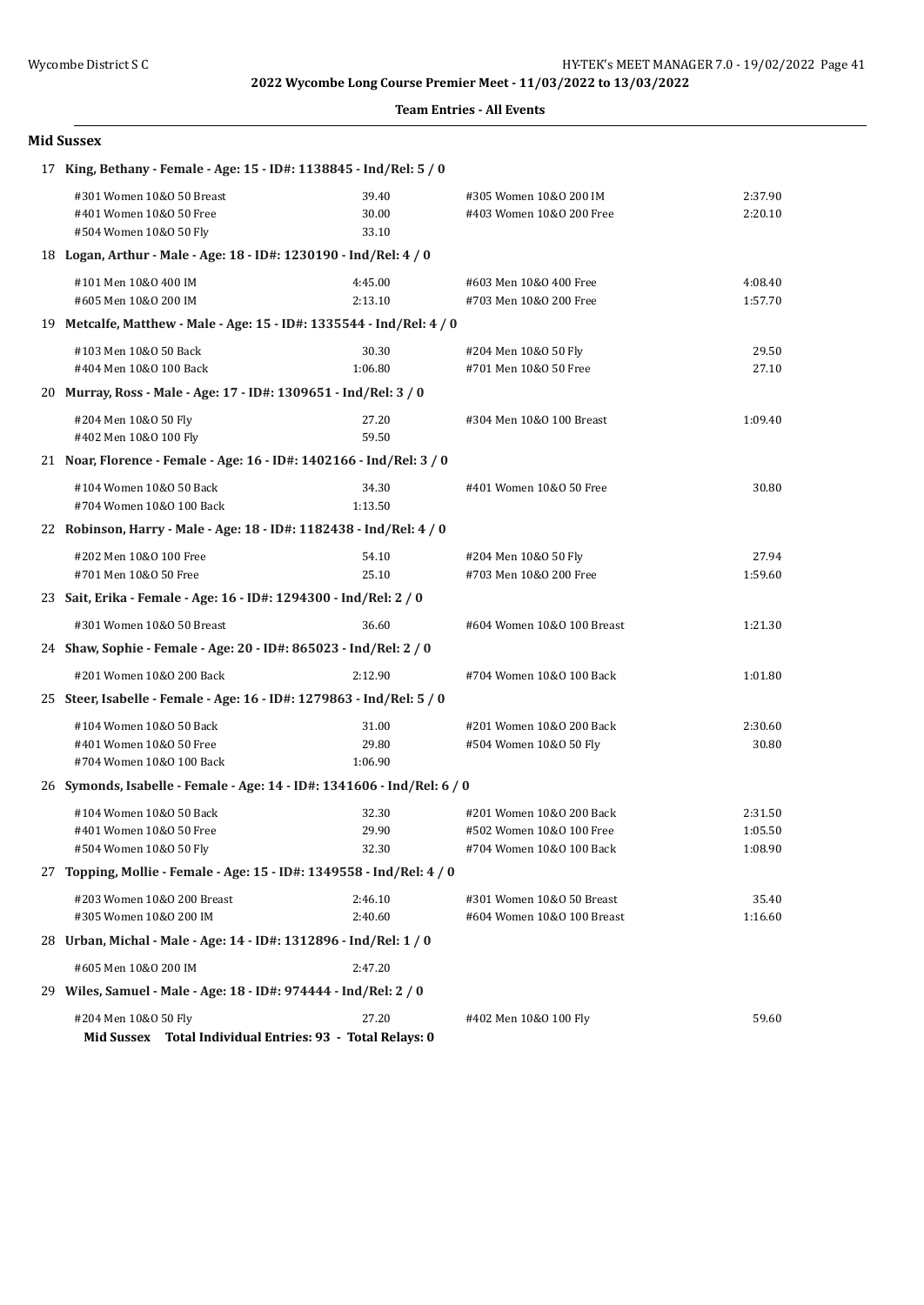**Team Entries - All Events**

| <b>Mid Sussex</b>                                                                                 |                           |                                                                                  |                               |  |  |
|---------------------------------------------------------------------------------------------------|---------------------------|----------------------------------------------------------------------------------|-------------------------------|--|--|
| 17 King, Bethany - Female - Age: 15 - ID#: 1138845 - Ind/Rel: 5 / 0                               |                           |                                                                                  |                               |  |  |
| #301 Women 10&0 50 Breast<br>#401 Women 10&0 50 Free<br>#504 Women 10&0 50 Fly                    | 39.40<br>30.00<br>33.10   | #305 Women 10&0 200 IM<br>#403 Women 10&0 200 Free                               | 2:37.90<br>2:20.10            |  |  |
| 18 Logan, Arthur - Male - Age: 18 - ID#: 1230190 - Ind/Rel: 4 / 0                                 |                           |                                                                                  |                               |  |  |
| #101 Men 10&0 400 IM<br>#605 Men 10&0 200 IM                                                      | 4:45.00<br>2:13.10        | #603 Men 10&0 400 Free<br>#703 Men 10&0 200 Free                                 | 4:08.40<br>1:57.70            |  |  |
| 19 Metcalfe, Matthew - Male - Age: 15 - ID#: 1335544 - Ind/Rel: 4 / 0                             |                           |                                                                                  |                               |  |  |
| #103 Men 10&0 50 Back<br>#404 Men 10&0 100 Back                                                   | 30.30<br>1:06.80          | #204 Men 10&0 50 Fly<br>#701 Men 10&0 50 Free                                    | 29.50<br>27.10                |  |  |
| 20 Murray, Ross - Male - Age: 17 - ID#: 1309651 - Ind/Rel: 3 / 0                                  |                           |                                                                                  |                               |  |  |
| #204 Men 10&0 50 Fly<br>#402 Men 10&0 100 Fly                                                     | 27.20<br>59.50            | #304 Men 10&0 100 Breast                                                         | 1:09.40                       |  |  |
| 21 Noar, Florence - Female - Age: 16 - ID#: 1402166 - Ind/Rel: 3 / 0                              |                           |                                                                                  |                               |  |  |
| #104 Women 10&0 50 Back<br>#704 Women 10&0 100 Back                                               | 34.30<br>1:13.50          | #401 Women 10&0 50 Free                                                          | 30.80                         |  |  |
| 22 Robinson, Harry - Male - Age: 18 - ID#: 1182438 - Ind/Rel: 4 / 0                               |                           |                                                                                  |                               |  |  |
| #202 Men 10&0 100 Free<br>#701 Men 10&0 50 Free                                                   | 54.10<br>25.10            | #204 Men 10&0 50 Fly<br>#703 Men 10&0 200 Free                                   | 27.94<br>1:59.60              |  |  |
| 23 Sait, Erika - Female - Age: 16 - ID#: 1294300 - Ind/Rel: 2 / 0                                 |                           |                                                                                  |                               |  |  |
| #301 Women 10&0 50 Breast                                                                         | 36.60                     | #604 Women 10&0 100 Breast                                                       | 1:21.30                       |  |  |
| 24 Shaw, Sophie - Female - Age: 20 - ID#: 865023 - Ind/Rel: 2 / 0                                 |                           |                                                                                  |                               |  |  |
| #201 Women 10&0 200 Back<br>25 Steer, Isabelle - Female - Age: 16 - ID#: 1279863 - Ind/Rel: 5 / 0 | 2:12.90                   | #704 Women 10&0 100 Back                                                         | 1:01.80                       |  |  |
|                                                                                                   |                           |                                                                                  |                               |  |  |
| #104 Women 10&0 50 Back<br>#401 Women 10&0 50 Free<br>#704 Women 10&0 100 Back                    | 31.00<br>29.80<br>1:06.90 | #201 Women 10&0 200 Back<br>#504 Women 10&0 50 Fly                               | 2:30.60<br>30.80              |  |  |
| 26 Symonds, Isabelle - Female - Age: 14 - ID#: 1341606 - Ind/Rel: 6 / 0                           |                           |                                                                                  |                               |  |  |
| #104 Women 10&0 50 Back<br>#401 Women 10&0 50 Free<br>#504 Women 10&0 50 Fly                      | 32.30<br>29.90<br>32.30   | #201 Women 10&0 200 Back<br>#502 Women 10&0 100 Free<br>#704 Women 10&0 100 Back | 2:31.50<br>1:05.50<br>1:08.90 |  |  |
| 27 Topping, Mollie - Female - Age: 15 - ID#: 1349558 - Ind/Rel: 4 / 0                             |                           |                                                                                  |                               |  |  |
| #203 Women 10&0 200 Breast<br>#305 Women 10&0 200 IM                                              | 2:46.10<br>2:40.60        | #301 Women 10&0 50 Breast<br>#604 Women 10&0 100 Breast                          | 35.40<br>1:16.60              |  |  |
| 28 Urban, Michal - Male - Age: 14 - ID#: 1312896 - Ind/Rel: 1 / 0                                 |                           |                                                                                  |                               |  |  |
| #605 Men 10&0 200 IM                                                                              | 2:47.20                   |                                                                                  |                               |  |  |
| 29 Wiles, Samuel - Male - Age: 18 - ID#: 974444 - Ind/Rel: 2 / 0                                  |                           |                                                                                  |                               |  |  |
| #204 Men 10&0 50 Fly                                                                              | 27.20                     | #402 Men 10&0 100 Fly                                                            | 59.60                         |  |  |

**Mid Sussex Total Individual Entries: 93 - Total Relays: 0**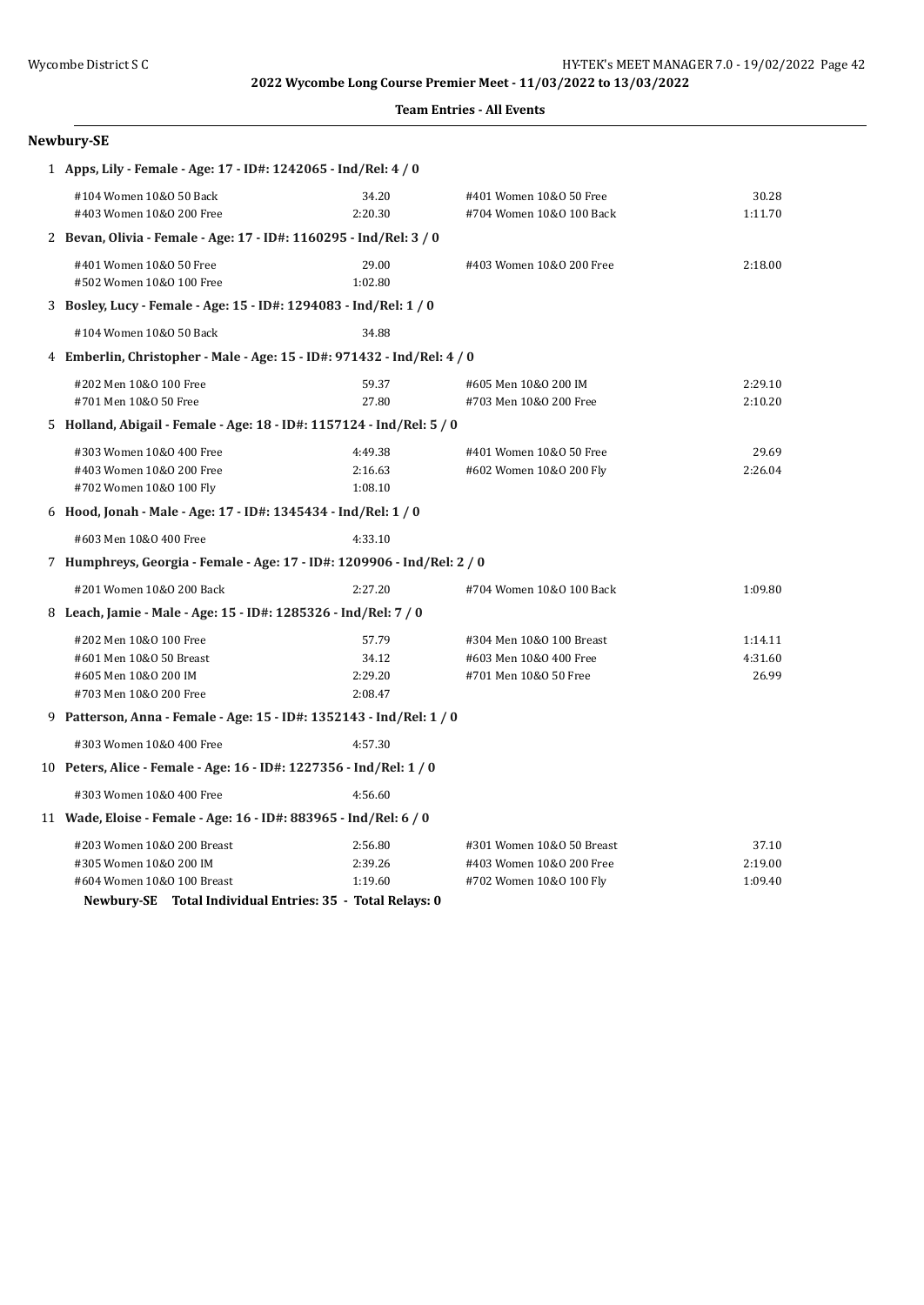| <b>Team Entries - All Events</b> |  |  |
|----------------------------------|--|--|
|----------------------------------|--|--|

| Newbury-SE                                                              |         |                           |         |  |  |
|-------------------------------------------------------------------------|---------|---------------------------|---------|--|--|
| 1 Apps, Lily - Female - Age: 17 - ID#: 1242065 - Ind/Rel: 4 / 0         |         |                           |         |  |  |
| #104 Women 10&0 50 Back                                                 | 34.20   | #401 Women 10&0 50 Free   | 30.28   |  |  |
| #403 Women 10&0 200 Free                                                | 2:20.30 | #704 Women 10&0 100 Back  | 1:11.70 |  |  |
| 2 Bevan, Olivia - Female - Age: 17 - ID#: 1160295 - Ind/Rel: 3 / 0      |         |                           |         |  |  |
| #401 Women 10&0 50 Free                                                 | 29.00   | #403 Women 10&0 200 Free  | 2:18.00 |  |  |
| #502 Women 10&0 100 Free                                                | 1:02.80 |                           |         |  |  |
| 3 Bosley, Lucy - Female - Age: 15 - ID#: 1294083 - Ind/Rel: 1 / 0       |         |                           |         |  |  |
| #104 Women 10&0 50 Back                                                 | 34.88   |                           |         |  |  |
| 4 Emberlin, Christopher - Male - Age: 15 - ID#: 971432 - Ind/Rel: 4 / 0 |         |                           |         |  |  |
| #202 Men 10&0 100 Free                                                  | 59.37   | #605 Men 10&0 200 IM      | 2:29.10 |  |  |
| #701 Men 10&0 50 Free                                                   | 27.80   | #703 Men 10&0 200 Free    | 2:10.20 |  |  |
| 5 Holland, Abigail - Female - Age: 18 - ID#: 1157124 - Ind/Rel: 5 / 0   |         |                           |         |  |  |
| #303 Women 10&0 400 Free                                                | 4:49.38 | #401 Women 10&0 50 Free   | 29.69   |  |  |
| #403 Women 10&0 200 Free                                                | 2:16.63 | #602 Women 10&0 200 Fly   | 2:26.04 |  |  |
| #702 Women 10&0 100 Fly                                                 | 1:08.10 |                           |         |  |  |
| 6 Hood, Jonah - Male - Age: 17 - ID#: 1345434 - Ind/Rel: 1 / 0          |         |                           |         |  |  |
| #603 Men 10&0 400 Free                                                  | 4:33.10 |                           |         |  |  |
| 7 Humphreys, Georgia - Female - Age: 17 - ID#: 1209906 - Ind/Rel: 2 / 0 |         |                           |         |  |  |
| #201 Women 10&0 200 Back                                                | 2:27.20 | #704 Women 10&0 100 Back  | 1:09.80 |  |  |
| 8 Leach, Jamie - Male - Age: 15 - ID#: 1285326 - Ind/Rel: 7 / 0         |         |                           |         |  |  |
| #202 Men 10&0 100 Free                                                  | 57.79   | #304 Men 10&0 100 Breast  | 1:14.11 |  |  |
| #601 Men 10&0 50 Breast                                                 | 34.12   | #603 Men 10&0 400 Free    | 4:31.60 |  |  |
| #605 Men 10&0 200 IM                                                    | 2:29.20 | #701 Men 10&0 50 Free     | 26.99   |  |  |
| #703 Men 10&0 200 Free                                                  | 2:08.47 |                           |         |  |  |
| 9 Patterson, Anna - Female - Age: 15 - ID#: 1352143 - Ind/Rel: 1 / 0    |         |                           |         |  |  |
| #303 Women 10&0 400 Free                                                | 4:57.30 |                           |         |  |  |
| 10 Peters, Alice - Female - Age: 16 - ID#: 1227356 - Ind/Rel: 1 / 0     |         |                           |         |  |  |
| #303 Women 10&0 400 Free                                                | 4:56.60 |                           |         |  |  |
| 11 Wade, Eloise - Female - Age: 16 - ID#: 883965 - Ind/Rel: 6 / 0       |         |                           |         |  |  |
| #203 Women 10&0 200 Breast                                              | 2:56.80 | #301 Women 10&0 50 Breast | 37.10   |  |  |
| #305 Women 10&0 200 IM                                                  | 2:39.26 | #403 Women 10&0 200 Free  | 2:19.00 |  |  |
| #604 Women 10&0 100 Breast                                              | 1:19.60 | #702 Women 10&0 100 Fly   | 1:09.40 |  |  |
| Newbury-SE Total Individual Entries: 35 - Total Relays: 0               |         |                           |         |  |  |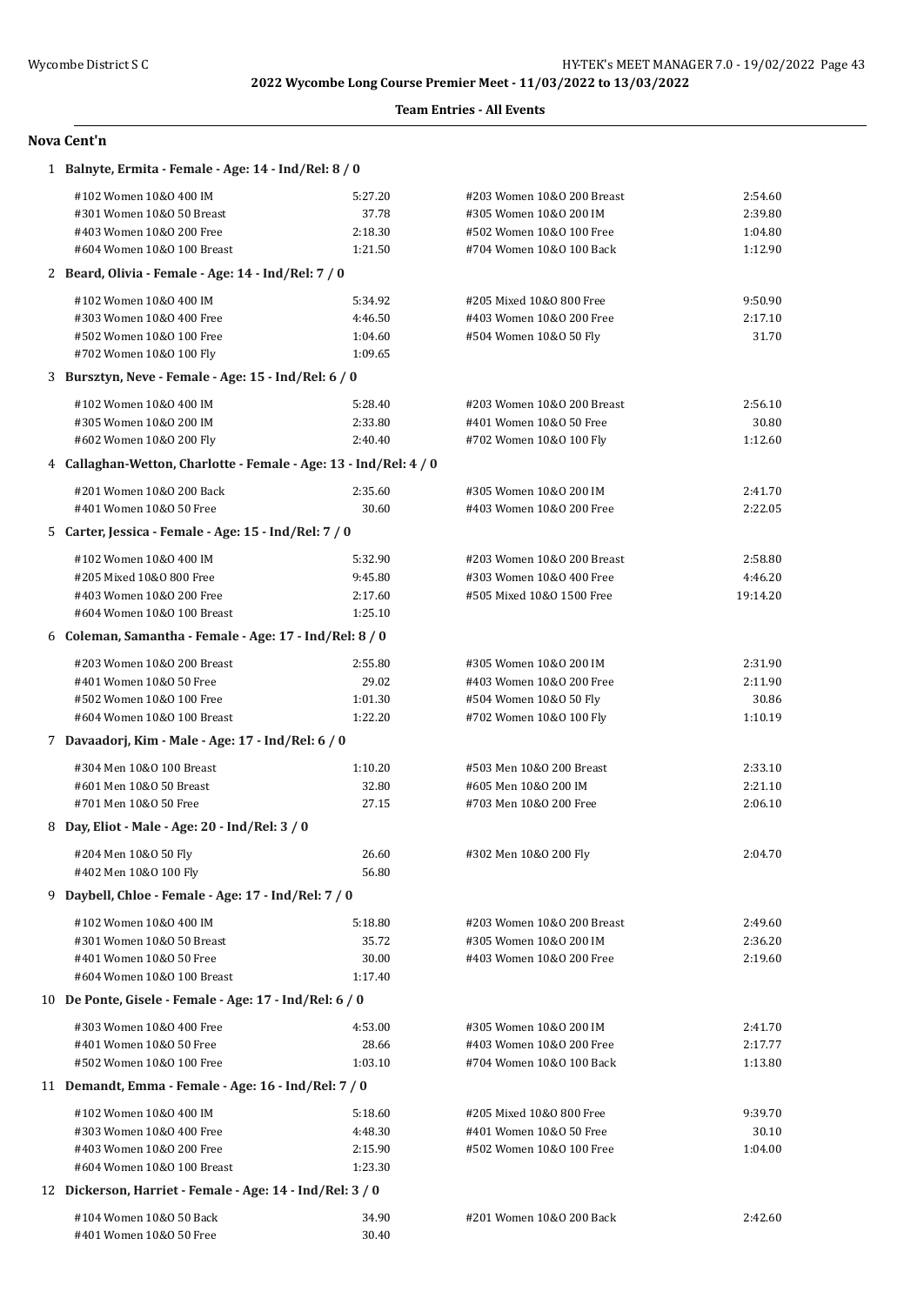### **Team Entries - All Events**

| 1 Balnyte, Ermita - Female - Age: 14 - Ind/Rel: 8 / 0             |         |                            |          |  |  |
|-------------------------------------------------------------------|---------|----------------------------|----------|--|--|
| #102 Women 10&0 400 IM                                            | 5:27.20 | #203 Women 10&0 200 Breast | 2:54.60  |  |  |
| #301 Women 10&0 50 Breast                                         | 37.78   | #305 Women 10&0 200 IM     | 2:39.80  |  |  |
| #403 Women 10&0 200 Free                                          | 2:18.30 | #502 Women 10&0 100 Free   | 1:04.80  |  |  |
| #604 Women 10&0 100 Breast                                        | 1:21.50 | #704 Women 10&0 100 Back   | 1:12.90  |  |  |
| 2 Beard, Olivia - Female - Age: 14 - Ind/Rel: 7 / 0               |         |                            |          |  |  |
| #102 Women 10&0 400 IM                                            | 5:34.92 | #205 Mixed 10&0 800 Free   | 9:50.90  |  |  |
| #303 Women 10&0 400 Free                                          | 4:46.50 | #403 Women 10&0 200 Free   | 2:17.10  |  |  |
| #502 Women 10&0 100 Free                                          | 1:04.60 | #504 Women 10&0 50 Fly     | 31.70    |  |  |
| #702 Women 10&0 100 Fly                                           | 1:09.65 |                            |          |  |  |
| 3 Bursztyn, Neve - Female - Age: 15 - Ind/Rel: 6 / 0              |         |                            |          |  |  |
| #102 Women 10&0 400 IM                                            | 5:28.40 | #203 Women 10&0 200 Breast | 2:56.10  |  |  |
| #305 Women 10&0 200 IM                                            | 2:33.80 | #401 Women 10&0 50 Free    | 30.80    |  |  |
| #602 Women 10&0 200 Fly                                           | 2:40.40 | #702 Women 10&0 100 Fly    | 1:12.60  |  |  |
| 4 Callaghan-Wetton, Charlotte - Female - Age: 13 - Ind/Rel: 4 / 0 |         |                            |          |  |  |
| #201 Women 10&0 200 Back                                          | 2:35.60 | #305 Women 10&0 200 IM     | 2:41.70  |  |  |
| #401 Women 10&0 50 Free                                           | 30.60   | #403 Women 10&0 200 Free   | 2:22.05  |  |  |
| 5 Carter, Jessica - Female - Age: 15 - Ind/Rel: 7 / 0             |         |                            |          |  |  |
| #102 Women 10&0 400 IM                                            | 5:32.90 | #203 Women 10&0 200 Breast | 2:58.80  |  |  |
| #205 Mixed 10&0 800 Free                                          | 9:45.80 | #303 Women 10&0 400 Free   | 4:46.20  |  |  |
| #403 Women 10&0 200 Free                                          | 2:17.60 | #505 Mixed 10&0 1500 Free  | 19:14.20 |  |  |
| #604 Women 10&0 100 Breast                                        | 1:25.10 |                            |          |  |  |
| 6 Coleman, Samantha - Female - Age: 17 - Ind/Rel: 8 / 0           |         |                            |          |  |  |
| #203 Women 10&0 200 Breast                                        | 2:55.80 | #305 Women 10&0 200 IM     | 2:31.90  |  |  |
| #401 Women 10&0 50 Free                                           | 29.02   | #403 Women 10&0 200 Free   | 2:11.90  |  |  |
| #502 Women 10&0 100 Free                                          | 1:01.30 | #504 Women 10&0 50 Fly     | 30.86    |  |  |
| #604 Women 10&0 100 Breast                                        | 1:22.20 | #702 Women 10&0 100 Fly    | 1:10.19  |  |  |
| 7 Davaadorj, Kim - Male - Age: 17 - Ind/Rel: 6 / 0                |         |                            |          |  |  |
| #304 Men 10&0 100 Breast                                          | 1:10.20 | #503 Men 10&0 200 Breast   | 2:33.10  |  |  |
| #601 Men 10&0 50 Breast                                           | 32.80   | #605 Men 10&0 200 IM       | 2:21.10  |  |  |
| #701 Men 10&0 50 Free                                             | 27.15   | #703 Men 10&0 200 Free     | 2:06.10  |  |  |
| 8 Day, Eliot - Male - Age: 20 - Ind/Rel: 3 / 0                    |         |                            |          |  |  |
| #204 Men 10&0 50 Fly                                              | 26.60   | #302 Men 10&0 200 Fly      | 2:04.70  |  |  |
| #402 Men 10&0 100 Fly                                             | 56.80   |                            |          |  |  |
| 9 Daybell, Chloe - Female - Age: 17 - Ind/Rel: 7 / 0              |         |                            |          |  |  |
| #102 Women 10&0 400 IM                                            | 5:18.80 | #203 Women 10&0 200 Breast | 2:49.60  |  |  |
| #301 Women 10&0 50 Breast                                         | 35.72   | #305 Women 10&0 200 IM     | 2:36.20  |  |  |
| #401 Women 10&0 50 Free                                           | 30.00   | #403 Women 10&0 200 Free   | 2:19.60  |  |  |
| #604 Women 10&0 100 Breast                                        | 1:17.40 |                            |          |  |  |
| 10 De Ponte, Gisele - Female - Age: 17 - Ind/Rel: 6 / 0           |         |                            |          |  |  |
| #303 Women 10&0 400 Free                                          | 4:53.00 | #305 Women 10&0 200 IM     | 2:41.70  |  |  |
| #401 Women 10&0 50 Free                                           | 28.66   | #403 Women 10&0 200 Free   | 2:17.77  |  |  |
| #502 Women 10&0 100 Free                                          | 1:03.10 | #704 Women 10&0 100 Back   | 1:13.80  |  |  |
| 11 Demandt, Emma - Female - Age: 16 - Ind/Rel: 7 / 0              |         |                            |          |  |  |
| #102 Women 10&0 400 IM                                            | 5:18.60 | #205 Mixed 10&0 800 Free   | 9:39.70  |  |  |
| #303 Women 10&0 400 Free                                          | 4:48.30 | #401 Women 10&0 50 Free    | 30.10    |  |  |
| #403 Women 10&0 200 Free                                          | 2:15.90 | #502 Women 10&0 100 Free   | 1:04.00  |  |  |
| #604 Women 10&0 100 Breast                                        | 1:23.30 |                            |          |  |  |
| 12 Dickerson, Harriet - Female - Age: 14 - Ind/Rel: 3 / 0         |         |                            |          |  |  |
| #104 Women 10&0 50 Back                                           | 34.90   | #201 Women 10&0 200 Back   | 2:42.60  |  |  |
| #401 Women 10&0 50 Free                                           | 30.40   |                            |          |  |  |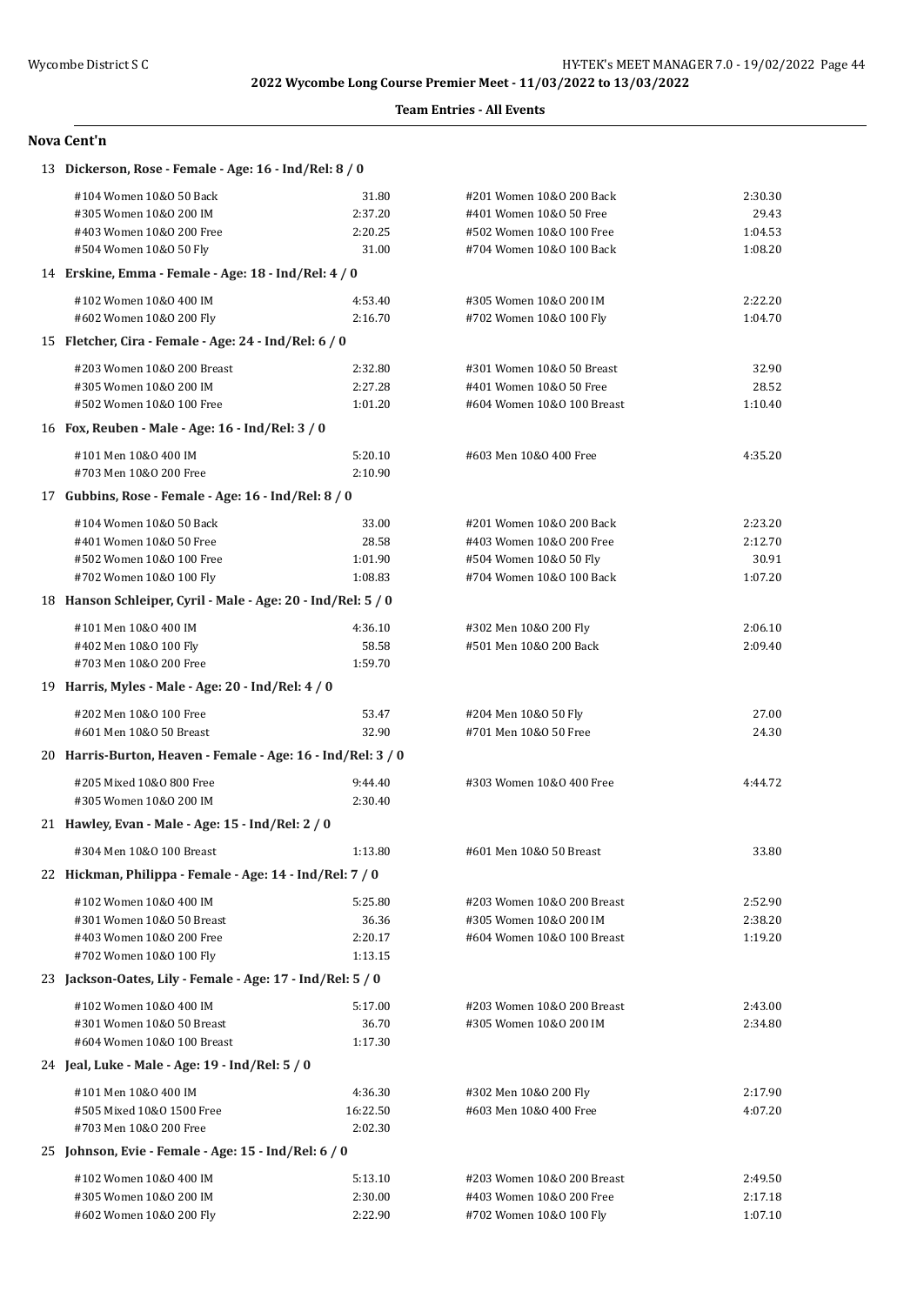### **Team Entries - All Events**

| 13 Dickerson, Rose - Female - Age: 16 - Ind/Rel: 8 / 0       |          |                            |         |
|--------------------------------------------------------------|----------|----------------------------|---------|
| #104 Women 10&0 50 Back                                      | 31.80    | #201 Women 10&0 200 Back   | 2:30.30 |
| #305 Women 10&0 200 IM                                       | 2:37.20  | #401 Women 10&0 50 Free    | 29.43   |
| #403 Women 10&0 200 Free                                     | 2:20.25  | #502 Women 10&0 100 Free   | 1:04.53 |
| #504 Women 10&0 50 Fly                                       | 31.00    | #704 Women 10&0 100 Back   | 1:08.20 |
| 14 Erskine, Emma - Female - Age: 18 - Ind/Rel: 4 / 0         |          |                            |         |
| #102 Women 10&0 400 IM                                       | 4:53.40  | #305 Women 10&0 200 IM     | 2:22.20 |
| #602 Women 10&0 200 Fly                                      | 2:16.70  | #702 Women 10&0 100 Fly    | 1:04.70 |
| 15 Fletcher, Cira - Female - Age: 24 - Ind/Rel: 6 / 0        |          |                            |         |
| #203 Women 10&0 200 Breast                                   | 2:32.80  | #301 Women 10&0 50 Breast  | 32.90   |
| #305 Women 10&0 200 IM                                       | 2:27.28  | #401 Women 10&0 50 Free    | 28.52   |
| #502 Women 10&0 100 Free                                     | 1:01.20  | #604 Women 10&0 100 Breast | 1:10.40 |
| 16 Fox, Reuben - Male - Age: 16 - Ind/Rel: 3 / 0             |          |                            |         |
| #101 Men 10&0 400 IM                                         | 5:20.10  | #603 Men 10&0 400 Free     | 4:35.20 |
| #703 Men 10&0 200 Free                                       | 2:10.90  |                            |         |
| 17 Gubbins, Rose - Female - Age: 16 - Ind/Rel: 8 / 0         |          |                            |         |
| #104 Women 10&0 50 Back                                      | 33.00    | #201 Women 10&0 200 Back   | 2:23.20 |
| #401 Women 10&0 50 Free                                      | 28.58    | #403 Women 10&0 200 Free   | 2:12.70 |
| #502 Women 10&0 100 Free                                     | 1:01.90  | #504 Women 10&0 50 Fly     | 30.91   |
| #702 Women 10&0 100 Fly                                      | 1:08.83  | #704 Women 10&0 100 Back   | 1:07.20 |
| 18 Hanson Schleiper, Cyril - Male - Age: 20 - Ind/Rel: 5 / 0 |          |                            |         |
| #101 Men 10&0 400 IM                                         | 4:36.10  | #302 Men 10&0 200 Fly      | 2:06.10 |
| #402 Men 10&0 100 Fly                                        | 58.58    | #501 Men 10&0 200 Back     | 2:09.40 |
| #703 Men 10&0 200 Free                                       | 1:59.70  |                            |         |
| 19 Harris, Myles - Male - Age: 20 - Ind/Rel: 4 / 0           |          |                            |         |
| #202 Men 10&0 100 Free                                       | 53.47    | #204 Men 10&0 50 Fly       | 27.00   |
| #601 Men 10&0 50 Breast                                      | 32.90    | #701 Men 10&0 50 Free      | 24.30   |
| 20 Harris-Burton, Heaven - Female - Age: 16 - Ind/Rel: 3 / 0 |          |                            |         |
| #205 Mixed 10&0 800 Free                                     | 9:44.40  | #303 Women 10&0 400 Free   | 4:44.72 |
| #305 Women 10&0 200 IM                                       | 2:30.40  |                            |         |
| 21 Hawley, Evan - Male - Age: 15 - Ind/Rel: 2 / 0            |          |                            |         |
| #304 Men 10&0 100 Breast                                     | 1:13.80  | #601 Men 10&0 50 Breast    | 33.80   |
| 22 Hickman, Philippa - Female - Age: 14 - Ind/Rel: 7 / 0     |          |                            |         |
| #102 Women 10&0 400 IM                                       | 5:25.80  | #203 Women 10&0 200 Breast | 2:52.90 |
| #301 Women 10&0 50 Breast                                    | 36.36    | #305 Women 10&0 200 IM     | 2:38.20 |
| #403 Women 10&0 200 Free                                     | 2:20.17  | #604 Women 10&0 100 Breast | 1:19.20 |
| #702 Women 10&0 100 Fly                                      | 1:13.15  |                            |         |
| 23 Jackson-Oates, Lily - Female - Age: 17 - Ind/Rel: 5 / 0   |          |                            |         |
| #102 Women 10&0 400 IM                                       | 5:17.00  | #203 Women 10&0 200 Breast | 2:43.00 |
| #301 Women 10&0 50 Breast                                    | 36.70    | #305 Women 10&0 200 IM     | 2:34.80 |
| #604 Women 10&0 100 Breast                                   | 1:17.30  |                            |         |
| 24 Jeal, Luke - Male - Age: 19 - Ind/Rel: 5 / 0              |          |                            |         |
| #101 Men 10&0 400 IM                                         | 4:36.30  | #302 Men 10&0 200 Fly      | 2:17.90 |
| #505 Mixed 10&0 1500 Free                                    | 16:22.50 | #603 Men 10&0 400 Free     | 4:07.20 |
| #703 Men 10&0 200 Free                                       | 2:02.30  |                            |         |
| 25 Johnson, Evie - Female - Age: 15 - Ind/Rel: 6 / 0         |          |                            |         |
| #102 Women 10&0 400 IM                                       | 5:13.10  | #203 Women 10&0 200 Breast | 2:49.50 |
| #305 Women 10&0 200 IM                                       | 2:30.00  | #403 Women 10&0 200 Free   | 2:17.18 |
| #602 Women 10&0 200 Fly                                      | 2:22.90  | #702 Women 10&0 100 Fly    | 1:07.10 |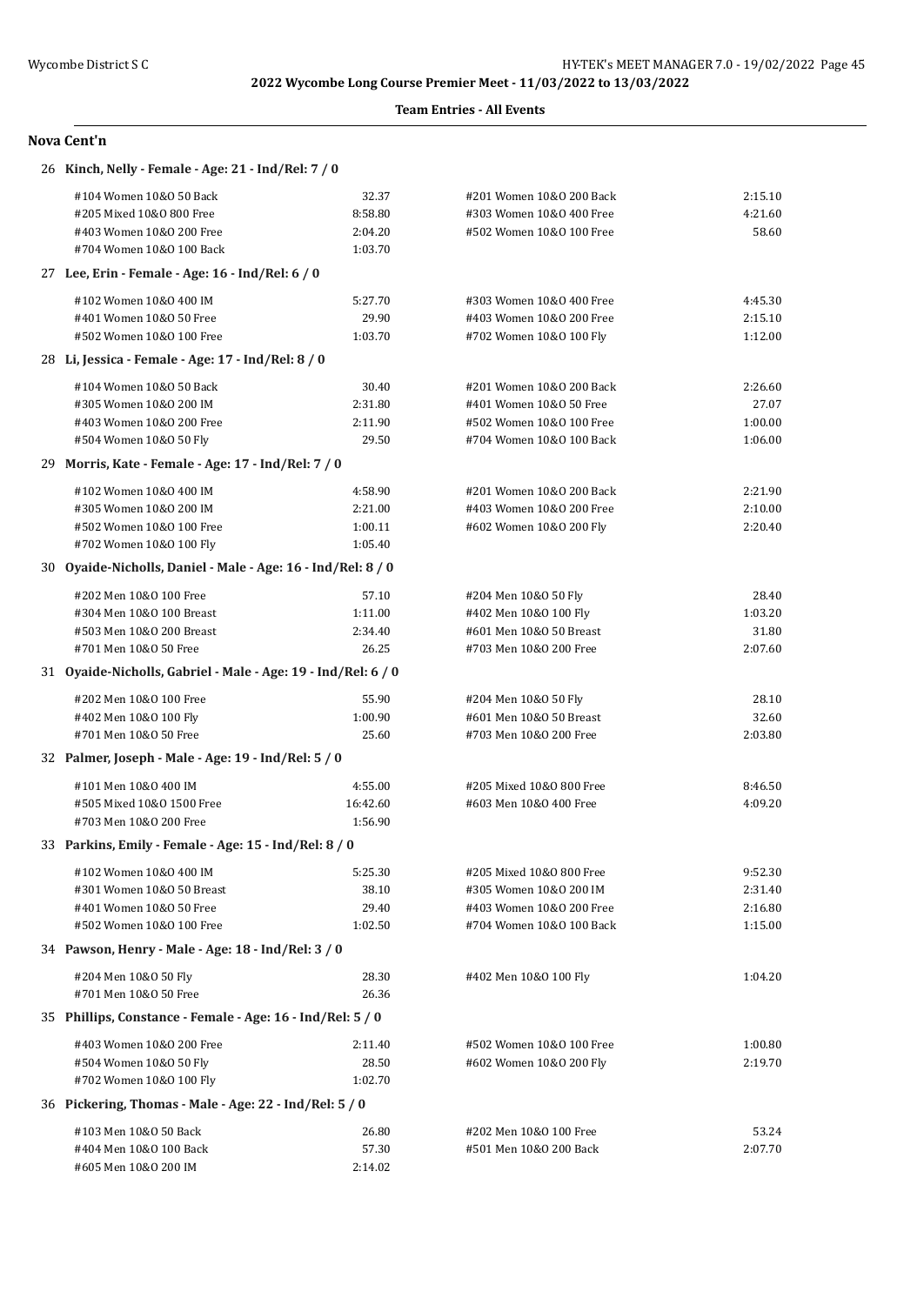### **Team Entries - All Events**

| 26 Kinch, Nelly - Female - Age: 21 - Ind/Rel: 7 / 0           |          |                          |         |
|---------------------------------------------------------------|----------|--------------------------|---------|
| #104 Women 10&0 50 Back                                       | 32.37    | #201 Women 10&0 200 Back | 2:15.10 |
| #205 Mixed 10&0 800 Free                                      | 8:58.80  | #303 Women 10&0 400 Free | 4:21.60 |
| #403 Women 10&0 200 Free                                      | 2:04.20  | #502 Women 10&0 100 Free | 58.60   |
| #704 Women 10&0 100 Back                                      | 1:03.70  |                          |         |
| 27 Lee, Erin - Female - Age: 16 - Ind/Rel: 6 / 0              |          |                          |         |
| #102 Women 10&0 400 IM                                        | 5:27.70  | #303 Women 10&0 400 Free | 4:45.30 |
| #401 Women 10&0 50 Free                                       | 29.90    | #403 Women 10&0 200 Free | 2:15.10 |
| #502 Women 10&0 100 Free                                      | 1:03.70  | #702 Women 10&0 100 Fly  | 1:12.00 |
| 28 Li, Jessica - Female - Age: 17 - Ind/Rel: 8 / 0            |          |                          |         |
| #104 Women 10&0 50 Back                                       | 30.40    | #201 Women 10&0 200 Back | 2:26.60 |
| #305 Women 10&0 200 IM                                        | 2:31.80  | #401 Women 10&0 50 Free  | 27.07   |
| #403 Women 10&0 200 Free                                      | 2:11.90  | #502 Women 10&0 100 Free | 1:00.00 |
| #504 Women 10&0 50 Fly                                        | 29.50    | #704 Women 10&0 100 Back | 1:06.00 |
| 29 Morris, Kate - Female - Age: 17 - Ind/Rel: 7 / 0           |          |                          |         |
| #102 Women 10&0 400 IM                                        | 4:58.90  | #201 Women 10&0 200 Back | 2:21.90 |
| #305 Women 10&0 200 IM                                        | 2:21.00  | #403 Women 10&0 200 Free | 2:10.00 |
| #502 Women 10&0 100 Free                                      | 1:00.11  | #602 Women 10&0 200 Fly  | 2:20.40 |
| #702 Women 10&0 100 Fly                                       | 1:05.40  |                          |         |
| 30 Oyaide-Nicholls, Daniel - Male - Age: 16 - Ind/Rel: 8 / 0  |          |                          |         |
| #202 Men 10&0 100 Free                                        | 57.10    | #204 Men 10&0 50 Fly     | 28.40   |
| #304 Men 10&0 100 Breast                                      | 1:11.00  | #402 Men 10&0 100 Fly    | 1:03.20 |
| #503 Men 10&0 200 Breast                                      | 2:34.40  | #601 Men 10&0 50 Breast  | 31.80   |
| #701 Men 10&0 50 Free                                         | 26.25    | #703 Men 10&0 200 Free   | 2:07.60 |
| 31 Oyaide-Nicholls, Gabriel - Male - Age: 19 - Ind/Rel: 6 / 0 |          |                          |         |
| #202 Men 10&0 100 Free                                        | 55.90    | #204 Men 10&0 50 Fly     | 28.10   |
| #402 Men 10&0 100 Fly                                         | 1:00.90  | #601 Men 10&0 50 Breast  | 32.60   |
| #701 Men 10&0 50 Free                                         | 25.60    | #703 Men 10&0 200 Free   | 2:03.80 |
| 32 Palmer, Joseph - Male - Age: 19 - Ind/Rel: 5 / 0           |          |                          |         |
| #101 Men 10&0 400 IM                                          | 4:55.00  | #205 Mixed 10&0 800 Free | 8:46.50 |
| #505 Mixed 10&0 1500 Free                                     | 16:42.60 | #603 Men 10&0 400 Free   | 4:09.20 |
| #703 Men 10&0 200 Free                                        | 1:56.90  |                          |         |
| 33 Parkins, Emily - Female - Age: 15 - Ind/Rel: 8 / 0         |          |                          |         |
| #102 Women 10&0 400 IM                                        | 5:25.30  | #205 Mixed 10&0 800 Free | 9:52.30 |
| #301 Women 10&0 50 Breast                                     | 38.10    | #305 Women 10&0 200 IM   | 2:31.40 |
| #401 Women 10&0 50 Free                                       | 29.40    | #403 Women 10&0 200 Free | 2:16.80 |
| #502 Women 10&0 100 Free                                      | 1:02.50  | #704 Women 10&0 100 Back | 1:15.00 |
| 34 Pawson, Henry - Male - Age: 18 - Ind/Rel: 3 / 0            |          |                          |         |
| #204 Men 10&0 50 Fly                                          | 28.30    | #402 Men 10&0 100 Fly    | 1:04.20 |
| #701 Men 10&0 50 Free                                         | 26.36    |                          |         |
| 35 Phillips, Constance - Female - Age: 16 - Ind/Rel: 5 / 0    |          |                          |         |
| #403 Women 10&0 200 Free                                      | 2:11.40  | #502 Women 10&0 100 Free | 1:00.80 |
| #504 Women 10&0 50 Fly                                        | 28.50    | #602 Women 10&0 200 Fly  | 2:19.70 |
| #702 Women 10&0 100 Fly                                       | 1:02.70  |                          |         |
| 36 Pickering, Thomas - Male - Age: 22 - Ind/Rel: 5 / 0        |          |                          |         |
| #103 Men 10&0 50 Back                                         | 26.80    | #202 Men 10&0 100 Free   | 53.24   |
| #404 Men 10&0 100 Back                                        | 57.30    | #501 Men 10&0 200 Back   | 2:07.70 |
| #605 Men 10&0 200 IM                                          | 2:14.02  |                          |         |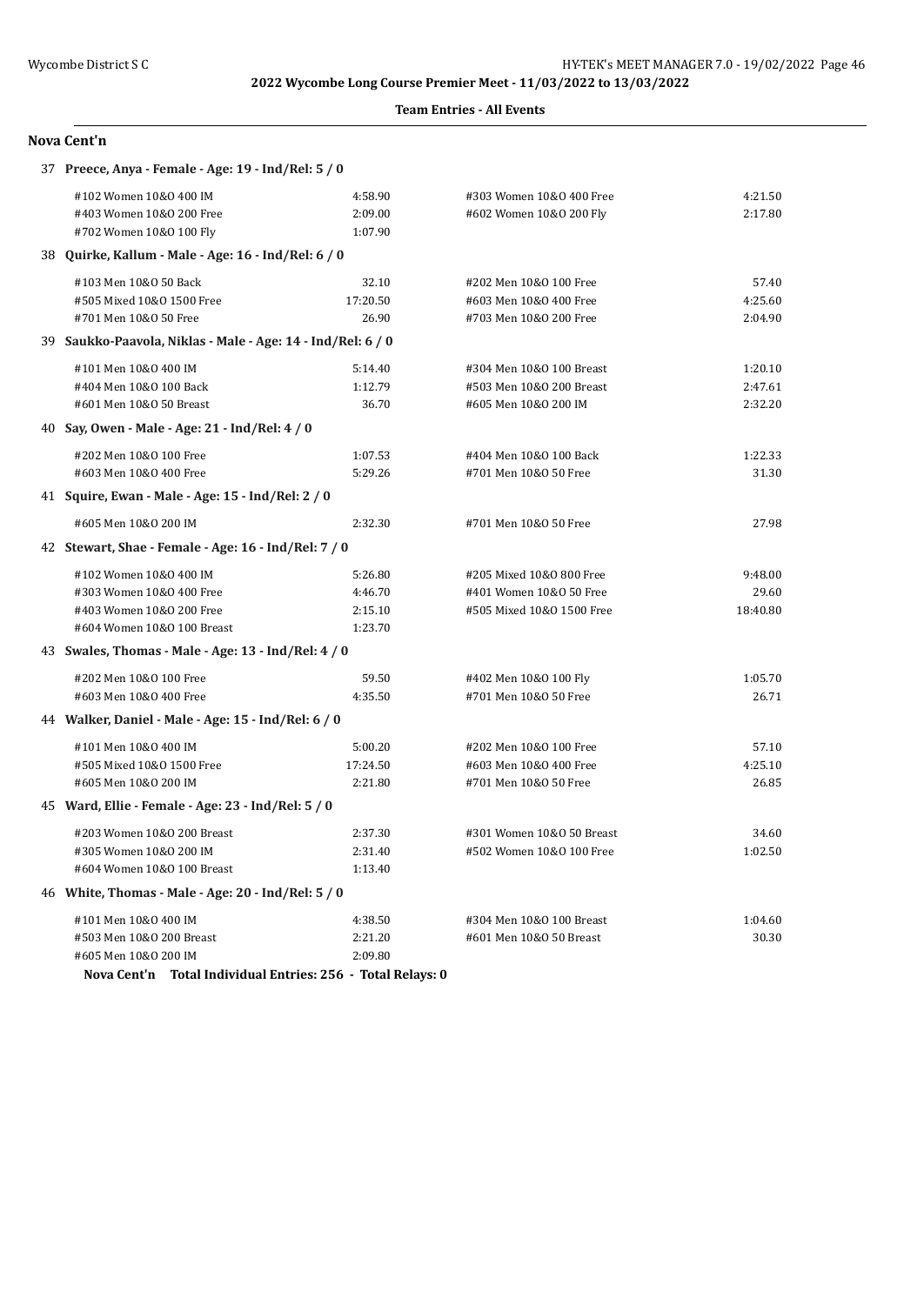### **Team Entries - All Events**

| 37 Preece, Anya - Female - Age: 19 - Ind/Rel: 5 / 0         |          |                           |          |  |
|-------------------------------------------------------------|----------|---------------------------|----------|--|
| #102 Women 10&0 400 IM                                      | 4:58.90  | #303 Women 10&0 400 Free  | 4:21.50  |  |
| #403 Women 10&0 200 Free                                    | 2:09.00  | #602 Women 10&0 200 Fly   | 2:17.80  |  |
| #702 Women 10&0 100 Fly                                     | 1:07.90  |                           |          |  |
| 38 Quirke, Kallum - Male - Age: 16 - Ind/Rel: 6 / 0         |          |                           |          |  |
| #103 Men 10&0 50 Back                                       | 32.10    | #202 Men 10&0 100 Free    | 57.40    |  |
| #505 Mixed 10&0 1500 Free                                   | 17:20.50 | #603 Men 10&0 400 Free    | 4:25.60  |  |
| #701 Men 10&0 50 Free                                       | 26.90    | #703 Men 10&0 200 Free    | 2:04.90  |  |
| 39 Saukko-Paavola, Niklas - Male - Age: 14 - Ind/Rel: 6 / 0 |          |                           |          |  |
| #101 Men 10&0 400 IM                                        | 5:14.40  | #304 Men 10&0 100 Breast  | 1:20.10  |  |
| #404 Men 10&0 100 Back                                      | 1:12.79  | #503 Men 10&0 200 Breast  | 2:47.61  |  |
| #601 Men 10&0 50 Breast                                     | 36.70    | #605 Men 10&0 200 IM      | 2:32.20  |  |
| 40 Say, Owen - Male - Age: 21 - Ind/Rel: 4 / 0              |          |                           |          |  |
| #202 Men 10&0 100 Free                                      | 1:07.53  | #404 Men 10&0 100 Back    | 1:22.33  |  |
| #603 Men 10&0 400 Free                                      | 5:29.26  | #701 Men 10&0 50 Free     | 31.30    |  |
| 41 Squire, Ewan - Male - Age: 15 - Ind/Rel: 2 / 0           |          |                           |          |  |
| #605 Men 10&0 200 IM                                        | 2:32.30  | #701 Men 10&0 50 Free     | 27.98    |  |
| 42 Stewart, Shae - Female - Age: 16 - Ind/Rel: 7 / 0        |          |                           |          |  |
| #102 Women 10&0 400 IM                                      | 5:26.80  | #205 Mixed 10&0 800 Free  | 9:48.00  |  |
| #303 Women 10&0 400 Free                                    | 4:46.70  | #401 Women 10&0 50 Free   | 29.60    |  |
| #403 Women 10&0 200 Free                                    | 2:15.10  | #505 Mixed 10&0 1500 Free | 18:40.80 |  |
| #604 Women 10&0 100 Breast                                  | 1:23.70  |                           |          |  |
| 43 Swales, Thomas - Male - Age: 13 - Ind/Rel: 4 / 0         |          |                           |          |  |
| #202 Men 10&0 100 Free                                      | 59.50    | #402 Men 10&0 100 Fly     | 1:05.70  |  |
| #603 Men 10&0 400 Free                                      | 4:35.50  | #701 Men 10&0 50 Free     | 26.71    |  |
| 44 Walker, Daniel - Male - Age: 15 - Ind/Rel: 6 / 0         |          |                           |          |  |
| #101 Men 10&0 400 IM                                        | 5:00.20  | #202 Men 10&0 100 Free    | 57.10    |  |
| #505 Mixed 10&0 1500 Free                                   | 17:24.50 | #603 Men 10&0 400 Free    | 4:25.10  |  |
| #605 Men 10&0 200 IM                                        | 2:21.80  | #701 Men 10&0 50 Free     | 26.85    |  |
| 45 Ward, Ellie - Female - Age: 23 - Ind/Rel: 5 / 0          |          |                           |          |  |
| #203 Women 10&0 200 Breast                                  | 2:37.30  | #301 Women 10&0 50 Breast | 34.60    |  |
| #305 Women 10&0 200 IM                                      | 2:31.40  | #502 Women 10&0 100 Free  | 1:02.50  |  |
| #604 Women 10&0 100 Breast                                  | 1:13.40  |                           |          |  |
| 46 White, Thomas - Male - Age: 20 - Ind/Rel: 5 / 0          |          |                           |          |  |
| #101 Men 10&0 400 IM                                        | 4:38.50  | #304 Men 10&0 100 Breast  | 1:04.60  |  |
| #503 Men 10&0 200 Breast                                    | 2:21.20  | #601 Men 10&0 50 Breast   | 30.30    |  |
| #605 Men 10&0 200 IM                                        | 2:09.80  |                           |          |  |
| Nova Cent'n Total Individual Entries: 256 - Total Relays: 0 |          |                           |          |  |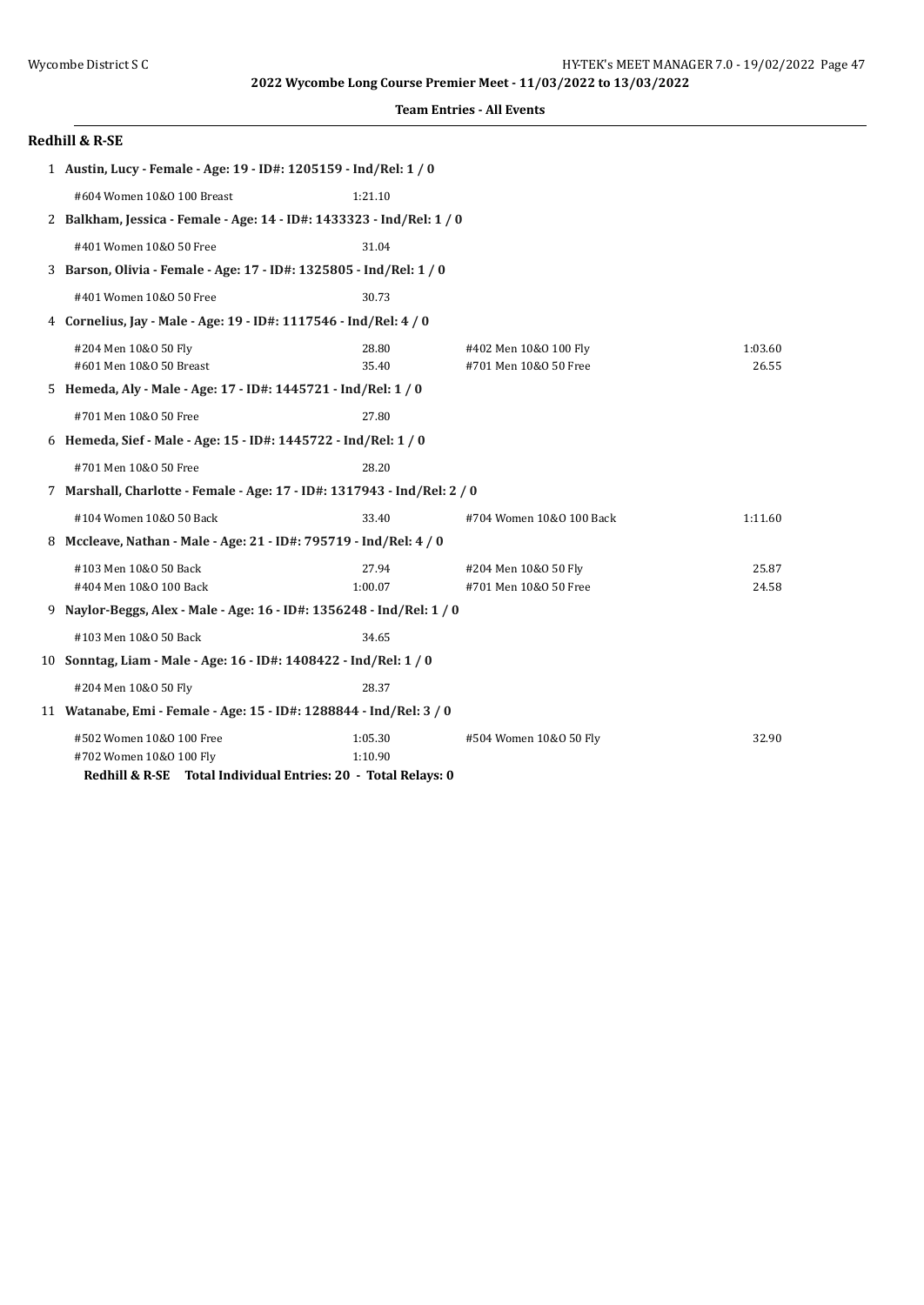| <b>Team Entries - All Events</b> |  |  |
|----------------------------------|--|--|
|----------------------------------|--|--|

| <b>Redhill &amp; R-SE</b>                                                |         |                          |         |
|--------------------------------------------------------------------------|---------|--------------------------|---------|
| 1 Austin, Lucy - Female - Age: 19 - ID#: 1205159 - Ind/Rel: 1 / 0        |         |                          |         |
| #604 Women 10&0 100 Breast                                               | 1:21.10 |                          |         |
| 2 Balkham, Jessica - Female - Age: 14 - ID#: 1433323 - Ind/Rel: 1 / 0    |         |                          |         |
| #401 Women 10&0 50 Free                                                  | 31.04   |                          |         |
| 3 Barson, Olivia - Female - Age: 17 - ID#: 1325805 - Ind/Rel: 1 / 0      |         |                          |         |
| #401 Women 10&0 50 Free                                                  | 30.73   |                          |         |
| 4 Cornelius, Jay - Male - Age: 19 - ID#: 1117546 - Ind/Rel: 4 / 0        |         |                          |         |
| #204 Men 10&0 50 Fly                                                     | 28.80   | #402 Men 10&0 100 Fly    | 1:03.60 |
| #601 Men 10&0 50 Breast                                                  | 35.40   | #701 Men 10&0 50 Free    | 26.55   |
| 5 Hemeda, Aly - Male - Age: 17 - ID#: 1445721 - Ind/Rel: 1 / 0           |         |                          |         |
| #701 Men 10&0 50 Free                                                    | 27.80   |                          |         |
| 6 Hemeda, Sief - Male - Age: 15 - ID#: 1445722 - Ind/Rel: 1 / 0          |         |                          |         |
| #701 Men 10&0 50 Free                                                    | 28.20   |                          |         |
| 7 Marshall, Charlotte - Female - Age: 17 - ID#: 1317943 - Ind/Rel: 2 / 0 |         |                          |         |
| #104 Women 10&0 50 Back                                                  | 33.40   | #704 Women 10&0 100 Back | 1:11.60 |
| 8 Mccleave, Nathan - Male - Age: 21 - ID#: 795719 - Ind/Rel: 4 / 0       |         |                          |         |
| #103 Men 10&0 50 Back                                                    | 27.94   | #204 Men 10&0 50 Fly     | 25.87   |
| #404 Men 10&0 100 Back                                                   | 1:00.07 | #701 Men 10&0 50 Free    | 24.58   |
| 9 Naylor-Beggs, Alex - Male - Age: 16 - ID#: 1356248 - Ind/Rel: 1 / 0    |         |                          |         |
| #103 Men 10&0 50 Back                                                    | 34.65   |                          |         |
| 10 Sonntag, Liam - Male - Age: 16 - ID#: 1408422 - Ind/Rel: 1 / 0        |         |                          |         |
| #204 Men 10&0 50 Fly                                                     | 28.37   |                          |         |
| 11 Watanabe, Emi - Female - Age: 15 - ID#: 1288844 - Ind/Rel: 3 / 0      |         |                          |         |
| #502 Women 10&0 100 Free                                                 | 1:05.30 | #504 Women 10&0 50 Fly   | 32.90   |
| #702 Women 10&0 100 Fly                                                  | 1:10.90 |                          |         |
| Redhill & R-SE Total Individual Entries: 20 - Total Relays: 0            |         |                          |         |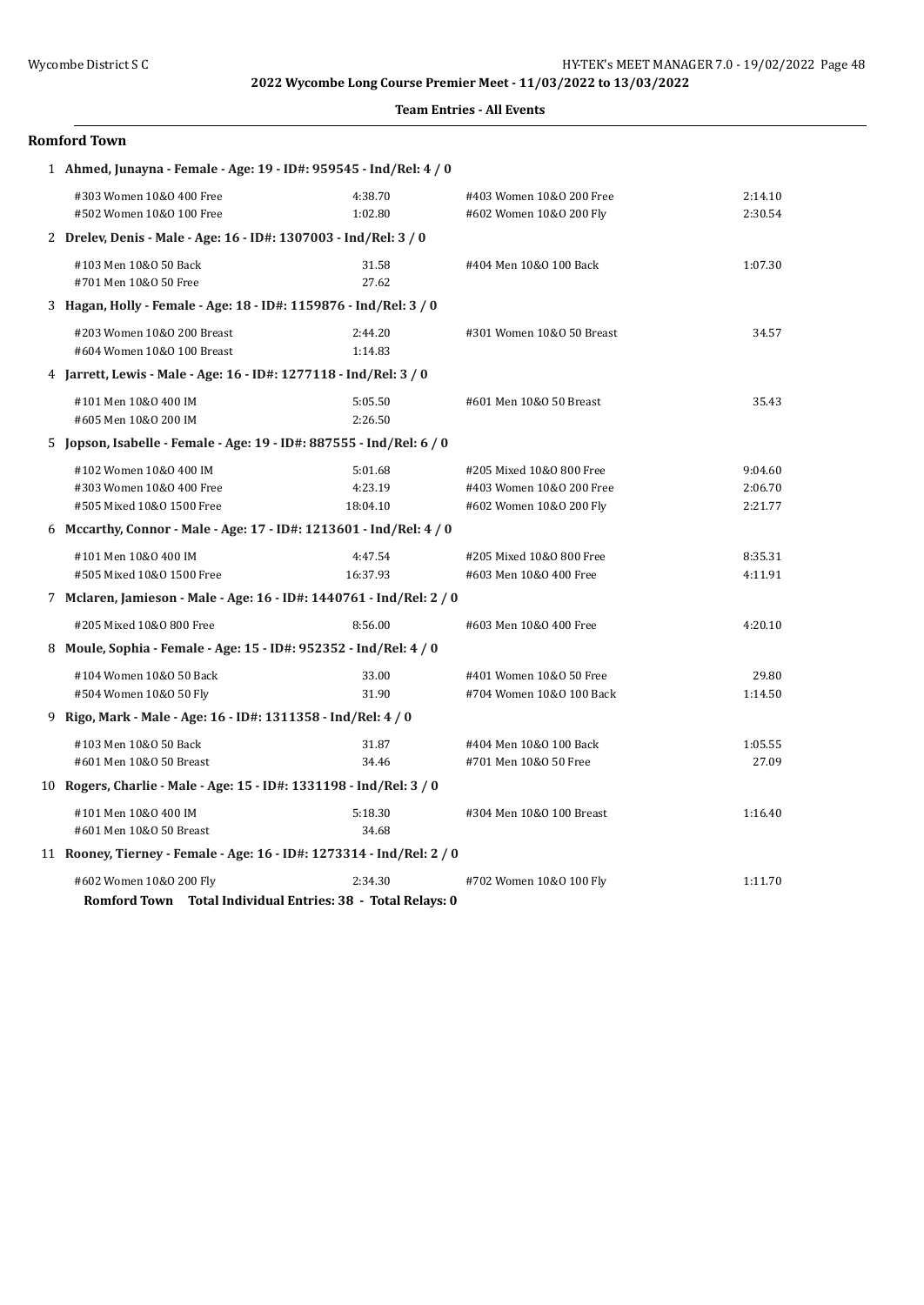| <b>Team Entries - All Events</b> |  |  |
|----------------------------------|--|--|
|----------------------------------|--|--|

## **Romford Town**

| 1 Ahmed, Junayna - Female - Age: 19 - ID#: 959545 - Ind/Rel: 4 / 0    |          |                           |         |
|-----------------------------------------------------------------------|----------|---------------------------|---------|
| #303 Women 10&0 400 Free                                              | 4:38.70  | #403 Women 10&0 200 Free  | 2:14.10 |
| #502 Women 10&0 100 Free                                              | 1:02.80  | #602 Women 10&0 200 Fly   | 2:30.54 |
| 2 Drelev, Denis - Male - Age: 16 - ID#: 1307003 - Ind/Rel: 3 / 0      |          |                           |         |
| #103 Men 10&0 50 Back                                                 | 31.58    | #404 Men 10&0 100 Back    | 1:07.30 |
| #701 Men 10&0 50 Free                                                 | 27.62    |                           |         |
| 3 Hagan, Holly - Female - Age: 18 - ID#: 1159876 - Ind/Rel: 3 / 0     |          |                           |         |
| #203 Women 10&0 200 Breast                                            | 2:44.20  | #301 Women 10&0 50 Breast | 34.57   |
| #604 Women 10&0 100 Breast                                            | 1:14.83  |                           |         |
| 4 Jarrett, Lewis - Male - Age: 16 - ID#: 1277118 - Ind/Rel: 3 / 0     |          |                           |         |
| #101 Men 10&0 400 IM                                                  | 5:05.50  | #601 Men 10&0 50 Breast   | 35.43   |
| #605 Men 10&0 200 IM                                                  | 2:26.50  |                           |         |
| 5 Jopson, Isabelle - Female - Age: 19 - ID#: 887555 - Ind/Rel: 6 / 0  |          |                           |         |
| #102 Women 10&0 400 IM                                                | 5:01.68  | #205 Mixed 10&0 800 Free  | 9:04.60 |
| #303 Women 10&0 400 Free                                              | 4:23.19  | #403 Women 10&0 200 Free  | 2:06.70 |
| #505 Mixed 10&0 1500 Free                                             | 18:04.10 | #602 Women 10&0 200 Fly   | 2:21.77 |
| 6 Mccarthy, Connor - Male - Age: 17 - ID#: 1213601 - Ind/Rel: 4 / 0   |          |                           |         |
| #101 Men 10&0 400 IM                                                  | 4:47.54  | #205 Mixed 10&0 800 Free  | 8:35.31 |
| #505 Mixed 10&0 1500 Free                                             | 16:37.93 | #603 Men 10&0 400 Free    | 4:11.91 |
| 7 Mclaren, Jamieson - Male - Age: 16 - ID#: 1440761 - Ind/Rel: 2 / 0  |          |                           |         |
| #205 Mixed 10&0 800 Free                                              | 8:56.00  | #603 Men 10&0 400 Free    | 4:20.10 |
| 8 Moule, Sophia - Female - Age: 15 - ID#: 952352 - Ind/Rel: 4 / 0     |          |                           |         |
| #104 Women 10&0 50 Back                                               | 33.00    | #401 Women 10&0 50 Free   | 29.80   |
| #504 Women 10&0 50 Fly                                                | 31.90    | #704 Women 10&0 100 Back  | 1:14.50 |
| 9 Rigo, Mark - Male - Age: 16 - ID#: 1311358 - Ind/Rel: 4 / 0         |          |                           |         |
| #103 Men 10&0 50 Back                                                 | 31.87    | #404 Men 10&0 100 Back    | 1:05.55 |
| #601 Men 10&0 50 Breast                                               | 34.46    | #701 Men 10&0 50 Free     | 27.09   |
| 10 Rogers, Charlie - Male - Age: 15 - ID#: 1331198 - Ind/Rel: 3 / 0   |          |                           |         |
| #101 Men 10&0 400 IM                                                  | 5:18.30  | #304 Men 10&0 100 Breast  | 1:16.40 |
| #601 Men 10&0 50 Breast                                               | 34.68    |                           |         |
| 11 Rooney, Tierney - Female - Age: 16 - ID#: 1273314 - Ind/Rel: 2 / 0 |          |                           |         |
| #602 Women 10&0 200 Fly                                               | 2:34.30  | #702 Women 10&0 100 Fly   | 1:11.70 |
| Romford Town Total Individual Entries: 38 - Total Relays: 0           |          |                           |         |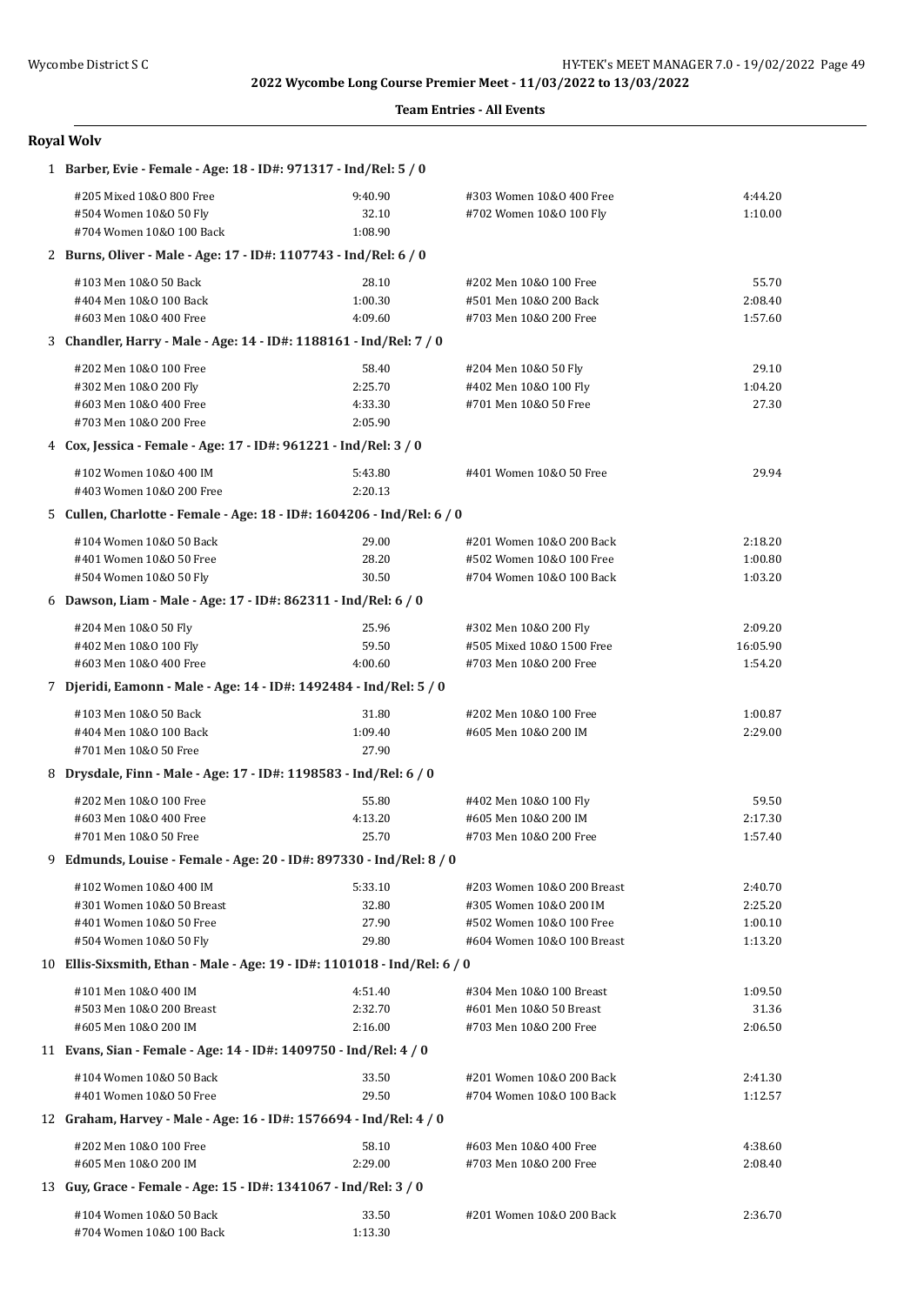#### **Team Entries - All Events**

# **Royal Wolv**

| 1 Barber, Evie - Female - Age: 18 - ID#: 971317 - Ind/Rel: 5 / 0          |                  |                                                  |          |
|---------------------------------------------------------------------------|------------------|--------------------------------------------------|----------|
| #205 Mixed 10&0 800 Free                                                  | 9:40.90          | #303 Women 10&0 400 Free                         | 4:44.20  |
| #504 Women 10&0 50 Fly                                                    | 32.10            | #702 Women 10&0 100 Fly                          | 1:10.00  |
| #704 Women 10&0 100 Back                                                  | 1:08.90          |                                                  |          |
| 2 Burns, Oliver - Male - Age: 17 - ID#: 1107743 - Ind/Rel: 6 / 0          |                  |                                                  |          |
| #103 Men 10&0 50 Back                                                     | 28.10            | #202 Men 10&0 100 Free                           | 55.70    |
| #404 Men 10&0 100 Back                                                    | 1:00.30          | #501 Men 10&0 200 Back                           | 2:08.40  |
| #603 Men 10&0 400 Free                                                    | 4:09.60          | #703 Men 10&0 200 Free                           | 1:57.60  |
| 3 Chandler, Harry - Male - Age: 14 - ID#: 1188161 - Ind/Rel: 7 / 0        |                  |                                                  |          |
| #202 Men 10&0 100 Free                                                    | 58.40            | #204 Men 10&0 50 Fly                             | 29.10    |
| #302 Men 10&0 200 Fly                                                     | 2:25.70          | #402 Men 10&0 100 Fly                            | 1:04.20  |
| #603 Men 10&0 400 Free                                                    | 4:33.30          | #701 Men 10&0 50 Free                            | 27.30    |
| #703 Men 10&0 200 Free                                                    | 2:05.90          |                                                  |          |
| 4 Cox, Jessica - Female - Age: 17 - ID#: 961221 - Ind/Rel: 3 / 0          |                  |                                                  |          |
| #102 Women 10&0 400 IM                                                    | 5:43.80          | #401 Women 10&0 50 Free                          | 29.94    |
| #403 Women 10&0 200 Free                                                  | 2:20.13          |                                                  |          |
| 5 Cullen, Charlotte - Female - Age: 18 - ID#: 1604206 - Ind/Rel: 6 / 0    |                  |                                                  |          |
| #104 Women 10&0 50 Back                                                   | 29.00            | #201 Women 10&0 200 Back                         | 2:18.20  |
| #401 Women 10&0 50 Free                                                   | 28.20            | #502 Women 10&0 100 Free                         | 1:00.80  |
| #504 Women 10&0 50 Fly                                                    | 30.50            | #704 Women 10&0 100 Back                         | 1:03.20  |
| 6 Dawson, Liam - Male - Age: 17 - ID#: 862311 - Ind/Rel: 6 / 0            |                  |                                                  |          |
| #204 Men 10&0 50 Fly                                                      | 25.96            | #302 Men 10&0 200 Fly                            | 2:09.20  |
| #402 Men 10&0 100 Fly                                                     | 59.50            | #505 Mixed 10&0 1500 Free                        | 16:05.90 |
| #603 Men 10&0 400 Free                                                    | 4:00.60          | #703 Men 10&0 200 Free                           | 1:54.20  |
| 7 Djeridi, Eamonn - Male - Age: 14 - ID#: 1492484 - Ind/Rel: 5 / 0        |                  |                                                  |          |
| #103 Men 10&0 50 Back                                                     | 31.80            | #202 Men 10&0 100 Free                           | 1:00.87  |
| #404 Men 10&0 100 Back                                                    | 1:09.40          | #605 Men 10&0 200 IM                             | 2:29.00  |
| #701 Men 10&0 50 Free                                                     | 27.90            |                                                  |          |
| 8 Drysdale, Finn - Male - Age: 17 - ID#: 1198583 - Ind/Rel: 6 / 0         |                  |                                                  |          |
| #202 Men 10&0 100 Free                                                    | 55.80            | #402 Men 10&0 100 Fly                            | 59.50    |
| #603 Men 10&0 400 Free                                                    | 4:13.20          | #605 Men 10&0 200 IM                             | 2:17.30  |
| #701 Men 10&0 50 Free                                                     | 25.70            | #703 Men 10&0 200 Free                           | 1:57.40  |
| 9 Edmunds, Louise - Female - Age: 20 - ID#: 897330 - Ind/Rel: 8 / 0       |                  |                                                  |          |
| #102 Women 10&0 400 IM                                                    | 5:33.10          | #203 Women 10&0 200 Breast                       | 2:40.70  |
| #301 Women 10&0 50 Breast                                                 | 32.80            | #305 Women 10&0 200 IM                           | 2:25.20  |
| #401 Women 10&0 50 Free                                                   | 27.90            | #502 Women 10&0 100 Free                         | 1:00.10  |
| #504 Women 10&0 50 Fly                                                    | 29.80            | #604 Women 10&0 100 Breast                       | 1:13.20  |
| 10 Ellis-Sixsmith, Ethan - Male - Age: 19 - ID#: 1101018 - Ind/Rel: 6 / 0 |                  |                                                  |          |
| #101 Men 10&0 400 IM                                                      | 4:51.40          | #304 Men 10&0 100 Breast                         | 1:09.50  |
| #503 Men 10&0 200 Breast                                                  | 2:32.70          | #601 Men 10&0 50 Breast                          | 31.36    |
| #605 Men 10&0 200 IM                                                      | 2:16.00          | #703 Men 10&0 200 Free                           | 2:06.50  |
| 11 Evans, Sian - Female - Age: 14 - ID#: 1409750 - Ind/Rel: 4 / 0         |                  |                                                  |          |
| #104 Women 10&0 50 Back                                                   | 33.50            | #201 Women 10&0 200 Back                         | 2:41.30  |
| #401 Women 10&0 50 Free                                                   | 29.50            | #704 Women 10&0 100 Back                         | 1:12.57  |
| 12 Graham, Harvey - Male - Age: 16 - ID#: 1576694 - Ind/Rel: 4 / 0        |                  |                                                  |          |
| #202 Men 10&0 100 Free                                                    |                  |                                                  | 4:38.60  |
| #605 Men 10&0 200 IM                                                      | 58.10<br>2:29.00 | #603 Men 10&0 400 Free<br>#703 Men 10&0 200 Free | 2:08.40  |
|                                                                           |                  |                                                  |          |
| 13 Guy, Grace - Female - Age: 15 - ID#: 1341067 - Ind/Rel: 3 / 0          |                  |                                                  |          |
| #104 Women 10&0 50 Back                                                   | 33.50            | #201 Women 10&0 200 Back                         | 2:36.70  |
| #704 Women 10&0 100 Back                                                  | 1:13.30          |                                                  |          |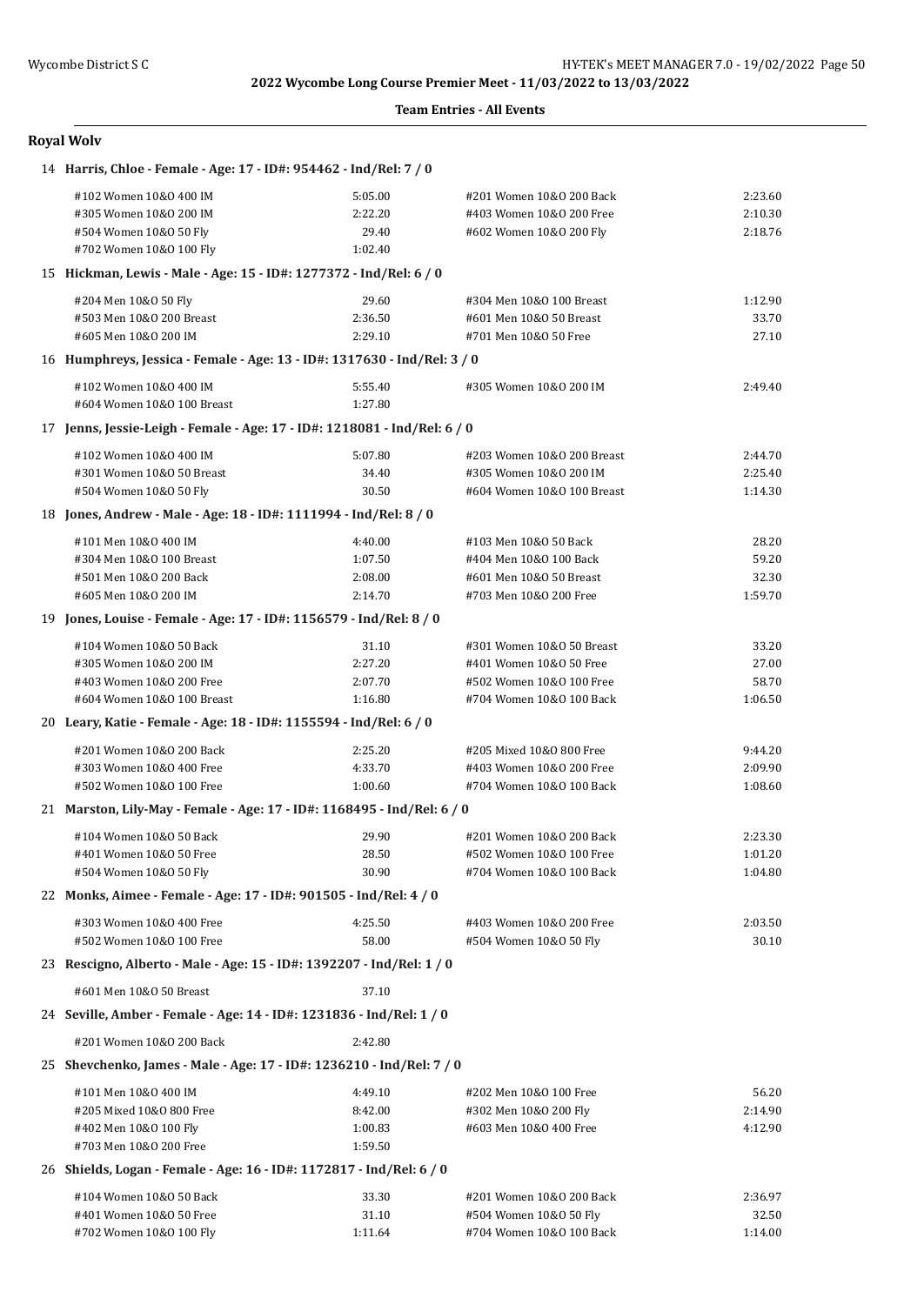### **Team Entries - All Events**

| <b>Royal Wolv</b> |  |
|-------------------|--|
|-------------------|--|

| 14 Harris, Chloe - Female - Age: 17 - ID#: 954462 - Ind/Rel: 7 / 0        |         |                            |         |  |  |
|---------------------------------------------------------------------------|---------|----------------------------|---------|--|--|
| #102 Women 10&0 400 IM                                                    | 5:05.00 | #201 Women 10&0 200 Back   | 2:23.60 |  |  |
| #305 Women 10&0 200 IM                                                    | 2:22.20 | #403 Women 10&0 200 Free   | 2:10.30 |  |  |
| #504 Women 10&0 50 Fly                                                    | 29.40   | #602 Women 10&0 200 Fly    | 2:18.76 |  |  |
| #702 Women 10&0 100 Fly                                                   | 1:02.40 |                            |         |  |  |
| 15 Hickman, Lewis - Male - Age: 15 - ID#: 1277372 - Ind/Rel: 6 / 0        |         |                            |         |  |  |
| #204 Men 10&0 50 Fly                                                      | 29.60   | #304 Men 10&0 100 Breast   | 1:12.90 |  |  |
| #503 Men 10&0 200 Breast                                                  | 2:36.50 | #601 Men 10&0 50 Breast    | 33.70   |  |  |
| #605 Men 10&0 200 IM                                                      | 2:29.10 | #701 Men 10&0 50 Free      | 27.10   |  |  |
| 16 Humphreys, Jessica - Female - Age: 13 - ID#: 1317630 - Ind/Rel: 3 / 0  |         |                            |         |  |  |
| #102 Women 10&0 400 IM                                                    | 5:55.40 | #305 Women 10&0 200 IM     | 2:49.40 |  |  |
| #604 Women 10&0 100 Breast                                                | 1:27.80 |                            |         |  |  |
| 17 Jenns, Jessie-Leigh - Female - Age: 17 - ID#: 1218081 - Ind/Rel: 6 / 0 |         |                            |         |  |  |
| #102 Women 10&0 400 IM                                                    | 5:07.80 | #203 Women 10&0 200 Breast | 2:44.70 |  |  |
| #301 Women 10&0 50 Breast                                                 | 34.40   | #305 Women 10&0 200 IM     | 2:25.40 |  |  |
| #504 Women 10&0 50 Fly                                                    | 30.50   | #604 Women 10&0 100 Breast | 1:14.30 |  |  |
| 18 Jones, Andrew - Male - Age: 18 - ID#: 1111994 - Ind/Rel: 8 / 0         |         |                            |         |  |  |
| #101 Men 10&0 400 IM                                                      | 4:40.00 | #103 Men 10&0 50 Back      | 28.20   |  |  |
| #304 Men 10&0 100 Breast                                                  | 1:07.50 | #404 Men 10&0 100 Back     | 59.20   |  |  |
| #501 Men 10&0 200 Back                                                    | 2:08.00 | #601 Men 10&0 50 Breast    | 32.30   |  |  |
| #605 Men 10&0 200 IM                                                      | 2:14.70 | #703 Men 10&0 200 Free     | 1:59.70 |  |  |
| 19 Jones, Louise - Female - Age: 17 - ID#: 1156579 - Ind/Rel: 8 / 0       |         |                            |         |  |  |
| #104 Women 10&0 50 Back                                                   | 31.10   | #301 Women 10&0 50 Breast  | 33.20   |  |  |
| #305 Women 10&0 200 IM                                                    | 2:27.20 | #401 Women 10&0 50 Free    | 27.00   |  |  |
| #403 Women 10&0 200 Free                                                  | 2:07.70 | #502 Women 10&0 100 Free   | 58.70   |  |  |
| #604 Women 10&0 100 Breast                                                | 1:16.80 | #704 Women 10&0 100 Back   | 1:06.50 |  |  |
| 20 Leary, Katie - Female - Age: 18 - ID#: 1155594 - Ind/Rel: 6 / 0        |         |                            |         |  |  |
| #201 Women 10&0 200 Back                                                  | 2:25.20 | #205 Mixed 10&0 800 Free   | 9:44.20 |  |  |
| #303 Women 10&0 400 Free                                                  | 4:33.70 | #403 Women 10&0 200 Free   | 2:09.90 |  |  |
| #502 Women 10&0 100 Free                                                  | 1:00.60 | #704 Women 10&0 100 Back   | 1:08.60 |  |  |
| 21 Marston, Lily-May - Female - Age: 17 - ID#: 1168495 - Ind/Rel: 6 / 0   |         |                            |         |  |  |
| #104 Women 10&0 50 Back                                                   | 29.90   | #201 Women 10&0 200 Back   | 2:23.30 |  |  |
| #401 Women 10&0 50 Free                                                   | 28.50   | #502 Women 10&0 100 Free   | 1:01.20 |  |  |
| #504 Women 10&0 50 Fly                                                    | 30.90   | #704 Women 10&0 100 Back   | 1:04.80 |  |  |
| 22 Monks, Aimee - Female - Age: 17 - ID#: 901505 - Ind/Rel: 4 / 0         |         |                            |         |  |  |
| #303 Women 10&0 400 Free                                                  | 4:25.50 | #403 Women 10&0 200 Free   | 2:03.50 |  |  |
| #502 Women 10&0 100 Free                                                  | 58.00   | #504 Women 10&0 50 Fly     | 30.10   |  |  |
| 23 Rescigno, Alberto - Male - Age: 15 - ID#: 1392207 - Ind/Rel: 1 / 0     |         |                            |         |  |  |
| #601 Men 10&0 50 Breast                                                   | 37.10   |                            |         |  |  |
| 24 Seville, Amber - Female - Age: 14 - ID#: 1231836 - Ind/Rel: 1 / 0      |         |                            |         |  |  |
| #201 Women 10&0 200 Back                                                  | 2:42.80 |                            |         |  |  |
| 25 Shevchenko, James - Male - Age: 17 - ID#: 1236210 - Ind/Rel: 7 / 0     |         |                            |         |  |  |
| #101 Men 10&0 400 IM                                                      | 4:49.10 | #202 Men 10&0 100 Free     | 56.20   |  |  |
| #205 Mixed 10&0 800 Free                                                  | 8:42.00 | #302 Men 10&0 200 Fly      | 2:14.90 |  |  |
| #402 Men 10&0 100 Fly                                                     | 1:00.83 | #603 Men 10&0 400 Free     | 4:12.90 |  |  |
| #703 Men 10&0 200 Free                                                    | 1:59.50 |                            |         |  |  |
| 26 Shields, Logan - Female - Age: 16 - ID#: 1172817 - Ind/Rel: 6 / 0      |         |                            |         |  |  |
| #104 Women 10&0 50 Back                                                   | 33.30   | #201 Women 10&0 200 Back   | 2:36.97 |  |  |
| #401 Women 10&0 50 Free                                                   | 31.10   | #504 Women 10&0 50 Fly     | 32.50   |  |  |
| #702 Women 10&0 100 Fly                                                   | 1:11.64 | #704 Women 10&0 100 Back   | 1:14.00 |  |  |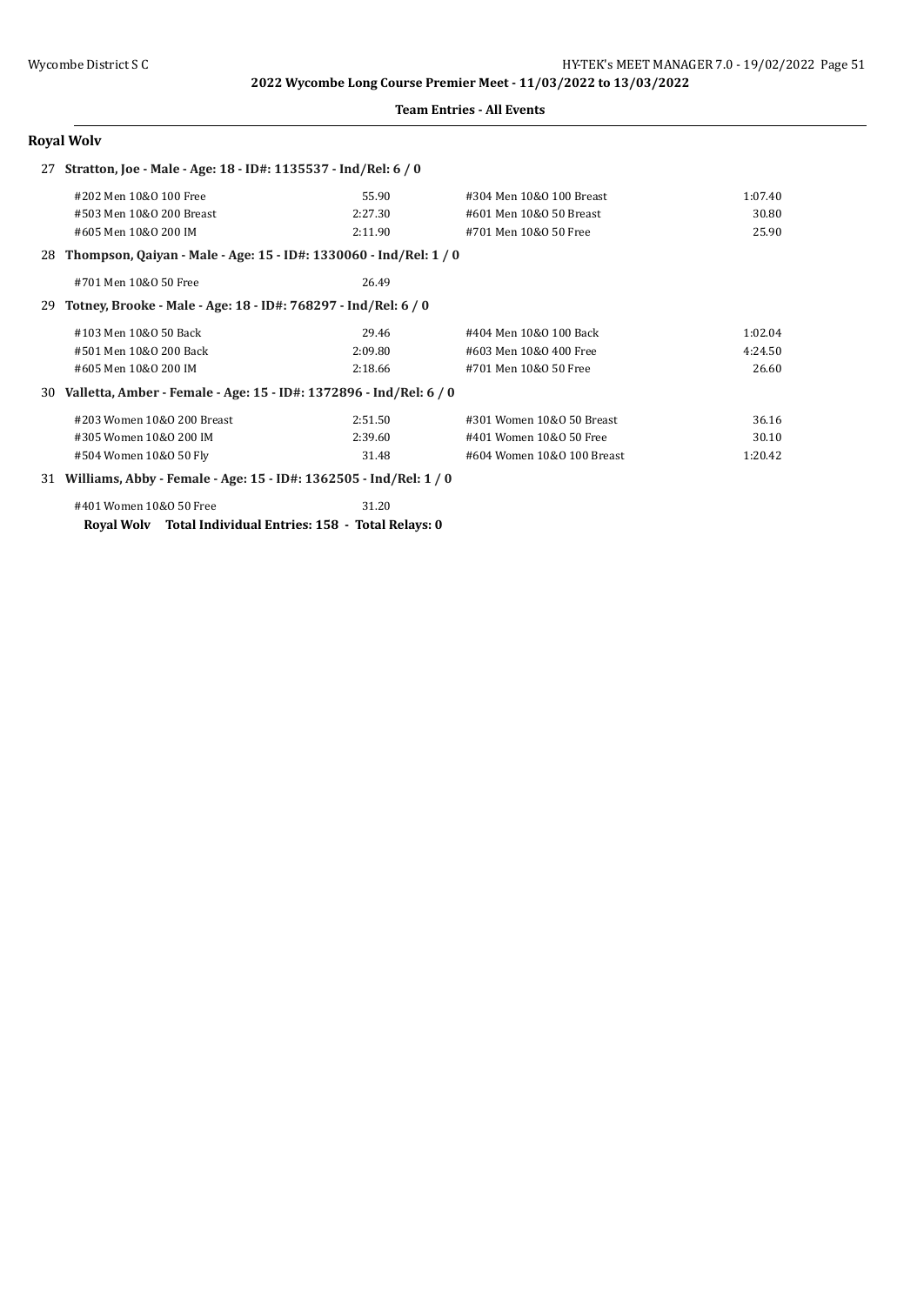#### **Team Entries - All Events**

# **Royal Wolv**

| Stratton, Joe - Male - Age: 18 - ID#: 1135537 - Ind/Rel: 6 / 0<br>27 |                                                                      |         |                            |         |
|----------------------------------------------------------------------|----------------------------------------------------------------------|---------|----------------------------|---------|
|                                                                      | #202 Men 10&0 100 Free                                               | 55.90   | #304 Men 10&0 100 Breast   | 1:07.40 |
|                                                                      | #503 Men 10&0 200 Breast                                             | 2:27.30 | #601 Men 10&0 50 Breast    | 30.80   |
|                                                                      | #605 Men 10&0 200 IM                                                 | 2:11.90 | #701 Men 10&0 50 Free      | 25.90   |
|                                                                      | 28 Thompson, Qaiyan - Male - Age: 15 - ID#: 1330060 - Ind/Rel: 1 / 0 |         |                            |         |
|                                                                      | #701 Men 10&0 50 Free                                                | 26.49   |                            |         |
| 29.                                                                  | Totney, Brooke - Male - Age: 18 - ID#: 768297 - Ind/Rel: 6 / 0       |         |                            |         |
|                                                                      | #103 Men 10&0 50 Back                                                | 29.46   | #404 Men 10&0 100 Back     | 1:02.04 |
|                                                                      | #501 Men 10&0 200 Back                                               | 2:09.80 | #603 Men 10&0 400 Free     | 4:24.50 |
|                                                                      | #605 Men 10&0 200 IM                                                 | 2:18.66 | #701 Men 10&0 50 Free      | 26.60   |
| 30                                                                   | Valletta, Amber - Female - Age: 15 - ID#: 1372896 - Ind/Rel: 6 / 0   |         |                            |         |
|                                                                      | #203 Women 10&0 200 Breast                                           | 2:51.50 | #301 Women 10&0 50 Breast  | 36.16   |
|                                                                      | #305 Women 10&0 200 IM                                               | 2:39.60 | #401 Women 10&0 50 Free    | 30.10   |
|                                                                      | #504 Women 10&0 50 Fly                                               | 31.48   | #604 Women 10&0 100 Breast | 1:20.42 |
| 31                                                                   | Williams, Abby - Female - Age: 15 - ID#: 1362505 - Ind/Rel: 1 / 0    |         |                            |         |

| #401 Women 10&0 50 Free |                                                 | 31.20 |
|-------------------------|-------------------------------------------------|-------|
| Royal Wolv              | Total Individual Entries: 158 - Total Relays: 0 |       |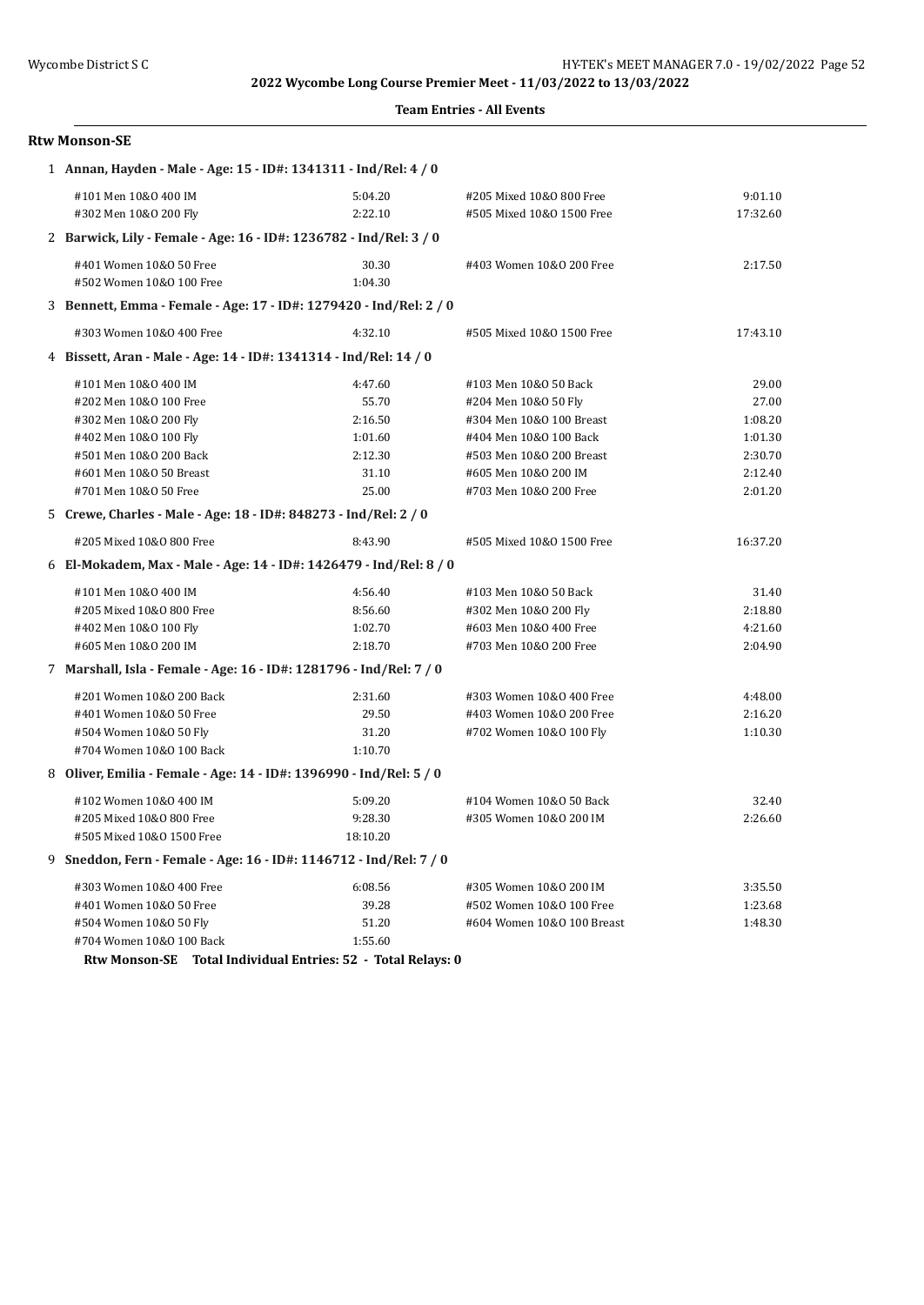#### **Team Entries - All Events**

## **Rtw Monson-SE**

| 1 Annan, Hayden - Male - Age: 15 - ID#: 1341311 - Ind/Rel: 4 / 0    |          |                            |          |
|---------------------------------------------------------------------|----------|----------------------------|----------|
| #101 Men 10&0 400 IM                                                | 5:04.20  | #205 Mixed 10&0 800 Free   | 9:01.10  |
| #302 Men 10&0 200 Fly                                               | 2:22.10  | #505 Mixed 10&0 1500 Free  | 17:32.60 |
| 2 Barwick, Lily - Female - Age: 16 - ID#: 1236782 - Ind/Rel: 3 / 0  |          |                            |          |
| #401 Women 10&0 50 Free                                             | 30.30    | #403 Women 10&0 200 Free   | 2:17.50  |
| #502 Women 10&0 100 Free                                            | 1:04.30  |                            |          |
| 3 Bennett, Emma - Female - Age: 17 - ID#: 1279420 - Ind/Rel: 2 / 0  |          |                            |          |
| #303 Women 10&0 400 Free                                            | 4:32.10  | #505 Mixed 10&0 1500 Free  | 17:43.10 |
| 4 Bissett, Aran - Male - Age: 14 - ID#: 1341314 - Ind/Rel: 14 / 0   |          |                            |          |
| #101 Men 10&0 400 IM                                                | 4:47.60  | #103 Men 10&0 50 Back      | 29.00    |
| #202 Men 10&0 100 Free                                              | 55.70    | #204 Men 10&0 50 Fly       | 27.00    |
| #302 Men 10&0 200 Fly                                               | 2:16.50  | #304 Men 10&0 100 Breast   | 1:08.20  |
| #402 Men 10&0 100 Fly                                               | 1:01.60  | #404 Men 10&0 100 Back     | 1:01.30  |
| #501 Men 10&0 200 Back                                              | 2:12.30  | #503 Men 10&0 200 Breast   | 2:30.70  |
| #601 Men 10&0 50 Breast                                             | 31.10    | #605 Men 10&0 200 IM       | 2:12.40  |
| #701 Men 10&0 50 Free                                               | 25.00    | #703 Men 10&0 200 Free     | 2:01.20  |
| 5 Crewe, Charles - Male - Age: 18 - ID#: 848273 - Ind/Rel: 2 / 0    |          |                            |          |
| #205 Mixed 10&0 800 Free                                            | 8:43.90  | #505 Mixed 10&0 1500 Free  | 16:37.20 |
| 6 El-Mokadem, Max - Male - Age: 14 - ID#: 1426479 - Ind/Rel: 8 / 0  |          |                            |          |
| #101 Men 10&0 400 IM                                                | 4:56.40  | #103 Men 10&0 50 Back      | 31.40    |
| #205 Mixed 10&0 800 Free                                            | 8:56.60  | #302 Men 10&0 200 Fly      | 2:18.80  |
| #402 Men 10&0 100 Fly                                               | 1:02.70  | #603 Men 10&0 400 Free     | 4:21.60  |
| #605 Men 10&0 200 IM                                                | 2:18.70  | #703 Men 10&0 200 Free     | 2:04.90  |
| 7 Marshall, Isla - Female - Age: 16 - ID#: 1281796 - Ind/Rel: 7 / 0 |          |                            |          |
| #201 Women 10&0 200 Back                                            | 2:31.60  | #303 Women 10&0 400 Free   | 4:48.00  |
| #401 Women 10&0 50 Free                                             | 29.50    | #403 Women 10&0 200 Free   | 2:16.20  |
| #504 Women 10&0 50 Fly                                              | 31.20    | #702 Women 10&0 100 Fly    | 1:10.30  |
| #704 Women 10&0 100 Back                                            | 1:10.70  |                            |          |
| 8 Oliver, Emilia - Female - Age: 14 - ID#: 1396990 - Ind/Rel: 5 / 0 |          |                            |          |
| #102 Women 10&0 400 IM                                              | 5:09.20  | #104 Women 10&0 50 Back    | 32.40    |
| #205 Mixed 10&0 800 Free                                            | 9:28.30  | #305 Women 10&0 200 IM     | 2:26.60  |
| #505 Mixed 10&0 1500 Free                                           | 18:10.20 |                            |          |
| 9 Sneddon, Fern - Female - Age: 16 - ID#: 1146712 - Ind/Rel: 7 / 0  |          |                            |          |
| #303 Women 10&0 400 Free                                            | 6:08.56  | #305 Women 10&0 200 IM     | 3:35.50  |
| #401 Women 10&0 50 Free                                             | 39.28    | #502 Women 10&0 100 Free   | 1:23.68  |
| #504 Women 10&0 50 Fly                                              | 51.20    | #604 Women 10&0 100 Breast | 1:48.30  |
| #704 Women 10&0 100 Back                                            | 1:55.60  |                            |          |

**Rtw Monson-SE Total Individual Entries: 52 - Total Relays: 0**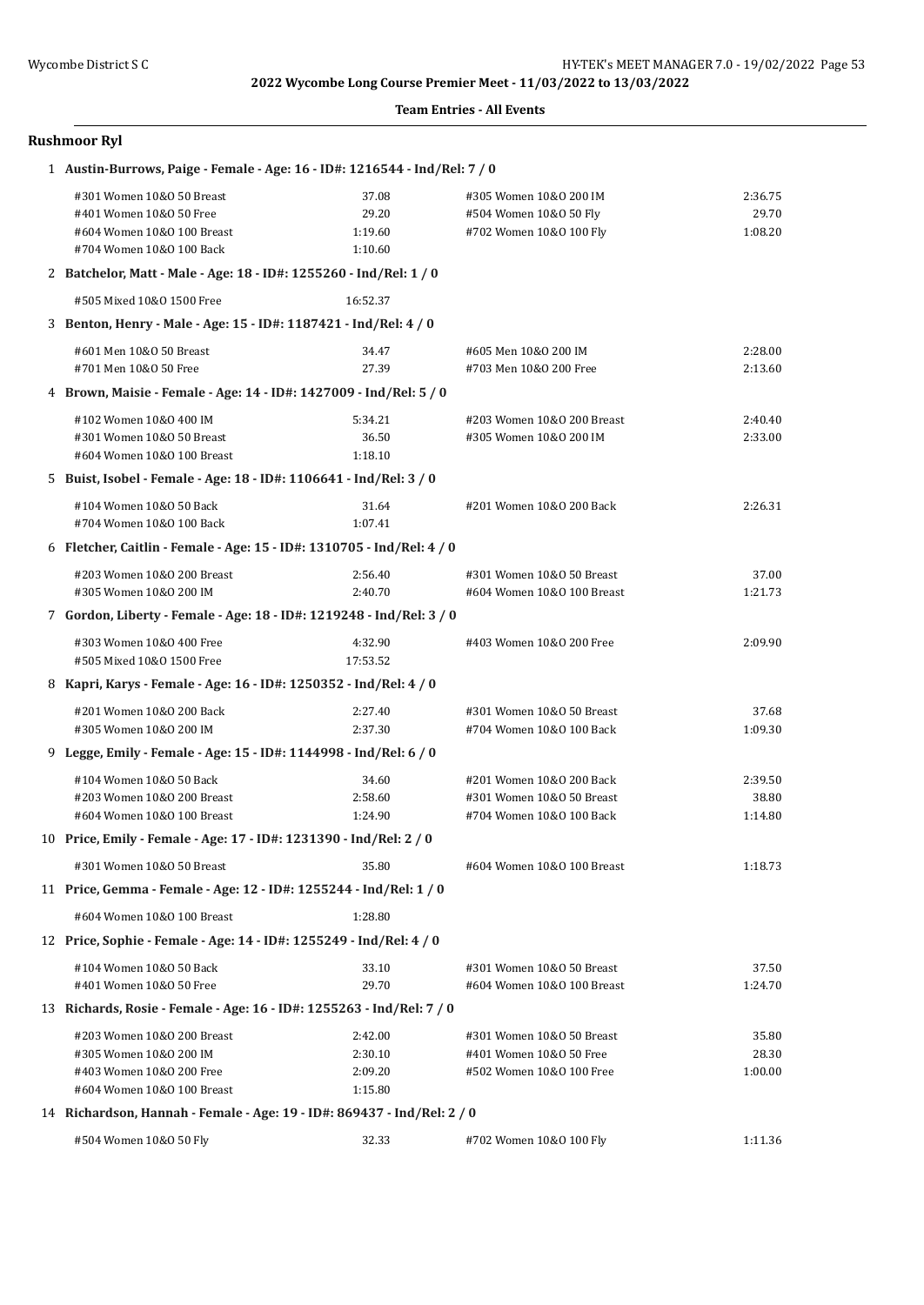#### **Team Entries - All Events**

## **Rushmoor Ryl**

| 1 Austin-Burrows, Paige - Female - Age: 16 - ID#: 1216544 - Ind/Rel: 7 / 0 |          |                            |         |
|----------------------------------------------------------------------------|----------|----------------------------|---------|
| #301 Women 10&0 50 Breast                                                  | 37.08    | #305 Women 10&0 200 IM     | 2:36.75 |
| #401 Women 10&0 50 Free                                                    | 29.20    | #504 Women 10&0 50 Fly     | 29.70   |
| #604 Women 10&0 100 Breast                                                 | 1:19.60  | #702 Women 10&0 100 Fly    | 1:08.20 |
| #704 Women 10&0 100 Back                                                   | 1:10.60  |                            |         |
| 2 Batchelor, Matt - Male - Age: 18 - ID#: 1255260 - Ind/Rel: 1 / 0         |          |                            |         |
| #505 Mixed 10&0 1500 Free                                                  | 16:52.37 |                            |         |
| 3 Benton, Henry - Male - Age: 15 - ID#: 1187421 - Ind/Rel: 4 / 0           |          |                            |         |
| #601 Men 10&0 50 Breast                                                    | 34.47    | #605 Men 10&0 200 IM       | 2:28.00 |
| #701 Men 10&0 50 Free                                                      | 27.39    | #703 Men 10&0 200 Free     | 2:13.60 |
| 4 Brown, Maisie - Female - Age: 14 - ID#: 1427009 - Ind/Rel: 5 / 0         |          |                            |         |
| #102 Women 10&0 400 IM                                                     | 5:34.21  | #203 Women 10&0 200 Breast | 2:40.40 |
| #301 Women 10&0 50 Breast                                                  | 36.50    | #305 Women 10&0 200 IM     | 2:33.00 |
| #604 Women 10&0 100 Breast                                                 | 1:18.10  |                            |         |
| 5 Buist, Isobel - Female - Age: 18 - ID#: 1106641 - Ind/Rel: 3 / 0         |          |                            |         |
| #104 Women 10&0 50 Back                                                    | 31.64    | #201 Women 10&0 200 Back   | 2:26.31 |
| #704 Women 10&0 100 Back                                                   | 1:07.41  |                            |         |
| 6 Fletcher, Caitlin - Female - Age: 15 - ID#: 1310705 - Ind/Rel: 4 / 0     |          |                            |         |
| #203 Women 10&0 200 Breast                                                 | 2:56.40  | #301 Women 10&0 50 Breast  | 37.00   |
| #305 Women 10&0 200 IM                                                     | 2:40.70  | #604 Women 10&0 100 Breast | 1:21.73 |
| 7 Gordon, Liberty - Female - Age: 18 - ID#: 1219248 - Ind/Rel: 3 / 0       |          |                            |         |
| #303 Women 10&0 400 Free                                                   | 4:32.90  | #403 Women 10&0 200 Free   | 2:09.90 |
| #505 Mixed 10&0 1500 Free                                                  | 17:53.52 |                            |         |
| 8 Kapri, Karys - Female - Age: 16 - ID#: 1250352 - Ind/Rel: 4 / 0          |          |                            |         |
| #201 Women 10&0 200 Back                                                   | 2:27.40  | #301 Women 10&0 50 Breast  | 37.68   |
| #305 Women 10&0 200 IM                                                     | 2:37.30  | #704 Women 10&0 100 Back   | 1:09.30 |
| 9 Legge, Emily - Female - Age: 15 - ID#: 1144998 - Ind/Rel: 6 / 0          |          |                            |         |
| #104 Women 10&0 50 Back                                                    | 34.60    | #201 Women 10&0 200 Back   | 2:39.50 |
| #203 Women 10&0 200 Breast                                                 | 2:58.60  | #301 Women 10&0 50 Breast  | 38.80   |
| #604 Women 10&0 100 Breast                                                 | 1:24.90  | #704 Women 10&0 100 Back   | 1:14.80 |
| 10 Price, Emily - Female - Age: 17 - ID#: 1231390 - Ind/Rel: 2 / 0         |          |                            |         |
| #301 Women 10&0 50 Breast                                                  | 35.80    | #604 Women 10&0 100 Breast | 1:18.73 |
| 11 Price, Gemma - Female - Age: 12 - ID#: 1255244 - Ind/Rel: 1 / 0         |          |                            |         |
| #604 Women 10&0 100 Breast                                                 | 1:28.80  |                            |         |
| 12 Price, Sophie - Female - Age: 14 - ID#: 1255249 - Ind/Rel: 4 / 0        |          |                            |         |
| #104 Women 10&0 50 Back                                                    | 33.10    | #301 Women 10&0 50 Breast  | 37.50   |
| #401 Women 10&0 50 Free                                                    | 29.70    | #604 Women 10&0 100 Breast | 1:24.70 |
| 13 Richards, Rosie - Female - Age: 16 - ID#: 1255263 - Ind/Rel: 7 / 0      |          |                            |         |
| #203 Women 10&0 200 Breast                                                 | 2:42.00  | #301 Women 10&0 50 Breast  | 35.80   |
| #305 Women 10&0 200 IM                                                     | 2:30.10  | #401 Women 10&0 50 Free    | 28.30   |
| #403 Women 10&0 200 Free                                                   | 2:09.20  | #502 Women 10&0 100 Free   | 1:00.00 |
| #604 Women 10&0 100 Breast                                                 | 1:15.80  |                            |         |
| 14 Richardson, Hannah - Female - Age: 19 - ID#: 869437 - Ind/Rel: 2 / 0    |          |                            |         |
| #504 Women 10&0 50 Fly                                                     | 32.33    | #702 Women 10&0 100 Fly    | 1:11.36 |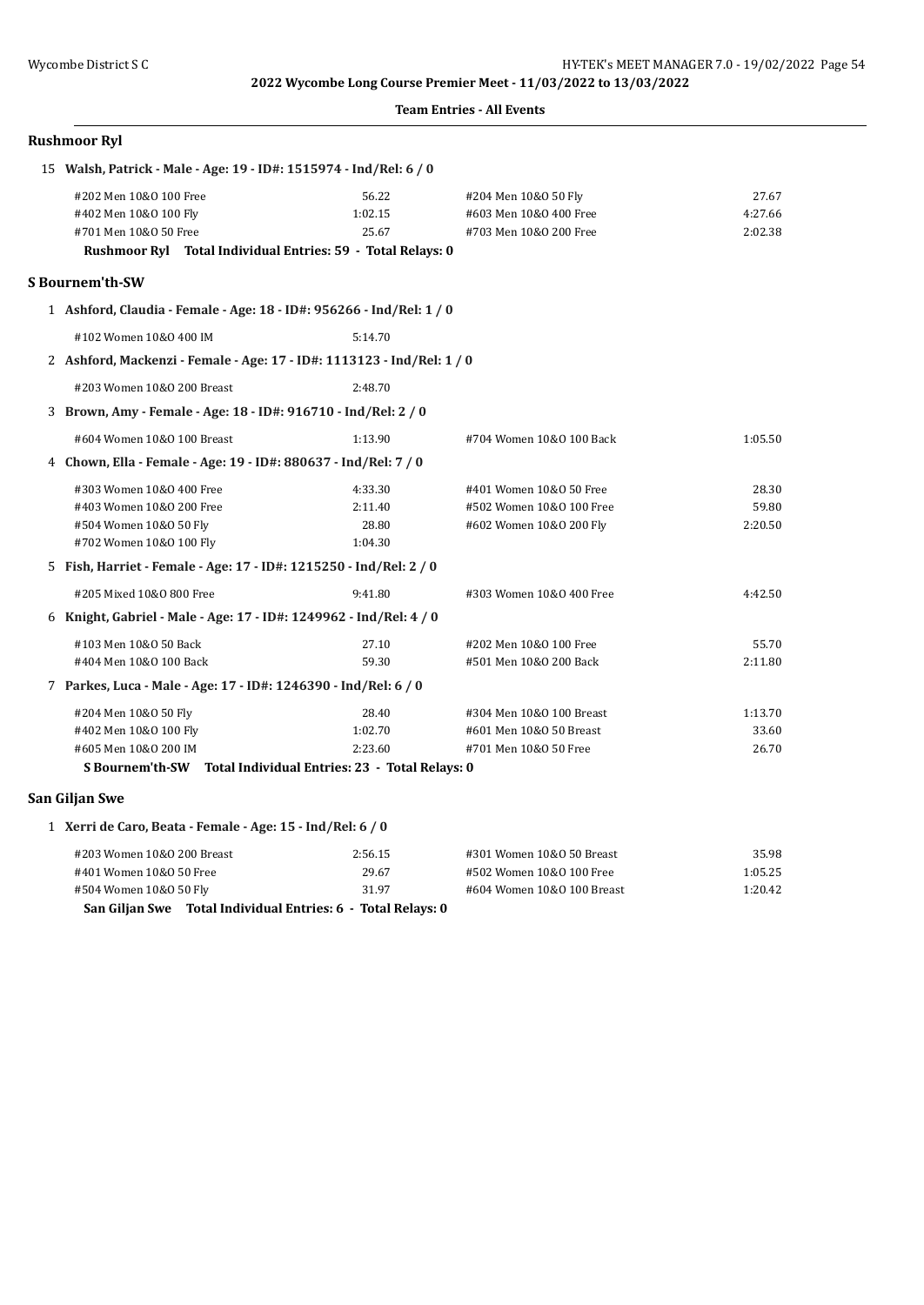#### **Team Entries - All Events**

| 15 Walsh, Patrick - Male - Age: 19 - ID#: 1515974 - Ind/Rel: 6 / 0     |         |                            |         |
|------------------------------------------------------------------------|---------|----------------------------|---------|
| #202 Men 10&0 100 Free                                                 | 56.22   | #204 Men 10&0 50 Fly       | 27.67   |
| #402 Men 10&0 100 Fly                                                  | 1:02.15 | #603 Men 10&0 400 Free     | 4:27.66 |
| #701 Men 10&0 50 Free                                                  | 25.67   | #703 Men 10&0 200 Free     | 2:02.38 |
| Rushmoor Ryl Total Individual Entries: 59 - Total Relays: 0            |         |                            |         |
| <b>S</b> Bournem'th-SW                                                 |         |                            |         |
| 1 Ashford, Claudia - Female - Age: 18 - ID#: 956266 - Ind/Rel: 1 / 0   |         |                            |         |
| #102 Women 10&0 400 IM                                                 | 5:14.70 |                            |         |
| 2 Ashford, Mackenzi - Female - Age: 17 - ID#: 1113123 - Ind/Rel: 1 / 0 |         |                            |         |
| #203 Women 10&0 200 Breast                                             | 2:48.70 |                            |         |
| 3 Brown, Amy - Female - Age: 18 - ID#: 916710 - Ind/Rel: 2 / 0         |         |                            |         |
| #604 Women 10&0 100 Breast                                             | 1:13.90 | #704 Women 10&0 100 Back   | 1:05.50 |
| 4 Chown, Ella - Female - Age: 19 - ID#: 880637 - Ind/Rel: 7 / 0        |         |                            |         |
| #303 Women 10&0 400 Free                                               | 4:33.30 | #401 Women 10&0 50 Free    | 28.30   |
| #403 Women 10&0 200 Free                                               | 2:11.40 | #502 Women 10&0 100 Free   | 59.80   |
| #504 Women 10&0 50 Fly                                                 | 28.80   | #602 Women 10&0 200 Fly    | 2:20.50 |
| #702 Women 10&0 100 Fly                                                | 1:04.30 |                            |         |
| 5 Fish, Harriet - Female - Age: 17 - ID#: 1215250 - Ind/Rel: 2 / 0     |         |                            |         |
| #205 Mixed 10&0 800 Free                                               | 9:41.80 | #303 Women 10&0 400 Free   | 4:42.50 |
| 6 Knight, Gabriel - Male - Age: 17 - ID#: 1249962 - Ind/Rel: 4 / 0     |         |                            |         |
| #103 Men 10&0 50 Back                                                  | 27.10   | #202 Men 10&0 100 Free     | 55.70   |
| #404 Men 10&0 100 Back                                                 | 59.30   | #501 Men 10&0 200 Back     | 2:11.80 |
| 7 Parkes, Luca - Male - Age: 17 - ID#: 1246390 - Ind/Rel: 6 / 0        |         |                            |         |
| #204 Men 10&0 50 Fly                                                   | 28.40   | #304 Men 10&0 100 Breast   | 1:13.70 |
| #402 Men 10&0 100 Fly                                                  | 1:02.70 | #601 Men 10&0 50 Breast    | 33.60   |
| #605 Men 10&0 200 IM                                                   | 2:23.60 | #701 Men 10&0 50 Free      | 26.70   |
| S Bournem'th-SW Total Individual Entries: 23 - Total Relays: 0         |         |                            |         |
| San Giljan Swe                                                         |         |                            |         |
| 1 Xerri de Caro, Beata - Female - Age: 15 - Ind/Rel: 6 / 0             |         |                            |         |
| #203 Women 10&0 200 Breast                                             | 2:56.15 | #301 Women 10&0 50 Breast  | 35.98   |
| #401 Women 10&0 50 Free                                                | 29.67   | #502 Women 10&0 100 Free   | 1:05.25 |
| #504 Women 10&0 50 Fly                                                 | 31.97   | #604 Women 10&0 100 Breast | 1:20.42 |
| San Giljan Swe Total Individual Entries: 6 - Total Relays: 0           |         |                            |         |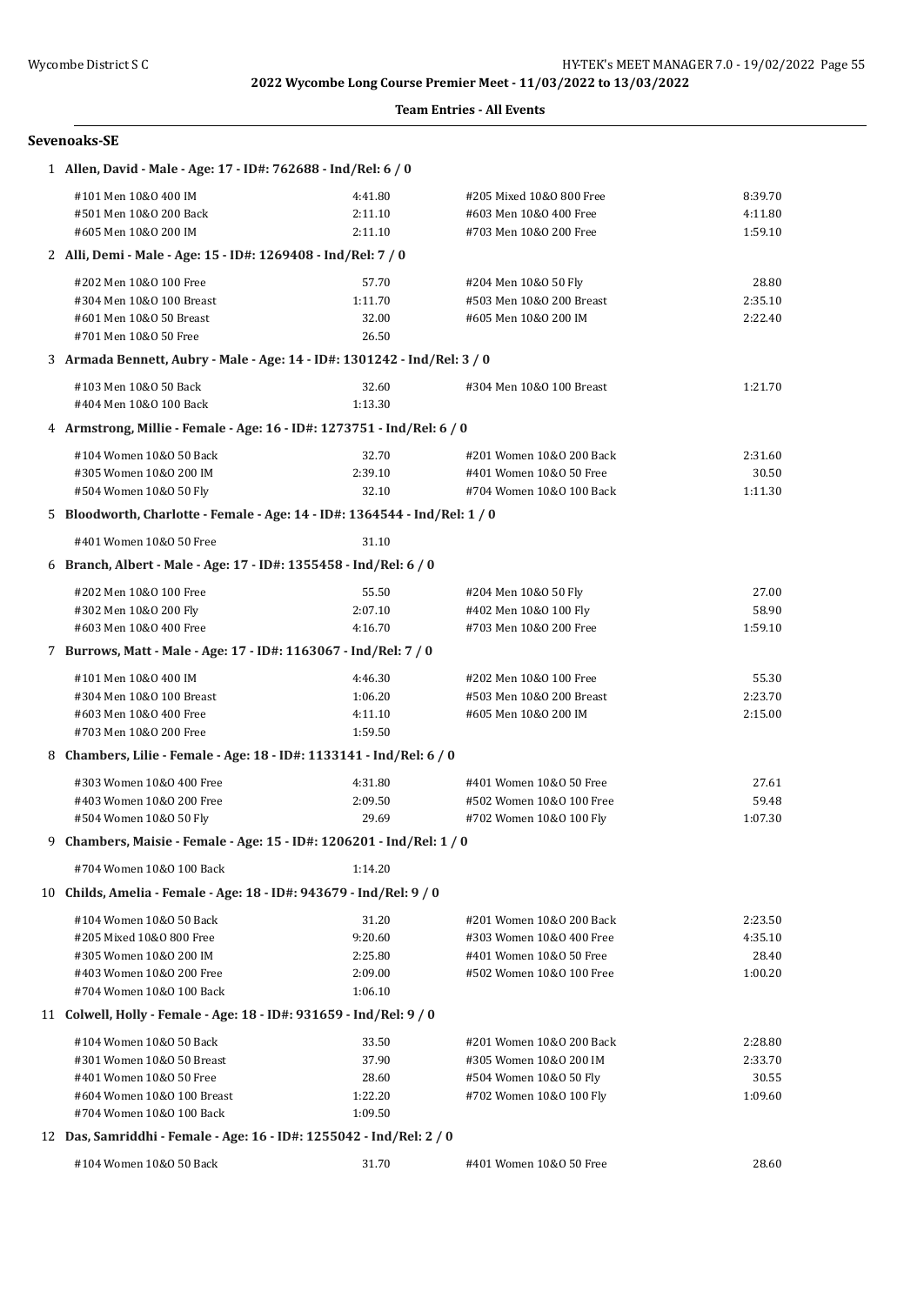#### **Team Entries - All Events**

| Sevenoaks-SE |  |
|--------------|--|
|--------------|--|

| 1 Allen, David - Male - Age: 17 - ID#: 762688 - Ind/Rel: 6 / 0             |         |                                               |         |
|----------------------------------------------------------------------------|---------|-----------------------------------------------|---------|
| #101 Men 10&0 400 IM                                                       | 4:41.80 | #205 Mixed 10&0 800 Free                      | 8:39.70 |
| #501 Men 10&0 200 Back                                                     | 2:11.10 | #603 Men 10&0 400 Free                        | 4:11.80 |
| #605 Men 10&0 200 IM                                                       | 2:11.10 | #703 Men 10&0 200 Free                        | 1:59.10 |
| 2 Alli, Demi - Male - Age: 15 - ID#: 1269408 - Ind/Rel: 7 / 0              |         |                                               |         |
| #202 Men 10&0 100 Free                                                     | 57.70   | #204 Men 10&0 50 Fly                          | 28.80   |
| #304 Men 10&0 100 Breast                                                   | 1:11.70 | #503 Men 10&0 200 Breast                      | 2:35.10 |
| #601 Men 10&0 50 Breast                                                    | 32.00   | #605 Men 10&0 200 IM                          | 2:22.40 |
| #701 Men 10&0 50 Free                                                      | 26.50   |                                               |         |
| 3 Armada Bennett, Aubry - Male - Age: 14 - ID#: 1301242 - Ind/Rel: 3 / 0   |         |                                               |         |
| #103 Men 10&0 50 Back                                                      | 32.60   | #304 Men 10&0 100 Breast                      | 1:21.70 |
| #404 Men 10&0 100 Back                                                     | 1:13.30 |                                               |         |
| 4 Armstrong, Millie - Female - Age: 16 - ID#: 1273751 - Ind/Rel: 6 / 0     |         |                                               |         |
| #104 Women 10&0 50 Back                                                    | 32.70   | #201 Women 10&0 200 Back                      | 2:31.60 |
| #305 Women 10&0 200 IM                                                     | 2:39.10 | #401 Women 10&0 50 Free                       | 30.50   |
| #504 Women 10&0 50 Fly                                                     | 32.10   | #704 Women 10&0 100 Back                      | 1:11.30 |
| 5 Bloodworth, Charlotte - Female - Age: 14 - ID#: 1364544 - Ind/Rel: 1 / 0 |         |                                               |         |
| #401 Women 10&0 50 Free                                                    | 31.10   |                                               |         |
| 6 Branch, Albert - Male - Age: 17 - ID#: 1355458 - Ind/Rel: 6 / 0          |         |                                               |         |
| #202 Men 10&0 100 Free                                                     | 55.50   |                                               | 27.00   |
| #302 Men 10&0 200 Fly                                                      | 2:07.10 | #204 Men 10&0 50 Fly<br>#402 Men 10&0 100 Fly | 58.90   |
| #603 Men 10&0 400 Free                                                     | 4:16.70 | #703 Men 10&0 200 Free                        | 1:59.10 |
| 7 Burrows, Matt - Male - Age: 17 - ID#: 1163067 - Ind/Rel: 7 / 0           |         |                                               |         |
|                                                                            |         |                                               |         |
| #101 Men 10&0 400 IM                                                       | 4:46.30 | #202 Men 10&0 100 Free                        | 55.30   |
| #304 Men 10&0 100 Breast                                                   | 1:06.20 | #503 Men 10&0 200 Breast                      | 2:23.70 |
| #603 Men 10&0 400 Free                                                     | 4:11.10 | #605 Men 10&0 200 IM                          | 2:15.00 |
| #703 Men 10&0 200 Free                                                     | 1:59.50 |                                               |         |
| 8 Chambers, Lilie - Female - Age: 18 - ID#: 1133141 - Ind/Rel: 6 / 0       |         |                                               |         |
| #303 Women 10&0 400 Free                                                   | 4:31.80 | #401 Women 10&0 50 Free                       | 27.61   |
| #403 Women 10&0 200 Free                                                   | 2:09.50 | #502 Women 10&0 100 Free                      | 59.48   |
| #504 Women 10&0 50 Fly                                                     | 29.69   | #702 Women 10&0 100 Fly                       | 1:07.30 |
| 9 Chambers, Maisie - Female - Age: 15 - ID#: 1206201 - Ind/Rel: 1 / 0      |         |                                               |         |
| #704 Women 10&0 100 Back                                                   | 1:14.20 |                                               |         |
| 10 Childs, Amelia - Female - Age: 18 - ID#: 943679 - Ind/Rel: 9 / 0        |         |                                               |         |
| #104 Women 10&0 50 Back                                                    | 31.20   | #201 Women 10&0 200 Back                      | 2:23.50 |
| #205 Mixed 10&0 800 Free                                                   | 9:20.60 | #303 Women 10&0 400 Free                      | 4:35.10 |
| #305 Women 10&0 200 IM                                                     | 2:25.80 | #401 Women 10&0 50 Free                       | 28.40   |
| #403 Women 10&0 200 Free                                                   | 2:09.00 | #502 Women 10&0 100 Free                      | 1:00.20 |
| #704 Women 10&0 100 Back                                                   | 1:06.10 |                                               |         |
| 11 Colwell, Holly - Female - Age: 18 - ID#: 931659 - Ind/Rel: 9 / 0        |         |                                               |         |
| #104 Women 10&0 50 Back                                                    | 33.50   | #201 Women 10&0 200 Back                      | 2:28.80 |
| #301 Women 10&0 50 Breast                                                  | 37.90   | #305 Women 10&0 200 IM                        | 2:33.70 |
| #401 Women 10&0 50 Free                                                    | 28.60   | #504 Women 10&0 50 Fly                        | 30.55   |
| #604 Women 10&0 100 Breast                                                 | 1:22.20 | #702 Women 10&0 100 Fly                       | 1:09.60 |
| #704 Women 10&0 100 Back                                                   | 1:09.50 |                                               |         |
| 12 Das, Samriddhi - Female - Age: 16 - ID#: 1255042 - Ind/Rel: 2 / 0       |         |                                               |         |
| #104 Women 10&0 50 Back                                                    | 31.70   | #401 Women 10&0 50 Free                       | 28.60   |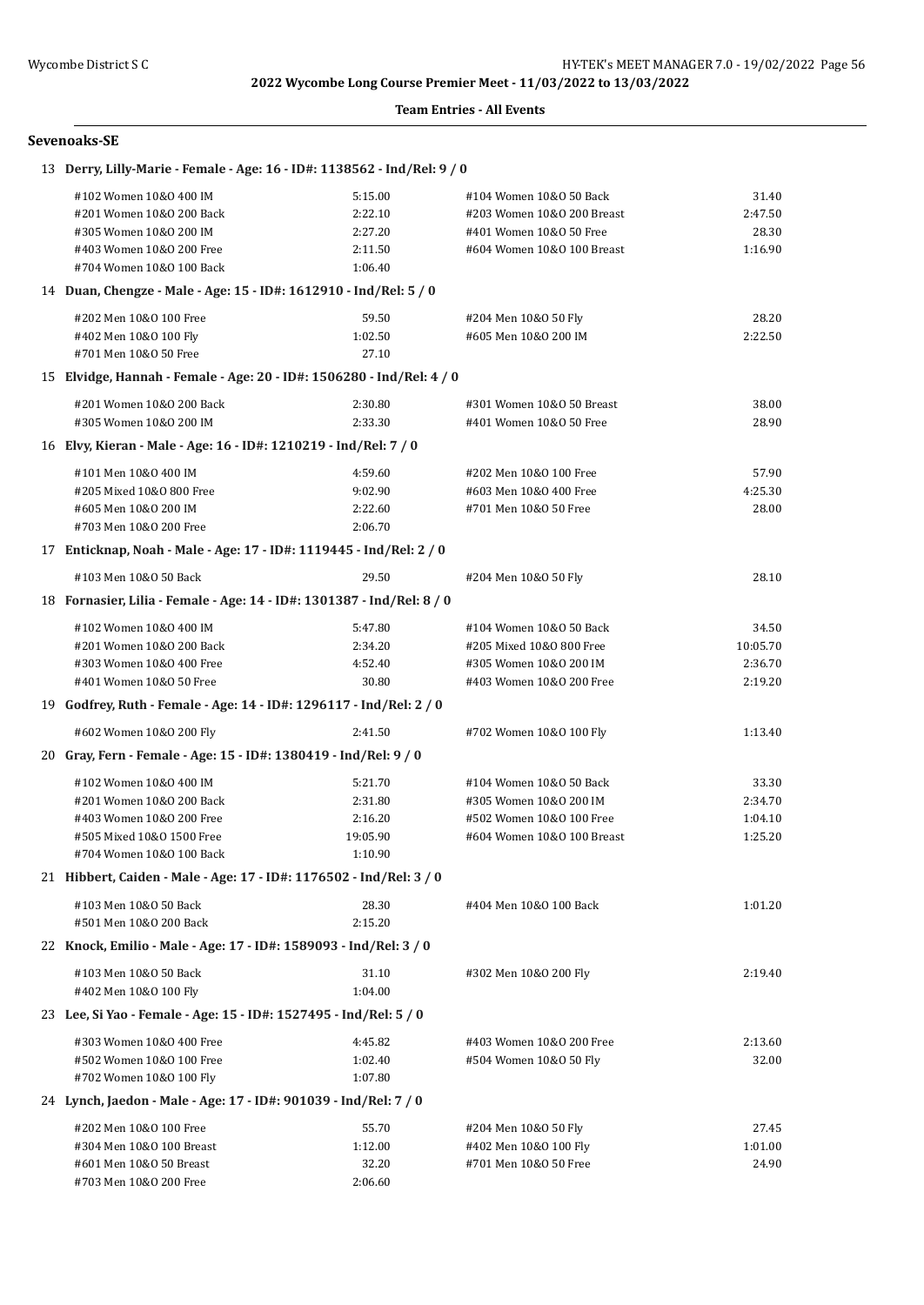#### **Team Entries - All Events**

#### **Sevenoaks-SE**

| 13 Derry, Lilly-Marie - Female - Age: 16 - ID#: 1138562 - Ind/Rel: 9 / 0 |          |                            |          |
|--------------------------------------------------------------------------|----------|----------------------------|----------|
| #102 Women 10&0 400 IM                                                   | 5:15.00  | #104 Women 10&0 50 Back    | 31.40    |
| #201 Women 10&0 200 Back                                                 | 2:22.10  | #203 Women 10&0 200 Breast | 2:47.50  |
| #305 Women 10&0 200 IM                                                   | 2:27.20  | #401 Women 10&0 50 Free    | 28.30    |
| #403 Women 10&0 200 Free                                                 | 2:11.50  | #604 Women 10&0 100 Breast | 1:16.90  |
| #704 Women 10&0 100 Back                                                 | 1:06.40  |                            |          |
| 14 Duan, Chengze - Male - Age: 15 - ID#: 1612910 - Ind/Rel: 5 / 0        |          |                            |          |
| #202 Men 10&0 100 Free                                                   | 59.50    | #204 Men 10&0 50 Fly       | 28.20    |
| #402 Men 10&0 100 Fly                                                    | 1:02.50  | #605 Men 10&0 200 IM       | 2:22.50  |
| #701 Men 10&0 50 Free                                                    | 27.10    |                            |          |
| 15 Elvidge, Hannah - Female - Age: 20 - ID#: 1506280 - Ind/Rel: 4 / 0    |          |                            |          |
| #201 Women 10&0 200 Back                                                 | 2:30.80  | #301 Women 10&0 50 Breast  | 38.00    |
| #305 Women 10&0 200 IM                                                   | 2:33.30  | #401 Women 10&0 50 Free    | 28.90    |
| 16 Elvy, Kieran - Male - Age: 16 - ID#: 1210219 - Ind/Rel: 7 / 0         |          |                            |          |
| #101 Men 10&0 400 IM                                                     | 4:59.60  | #202 Men 10&0 100 Free     | 57.90    |
| #205 Mixed 10&0 800 Free                                                 | 9:02.90  | #603 Men 10&0 400 Free     | 4:25.30  |
| #605 Men 10&0 200 IM                                                     | 2:22.60  | #701 Men 10&0 50 Free      | 28.00    |
| #703 Men 10&0 200 Free                                                   | 2:06.70  |                            |          |
| 17 Enticknap, Noah - Male - Age: 17 - ID#: 1119445 - Ind/Rel: 2 / 0      |          |                            |          |
| #103 Men 10&0 50 Back                                                    | 29.50    | #204 Men 10&0 50 Fly       | 28.10    |
| 18 Fornasier, Lilia - Female - Age: 14 - ID#: 1301387 - Ind/Rel: 8 / 0   |          |                            |          |
| #102 Women 10&0 400 IM                                                   | 5:47.80  | #104 Women 10&0 50 Back    | 34.50    |
| #201 Women 10&0 200 Back                                                 | 2:34.20  | #205 Mixed 10&0 800 Free   | 10:05.70 |
| #303 Women 10&0 400 Free                                                 | 4:52.40  | #305 Women 10&0 200 IM     | 2:36.70  |
| #401 Women 10&0 50 Free                                                  | 30.80    | #403 Women 10&0 200 Free   | 2:19.20  |
| 19 Godfrey, Ruth - Female - Age: 14 - ID#: 1296117 - Ind/Rel: 2 / 0      |          |                            |          |
| #602 Women 10&0 200 Fly                                                  | 2:41.50  | #702 Women 10&0 100 Fly    | 1:13.40  |
| 20 Gray, Fern - Female - Age: 15 - ID#: 1380419 - Ind/Rel: 9 / 0         |          |                            |          |
| #102 Women 10&0 400 IM                                                   | 5:21.70  | #104 Women 10&0 50 Back    | 33.30    |
| #201 Women 10&0 200 Back                                                 | 2:31.80  | #305 Women 10&0 200 IM     | 2:34.70  |
| #403 Women 10&0 200 Free                                                 | 2:16.20  | #502 Women 10&0 100 Free   | 1:04.10  |
| #505 Mixed 10&0 1500 Free                                                | 19:05.90 | #604 Women 10&0 100 Breast | 1:25.20  |
| #704 Women 10&0 100 Back                                                 | 1:10.90  |                            |          |
| 21 Hibbert, Caiden - Male - Age: 17 - ID#: 1176502 - Ind/Rel: 3 / 0      |          |                            |          |
| #103 Men 10&0 50 Back                                                    | 28.30    | #404 Men 10&0 100 Back     | 1:01.20  |
| #501 Men 10&0 200 Back                                                   | 2:15.20  |                            |          |
| 22 Knock, Emilio - Male - Age: 17 - ID#: 1589093 - Ind/Rel: 3 / 0        |          |                            |          |
| #103 Men 10&0 50 Back                                                    | 31.10    | #302 Men 10&0 200 Fly      | 2:19.40  |
| #402 Men 10&0 100 Fly                                                    | 1:04.00  |                            |          |
| 23 Lee, Si Yao - Female - Age: 15 - ID#: 1527495 - Ind/Rel: 5 / 0        |          |                            |          |
| #303 Women 10&0 400 Free                                                 | 4:45.82  | #403 Women 10&0 200 Free   | 2:13.60  |
| #502 Women 10&0 100 Free                                                 | 1:02.40  | #504 Women 10&0 50 Fly     | 32.00    |
| #702 Women 10&0 100 Fly                                                  | 1:07.80  |                            |          |
| 24 Lynch, Jaedon - Male - Age: 17 - ID#: 901039 - Ind/Rel: 7 / 0         |          |                            |          |
| #202 Men 10&0 100 Free                                                   | 55.70    | #204 Men 10&0 50 Fly       | 27.45    |
| #304 Men 10&0 100 Breast                                                 | 1:12.00  | #402 Men 10&0 100 Fly      | 1:01.00  |
| #601 Men 10&0 50 Breast                                                  | 32.20    | #701 Men 10&0 50 Free      | 24.90    |
| #703 Men 10&0 200 Free                                                   | 2:06.60  |                            |          |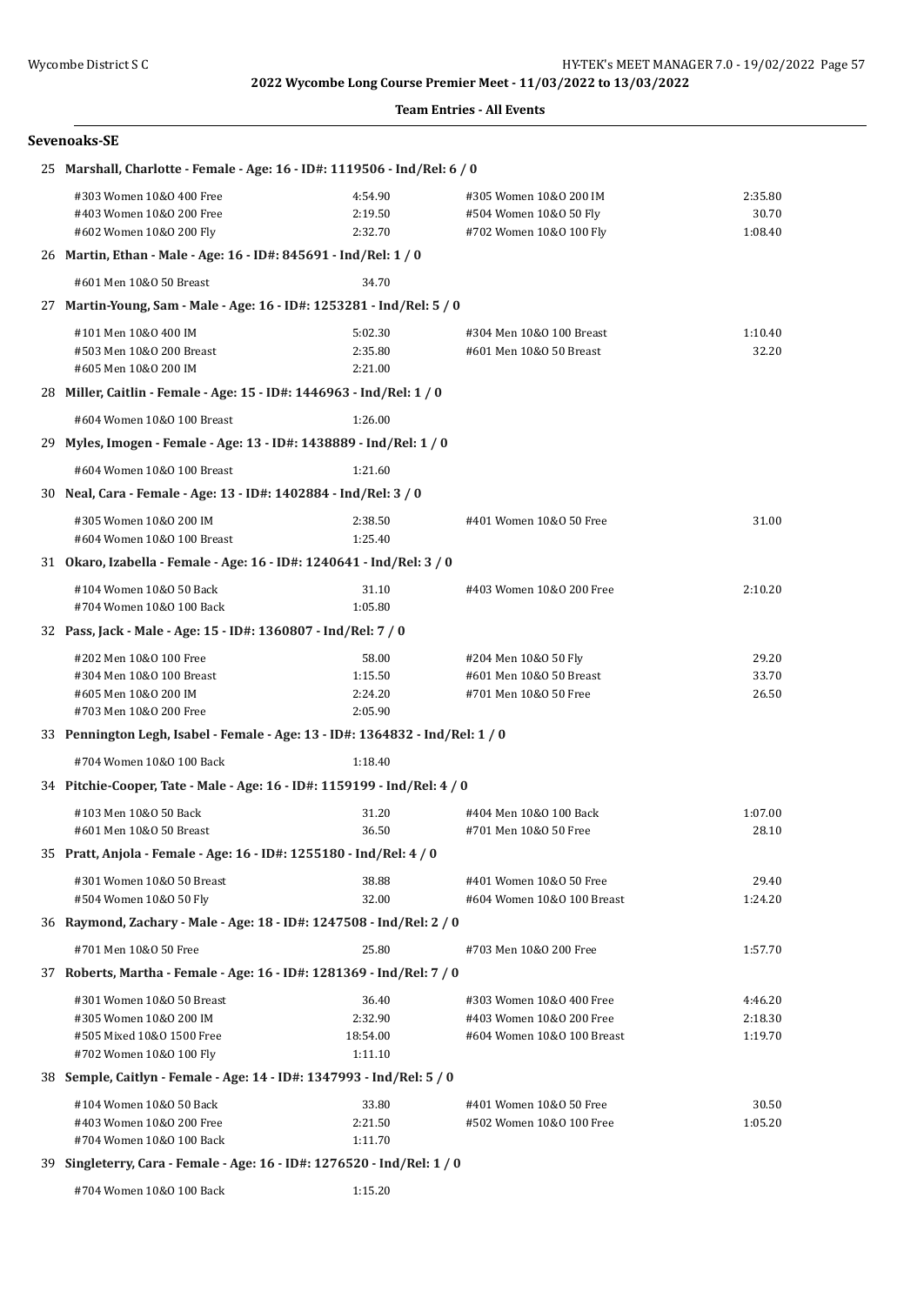#### **Team Entries - All Events**

| Sevenoaks-SE                                                                                                |                                         |                                                                                    |                               |
|-------------------------------------------------------------------------------------------------------------|-----------------------------------------|------------------------------------------------------------------------------------|-------------------------------|
| 25 Marshall, Charlotte - Female - Age: 16 - ID#: 1119506 - Ind/Rel: 6 / 0                                   |                                         |                                                                                    |                               |
| #303 Women 10&0 400 Free<br>#403 Women 10&0 200 Free<br>#602 Women 10&0 200 Fly                             | 4:54.90<br>2:19.50<br>2:32.70           | #305 Women 10&0 200 IM<br>#504 Women 10&0 50 Fly<br>#702 Women 10&0 100 Fly        | 2:35.80<br>30.70<br>1:08.40   |
| 26 Martin, Ethan - Male - Age: 16 - ID#: 845691 - Ind/Rel: 1 / 0                                            |                                         |                                                                                    |                               |
| #601 Men 10&0 50 Breast                                                                                     | 34.70                                   |                                                                                    |                               |
| 27 Martin-Young, Sam - Male - Age: 16 - ID#: 1253281 - Ind/Rel: 5 / 0                                       |                                         |                                                                                    |                               |
| #101 Men 10&0 400 IM<br>#503 Men 10&0 200 Breast<br>#605 Men 10&0 200 IM                                    | 5:02.30<br>2:35.80<br>2:21.00           | #304 Men 10&0 100 Breast<br>#601 Men 10&0 50 Breast                                | 1:10.40<br>32.20              |
| 28 Miller, Caitlin - Female - Age: 15 - ID#: 1446963 - Ind/Rel: 1 / 0                                       |                                         |                                                                                    |                               |
| #604 Women 10&0 100 Breast                                                                                  | 1:26.00                                 |                                                                                    |                               |
| 29 Myles, Imogen - Female - Age: 13 - ID#: 1438889 - Ind/Rel: 1 / 0                                         |                                         |                                                                                    |                               |
| #604 Women 10&0 100 Breast                                                                                  | 1:21.60                                 |                                                                                    |                               |
| 30 Neal, Cara - Female - Age: 13 - ID#: 1402884 - Ind/Rel: 3 / 0                                            |                                         |                                                                                    |                               |
| #305 Women 10&0 200 IM<br>#604 Women 10&0 100 Breast                                                        | 2:38.50<br>1:25.40                      | #401 Women 10&0 50 Free                                                            | 31.00                         |
| 31 Okaro, Izabella - Female - Age: 16 - ID#: 1240641 - Ind/Rel: 3 / 0                                       |                                         |                                                                                    |                               |
| #104 Women 10&0 50 Back<br>#704 Women 10&0 100 Back                                                         | 31.10<br>1:05.80                        | #403 Women 10&0 200 Free                                                           | 2:10.20                       |
| 32 Pass, Jack - Male - Age: 15 - ID#: 1360807 - Ind/Rel: 7 / 0                                              |                                         |                                                                                    |                               |
| #202 Men 10&0 100 Free<br>#304 Men 10&0 100 Breast<br>#605 Men 10&0 200 IM<br>#703 Men 10&0 200 Free        | 58.00<br>1:15.50<br>2:24.20<br>2:05.90  | #204 Men 10&0 50 Fly<br>#601 Men 10&0 50 Breast<br>#701 Men 10&0 50 Free           | 29.20<br>33.70<br>26.50       |
| 33 Pennington Legh, Isabel - Female - Age: 13 - ID#: 1364832 - Ind/Rel: 1 / 0                               |                                         |                                                                                    |                               |
| #704 Women 10&0 100 Back                                                                                    | 1:18.40                                 |                                                                                    |                               |
| 34 Pitchie-Cooper, Tate - Male - Age: 16 - ID#: 1159199 - Ind/Rel: 4 / 0                                    |                                         |                                                                                    |                               |
| #103 Men 10&0 50 Back<br>#601 Men 10&0 50 Breast                                                            | 31.20<br>36.50                          | #404 Men 10&0 100 Back<br>#701 Men 10&0 50 Free                                    | 1:07.00<br>28.10              |
| 35 Pratt, Anjola - Female - Age: 16 - ID#: 1255180 - Ind/Rel: 4 / 0                                         |                                         |                                                                                    |                               |
| #301 Women 10&0 50 Breast<br>#504 Women 10&0 50 Fly                                                         | 38.88<br>32.00                          | #401 Women 10&0 50 Free<br>#604 Women 10&0 100 Breast                              | 29.40<br>1:24.20              |
| 36 Raymond, Zachary - Male - Age: 18 - ID#: 1247508 - Ind/Rel: 2 / 0                                        |                                         |                                                                                    |                               |
| #701 Men 10&0 50 Free                                                                                       | 25.80                                   | #703 Men 10&0 200 Free                                                             | 1:57.70                       |
| 37 Roberts, Martha - Female - Age: 16 - ID#: 1281369 - Ind/Rel: 7 / 0                                       |                                         |                                                                                    |                               |
| #301 Women 10&0 50 Breast<br>#305 Women 10&0 200 IM<br>#505 Mixed 10&0 1500 Free<br>#702 Women 10&0 100 Fly | 36.40<br>2:32.90<br>18:54.00<br>1:11.10 | #303 Women 10&0 400 Free<br>#403 Women 10&0 200 Free<br>#604 Women 10&0 100 Breast | 4:46.20<br>2:18.30<br>1:19.70 |
| 38 Semple, Caitlyn - Female - Age: 14 - ID#: 1347993 - Ind/Rel: 5 / 0                                       |                                         |                                                                                    |                               |
| #104 Women 10&0 50 Back<br>#403 Women 10&0 200 Free<br>#704 Women 10&0 100 Back                             | 33.80<br>2:21.50<br>1:11.70             | #401 Women 10&0 50 Free<br>#502 Women 10&0 100 Free                                | 30.50<br>1:05.20              |
| 39 Singleterry, Cara - Female - Age: 16 - ID#: 1276520 - Ind/Rel: 1 / 0                                     |                                         |                                                                                    |                               |

#704 Women 10&O 100 Back 1:15.20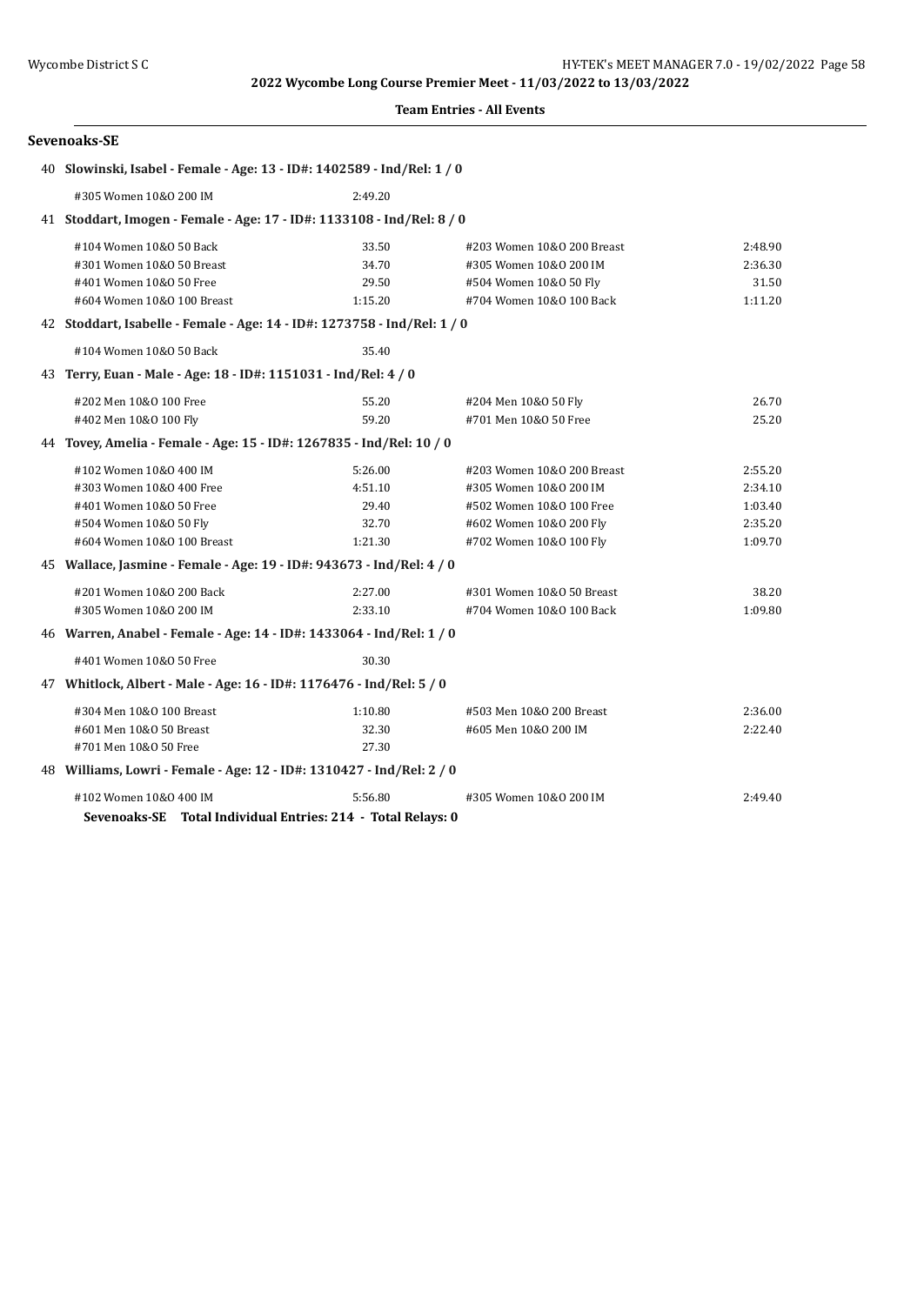#### **Team Entries - All Events**

| 40 Slowinski, Isabel - Female - Age: 13 - ID#: 1402589 - Ind/Rel: 1 / 0  |         |                            |         |
|--------------------------------------------------------------------------|---------|----------------------------|---------|
| #305 Women 10&0 200 IM                                                   | 2:49.20 |                            |         |
| 41 Stoddart, Imogen - Female - Age: 17 - ID#: 1133108 - Ind/Rel: 8 / 0   |         |                            |         |
| #104 Women 10&0 50 Back                                                  | 33.50   | #203 Women 10&0 200 Breast | 2:48.90 |
| #301 Women 10&0 50 Breast                                                | 34.70   | #305 Women 10&0 200 IM     | 2:36.30 |
| #401 Women 10&0 50 Free                                                  | 29.50   | #504 Women 10&0 50 Fly     | 31.50   |
| #604 Women 10&0 100 Breast                                               | 1:15.20 | #704 Women 10&0 100 Back   | 1:11.20 |
| 42 Stoddart, Isabelle - Female - Age: 14 - ID#: 1273758 - Ind/Rel: 1 / 0 |         |                            |         |
| #104 Women 10&0 50 Back                                                  | 35.40   |                            |         |
| 43 Terry, Euan - Male - Age: 18 - ID#: 1151031 - Ind/Rel: 4 / 0          |         |                            |         |
| #202 Men 10&0 100 Free                                                   | 55.20   | #204 Men 10&0 50 Fly       | 26.70   |
| #402 Men 10&0 100 Fly                                                    | 59.20   | #701 Men 10&0 50 Free      | 25.20   |
| 44 Tovey, Amelia - Female - Age: 15 - ID#: 1267835 - Ind/Rel: 10 / 0     |         |                            |         |
| #102 Women 10&0 400 IM                                                   | 5:26.00 | #203 Women 10&0 200 Breast | 2:55.20 |
| #303 Women 10&0 400 Free                                                 | 4:51.10 | #305 Women 10&0 200 IM     | 2:34.10 |
| #401 Women 10&0 50 Free                                                  | 29.40   | #502 Women 10&0 100 Free   | 1:03.40 |
| #504 Women 10&0 50 Fly                                                   | 32.70   | #602 Women 10&0 200 Fly    | 2:35.20 |
| #604 Women 10&0 100 Breast                                               | 1:21.30 | #702 Women 10&0 100 Fly    | 1:09.70 |
| 45 Wallace, Jasmine - Female - Age: 19 - ID#: 943673 - Ind/Rel: 4 / 0    |         |                            |         |
| #201 Women 10&0 200 Back                                                 | 2:27.00 | #301 Women 10&0 50 Breast  | 38.20   |
| #305 Women 10&0 200 IM                                                   | 2:33.10 | #704 Women 10&0 100 Back   | 1:09.80 |
| 46 Warren, Anabel - Female - Age: 14 - ID#: 1433064 - Ind/Rel: 1 / 0     |         |                            |         |
| #401 Women 10&0 50 Free                                                  | 30.30   |                            |         |
| 47 Whitlock, Albert - Male - Age: 16 - ID#: 1176476 - Ind/Rel: 5 / 0     |         |                            |         |
| #304 Men 10&0 100 Breast                                                 | 1:10.80 | #503 Men 10&0 200 Breast   | 2:36.00 |
| #601 Men 10&0 50 Breast                                                  | 32.30   | #605 Men 10&0 200 IM       | 2:22.40 |
| #701 Men 10&0 50 Free                                                    | 27.30   |                            |         |
| 48 Williams, Lowri - Female - Age: 12 - ID#: 1310427 - Ind/Rel: 2 / 0    |         |                            |         |
| #102 Women 10&0 400 IM                                                   | 5:56.80 | #305 Women 10&0 200 IM     | 2:49.40 |
| Sevenoaks-SE Total Individual Entries: 214 - Total Relays: 0             |         |                            |         |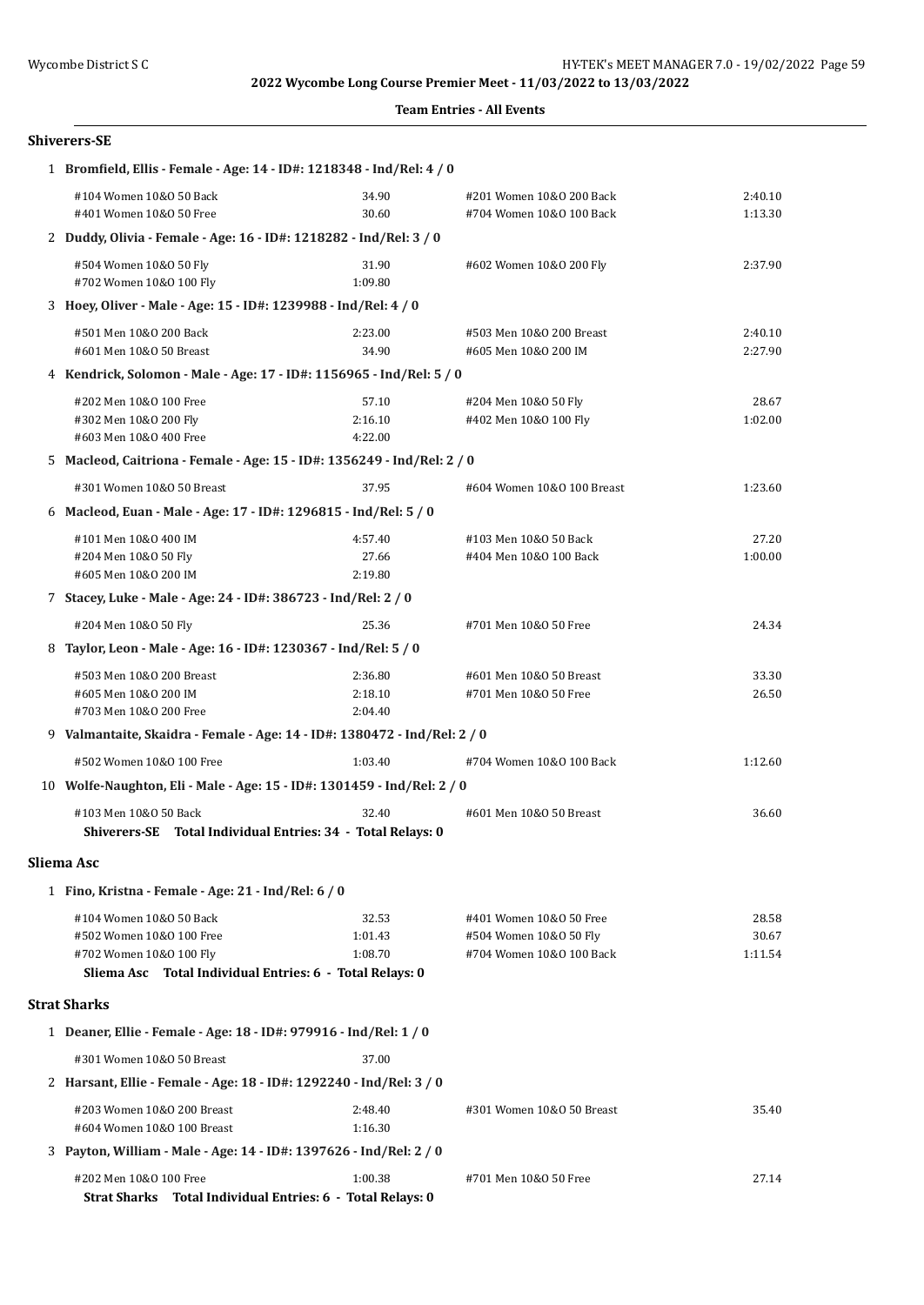| <b>Team Entries - All Events</b> |  |  |
|----------------------------------|--|--|
|----------------------------------|--|--|

|   | Shiverers-SE                                                                                                                               |                               |                                                                               |                           |
|---|--------------------------------------------------------------------------------------------------------------------------------------------|-------------------------------|-------------------------------------------------------------------------------|---------------------------|
|   | 1 Bromfield, Ellis - Female - Age: 14 - ID#: 1218348 - Ind/Rel: 4 / 0                                                                      |                               |                                                                               |                           |
|   | #104 Women 10&0 50 Back<br>#401 Women 10&0 50 Free                                                                                         | 34.90<br>30.60                | #201 Women 10&0 200 Back<br>#704 Women 10&0 100 Back                          | 2:40.10<br>1:13.30        |
|   | 2 Duddy, Olivia - Female - Age: 16 - ID#: 1218282 - Ind/Rel: 3 / 0                                                                         |                               |                                                                               |                           |
|   | #504 Women 10&0 50 Fly<br>#702 Women 10&0 100 Fly                                                                                          | 31.90<br>1:09.80              | #602 Women 10&0 200 Fly                                                       | 2:37.90                   |
|   | 3 Hoey, Oliver - Male - Age: 15 - ID#: 1239988 - Ind/Rel: 4 / 0                                                                            |                               |                                                                               |                           |
|   | #501 Men 10&0 200 Back<br>#601 Men 10&0 50 Breast                                                                                          | 2:23.00<br>34.90              | #503 Men 10&0 200 Breast<br>#605 Men 10&0 200 IM                              | 2:40.10<br>2:27.90        |
|   | 4 Kendrick, Solomon - Male - Age: 17 - ID#: 1156965 - Ind/Rel: 5 / 0                                                                       |                               |                                                                               |                           |
|   | #202 Men 10&0 100 Free<br>#302 Men 10&0 200 Fly<br>#603 Men 10&0 400 Free                                                                  | 57.10<br>2:16.10<br>4:22.00   | #204 Men 10&0 50 Fly<br>#402 Men 10&0 100 Fly                                 | 28.67<br>1:02.00          |
|   | 5 Macleod, Caitriona - Female - Age: 15 - ID#: 1356249 - Ind/Rel: 2 / 0                                                                    |                               |                                                                               |                           |
|   | #301 Women 10&0 50 Breast                                                                                                                  | 37.95                         | #604 Women 10&0 100 Breast                                                    | 1:23.60                   |
|   | 6 Macleod, Euan - Male - Age: 17 - ID#: 1296815 - Ind/Rel: 5 / 0                                                                           |                               |                                                                               |                           |
|   | #101 Men 10&0 400 IM<br>#204 Men 10&0 50 Fly<br>#605 Men 10&0 200 IM                                                                       | 4:57.40<br>27.66<br>2:19.80   | #103 Men 10&0 50 Back<br>#404 Men 10&0 100 Back                               | 27.20<br>1:00.00          |
|   | 7 Stacey, Luke - Male - Age: 24 - ID#: 386723 - Ind/Rel: 2 / 0                                                                             |                               |                                                                               |                           |
|   | #204 Men 10&0 50 Fly                                                                                                                       | 25.36                         | #701 Men 10&0 50 Free                                                         | 24.34                     |
| 8 | Taylor, Leon - Male - Age: 16 - ID#: 1230367 - Ind/Rel: 5 / 0                                                                              |                               |                                                                               |                           |
|   | #503 Men 10&0 200 Breast<br>#605 Men 10&0 200 IM<br>#703 Men 10&0 200 Free                                                                 | 2:36.80<br>2:18.10<br>2:04.40 | #601 Men 10&0 50 Breast<br>#701 Men 10&0 50 Free                              | 33.30<br>26.50            |
|   | 9 Valmantaite, Skaidra - Female - Age: 14 - ID#: 1380472 - Ind/Rel: 2 / 0                                                                  |                               |                                                                               |                           |
|   | #502 Women 10&0 100 Free                                                                                                                   | 1:03.40                       | #704 Women 10&0 100 Back                                                      | 1:12.60                   |
|   | 10 Wolfe-Naughton, Eli - Male - Age: 15 - ID#: 1301459 - Ind/Rel: 2 / 0                                                                    |                               |                                                                               |                           |
|   | #103 Men 10&0 50 Back<br>Shiverers-SE Total Individual Entries: 34 - Total Relays: 0                                                       | 32.40                         | #601 Men 10&0 50 Breast                                                       | 36.60                     |
|   | Sliema Asc                                                                                                                                 |                               |                                                                               |                           |
|   | 1 Fino, Kristna - Female - Age: 21 - Ind/Rel: 6 / 0                                                                                        |                               |                                                                               |                           |
|   | #104 Women 10&0 50 Back<br>#502 Women 10&0 100 Free<br>#702 Women 10&0 100 Fly<br>Sliema Asc Total Individual Entries: 6 - Total Relays: 0 | 32.53<br>1:01.43<br>1:08.70   | #401 Women 10&0 50 Free<br>#504 Women 10&0 50 Fly<br>#704 Women 10&0 100 Back | 28.58<br>30.67<br>1:11.54 |
|   | <b>Strat Sharks</b>                                                                                                                        |                               |                                                                               |                           |
|   | 1 Deaner, Ellie - Female - Age: 18 - ID#: 979916 - Ind/Rel: 1 / 0                                                                          |                               |                                                                               |                           |
|   | #301 Women 10&0 50 Breast                                                                                                                  | 37.00                         |                                                                               |                           |
|   | 2 Harsant, Ellie - Female - Age: 18 - ID#: 1292240 - Ind/Rel: 3 / 0                                                                        |                               |                                                                               |                           |
|   | #203 Women 10&0 200 Breast<br>#604 Women 10&0 100 Breast                                                                                   | 2:48.40<br>1:16.30            | #301 Women 10&0 50 Breast                                                     | 35.40                     |
|   | 3 Payton, William - Male - Age: 14 - ID#: 1397626 - Ind/Rel: 2 / 0                                                                         |                               |                                                                               |                           |
|   | #202 Men 10&0 100 Free<br>Strat Sharks Total Individual Entries: 6 - Total Relays: 0                                                       | 1:00.38                       | #701 Men 10&0 50 Free                                                         | 27.14                     |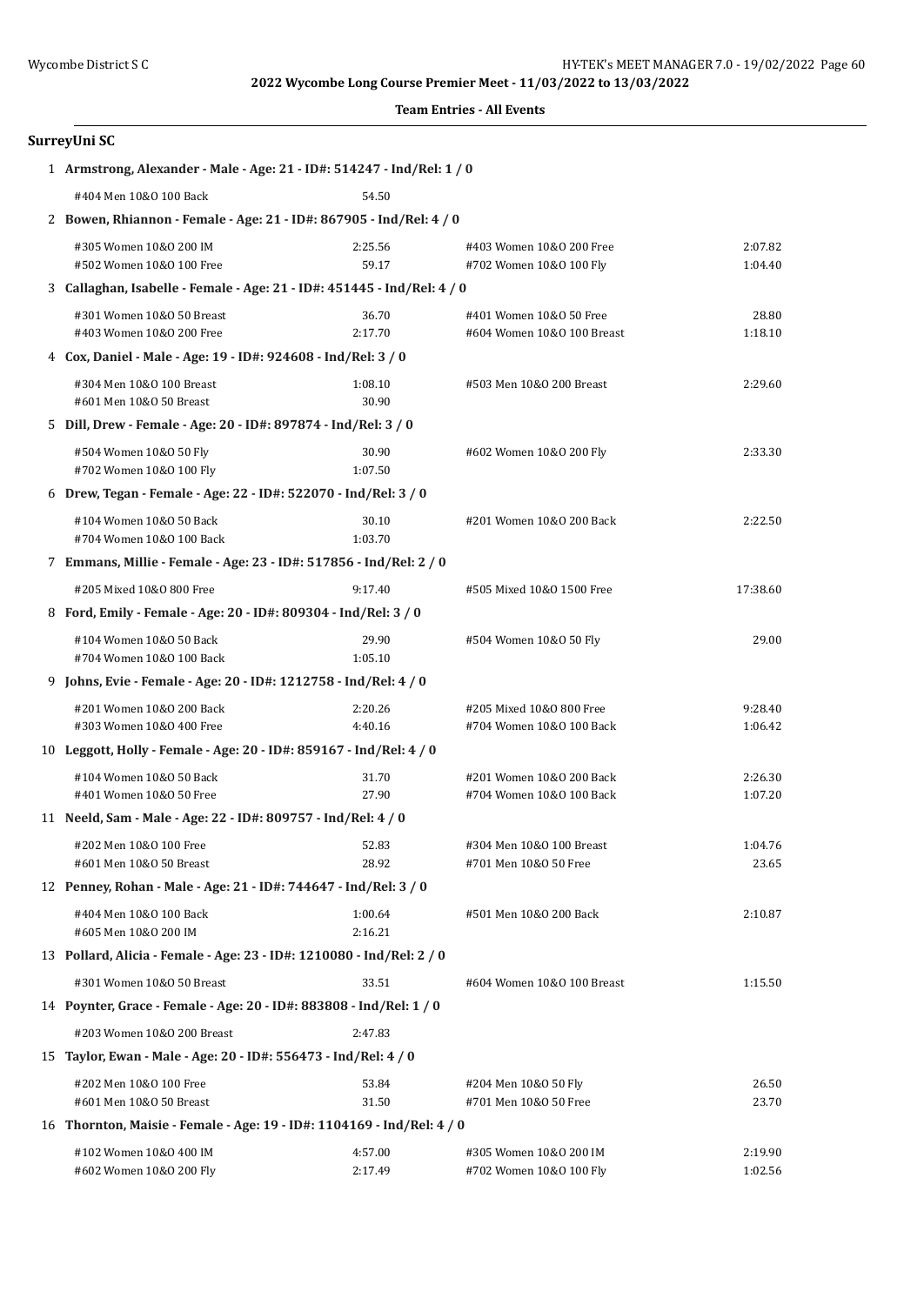| <b>Team Entries - All Events</b> |  |  |
|----------------------------------|--|--|
|----------------------------------|--|--|

# **SurreyUni SC**

| 1 Armstrong, Alexander - Male - Age: 21 - ID#: 514247 - Ind/Rel: 1 / 0  |                    |                                                       |                    |
|-------------------------------------------------------------------------|--------------------|-------------------------------------------------------|--------------------|
| #404 Men 10&0 100 Back                                                  | 54.50              |                                                       |                    |
| 2 Bowen, Rhiannon - Female - Age: 21 - ID#: 867905 - Ind/Rel: 4 / 0     |                    |                                                       |                    |
| #305 Women 10&0 200 IM<br>#502 Women 10&0 100 Free                      | 2:25.56<br>59.17   | #403 Women 10&0 200 Free<br>#702 Women 10&0 100 Fly   | 2:07.82<br>1:04.40 |
| 3 Callaghan, Isabelle - Female - Age: 21 - ID#: 451445 - Ind/Rel: 4 / 0 |                    |                                                       |                    |
| #301 Women 10&0 50 Breast<br>#403 Women 10&0 200 Free                   | 36.70<br>2:17.70   | #401 Women 10&0 50 Free<br>#604 Women 10&0 100 Breast | 28.80<br>1:18.10   |
| 4 Cox, Daniel - Male - Age: 19 - ID#: 924608 - Ind/Rel: 3 / 0           |                    |                                                       |                    |
| #304 Men 10&0 100 Breast<br>#601 Men 10&0 50 Breast                     | 1:08.10<br>30.90   | #503 Men 10&0 200 Breast                              | 2:29.60            |
| 5 Dill, Drew - Female - Age: 20 - ID#: 897874 - Ind/Rel: 3 / 0          |                    |                                                       |                    |
| #504 Women 10&0 50 Fly<br>#702 Women 10&0 100 Fly                       | 30.90<br>1:07.50   | #602 Women 10&0 200 Fly                               | 2:33.30            |
| 6 Drew, Tegan - Female - Age: 22 - ID#: 522070 - Ind/Rel: 3 / 0         |                    |                                                       |                    |
| #104 Women 10&0 50 Back<br>#704 Women 10&0 100 Back                     | 30.10<br>1:03.70   | #201 Women 10&0 200 Back                              | 2:22.50            |
| 7 Emmans, Millie - Female - Age: 23 - ID#: 517856 - Ind/Rel: 2 / 0      |                    |                                                       |                    |
| #205 Mixed 10&0 800 Free                                                | 9:17.40            | #505 Mixed 10&0 1500 Free                             | 17:38.60           |
| 8 Ford, Emily - Female - Age: 20 - ID#: 809304 - Ind/Rel: 3 / 0         |                    |                                                       |                    |
| #104 Women 10&0 50 Back<br>#704 Women 10&0 100 Back                     | 29.90<br>1:05.10   | #504 Women 10&0 50 Fly                                | 29.00              |
| 9 Johns, Evie - Female - Age: 20 - ID#: 1212758 - Ind/Rel: 4 / 0        |                    |                                                       |                    |
| #201 Women 10&0 200 Back<br>#303 Women 10&0 400 Free                    | 2:20.26<br>4:40.16 | #205 Mixed 10&0 800 Free<br>#704 Women 10&0 100 Back  | 9:28.40<br>1:06.42 |
| 10 Leggott, Holly - Female - Age: 20 - ID#: 859167 - Ind/Rel: 4 / 0     |                    |                                                       |                    |
| #104 Women 10&0 50 Back<br>#401 Women 10&0 50 Free                      | 31.70<br>27.90     | #201 Women 10&0 200 Back<br>#704 Women 10&0 100 Back  | 2:26.30<br>1:07.20 |
| 11 Neeld, Sam - Male - Age: 22 - ID#: 809757 - Ind/Rel: 4 / 0           |                    |                                                       |                    |
| #202 Men 10&0 100 Free<br>#601 Men 10&0 50 Breast                       | 52.83<br>28.92     | #304 Men 10&0 100 Breast<br>#701 Men 10&0 50 Free     | 1:04.76<br>23.65   |
| 12 Penney, Rohan - Male - Age: 21 - ID#: 744647 - Ind/Rel: 3 / 0        |                    |                                                       |                    |
| #404 Men 10&0 100 Back<br>#605 Men 10&0 200 IM                          | 1:00.64<br>2:16.21 | #501 Men 10&0 200 Back                                | 2:10.87            |
| 13 Pollard, Alicia - Female - Age: 23 - ID#: 1210080 - Ind/Rel: 2 / 0   |                    |                                                       |                    |
| #301 Women 10&0 50 Breast                                               | 33.51              | #604 Women 10&0 100 Breast                            | 1:15.50            |
| 14 Poynter, Grace - Female - Age: 20 - ID#: 883808 - Ind/Rel: 1 / 0     |                    |                                                       |                    |
| #203 Women 10&0 200 Breast                                              | 2:47.83            |                                                       |                    |
| 15 Taylor, Ewan - Male - Age: 20 - ID#: 556473 - Ind/Rel: 4 / 0         |                    |                                                       |                    |
| #202 Men 10&0 100 Free<br>#601 Men 10&0 50 Breast                       | 53.84<br>31.50     | #204 Men 10&0 50 Fly<br>#701 Men 10&0 50 Free         | 26.50<br>23.70     |
| 16 Thornton, Maisie - Female - Age: 19 - ID#: 1104169 - Ind/Rel: 4 / 0  |                    |                                                       |                    |
| #102 Women 10&0 400 IM<br>#602 Women 10&0 200 Fly                       | 4:57.00<br>2:17.49 | #305 Women 10&0 200 IM<br>#702 Women 10&0 100 Fly     | 2:19.90<br>1:02.56 |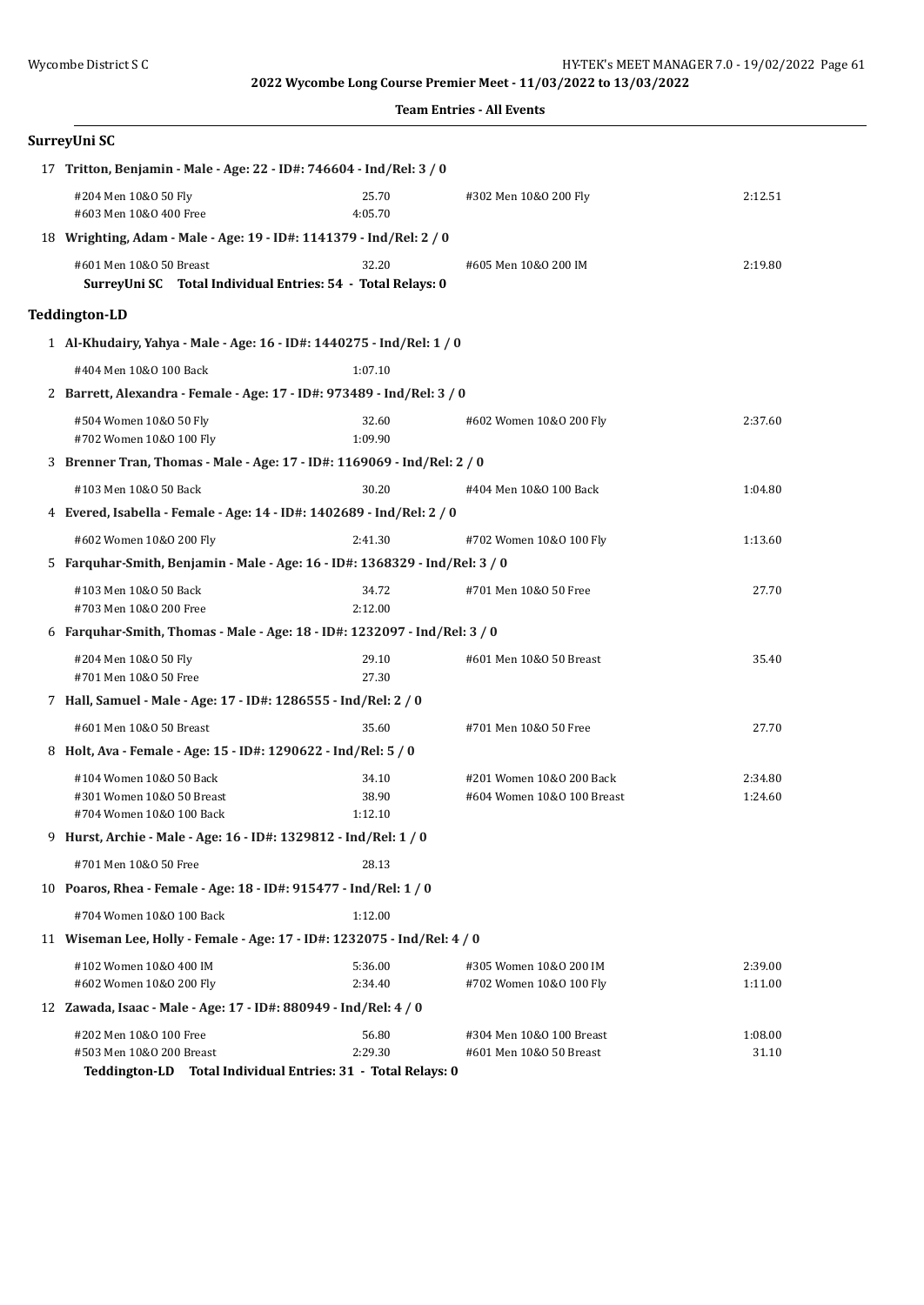| <b>Team Entries - All Events</b> |  |
|----------------------------------|--|
|                                  |  |

| SurreyUni SC                                                                           |                                                                          |                                                        |                    |  |  |
|----------------------------------------------------------------------------------------|--------------------------------------------------------------------------|--------------------------------------------------------|--------------------|--|--|
| 17 Tritton, Benjamin - Male - Age: 22 - ID#: 746604 - Ind/Rel: 3 / 0                   |                                                                          |                                                        |                    |  |  |
| #204 Men 10&0 50 Fly<br>#603 Men 10&0 400 Free                                         | 25.70<br>4:05.70                                                         | #302 Men 10&0 200 Fly                                  | 2:12.51            |  |  |
| 18 Wrighting, Adam - Male - Age: 19 - ID#: 1141379 - Ind/Rel: 2 / 0                    |                                                                          |                                                        |                    |  |  |
| #601 Men 10&0 50 Breast<br>SurreyUni SC Total Individual Entries: 54 - Total Relays: 0 | 32.20                                                                    | #605 Men 10&0 200 IM                                   | 2:19.80            |  |  |
| <b>Teddington-LD</b>                                                                   |                                                                          |                                                        |                    |  |  |
| 1 Al-Khudairy, Yahya - Male - Age: 16 - ID#: 1440275 - Ind/Rel: 1 / 0                  |                                                                          |                                                        |                    |  |  |
| #404 Men 10&0 100 Back                                                                 | 1:07.10                                                                  |                                                        |                    |  |  |
| 2 Barrett, Alexandra - Female - Age: 17 - ID#: 973489 - Ind/Rel: 3 / 0                 |                                                                          |                                                        |                    |  |  |
| #504 Women 10&0 50 Fly<br>#702 Women 10&0 100 Fly                                      | 32.60<br>1:09.90                                                         | #602 Women 10&0 200 Fly                                | 2:37.60            |  |  |
| 3 Brenner Tran, Thomas - Male - Age: 17 - ID#: 1169069 - Ind/Rel: 2 / 0                |                                                                          |                                                        |                    |  |  |
| #103 Men 10&0 50 Back                                                                  | 30.20                                                                    | #404 Men 10&0 100 Back                                 | 1:04.80            |  |  |
| 4 Evered, Isabella - Female - Age: 14 - ID#: 1402689 - Ind/Rel: 2 / 0                  |                                                                          |                                                        |                    |  |  |
| #602 Women 10&0 200 Fly                                                                | 2:41.30                                                                  | #702 Women 10&0 100 Fly                                | 1:13.60            |  |  |
| 5 Farquhar-Smith, Benjamin - Male - Age: 16 - ID#: 1368329 - Ind/Rel: 3 / 0            |                                                                          |                                                        |                    |  |  |
| #103 Men 10&0 50 Back<br>#703 Men 10&0 200 Free                                        | 34.72<br>2:12.00                                                         | #701 Men 10&0 50 Free                                  | 27.70              |  |  |
| 6 Farquhar-Smith, Thomas - Male - Age: 18 - ID#: 1232097 - Ind/Rel: 3 / 0              |                                                                          |                                                        |                    |  |  |
| #204 Men 10&0 50 Fly<br>#701 Men 10&0 50 Free                                          | 29.10<br>27.30                                                           | #601 Men 10&0 50 Breast                                | 35.40              |  |  |
| 7 Hall, Samuel - Male - Age: 17 - ID#: 1286555 - Ind/Rel: 2 / 0                        |                                                                          |                                                        |                    |  |  |
| #601 Men 10&0 50 Breast                                                                | 35.60                                                                    | #701 Men 10&0 50 Free                                  | 27.70              |  |  |
| 8 Holt, Ava - Female - Age: 15 - ID#: 1290622 - Ind/Rel: 5 / 0                         |                                                                          |                                                        |                    |  |  |
| #104 Women 10&0 50 Back<br>#301 Women 10&0 50 Breast<br>#704 Women 10&0 100 Back       | 34.10<br>38.90<br>1:12.10                                                | #201 Women 10&0 200 Back<br>#604 Women 10&0 100 Breast | 2:34.80<br>1:24.60 |  |  |
| 9 Hurst, Archie - Male - Age: 16 - ID#: 1329812 - Ind/Rel: 1 / 0                       |                                                                          |                                                        |                    |  |  |
| #701 Men 10&0 50 Free                                                                  | 28.13                                                                    |                                                        |                    |  |  |
| 10 Poaros, Rhea - Female - Age: 18 - ID#: 915477 - Ind/Rel: 1 / 0                      |                                                                          |                                                        |                    |  |  |
| #704 Women 10&0 100 Back                                                               | 1:12.00                                                                  |                                                        |                    |  |  |
|                                                                                        | 11 Wiseman Lee, Holly - Female - Age: 17 - ID#: 1232075 - Ind/Rel: 4 / 0 |                                                        |                    |  |  |
| #102 Women 10&0 400 IM<br>#602 Women 10&0 200 Fly                                      | 5:36.00<br>2:34.40                                                       | #305 Women 10&0 200 IM<br>#702 Women 10&0 100 Fly      | 2:39.00<br>1:11.00 |  |  |
| 12 Zawada, Isaac - Male - Age: 17 - ID#: 880949 - Ind/Rel: 4 / 0                       |                                                                          |                                                        |                    |  |  |
| #202 Men 10&0 100 Free<br>#503 Men 10&0 200 Breast                                     | 56.80<br>2:29.30                                                         | #304 Men 10&0 100 Breast<br>#601 Men 10&0 50 Breast    | 1:08.00<br>31.10   |  |  |

**Teddington-LD Total Individual Entries: 31 - Total Relays: 0**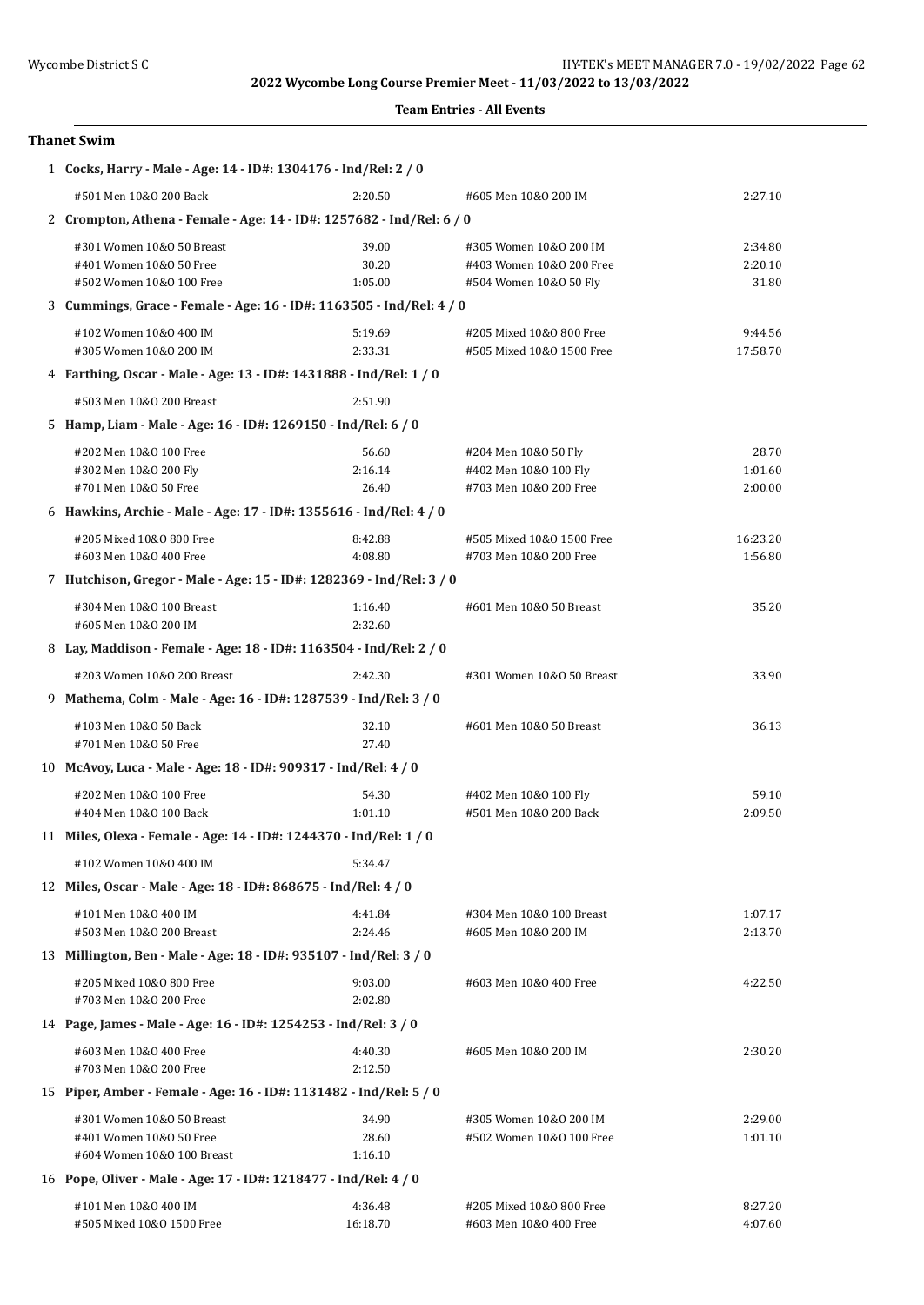#### **Team Entries - All Events**

#### **Thanet Swim**

| 1 Cocks, Harry - Male - Age: 14 - ID#: 1304176 - Ind/Rel: 2 / 0                    |                           |                                                                              |                             |
|------------------------------------------------------------------------------------|---------------------------|------------------------------------------------------------------------------|-----------------------------|
| #501 Men 10&0 200 Back                                                             | 2:20.50                   | #605 Men 10&0 200 IM                                                         | 2:27.10                     |
| 2 Crompton, Athena - Female - Age: 14 - ID#: 1257682 - Ind/Rel: 6 / 0              |                           |                                                                              |                             |
| #301 Women 10&0 50 Breast<br>#401 Women 10&0 50 Free<br>#502 Women 10&0 100 Free   | 39.00<br>30.20<br>1:05.00 | #305 Women 10&0 200 IM<br>#403 Women 10&0 200 Free<br>#504 Women 10&0 50 Fly | 2:34.80<br>2:20.10<br>31.80 |
| 3 Cummings, Grace - Female - Age: 16 - ID#: 1163505 - Ind/Rel: 4 / 0               |                           |                                                                              |                             |
| #102 Women 10&0 400 IM<br>#305 Women 10&0 200 IM                                   | 5:19.69<br>2:33.31        | #205 Mixed 10&0 800 Free<br>#505 Mixed 10&0 1500 Free                        | 9:44.56<br>17:58.70         |
| 4 Farthing, Oscar - Male - Age: 13 - ID#: 1431888 - Ind/Rel: 1 / 0                 |                           |                                                                              |                             |
| #503 Men 10&0 200 Breast                                                           | 2:51.90                   |                                                                              |                             |
| 5 Hamp, Liam - Male - Age: 16 - ID#: 1269150 - Ind/Rel: 6 / 0                      |                           |                                                                              |                             |
| #202 Men 10&0 100 Free<br>#302 Men 10&0 200 Fly<br>#701 Men 10&0 50 Free           | 56.60<br>2:16.14<br>26.40 | #204 Men 10&0 50 Fly<br>#402 Men 10&0 100 Fly<br>#703 Men 10&0 200 Free      | 28.70<br>1:01.60<br>2:00.00 |
| 6 Hawkins, Archie - Male - Age: 17 - ID#: 1355616 - Ind/Rel: 4 / 0                 |                           |                                                                              |                             |
| #205 Mixed 10&0 800 Free<br>#603 Men 10&0 400 Free                                 | 8:42.88<br>4:08.80        | #505 Mixed 10&0 1500 Free<br>#703 Men 10&0 200 Free                          | 16:23.20<br>1:56.80         |
| 7 Hutchison, Gregor - Male - Age: 15 - ID#: 1282369 - Ind/Rel: 3 / 0               |                           |                                                                              |                             |
| #304 Men 10&0 100 Breast<br>#605 Men 10&0 200 IM                                   | 1:16.40<br>2:32.60        | #601 Men 10&0 50 Breast                                                      | 35.20                       |
| 8 Lay, Maddison - Female - Age: 18 - ID#: 1163504 - Ind/Rel: 2 / 0                 |                           |                                                                              |                             |
| #203 Women 10&0 200 Breast                                                         | 2:42.30                   | #301 Women 10&0 50 Breast                                                    | 33.90                       |
| 9 Mathema, Colm - Male - Age: 16 - ID#: 1287539 - Ind/Rel: 3 / 0                   |                           |                                                                              |                             |
| #103 Men 10&0 50 Back<br>#701 Men 10&0 50 Free                                     | 32.10<br>27.40            | #601 Men 10&0 50 Breast                                                      | 36.13                       |
| 10 McAvoy, Luca - Male - Age: 18 - ID#: 909317 - Ind/Rel: 4 / 0                    |                           |                                                                              |                             |
| #202 Men 10&0 100 Free<br>#404 Men 10&0 100 Back                                   | 54.30<br>1:01.10          | #402 Men 10&0 100 Fly<br>#501 Men 10&0 200 Back                              | 59.10<br>2:09.50            |
| 11 Miles, Olexa - Female - Age: 14 - ID#: 1244370 - Ind/Rel: 1 / 0                 |                           |                                                                              |                             |
| #102 Women 10&0 400 IM                                                             | 5:34.47                   |                                                                              |                             |
| 12 Miles, Oscar - Male - Age: 18 - ID#: 868675 - Ind/Rel: 4 / 0                    |                           |                                                                              |                             |
| #101 Men 10&0 400 IM<br>#503 Men 10&0 200 Breast                                   | 4:41.84<br>2:24.46        | #304 Men 10&0 100 Breast<br>#605 Men 10&0 200 IM                             | 1:07.17<br>2:13.70          |
| 13 Millington, Ben - Male - Age: 18 - ID#: 935107 - Ind/Rel: 3 / 0                 |                           |                                                                              |                             |
| #205 Mixed 10&0 800 Free<br>#703 Men 10&0 200 Free                                 | 9:03.00<br>2:02.80        | #603 Men 10&0 400 Free                                                       | 4:22.50                     |
| 14 Page, James - Male - Age: 16 - ID#: 1254253 - Ind/Rel: 3 / 0                    |                           |                                                                              |                             |
| #603 Men 10&0 400 Free<br>#703 Men 10&0 200 Free                                   | 4:40.30<br>2:12.50        | #605 Men 10&0 200 IM                                                         | 2:30.20                     |
| 15 Piper, Amber - Female - Age: 16 - ID#: 1131482 - Ind/Rel: 5 / 0                 |                           |                                                                              |                             |
| #301 Women 10&0 50 Breast<br>#401 Women 10&0 50 Free<br>#604 Women 10&0 100 Breast | 34.90<br>28.60<br>1:16.10 | #305 Women 10&0 200 IM<br>#502 Women 10&0 100 Free                           | 2:29.00<br>1:01.10          |
| 16 Pope, Oliver - Male - Age: 17 - ID#: 1218477 - Ind/Rel: 4 / 0                   |                           |                                                                              |                             |
| #101 Men 10&0 400 IM<br>#505 Mixed 10&0 1500 Free                                  | 4:36.48<br>16:18.70       | #205 Mixed 10&0 800 Free<br>#603 Men 10&0 400 Free                           | 8:27.20<br>4:07.60          |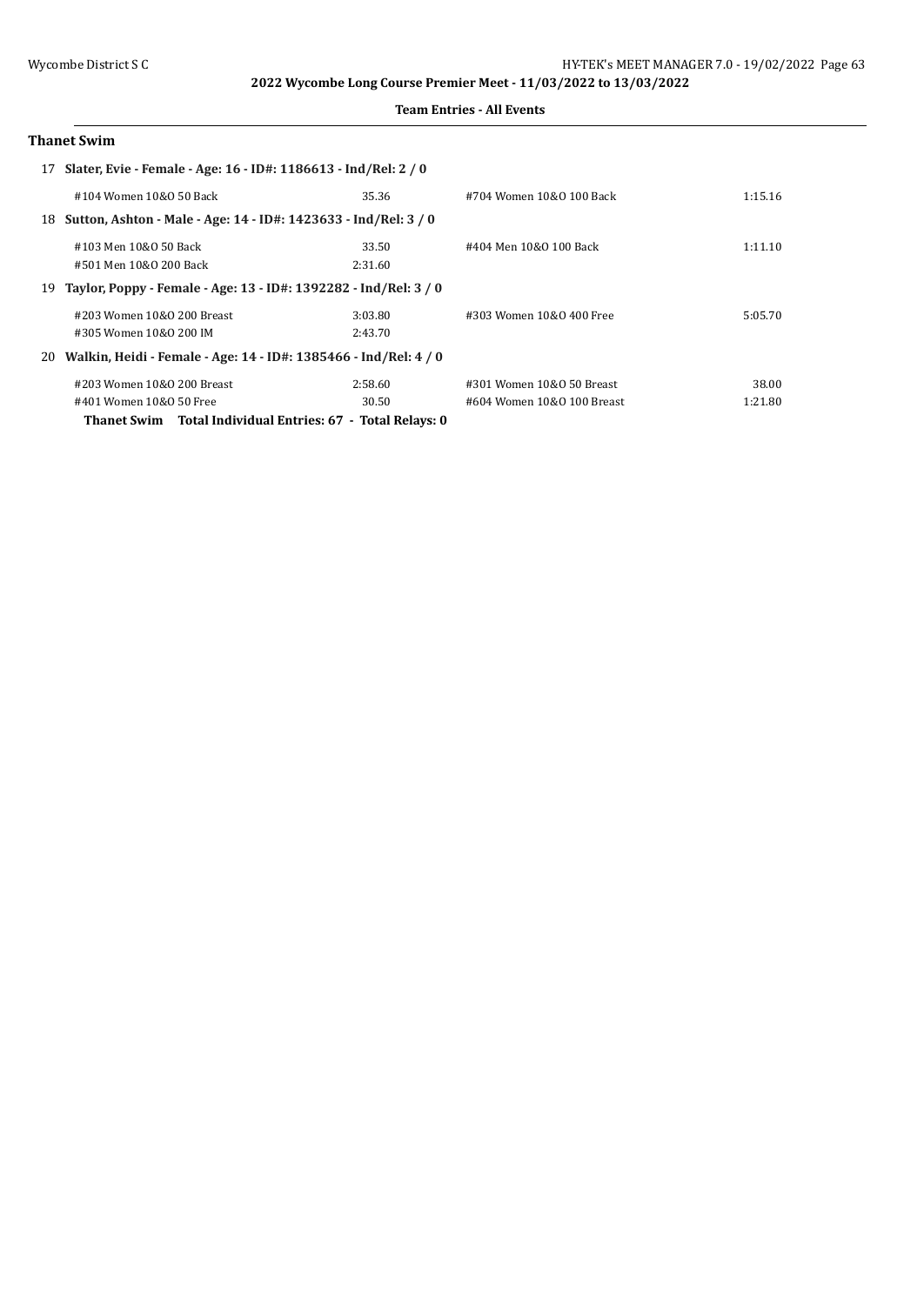#### **Team Entries - All Events**

## **Thanet Swim**

|    | 17 Slater, Evie - Female - Age: 16 - ID#: 1186613 - Ind/Rel: 2 / 0  |         |                            |         |
|----|---------------------------------------------------------------------|---------|----------------------------|---------|
|    | #104 Women 10&0 50 Back                                             | 35.36   | #704 Women 10&0 100 Back   | 1:15.16 |
|    | 18 Sutton, Ashton - Male - Age: 14 - ID#: 1423633 - Ind/Rel: 3 / 0  |         |                            |         |
|    | #103 Men 10&0 50 Back                                               | 33.50   | #404 Men 10&0 100 Back     | 1:11.10 |
|    | #501 Men 10&0 200 Back                                              | 2:31.60 |                            |         |
|    | 19 Taylor, Poppy - Female - Age: 13 - ID#: 1392282 - Ind/Rel: 3 / 0 |         |                            |         |
|    | #203 Women 10&0 200 Breast                                          | 3:03.80 | #303 Women 10&0 400 Free   | 5:05.70 |
|    | #305 Women 10&0 200 IM                                              | 2:43.70 |                            |         |
| 20 | Walkin, Heidi - Female - Age: 14 - ID#: 1385466 - Ind/Rel: 4 / 0    |         |                            |         |
|    | #203 Women 10&0 200 Breast                                          | 2:58.60 | #301 Women 10&0 50 Breast  | 38.00   |
|    | #401 Women 10&0 50 Free                                             | 30.50   | #604 Women 10&0 100 Breast | 1:21.80 |
|    | Thanet Swim Total Individual Entries: 67 - Total Relays: 0          |         |                            |         |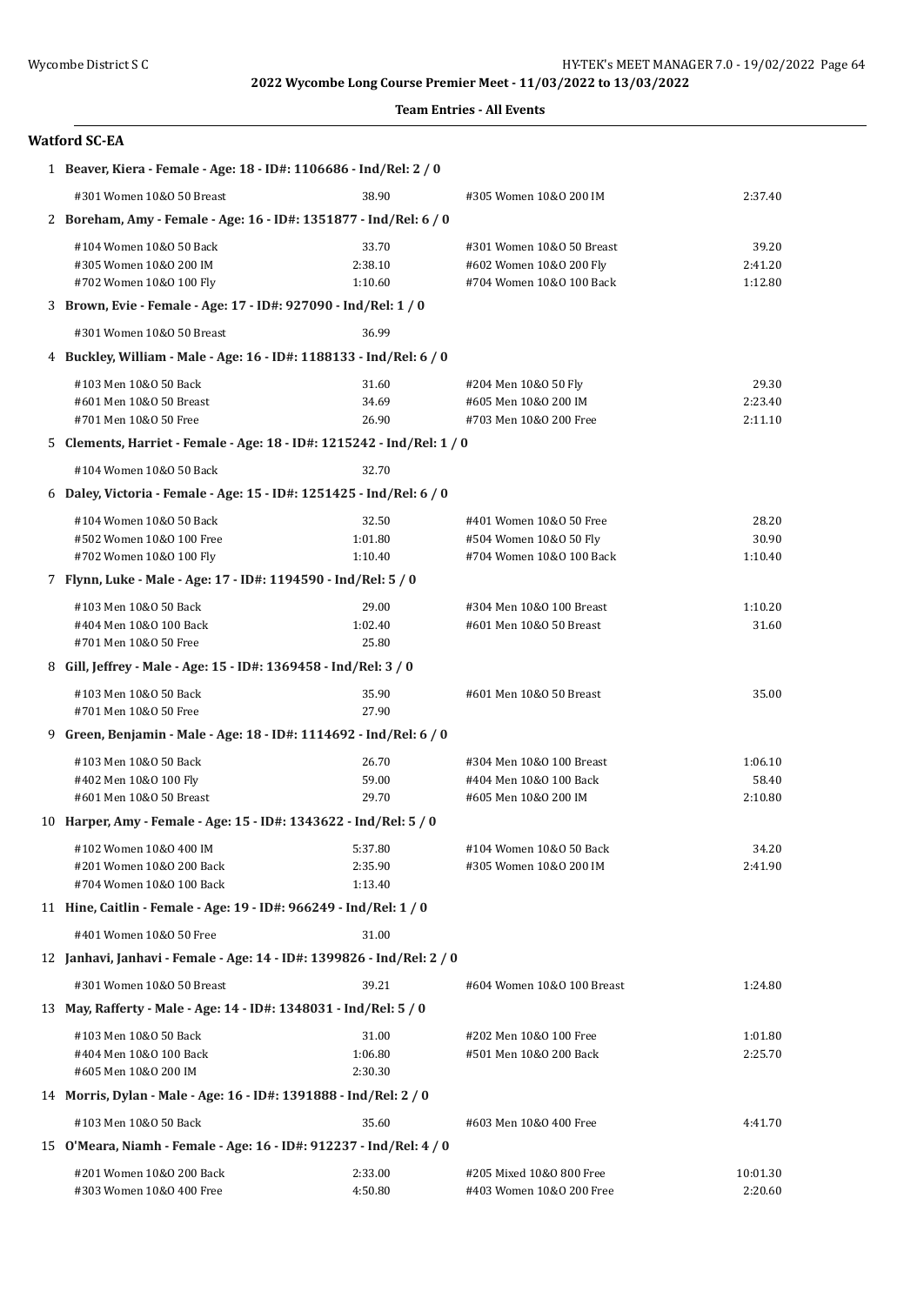### **Team Entries - All Events**

## **Watford SC-EA**

| 1 Beaver, Kiera - Female - Age: 18 - ID#: 1106686 - Ind/Rel: 2 / 0           |                             |                                                                                  |                             |  |  |
|------------------------------------------------------------------------------|-----------------------------|----------------------------------------------------------------------------------|-----------------------------|--|--|
| #301 Women 10&0 50 Breast                                                    | 38.90                       | #305 Women 10&0 200 IM                                                           | 2:37.40                     |  |  |
| 2 Boreham, Amy - Female - Age: 16 - ID#: 1351877 - Ind/Rel: 6 / 0            |                             |                                                                                  |                             |  |  |
| #104 Women 10&0 50 Back<br>#305 Women 10&0 200 IM<br>#702 Women 10&0 100 Fly | 33.70<br>2:38.10<br>1:10.60 | #301 Women 10&0 50 Breast<br>#602 Women 10&0 200 Fly<br>#704 Women 10&0 100 Back | 39.20<br>2:41.20<br>1:12.80 |  |  |
| 3 Brown, Evie - Female - Age: 17 - ID#: 927090 - Ind/Rel: 1 / 0              |                             |                                                                                  |                             |  |  |
| #301 Women 10&0 50 Breast                                                    | 36.99                       |                                                                                  |                             |  |  |
| 4 Buckley, William - Male - Age: 16 - ID#: 1188133 - Ind/Rel: 6 / 0          |                             |                                                                                  |                             |  |  |
| #103 Men 10&0 50 Back                                                        | 31.60                       | #204 Men 10&0 50 Fly                                                             | 29.30                       |  |  |
| #601 Men 10&0 50 Breast                                                      | 34.69                       | #605 Men 10&0 200 IM                                                             | 2:23.40                     |  |  |
| #701 Men 10&0 50 Free                                                        | 26.90                       | #703 Men 10&0 200 Free                                                           | 2:11.10                     |  |  |
| 5 Clements, Harriet - Female - Age: 18 - ID#: 1215242 - Ind/Rel: 1 / 0       |                             |                                                                                  |                             |  |  |
| #104 Women 10&0 50 Back                                                      | 32.70                       |                                                                                  |                             |  |  |
| 6 Daley, Victoria - Female - Age: 15 - ID#: 1251425 - Ind/Rel: 6 / 0         |                             |                                                                                  |                             |  |  |
| #104 Women 10&0 50 Back                                                      | 32.50                       | #401 Women 10&0 50 Free                                                          | 28.20                       |  |  |
| #502 Women 10&0 100 Free                                                     | 1:01.80                     | #504 Women 10&0 50 Fly                                                           | 30.90                       |  |  |
| #702 Women 10&0 100 Fly                                                      | 1:10.40                     | #704 Women 10&0 100 Back                                                         | 1:10.40                     |  |  |
| 7 Flynn, Luke - Male - Age: 17 - ID#: 1194590 - Ind/Rel: 5 / 0               |                             |                                                                                  |                             |  |  |
| #103 Men 10&0 50 Back                                                        | 29.00                       | #304 Men 10&0 100 Breast                                                         | 1:10.20                     |  |  |
| #404 Men 10&0 100 Back                                                       | 1:02.40                     | #601 Men 10&0 50 Breast                                                          | 31.60                       |  |  |
| #701 Men 10&0 50 Free                                                        | 25.80                       |                                                                                  |                             |  |  |
| 8 Gill, Jeffrey - Male - Age: 15 - ID#: 1369458 - Ind/Rel: 3 / 0             |                             |                                                                                  |                             |  |  |
| #103 Men 10&0 50 Back<br>#701 Men 10&0 50 Free                               | 35.90<br>27.90              | #601 Men 10&0 50 Breast                                                          | 35.00                       |  |  |
| 9 Green, Benjamin - Male - Age: 18 - ID#: 1114692 - Ind/Rel: 6 / 0           |                             |                                                                                  |                             |  |  |
| #103 Men 10&0 50 Back                                                        | 26.70                       | #304 Men 10&0 100 Breast                                                         | 1:06.10                     |  |  |
| #402 Men 10&0 100 Fly                                                        | 59.00                       | #404 Men 10&0 100 Back                                                           | 58.40                       |  |  |
| #601 Men 10&0 50 Breast                                                      | 29.70                       | #605 Men 10&0 200 IM                                                             | 2:10.80                     |  |  |
| 10 Harper, Amy - Female - Age: 15 - ID#: 1343622 - Ind/Rel: 5 / 0            |                             |                                                                                  |                             |  |  |
| #102 Women 10&0 400 IM                                                       | 5:37.80                     | #104 Women 10&0 50 Back                                                          | 34.20                       |  |  |
| #201 Women 10&0 200 Back                                                     | 2:35.90                     | #305 Women 10&0 200 IM                                                           | 2:41.90                     |  |  |
| #704 Women 10&0 100 Back                                                     | 1:13.40                     |                                                                                  |                             |  |  |
| 11 Hine, Caitlin - Female - Age: 19 - ID#: 966249 - Ind/Rel: 1 / 0           |                             |                                                                                  |                             |  |  |
| #401 Women 10&0 50 Free                                                      | 31.00                       |                                                                                  |                             |  |  |
| 12 Janhavi, Janhavi - Female - Age: 14 - ID#: 1399826 - Ind/Rel: 2 / 0       |                             |                                                                                  |                             |  |  |
| #301 Women 10&0 50 Breast                                                    | 39.21                       | #604 Women 10&0 100 Breast                                                       | 1:24.80                     |  |  |
| 13 May, Rafferty - Male - Age: 14 - ID#: 1348031 - Ind/Rel: 5 / 0            |                             |                                                                                  |                             |  |  |
| #103 Men 10&0 50 Back                                                        | 31.00                       | #202 Men 10&0 100 Free                                                           | 1:01.80                     |  |  |
| #404 Men 10&0 100 Back                                                       | 1:06.80                     | #501 Men 10&0 200 Back                                                           | 2:25.70                     |  |  |
| #605 Men 10&0 200 IM                                                         | 2:30.30                     |                                                                                  |                             |  |  |
| 14 Morris, Dylan - Male - Age: 16 - ID#: 1391888 - Ind/Rel: 2 / 0            |                             |                                                                                  |                             |  |  |
| #103 Men 10&0 50 Back                                                        | 35.60                       | #603 Men 10&0 400 Free                                                           | 4:41.70                     |  |  |
| 15 O'Meara, Niamh - Female - Age: 16 - ID#: 912237 - Ind/Rel: 4 / 0          |                             |                                                                                  |                             |  |  |
| #201 Women 10&0 200 Back                                                     | 2:33.00                     | #205 Mixed 10&0 800 Free                                                         | 10:01.30                    |  |  |
| #303 Women 10&0 400 Free                                                     | 4:50.80                     | #403 Women 10&0 200 Free                                                         | 2:20.60                     |  |  |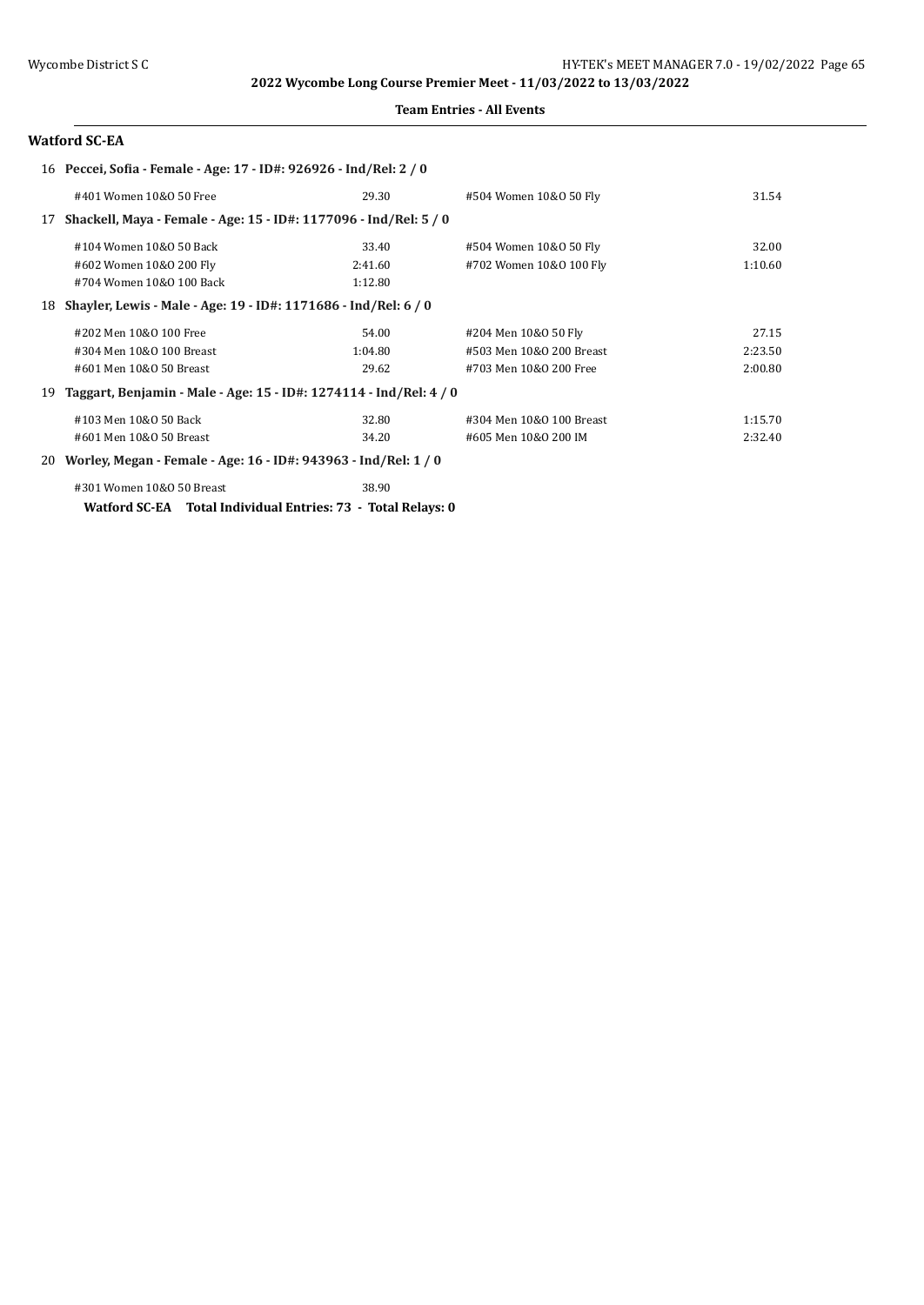#### **Team Entries - All Events**

## **Watford SC-EA**

|    | 16 Peccei, Sofia - Female - Age: 17 - ID#: 926926 - Ind/Rel: 2 / 0 |         |                          |         |
|----|--------------------------------------------------------------------|---------|--------------------------|---------|
|    | #401 Women 10&0 50 Free                                            | 29.30   | #504 Women 10&0 50 Fly   | 31.54   |
| 17 | Shackell, Maya - Female - Age: 15 - ID#: 1177096 - Ind/Rel: 5 / 0  |         |                          |         |
|    | #104 Women 10&0 50 Back                                            | 33.40   | #504 Women 10&0 50 Fly   | 32.00   |
|    | #602 Women 10&0 200 Fly                                            | 2:41.60 | #702 Women 10&0 100 Fly  | 1:10.60 |
|    | #704 Women 10&0 100 Back                                           | 1:12.80 |                          |         |
| 18 | Shayler, Lewis - Male - Age: 19 - ID#: 1171686 - Ind/Rel: 6 / 0    |         |                          |         |
|    | #202 Men 10&0 100 Free                                             | 54.00   | #204 Men 10&0 50 Fly     | 27.15   |
|    | #304 Men 10&0 100 Breast                                           | 1:04.80 | #503 Men 10&0 200 Breast | 2:23.50 |
|    | #601 Men 10&0 50 Breast                                            | 29.62   | #703 Men 10&0 200 Free   | 2:00.80 |
| 19 | Taggart, Benjamin - Male - Age: 15 - ID#: 1274114 - Ind/Rel: 4 / 0 |         |                          |         |
|    | #103 Men 10&0 50 Back                                              | 32.80   | #304 Men 10&0 100 Breast | 1:15.70 |
|    | #601 Men 10&0 50 Breast                                            | 34.20   | #605 Men 10&0 200 IM     | 2:32.40 |
|    | 20 Worley, Megan - Female - Age: 16 - ID#: 943963 - Ind/Rel: 1 / 0 |         |                          |         |
|    | #301 Women 10&0 50 Breast                                          | 38.90   |                          |         |

**Watford SC-EA Total Individual Entries: 73 - Total Relays: 0**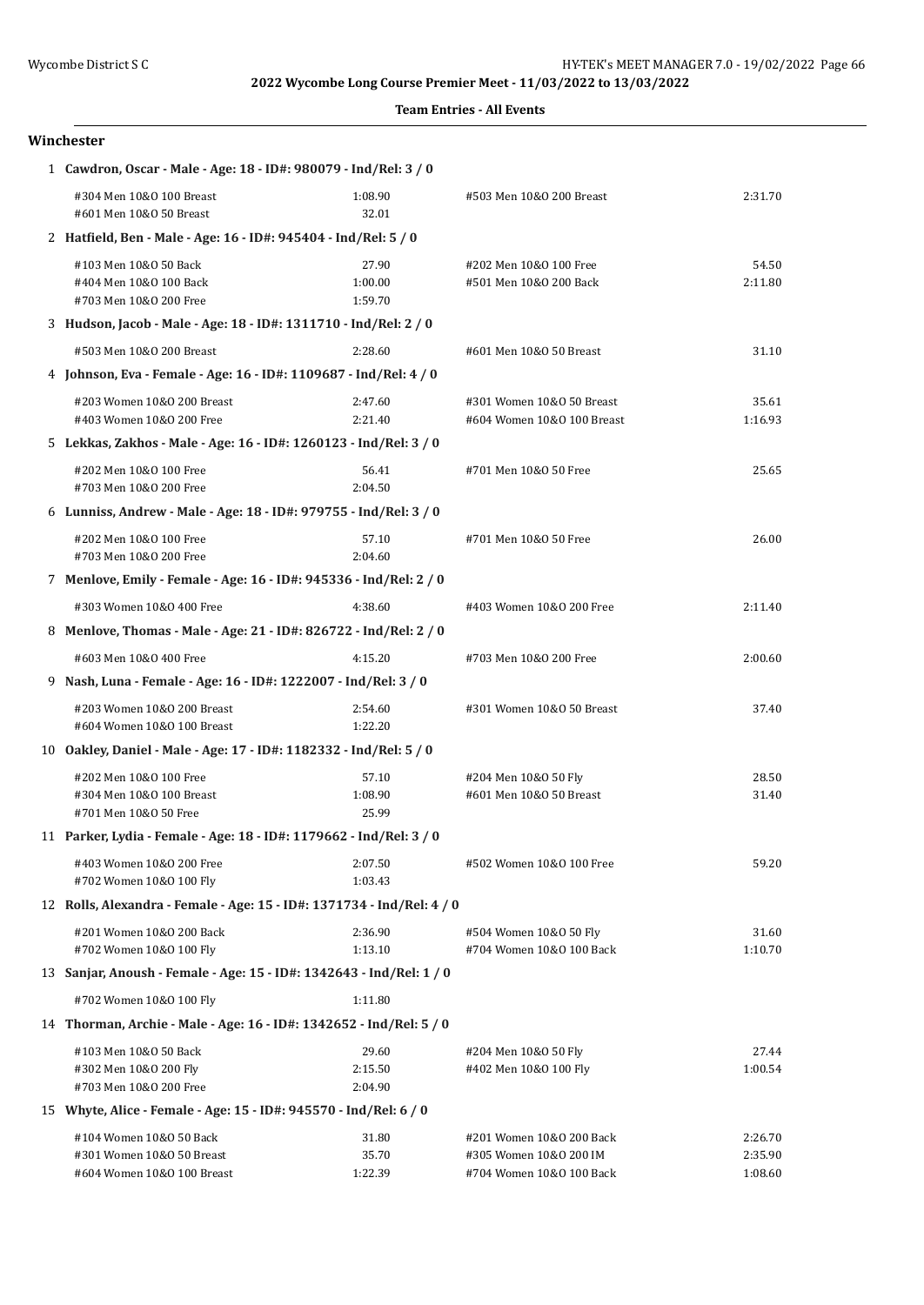**Team Entries - All Events**

#### **Winchester**

| 1 Cawdron, Oscar - Male - Age: 18 - ID#: 980079 - Ind/Rel: 3 / 0                   |                             |                                                                                |                               |  |
|------------------------------------------------------------------------------------|-----------------------------|--------------------------------------------------------------------------------|-------------------------------|--|
| #304 Men 10&0 100 Breast<br>#601 Men 10&0 50 Breast                                | 1:08.90<br>32.01            | #503 Men 10&0 200 Breast                                                       | 2:31.70                       |  |
| 2 Hatfield, Ben - Male - Age: 16 - ID#: 945404 - Ind/Rel: 5 / 0                    |                             |                                                                                |                               |  |
| #103 Men 10&0 50 Back<br>#404 Men 10&0 100 Back<br>#703 Men 10&0 200 Free          | 27.90<br>1:00.00<br>1:59.70 | #202 Men 10&0 100 Free<br>#501 Men 10&0 200 Back                               | 54.50<br>2:11.80              |  |
| 3 Hudson, Jacob - Male - Age: 18 - ID#: 1311710 - Ind/Rel: 2 / 0                   |                             |                                                                                |                               |  |
| #503 Men 10&0 200 Breast                                                           | 2:28.60                     | #601 Men 10&0 50 Breast                                                        | 31.10                         |  |
| 4 Johnson, Eva - Female - Age: 16 - ID#: 1109687 - Ind/Rel: 4 / 0                  |                             |                                                                                |                               |  |
| #203 Women 10&0 200 Breast<br>#403 Women 10&0 200 Free                             | 2:47.60<br>2:21.40          | #301 Women 10&0 50 Breast<br>#604 Women 10&0 100 Breast                        | 35.61<br>1:16.93              |  |
| 5 Lekkas, Zakhos - Male - Age: 16 - ID#: 1260123 - Ind/Rel: 3 / 0                  |                             |                                                                                |                               |  |
| #202 Men 10&0 100 Free<br>#703 Men 10&0 200 Free                                   | 56.41<br>2:04.50            | #701 Men 10&0 50 Free                                                          | 25.65                         |  |
| 6 Lunniss, Andrew - Male - Age: 18 - ID#: 979755 - Ind/Rel: 3 / 0                  |                             |                                                                                |                               |  |
| #202 Men 10&0 100 Free<br>#703 Men 10&0 200 Free                                   | 57.10<br>2:04.60            | #701 Men 10&0 50 Free                                                          | 26.00                         |  |
| 7 Menlove, Emily - Female - Age: 16 - ID#: 945336 - Ind/Rel: 2 / 0                 |                             |                                                                                |                               |  |
| #303 Women 10&0 400 Free                                                           | 4:38.60                     | #403 Women 10&0 200 Free                                                       | 2:11.40                       |  |
| 8 Menlove, Thomas - Male - Age: 21 - ID#: 826722 - Ind/Rel: 2 / 0                  |                             |                                                                                |                               |  |
| #603 Men 10&0 400 Free                                                             | 4:15.20                     | #703 Men 10&0 200 Free                                                         | 2:00.60                       |  |
| 9 Nash, Luna - Female - Age: 16 - ID#: 1222007 - Ind/Rel: 3 / 0                    |                             |                                                                                |                               |  |
| #203 Women 10&0 200 Breast<br>#604 Women 10&0 100 Breast                           | 2:54.60<br>1:22.20          | #301 Women 10&0 50 Breast                                                      | 37.40                         |  |
| 10 Oakley, Daniel - Male - Age: 17 - ID#: 1182332 - Ind/Rel: 5 / 0                 |                             |                                                                                |                               |  |
| #202 Men 10&0 100 Free<br>#304 Men 10&0 100 Breast<br>#701 Men 10&0 50 Free        | 57.10<br>1:08.90<br>25.99   | #204 Men 10&0 50 Fly<br>#601 Men 10&0 50 Breast                                | 28.50<br>31.40                |  |
| 11 Parker, Lydia - Female - Age: 18 - ID#: 1179662 - Ind/Rel: 3 / 0                |                             |                                                                                |                               |  |
| #403 Women 10&0 200 Free<br>#702 Women 10&0 100 Fly                                | 2:07.50<br>1:03.43          | #502 Women 10&0 100 Free                                                       | 59.20                         |  |
| 12 Rolls, Alexandra - Female - Age: 15 - ID#: 1371734 - Ind/Rel: 4 / 0             |                             |                                                                                |                               |  |
| #201 Women 10&0 200 Back<br>#702 Women 10&0 100 Fly                                | 2:36.90<br>1:13.10          | #504 Women 10&0 50 Fly<br>#704 Women 10&0 100 Back                             | 31.60<br>1:10.70              |  |
| 13 Sanjar, Anoush - Female - Age: 15 - ID#: 1342643 - Ind/Rel: 1 / 0               |                             |                                                                                |                               |  |
| #702 Women 10&0 100 Fly                                                            | 1:11.80                     |                                                                                |                               |  |
| 14 Thorman, Archie - Male - Age: 16 - ID#: 1342652 - Ind/Rel: 5 / 0                |                             |                                                                                |                               |  |
| #103 Men 10&0 50 Back<br>#302 Men 10&0 200 Fly<br>#703 Men 10&0 200 Free           | 29.60<br>2:15.50<br>2:04.90 | #204 Men 10&0 50 Fly<br>#402 Men 10&0 100 Fly                                  | 27.44<br>1:00.54              |  |
| 15 Whyte, Alice - Female - Age: 15 - ID#: 945570 - Ind/Rel: 6 / 0                  |                             |                                                                                |                               |  |
| #104 Women 10&0 50 Back<br>#301 Women 10&0 50 Breast<br>#604 Women 10&0 100 Breast | 31.80<br>35.70<br>1:22.39   | #201 Women 10&0 200 Back<br>#305 Women 10&0 200 IM<br>#704 Women 10&0 100 Back | 2:26.70<br>2:35.90<br>1:08.60 |  |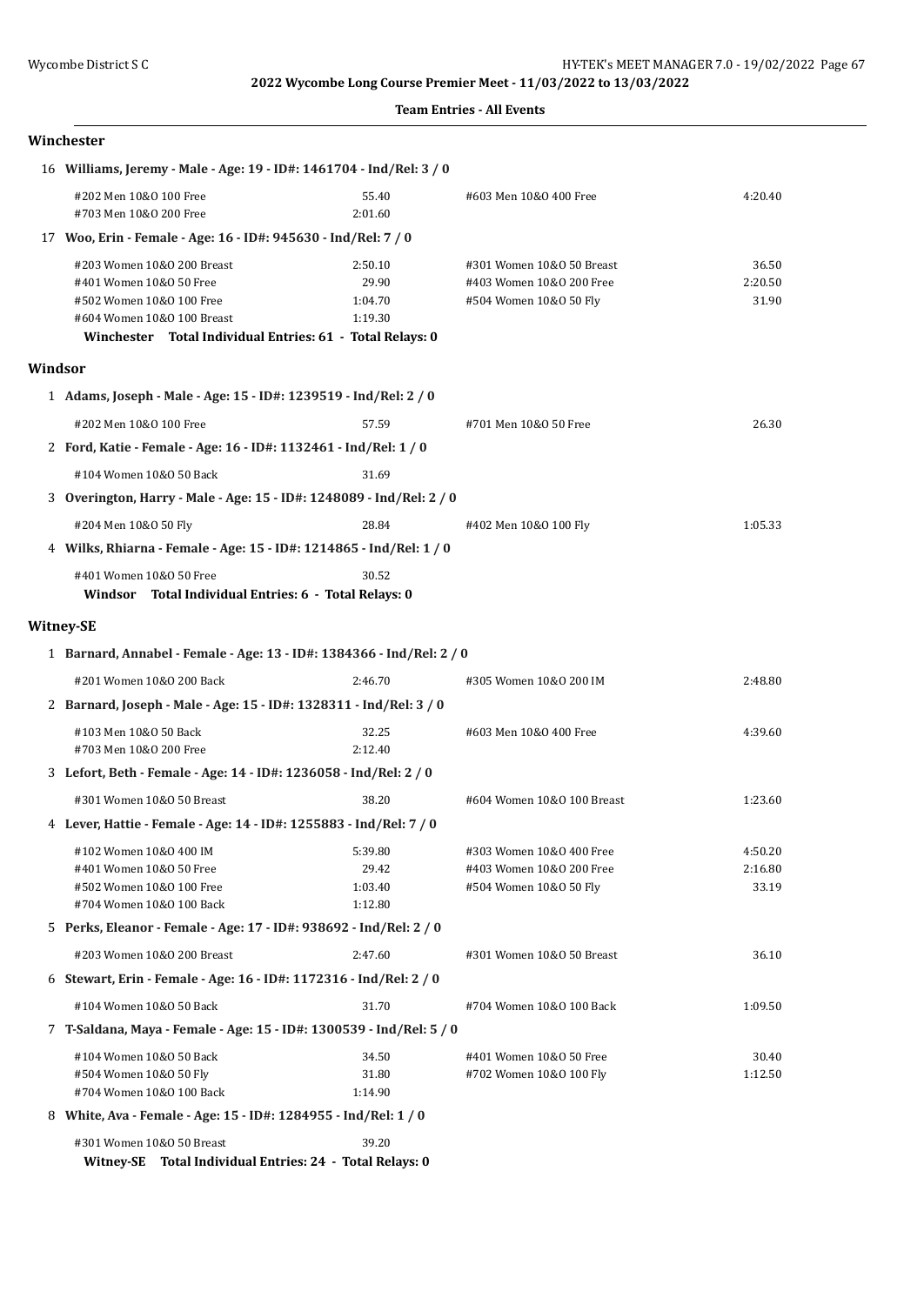#### **Team Entries - All Events**

### **Winchester**

|         | 16 Williams, Jeremy - Male - Age: 19 - ID#: 1461704 - Ind/Rel: 3 / 0                                                                                                         |                                        |                                                                                 |                             |  |
|---------|------------------------------------------------------------------------------------------------------------------------------------------------------------------------------|----------------------------------------|---------------------------------------------------------------------------------|-----------------------------|--|
|         | #202 Men 10&0 100 Free<br>#703 Men 10&0 200 Free                                                                                                                             | 55.40<br>2:01.60                       | #603 Men 10&0 400 Free                                                          | 4:20.40                     |  |
|         | 17 Woo, Erin - Female - Age: 16 - ID#: 945630 - Ind/Rel: 7 / 0                                                                                                               |                                        |                                                                                 |                             |  |
|         | #203 Women 10&0 200 Breast<br>#401 Women 10&0 50 Free<br>#502 Women 10&0 100 Free<br>#604 Women 10&0 100 Breast<br>Winchester Total Individual Entries: 61 - Total Relays: 0 | 2:50.10<br>29.90<br>1:04.70<br>1:19.30 | #301 Women 10&0 50 Breast<br>#403 Women 10&0 200 Free<br>#504 Women 10&0 50 Fly | 36.50<br>2:20.50<br>31.90   |  |
| Windsor |                                                                                                                                                                              |                                        |                                                                                 |                             |  |
|         | 1 Adams, Joseph - Male - Age: 15 - ID#: 1239519 - Ind/Rel: 2 / 0                                                                                                             |                                        |                                                                                 |                             |  |
|         | #202 Men 10&0 100 Free                                                                                                                                                       | 57.59                                  | #701 Men 10&0 50 Free                                                           | 26.30                       |  |
|         | 2 Ford, Katie - Female - Age: 16 - ID#: 1132461 - Ind/Rel: 1 / 0                                                                                                             |                                        |                                                                                 |                             |  |
|         | #104 Women 10&0 50 Back                                                                                                                                                      | 31.69                                  |                                                                                 |                             |  |
|         | 3 Overington, Harry - Male - Age: 15 - ID#: 1248089 - Ind/Rel: 2 / 0                                                                                                         |                                        |                                                                                 |                             |  |
|         | #204 Men 10&0 50 Fly                                                                                                                                                         | 28.84                                  | #402 Men 10&0 100 Fly                                                           | 1:05.33                     |  |
|         | 4 Wilks, Rhiarna - Female - Age: 15 - ID#: 1214865 - Ind/Rel: 1 / 0                                                                                                          |                                        |                                                                                 |                             |  |
|         | #401 Women 10&0 50 Free<br>Windsor Total Individual Entries: 6 - Total Relays: 0                                                                                             | 30.52                                  |                                                                                 |                             |  |
|         | <b>Witney-SE</b>                                                                                                                                                             |                                        |                                                                                 |                             |  |
|         | 1 Barnard, Annabel - Female - Age: 13 - ID#: 1384366 - Ind/Rel: 2 / 0                                                                                                        |                                        |                                                                                 |                             |  |
|         | #201 Women 10&0 200 Back                                                                                                                                                     | 2:46.70                                | #305 Women 10&0 200 IM                                                          | 2:48.80                     |  |
|         | 2 Barnard, Joseph - Male - Age: 15 - ID#: 1328311 - Ind/Rel: 3 / 0                                                                                                           |                                        |                                                                                 |                             |  |
|         | #103 Men 10&0 50 Back<br>#703 Men 10&0 200 Free                                                                                                                              | 32.25<br>2:12.40                       | #603 Men 10&0 400 Free                                                          | 4:39.60                     |  |
|         | 3 Lefort, Beth - Female - Age: 14 - ID#: 1236058 - Ind/Rel: 2 / 0                                                                                                            |                                        |                                                                                 |                             |  |
|         | #301 Women 10&0 50 Breast                                                                                                                                                    | 38.20                                  | #604 Women 10&0 100 Breast                                                      | 1:23.60                     |  |
|         | 4 Lever, Hattie - Female - Age: 14 - ID#: 1255883 - Ind/Rel: 7 / 0                                                                                                           |                                        |                                                                                 |                             |  |
|         | #102 Women 10&0 400 IM<br>#401 Women 10&0 50 Free<br>#502 Women 10&0 100 Free                                                                                                | 5:39.80<br>29.42<br>1:03.40            | #303 Women 10&0 400 Free<br>#403 Women 10&0 200 Free<br>#504 Women 10&0 50 Fly  | 4:50.20<br>2:16.80<br>33.19 |  |
|         | #704 Women 10&0 100 Back                                                                                                                                                     | 1:12.80                                |                                                                                 |                             |  |
|         | 5 Perks, Eleanor - Female - Age: 17 - ID#: 938692 - Ind/Rel: 2 / 0                                                                                                           |                                        |                                                                                 |                             |  |
|         | #203 Women 10&0 200 Breast                                                                                                                                                   | 2:47.60                                | #301 Women 10&0 50 Breast                                                       | 36.10                       |  |
|         | 6 Stewart, Erin - Female - Age: 16 - ID#: 1172316 - Ind/Rel: 2 / 0                                                                                                           |                                        |                                                                                 |                             |  |
|         | #104 Women 10&0 50 Back                                                                                                                                                      | 31.70                                  | #704 Women 10&0 100 Back                                                        | 1:09.50                     |  |
|         | 7 T-Saldana, Maya - Female - Age: 15 - ID#: 1300539 - Ind/Rel: 5 / 0                                                                                                         |                                        |                                                                                 |                             |  |
|         | #104 Women 10&0 50 Back<br>#504 Women 10&0 50 Fly<br>#704 Women 10&0 100 Back                                                                                                | 34.50<br>31.80<br>1:14.90              | #401 Women 10&0 50 Free<br>#702 Women 10&0 100 Fly                              | 30.40<br>1:12.50            |  |
|         | 8 White, Ava - Female - Age: 15 - ID#: 1284955 - Ind/Rel: 1 / 0                                                                                                              |                                        |                                                                                 |                             |  |
|         | #301 Women 10&0 50 Breast                                                                                                                                                    | 39.20                                  |                                                                                 |                             |  |

**Witney-SE Total Individual Entries: 24 - Total Relays: 0**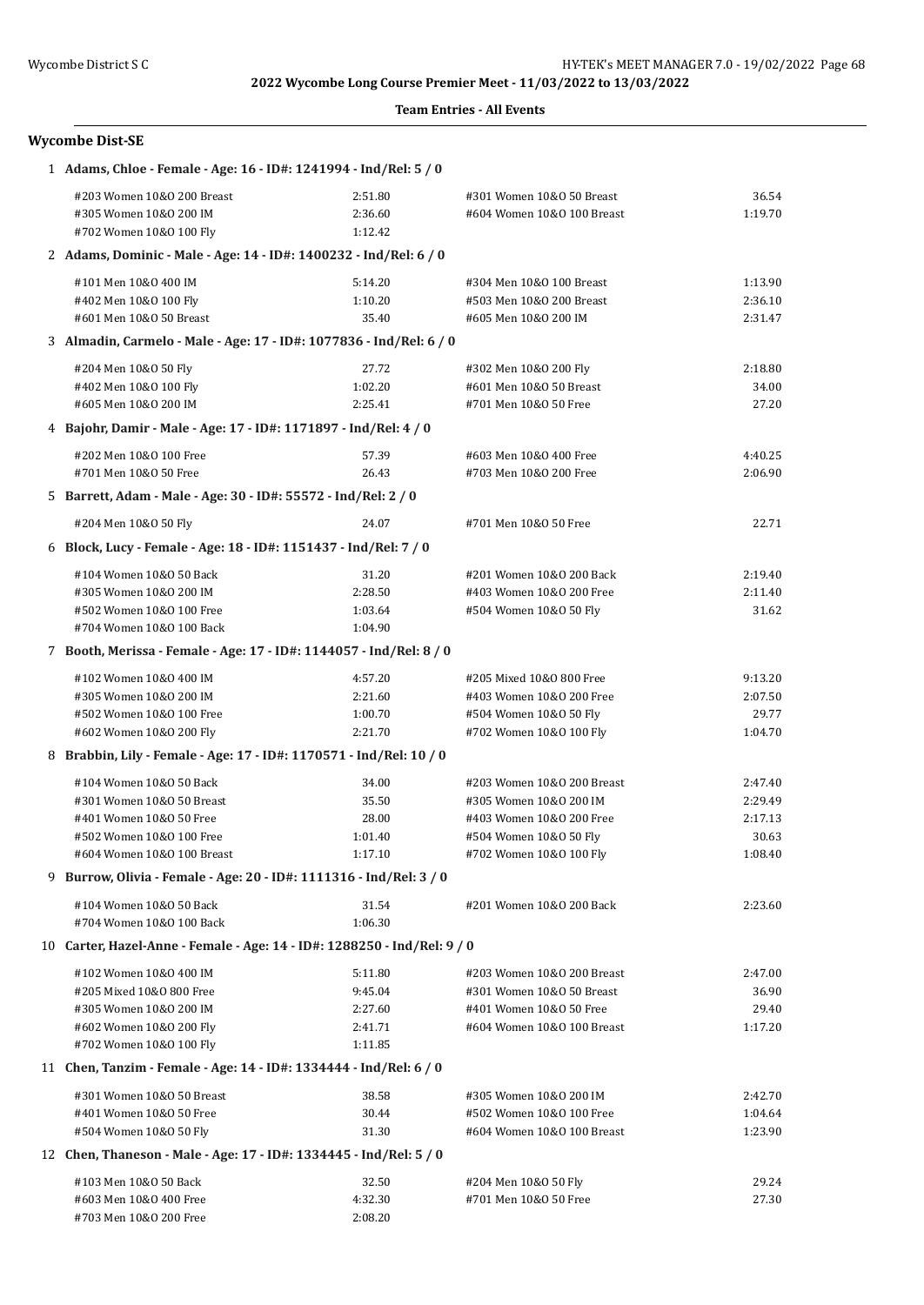#### **Team Entries - All Events**

# **Wycombe Dist-SE**

| 1 Adams, Chloe - Female - Age: 16 - ID#: 1241994 - Ind/Rel: 5 / 0        |                    |                                                  |                |  |
|--------------------------------------------------------------------------|--------------------|--------------------------------------------------|----------------|--|
| #203 Women 10&0 200 Breast                                               | 2:51.80            | #301 Women 10&0 50 Breast                        | 36.54          |  |
| #305 Women 10&0 200 IM                                                   | 2:36.60            | #604 Women 10&0 100 Breast                       | 1:19.70        |  |
| #702 Women 10&0 100 Fly                                                  | 1:12.42            |                                                  |                |  |
| 2 Adams, Dominic - Male - Age: 14 - ID#: 1400232 - Ind/Rel: 6 / 0        |                    |                                                  |                |  |
| #101 Men 10&0 400 IM                                                     | 5:14.20            | #304 Men 10&0 100 Breast                         | 1:13.90        |  |
| #402 Men 10&0 100 Fly                                                    | 1:10.20            | #503 Men 10&0 200 Breast                         | 2:36.10        |  |
| #601 Men 10&0 50 Breast                                                  | 35.40              | #605 Men 10&0 200 IM                             | 2:31.47        |  |
| 3 Almadin, Carmelo - Male - Age: 17 - ID#: 1077836 - Ind/Rel: 6 / 0      |                    |                                                  |                |  |
|                                                                          |                    |                                                  |                |  |
| #204 Men 10&0 50 Fly                                                     | 27.72              | #302 Men 10&0 200 Fly<br>#601 Men 10&0 50 Breast | 2:18.80        |  |
| #402 Men 10&0 100 Fly<br>#605 Men 10&0 200 IM                            | 1:02.20<br>2:25.41 | #701 Men 10&0 50 Free                            | 34.00<br>27.20 |  |
|                                                                          |                    |                                                  |                |  |
| 4 Bajohr, Damir - Male - Age: 17 - ID#: 1171897 - Ind/Rel: 4 / 0         |                    |                                                  |                |  |
| #202 Men 10&0 100 Free                                                   | 57.39              | #603 Men 10&0 400 Free                           | 4:40.25        |  |
| #701 Men 10&0 50 Free                                                    | 26.43              | #703 Men 10&0 200 Free                           | 2:06.90        |  |
| 5 Barrett, Adam - Male - Age: 30 - ID#: 55572 - Ind/Rel: 2 / 0           |                    |                                                  |                |  |
| #204 Men 10&0 50 Fly                                                     | 24.07              | #701 Men 10&0 50 Free                            | 22.71          |  |
| 6 Block, Lucy - Female - Age: 18 - ID#: 1151437 - Ind/Rel: 7 / 0         |                    |                                                  |                |  |
| #104 Women 10&0 50 Back                                                  | 31.20              | #201 Women 10&0 200 Back                         | 2:19.40        |  |
| #305 Women 10&0 200 IM                                                   | 2:28.50            | #403 Women 10&0 200 Free                         | 2:11.40        |  |
| #502 Women 10&0 100 Free                                                 | 1:03.64            | #504 Women 10&0 50 Fly                           | 31.62          |  |
| #704 Women 10&0 100 Back                                                 | 1:04.90            |                                                  |                |  |
| 7 Booth, Merissa - Female - Age: 17 - ID#: 1144057 - Ind/Rel: 8 / 0      |                    |                                                  |                |  |
| #102 Women 10&0 400 IM                                                   | 4:57.20            | #205 Mixed 10&0 800 Free                         | 9:13.20        |  |
| #305 Women 10&0 200 IM                                                   | 2:21.60            | #403 Women 10&0 200 Free                         | 2:07.50        |  |
| #502 Women 10&0 100 Free                                                 | 1:00.70            | #504 Women 10&0 50 Fly                           | 29.77          |  |
| #602 Women 10&0 200 Fly                                                  | 2:21.70            | #702 Women 10&0 100 Fly                          | 1:04.70        |  |
| 8 Brabbin, Lily - Female - Age: 17 - ID#: 1170571 - Ind/Rel: 10 / 0      |                    |                                                  |                |  |
| #104 Women 10&0 50 Back                                                  | 34.00              | #203 Women 10&0 200 Breast                       | 2:47.40        |  |
| #301 Women 10&0 50 Breast                                                | 35.50              | #305 Women 10&0 200 IM                           | 2:29.49        |  |
| #401 Women 10&0 50 Free                                                  | 28.00              | #403 Women 10&0 200 Free                         | 2:17.13        |  |
| #502 Women 10&0 100 Free                                                 | 1:01.40            | #504 Women 10&0 50 Fly                           | 30.63          |  |
| #604 Women 10&0 100 Breast                                               | 1:17.10            | #702 Women 10&0 100 Fly                          | 1:08.40        |  |
| 9 Burrow, Olivia - Female - Age: 20 - ID#: 1111316 - Ind/Rel: 3 / 0      |                    |                                                  |                |  |
| #104 Women 10&0 50 Back                                                  |                    |                                                  |                |  |
| #704 Women 10&0 100 Back                                                 | 31.54<br>1:06.30   | #201 Women 10&0 200 Back                         | 2:23.60        |  |
| 10 Carter, Hazel-Anne - Female - Age: 14 - ID#: 1288250 - Ind/Rel: 9 / 0 |                    |                                                  |                |  |
|                                                                          |                    |                                                  |                |  |
| #102 Women 10&0 400 IM                                                   | 5:11.80            | #203 Women 10&0 200 Breast                       | 2:47.00        |  |
| #205 Mixed 10&0 800 Free                                                 | 9:45.04            | #301 Women 10&0 50 Breast                        | 36.90          |  |
| #305 Women 10&0 200 IM                                                   | 2:27.60            | #401 Women 10&0 50 Free                          | 29.40          |  |
| #602 Women 10&0 200 Fly                                                  | 2:41.71            | #604 Women 10&0 100 Breast                       | 1:17.20        |  |
| #702 Women 10&0 100 Fly                                                  | 1:11.85            |                                                  |                |  |
| 11 Chen, Tanzim - Female - Age: 14 - ID#: 1334444 - Ind/Rel: 6 / 0       |                    |                                                  |                |  |
| #301 Women 10&0 50 Breast                                                | 38.58              | #305 Women 10&0 200 IM                           | 2:42.70        |  |
| #401 Women 10&0 50 Free                                                  | 30.44              | #502 Women 10&0 100 Free                         | 1:04.64        |  |
| #504 Women 10&0 50 Fly                                                   | 31.30              | #604 Women 10&0 100 Breast                       | 1:23.90        |  |
| 12 Chen, Thaneson - Male - Age: 17 - ID#: 1334445 - Ind/Rel: 5 / 0       |                    |                                                  |                |  |
| #103 Men 10&0 50 Back                                                    | 32.50              | #204 Men 10&0 50 Fly                             | 29.24          |  |
| #603 Men 10&0 400 Free                                                   | 4:32.30            | #701 Men 10&0 50 Free                            | 27.30          |  |
| #703 Men 10&0 200 Free                                                   | 2:08.20            |                                                  |                |  |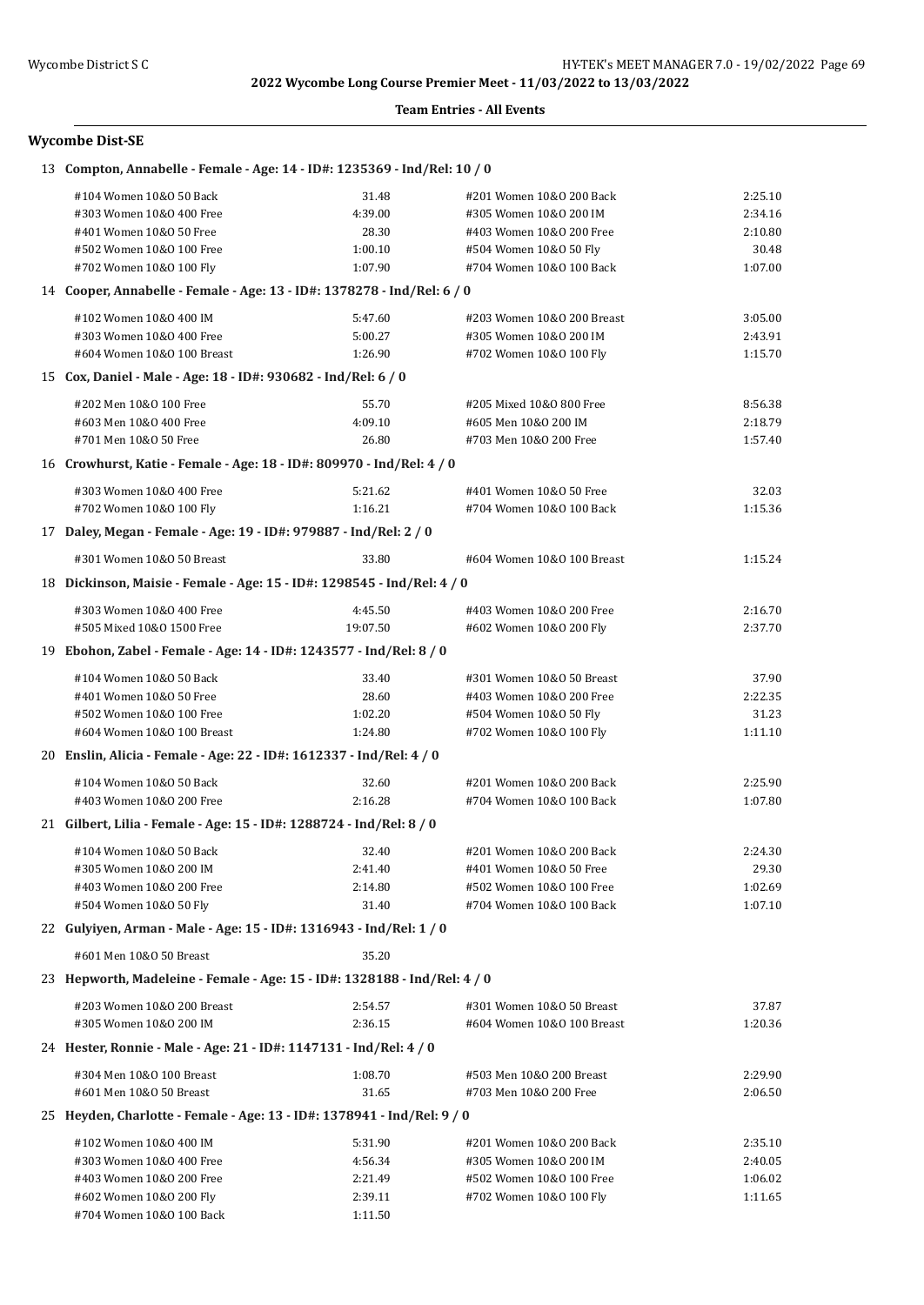#### **Team Entries - All Events**

## **Wycombe Dist-SE**

| 13 Compton, Annabelle - Female - Age: 14 - ID#: 1235369 - Ind/Rel: 10 / 0 |          |                            |         |
|---------------------------------------------------------------------------|----------|----------------------------|---------|
| #104 Women 10&0 50 Back                                                   | 31.48    | #201 Women 10&0 200 Back   | 2:25.10 |
| #303 Women 10&0 400 Free                                                  | 4:39.00  | #305 Women 10&0 200 IM     | 2:34.16 |
| #401 Women 10&0 50 Free                                                   | 28.30    | #403 Women 10&0 200 Free   | 2:10.80 |
| #502 Women 10&0 100 Free                                                  | 1:00.10  | #504 Women 10&0 50 Fly     | 30.48   |
| #702 Women 10&0 100 Fly                                                   | 1:07.90  | #704 Women 10&0 100 Back   | 1:07.00 |
| 14 Cooper, Annabelle - Female - Age: 13 - ID#: 1378278 - Ind/Rel: 6 / 0   |          |                            |         |
| #102 Women 10&0 400 IM                                                    | 5:47.60  | #203 Women 10&0 200 Breast | 3:05.00 |
| #303 Women 10&0 400 Free                                                  | 5:00.27  | #305 Women 10&0 200 IM     | 2:43.91 |
| #604 Women 10&0 100 Breast                                                | 1:26.90  | #702 Women 10&0 100 Fly    | 1:15.70 |
| 15 Cox, Daniel - Male - Age: 18 - ID#: 930682 - Ind/Rel: 6 / 0            |          |                            |         |
| #202 Men 10&0 100 Free                                                    | 55.70    | #205 Mixed 10&0 800 Free   | 8:56.38 |
| #603 Men 10&0 400 Free                                                    | 4:09.10  | #605 Men 10&0 200 IM       | 2:18.79 |
| #701 Men 10&0 50 Free                                                     | 26.80    | #703 Men 10&0 200 Free     | 1:57.40 |
| 16 Crowhurst, Katie - Female - Age: 18 - ID#: 809970 - Ind/Rel: 4 / 0     |          |                            |         |
| #303 Women 10&0 400 Free                                                  | 5:21.62  | #401 Women 10&0 50 Free    | 32.03   |
| #702 Women 10&0 100 Fly                                                   | 1:16.21  | #704 Women 10&0 100 Back   | 1:15.36 |
| 17 Daley, Megan - Female - Age: 19 - ID#: 979887 - Ind/Rel: 2 / 0         |          |                            |         |
|                                                                           |          |                            |         |
| #301 Women 10&0 50 Breast                                                 | 33.80    | #604 Women 10&0 100 Breast | 1:15.24 |
| 18 Dickinson, Maisie - Female - Age: 15 - ID#: 1298545 - Ind/Rel: 4 / 0   |          |                            |         |
| #303 Women 10&0 400 Free                                                  | 4:45.50  | #403 Women 10&0 200 Free   | 2:16.70 |
| #505 Mixed 10&0 1500 Free                                                 | 19:07.50 | #602 Women 10&0 200 Fly    | 2:37.70 |
| 19 Ebohon, Zabel - Female - Age: 14 - ID#: 1243577 - Ind/Rel: 8 / 0       |          |                            |         |
| #104 Women 10&0 50 Back                                                   | 33.40    | #301 Women 10&0 50 Breast  | 37.90   |
| #401 Women 10&0 50 Free                                                   | 28.60    | #403 Women 10&0 200 Free   | 2:22.35 |
| #502 Women 10&0 100 Free                                                  | 1:02.20  | #504 Women 10&0 50 Fly     | 31.23   |
| #604 Women 10&0 100 Breast                                                | 1:24.80  | #702 Women 10&0 100 Fly    | 1:11.10 |
| 20 Enslin, Alicia - Female - Age: 22 - ID#: 1612337 - Ind/Rel: 4 / 0      |          |                            |         |
| #104 Women 10&0 50 Back                                                   | 32.60    | #201 Women 10&0 200 Back   | 2:25.90 |
| #403 Women 10&0 200 Free                                                  | 2:16.28  | #704 Women 10&0 100 Back   | 1:07.80 |
| 21 Gilbert, Lilia - Female - Age: 15 - ID#: 1288724 - Ind/Rel: 8 / 0      |          |                            |         |
| #104 Women 10&0 50 Back                                                   | 32.40    | #201 Women 10&0 200 Back   | 2:24.30 |
| #305 Women 10&0 200 IM                                                    | 2:41.40  | #401 Women 10&0 50 Free    | 29.30   |
| #403 Women 10&0 200 Free                                                  | 2:14.80  | #502 Women 10&0 100 Free   | 1:02.69 |
| #504 Women 10&0 50 Fly                                                    | 31.40    | #704 Women 10&0 100 Back   | 1:07.10 |
| 22 Gulyiyen, Arman - Male - Age: 15 - ID#: 1316943 - Ind/Rel: 1 / 0       |          |                            |         |
| #601 Men 10&0 50 Breast                                                   | 35.20    |                            |         |
| 23 Hepworth, Madeleine - Female - Age: 15 - ID#: 1328188 - Ind/Rel: 4 / 0 |          |                            |         |
| #203 Women 10&0 200 Breast                                                | 2:54.57  | #301 Women 10&0 50 Breast  | 37.87   |
| #305 Women 10&0 200 IM                                                    | 2:36.15  | #604 Women 10&0 100 Breast | 1:20.36 |
| 24 Hester, Ronnie - Male - Age: 21 - ID#: 1147131 - Ind/Rel: 4 / 0        |          |                            |         |
| #304 Men 10&0 100 Breast                                                  | 1:08.70  | #503 Men 10&0 200 Breast   | 2:29.90 |
| #601 Men 10&0 50 Breast                                                   | 31.65    | #703 Men 10&0 200 Free     | 2:06.50 |
| 25 Heyden, Charlotte - Female - Age: 13 - ID#: 1378941 - Ind/Rel: 9 / 0   |          |                            |         |
| #102 Women 10&0 400 IM                                                    | 5:31.90  | #201 Women 10&0 200 Back   | 2:35.10 |
| #303 Women 10&0 400 Free                                                  | 4:56.34  | #305 Women 10&0 200 IM     | 2:40.05 |
| #403 Women 10&0 200 Free                                                  | 2:21.49  | #502 Women 10&0 100 Free   | 1:06.02 |
| #602 Women 10&0 200 Fly                                                   | 2:39.11  | #702 Women 10&0 100 Fly    | 1:11.65 |
| #704 Women 10&0 100 Back                                                  | 1:11.50  |                            |         |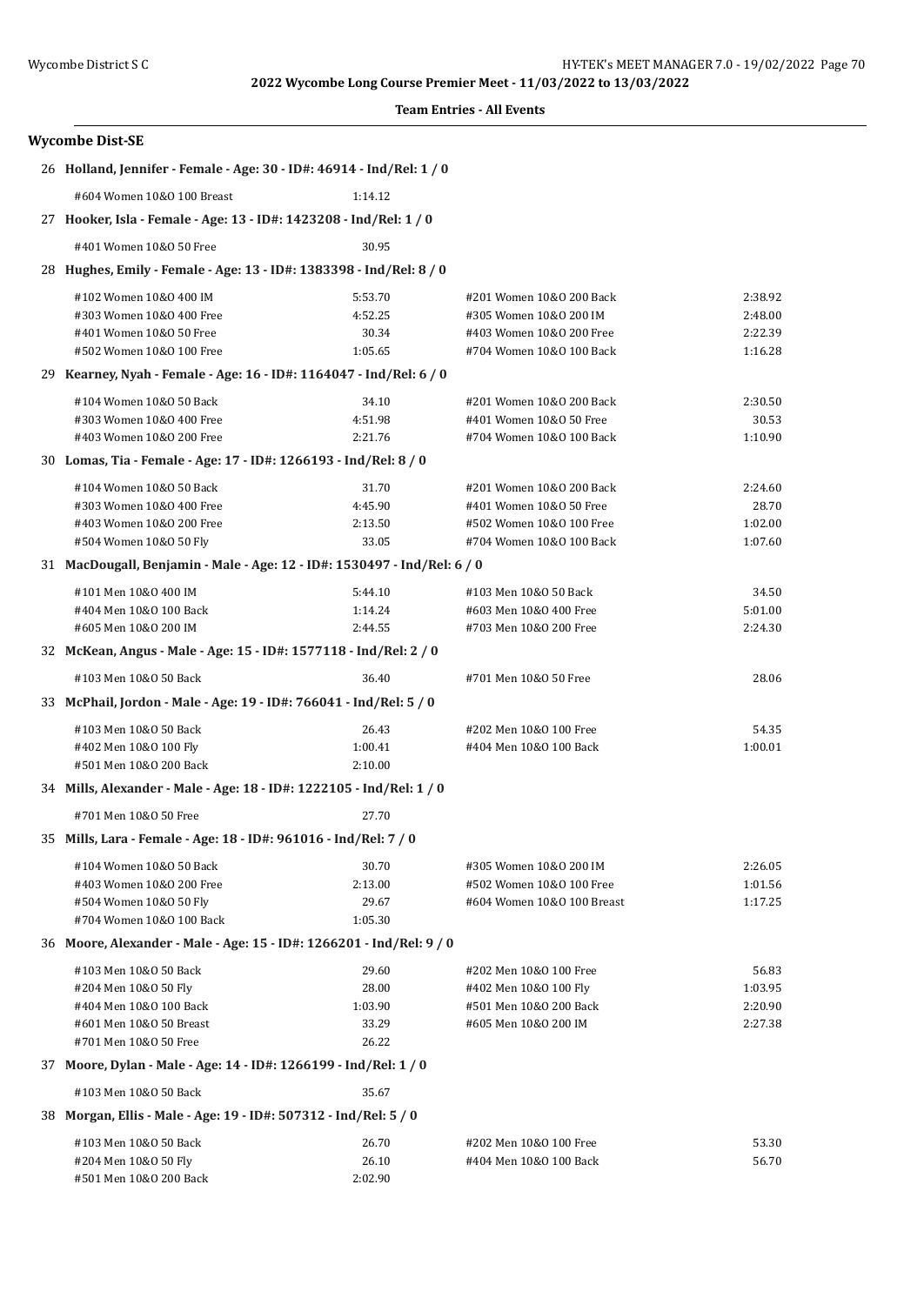#### **Team Entries - All Events**

| <b>Wycombe Dist-SE</b>                                                   |                |                                                  |         |  |  |
|--------------------------------------------------------------------------|----------------|--------------------------------------------------|---------|--|--|
| 26 Holland, Jennifer - Female - Age: 30 - ID#: 46914 - Ind/Rel: 1 / 0    |                |                                                  |         |  |  |
| #604 Women 10&0 100 Breast                                               | 1:14.12        |                                                  |         |  |  |
| 27 Hooker, Isla - Female - Age: 13 - ID#: 1423208 - Ind/Rel: 1 / 0       |                |                                                  |         |  |  |
| #401 Women 10&0 50 Free                                                  | 30.95          |                                                  |         |  |  |
| 28 Hughes, Emily - Female - Age: 13 - ID#: 1383398 - Ind/Rel: 8 / 0      |                |                                                  |         |  |  |
| #102 Women 10&0 400 IM                                                   | 5:53.70        | #201 Women 10&0 200 Back                         | 2:38.92 |  |  |
| #303 Women 10&0 400 Free                                                 | 4:52.25        | #305 Women 10&0 200 IM                           | 2:48.00 |  |  |
| #401 Women 10&0 50 Free                                                  | 30.34          | #403 Women 10&0 200 Free                         | 2:22.39 |  |  |
| #502 Women 10&0 100 Free                                                 | 1:05.65        | #704 Women 10&0 100 Back                         | 1:16.28 |  |  |
| 29 Kearney, Nyah - Female - Age: 16 - ID#: 1164047 - Ind/Rel: 6 / 0      |                |                                                  |         |  |  |
| #104 Women 10&0 50 Back                                                  | 34.10          | #201 Women 10&0 200 Back                         | 2:30.50 |  |  |
| #303 Women 10&0 400 Free                                                 | 4:51.98        | #401 Women 10&0 50 Free                          | 30.53   |  |  |
| #403 Women 10&0 200 Free                                                 | 2:21.76        | #704 Women 10&0 100 Back                         | 1:10.90 |  |  |
| 30 Lomas, Tia - Female - Age: 17 - ID#: 1266193 - Ind/Rel: 8 / 0         |                |                                                  |         |  |  |
| #104 Women 10&0 50 Back                                                  | 31.70          | #201 Women 10&0 200 Back                         | 2:24.60 |  |  |
| #303 Women 10&0 400 Free                                                 | 4:45.90        | #401 Women 10&0 50 Free                          | 28.70   |  |  |
| #403 Women 10&0 200 Free                                                 | 2:13.50        | #502 Women 10&0 100 Free                         | 1:02.00 |  |  |
| #504 Women 10&0 50 Fly                                                   | 33.05          | #704 Women 10&0 100 Back                         | 1:07.60 |  |  |
| 31 MacDougall, Benjamin - Male - Age: 12 - ID#: 1530497 - Ind/Rel: 6 / 0 |                |                                                  |         |  |  |
| #101 Men 10&0 400 IM                                                     | 5:44.10        | #103 Men 10&0 50 Back                            | 34.50   |  |  |
| #404 Men 10&0 100 Back                                                   | 1:14.24        | #603 Men 10&0 400 Free                           | 5:01.00 |  |  |
| #605 Men 10&0 200 IM                                                     | 2:44.55        | #703 Men 10&0 200 Free                           | 2:24.30 |  |  |
| 32 McKean, Angus - Male - Age: 15 - ID#: 1577118 - Ind/Rel: 2 / 0        |                |                                                  |         |  |  |
| #103 Men 10&0 50 Back                                                    | 36.40          | #701 Men 10&0 50 Free                            | 28.06   |  |  |
| 33 McPhail, Jordon - Male - Age: 19 - ID#: 766041 - Ind/Rel: 5 / 0       |                |                                                  |         |  |  |
| #103 Men 10&0 50 Back                                                    | 26.43          | #202 Men 10&0 100 Free                           | 54.35   |  |  |
| #402 Men 10&0 100 Fly                                                    | 1:00.41        | #404 Men 10&0 100 Back                           | 1:00.01 |  |  |
| #501 Men 10&0 200 Back                                                   | 2:10.00        |                                                  |         |  |  |
| 34 Mills, Alexander - Male - Age: 18 - ID#: 1222105 - Ind/Rel: 1 / 0     |                |                                                  |         |  |  |
| #701 Men 10&0 50 Free                                                    | 27.70          |                                                  |         |  |  |
| 35 Mills, Lara - Female - Age: 18 - ID#: 961016 - Ind/Rel: 7 / 0         |                |                                                  |         |  |  |
| #104 Women 10&0 50 Back                                                  | 30.70          | #305 Women 10&0 200 IM                           | 2:26.05 |  |  |
| #403 Women 10&0 200 Free                                                 | 2:13.00        | #502 Women 10&0 100 Free                         | 1:01.56 |  |  |
| #504 Women 10&0 50 Fly                                                   | 29.67          | #604 Women 10&0 100 Breast                       | 1:17.25 |  |  |
| #704 Women 10&0 100 Back                                                 | 1:05.30        |                                                  |         |  |  |
| 36 Moore, Alexander - Male - Age: 15 - ID#: 1266201 - Ind/Rel: 9 / 0     |                |                                                  |         |  |  |
| #103 Men 10&0 50 Back                                                    | 29.60          | #202 Men 10&0 100 Free                           | 56.83   |  |  |
| #204 Men 10&0 50 Fly                                                     | 28.00          | #402 Men 10&0 100 Fly                            | 1:03.95 |  |  |
| #404 Men 10&0 100 Back                                                   | 1:03.90        | #501 Men 10&0 200 Back                           | 2:20.90 |  |  |
| #601 Men 10&0 50 Breast<br>#701 Men 10&0 50 Free                         | 33.29<br>26.22 | #605 Men 10&0 200 IM                             | 2:27.38 |  |  |
| 37 Moore, Dylan - Male - Age: 14 - ID#: 1266199 - Ind/Rel: 1 / 0         |                |                                                  |         |  |  |
| #103 Men 10&0 50 Back                                                    | 35.67          |                                                  |         |  |  |
| 38 Morgan, Ellis - Male - Age: 19 - ID#: 507312 - Ind/Rel: 5 / 0         |                |                                                  |         |  |  |
| #103 Men 10&0 50 Back                                                    | 26.70          |                                                  | 53.30   |  |  |
| #204 Men 10&0 50 Fly                                                     | 26.10          | #202 Men 10&0 100 Free<br>#404 Men 10&0 100 Back | 56.70   |  |  |
| #501 Men 10&0 200 Back                                                   | 2:02.90        |                                                  |         |  |  |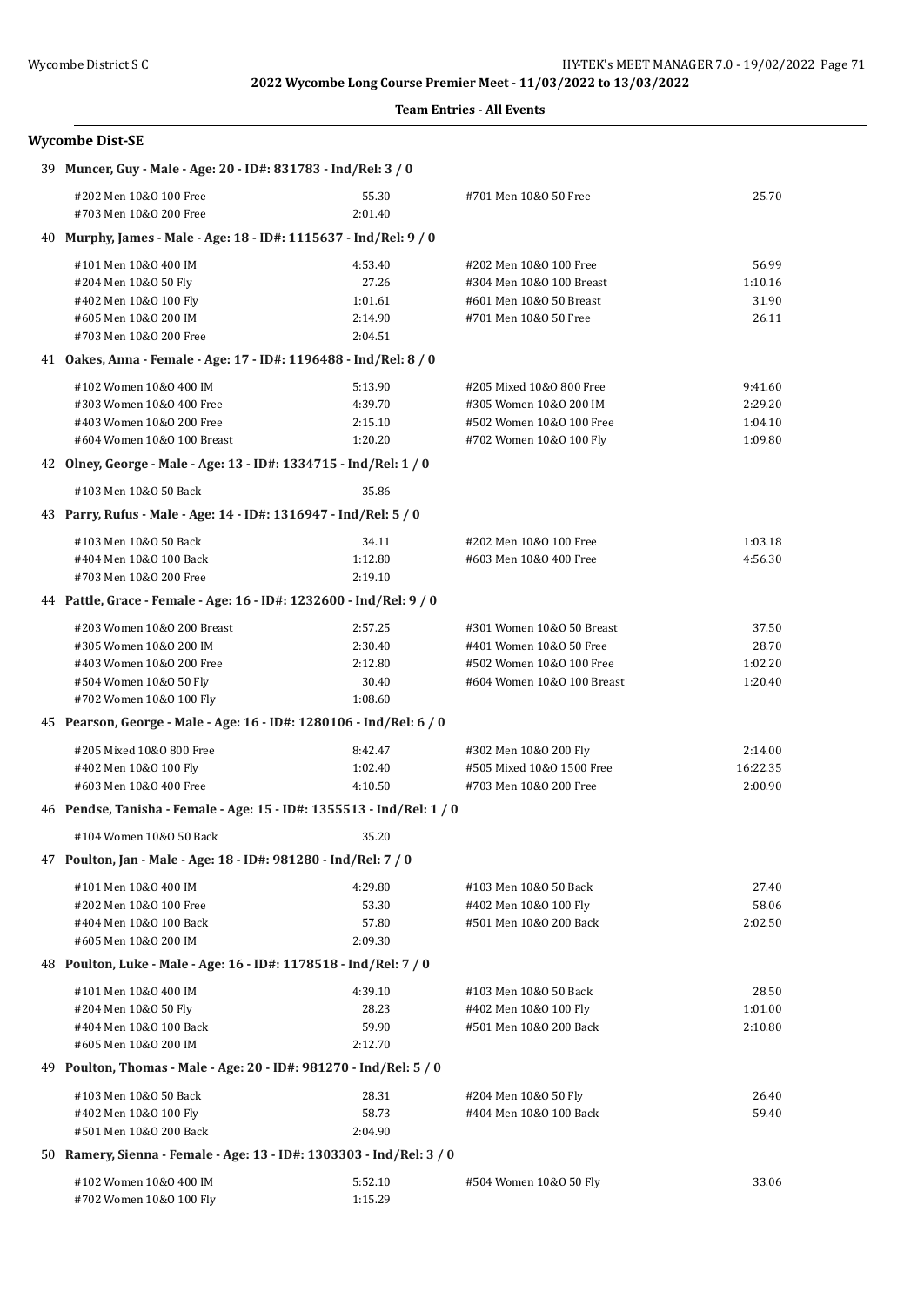#### **Team Entries - All Events**

| <b>Wycombe Dist-SE</b> |  |
|------------------------|--|
|------------------------|--|

| 39 Muncer, Guy - Male - Age: 20 - ID#: 831783 - Ind/Rel: 3 / 0        |                  |                                                     |                  |
|-----------------------------------------------------------------------|------------------|-----------------------------------------------------|------------------|
| #202 Men 10&0 100 Free<br>#703 Men 10&0 200 Free                      | 55.30<br>2:01.40 | #701 Men 10&0 50 Free                               | 25.70            |
| 40 Murphy, James - Male - Age: 18 - ID#: 1115637 - Ind/Rel: 9 / 0     |                  |                                                     |                  |
|                                                                       |                  |                                                     |                  |
| #101 Men 10&0 400 IM                                                  | 4:53.40<br>27.26 | #202 Men 10&0 100 Free                              | 56.99            |
| #204 Men 10&0 50 Fly<br>#402 Men 10&0 100 Fly                         | 1:01.61          | #304 Men 10&0 100 Breast<br>#601 Men 10&0 50 Breast | 1:10.16<br>31.90 |
| #605 Men 10&0 200 IM                                                  | 2:14.90          | #701 Men 10&0 50 Free                               | 26.11            |
| #703 Men 10&0 200 Free                                                | 2:04.51          |                                                     |                  |
| 41 Oakes, Anna - Female - Age: 17 - ID#: 1196488 - Ind/Rel: 8 / 0     |                  |                                                     |                  |
| #102 Women 10&0 400 IM                                                | 5:13.90          | #205 Mixed 10&0 800 Free                            | 9:41.60          |
| #303 Women 10&0 400 Free                                              | 4:39.70          | #305 Women 10&0 200 IM                              | 2:29.20          |
| #403 Women 10&0 200 Free                                              | 2:15.10          | #502 Women 10&0 100 Free                            | 1:04.10          |
| #604 Women 10&0 100 Breast                                            | 1:20.20          | #702 Women 10&0 100 Fly                             | 1:09.80          |
| 42 Olney, George - Male - Age: 13 - ID#: 1334715 - Ind/Rel: 1 / 0     |                  |                                                     |                  |
| #103 Men 10&0 50 Back                                                 | 35.86            |                                                     |                  |
| 43 Parry, Rufus - Male - Age: 14 - ID#: 1316947 - Ind/Rel: 5 / 0      |                  |                                                     |                  |
| #103 Men 10&0 50 Back                                                 | 34.11            | #202 Men 10&0 100 Free                              | 1:03.18          |
| #404 Men 10&0 100 Back                                                | 1:12.80          | #603 Men 10&0 400 Free                              | 4:56.30          |
| #703 Men 10&0 200 Free                                                | 2:19.10          |                                                     |                  |
| 44 Pattle, Grace - Female - Age: 16 - ID#: 1232600 - Ind/Rel: 9 / 0   |                  |                                                     |                  |
| #203 Women 10&0 200 Breast                                            | 2:57.25          | #301 Women 10&0 50 Breast                           | 37.50            |
| #305 Women 10&0 200 IM                                                | 2:30.40          | #401 Women 10&0 50 Free                             | 28.70            |
| #403 Women 10&0 200 Free                                              | 2:12.80          | #502 Women 10&0 100 Free                            | 1:02.20          |
| #504 Women 10&0 50 Fly                                                | 30.40            | #604 Women 10&0 100 Breast                          | 1:20.40          |
| #702 Women 10&0 100 Fly                                               | 1:08.60          |                                                     |                  |
| 45 Pearson, George - Male - Age: 16 - ID#: 1280106 - Ind/Rel: 6 / 0   |                  |                                                     |                  |
| #205 Mixed 10&0 800 Free                                              | 8:42.47          | #302 Men 10&0 200 Fly                               | 2:14.00          |
| #402 Men 10&0 100 Fly                                                 | 1:02.40          | #505 Mixed 10&0 1500 Free                           | 16:22.35         |
| #603 Men 10&0 400 Free                                                | 4:10.50          | #703 Men 10&0 200 Free                              | 2:00.90          |
| 46 Pendse, Tanisha - Female - Age: 15 - ID#: 1355513 - Ind/Rel: 1 / 0 |                  |                                                     |                  |
| #104 Women 10&0 50 Back                                               | 35.20            |                                                     |                  |
| 47 Poulton, Jan - Male - Age: 18 - ID#: 981280 - Ind/Rel: 7 / 0       |                  |                                                     |                  |
| #101 Men 10&0 400 IM                                                  | 4:29.80          | #103 Men 10&0 50 Back                               | 27.40            |
| #202 Men 10&0 100 Free                                                | 53.30            | #402 Men 10&0 100 Fly                               | 58.06            |
| #404 Men 10&0 100 Back                                                | 57.80            | #501 Men 10&0 200 Back                              | 2:02.50          |
| #605 Men 10&0 200 IM                                                  | 2:09.30          |                                                     |                  |
| 48 Poulton, Luke - Male - Age: 16 - ID#: 1178518 - Ind/Rel: 7 / 0     |                  |                                                     |                  |
| #101 Men 10&0 400 IM                                                  | 4:39.10          | #103 Men 10&0 50 Back                               | 28.50            |
| #204 Men 10&0 50 Fly                                                  | 28.23            | #402 Men 10&0 100 Fly                               | 1:01.00          |
| #404 Men 10&0 100 Back                                                | 59.90            | #501 Men 10&0 200 Back                              | 2:10.80          |
| #605 Men 10&0 200 IM                                                  | 2:12.70          |                                                     |                  |
| 49 Poulton, Thomas - Male - Age: 20 - ID#: 981270 - Ind/Rel: 5 / 0    |                  |                                                     |                  |
| #103 Men 10&0 50 Back                                                 | 28.31            | #204 Men 10&0 50 Fly                                | 26.40            |
| #402 Men 10&0 100 Fly                                                 | 58.73            | #404 Men 10&0 100 Back                              | 59.40            |
| #501 Men 10&0 200 Back                                                | 2:04.90          |                                                     |                  |
| 50 Ramery, Sienna - Female - Age: 13 - ID#: 1303303 - Ind/Rel: 3 / 0  |                  |                                                     |                  |
| #102 Women 10&0 400 IM                                                | 5:52.10          | #504 Women 10&0 50 Fly                              | 33.06            |
| #702 Women 10&0 100 Fly                                               | 1:15.29          |                                                     |                  |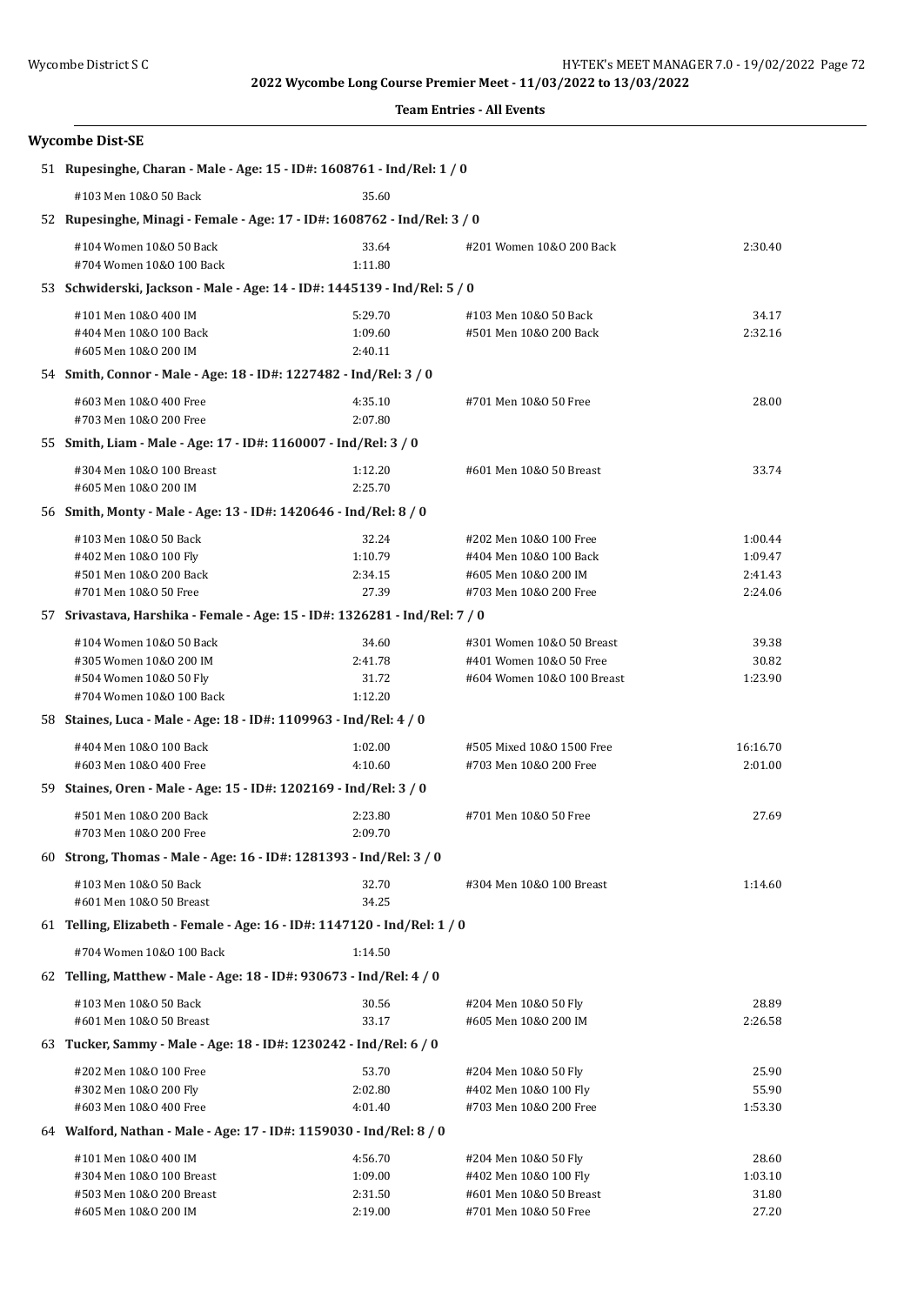| <b>Team Entries - All Events</b> |  |
|----------------------------------|--|
|----------------------------------|--|

|  | <b>Wycombe Dist-SE</b>                                                     |                    |                            |                    |  |
|--|----------------------------------------------------------------------------|--------------------|----------------------------|--------------------|--|
|  | 51 Rupesinghe, Charan - Male - Age: 15 - ID#: 1608761 - Ind/Rel: 1 / 0     |                    |                            |                    |  |
|  | #103 Men 10&0 50 Back                                                      | 35.60              |                            |                    |  |
|  | 52 Rupesinghe, Minagi - Female - Age: 17 - ID#: 1608762 - Ind/Rel: 3 / 0   |                    |                            |                    |  |
|  | #104 Women 10&0 50 Back                                                    | 33.64              | #201 Women 10&0 200 Back   | 2:30.40            |  |
|  | #704 Women 10&0 100 Back                                                   | 1:11.80            |                            |                    |  |
|  | 53 Schwiderski, Jackson - Male - Age: 14 - ID#: 1445139 - Ind/Rel: 5 / 0   |                    |                            |                    |  |
|  | #101 Men 10&0 400 IM                                                       | 5:29.70            | #103 Men 10&0 50 Back      | 34.17              |  |
|  | #404 Men 10&0 100 Back<br>#605 Men 10&0 200 IM                             | 1:09.60<br>2:40.11 | #501 Men 10&0 200 Back     | 2:32.16            |  |
|  |                                                                            |                    |                            |                    |  |
|  | 54 Smith, Connor - Male - Age: 18 - ID#: 1227482 - Ind/Rel: 3 / 0          |                    |                            |                    |  |
|  | #603 Men 10&0 400 Free                                                     | 4:35.10            | #701 Men 10&0 50 Free      | 28.00              |  |
|  | #703 Men 10&0 200 Free                                                     | 2:07.80            |                            |                    |  |
|  | 55 Smith, Liam - Male - Age: 17 - ID#: 1160007 - Ind/Rel: 3 / 0            |                    |                            |                    |  |
|  | #304 Men 10&0 100 Breast                                                   | 1:12.20            | #601 Men 10&0 50 Breast    | 33.74              |  |
|  | #605 Men 10&0 200 IM                                                       | 2:25.70            |                            |                    |  |
|  | 56 Smith, Monty - Male - Age: 13 - ID#: 1420646 - Ind/Rel: 8 / 0           |                    |                            |                    |  |
|  | #103 Men 10&0 50 Back                                                      | 32.24              | #202 Men 10&0 100 Free     | 1:00.44            |  |
|  | #402 Men 10&0 100 Fly                                                      | 1:10.79            | #404 Men 10&0 100 Back     | 1:09.47            |  |
|  | #501 Men 10&0 200 Back<br>#701 Men 10&0 50 Free                            | 2:34.15<br>27.39   | #605 Men 10&0 200 IM       | 2:41.43<br>2:24.06 |  |
|  |                                                                            |                    | #703 Men 10&0 200 Free     |                    |  |
|  | 57 Srivastava, Harshika - Female - Age: 15 - ID#: 1326281 - Ind/Rel: 7 / 0 |                    |                            |                    |  |
|  | #104 Women 10&0 50 Back                                                    | 34.60              | #301 Women 10&0 50 Breast  | 39.38              |  |
|  | #305 Women 10&0 200 IM                                                     | 2:41.78            | #401 Women 10&0 50 Free    | 30.82              |  |
|  | #504 Women 10&0 50 Fly<br>#704 Women 10&0 100 Back                         | 31.72<br>1:12.20   | #604 Women 10&0 100 Breast | 1:23.90            |  |
|  | 58 Staines, Luca - Male - Age: 18 - ID#: 1109963 - Ind/Rel: 4 / 0          |                    |                            |                    |  |
|  |                                                                            |                    |                            |                    |  |
|  | #404 Men 10&0 100 Back                                                     | 1:02.00            | #505 Mixed 10&0 1500 Free  | 16:16.70           |  |
|  | #603 Men 10&0 400 Free<br>4:10.60<br>#703 Men 10&0 200 Free<br>2:01.00     |                    |                            |                    |  |
|  | 59 Staines, Oren - Male - Age: 15 - ID#: 1202169 - Ind/Rel: 3 / 0          |                    |                            |                    |  |
|  | #501 Men 10&0 200 Back                                                     | 2:23.80            | #701 Men 10&0 50 Free      | 27.69              |  |
|  | #703 Men 10&0 200 Free                                                     | 2:09.70            |                            |                    |  |
|  | 60 Strong, Thomas - Male - Age: 16 - ID#: 1281393 - Ind/Rel: 3 / 0         |                    |                            |                    |  |
|  | #103 Men 10&0 50 Back                                                      | 32.70              | #304 Men 10&0 100 Breast   | 1:14.60            |  |
|  | #601 Men 10&0 50 Breast                                                    | 34.25              |                            |                    |  |
|  | 61 Telling, Elizabeth - Female - Age: 16 - ID#: 1147120 - Ind/Rel: 1 / 0   |                    |                            |                    |  |
|  | #704 Women 10&0 100 Back                                                   | 1:14.50            |                            |                    |  |
|  | 62 Telling, Matthew - Male - Age: 18 - ID#: 930673 - Ind/Rel: 4 / 0        |                    |                            |                    |  |
|  | #103 Men 10&0 50 Back                                                      | 30.56              | #204 Men 10&0 50 Fly       | 28.89              |  |
|  | #601 Men 10&0 50 Breast                                                    | 33.17              | #605 Men 10&0 200 IM       | 2:26.58            |  |
|  | 63 Tucker, Sammy - Male - Age: 18 - ID#: 1230242 - Ind/Rel: 6 / 0          |                    |                            |                    |  |
|  | #202 Men 10&0 100 Free                                                     | 53.70              | #204 Men 10&0 50 Fly       | 25.90              |  |
|  | #302 Men 10&0 200 Fly                                                      | 2:02.80            | #402 Men 10&0 100 Fly      | 55.90              |  |
|  | #603 Men 10&0 400 Free                                                     | 4:01.40            | #703 Men 10&0 200 Free     | 1:53.30            |  |
|  | 64 Walford, Nathan - Male - Age: 17 - ID#: 1159030 - Ind/Rel: 8 / 0        |                    |                            |                    |  |
|  | #101 Men 10&0 400 IM                                                       | 4:56.70            | #204 Men 10&0 50 Fly       | 28.60              |  |
|  |                                                                            |                    |                            |                    |  |

#304 Men 10&O 100 Breast 1:09.00 #402 Men 10&O 100 Fly 1:03.10 #503 Men 10&O 200 Breast 2:31.50 #601 Men 10&O 50 Breast 31.80 #605 Men 10&O 200 IM 2:19.00 #701 Men 10&O 50 Free 27.20